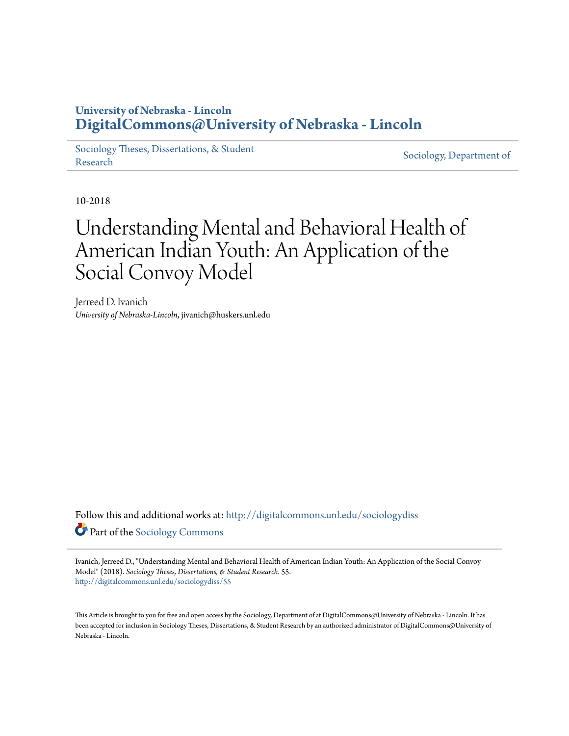### **University of Nebraska - Lincoln [DigitalCommons@University of Nebraska - Lincoln](http://digitalcommons.unl.edu?utm_source=digitalcommons.unl.edu%2Fsociologydiss%2F55&utm_medium=PDF&utm_campaign=PDFCoverPages)**

[Sociology Theses, Dissertations, & Student](http://digitalcommons.unl.edu/sociologydiss?utm_source=digitalcommons.unl.edu%2Fsociologydiss%2F55&utm_medium=PDF&utm_campaign=PDFCoverPages) [Research](http://digitalcommons.unl.edu/sociologydiss?utm_source=digitalcommons.unl.edu%2Fsociologydiss%2F55&utm_medium=PDF&utm_campaign=PDFCoverPages) Sociology, Dissertations, & Student [Sociology, Department of](http://digitalcommons.unl.edu/sociology?utm_source=digitalcommons.unl.edu%2Fsociologydiss%2F55&utm_medium=PDF&utm_campaign=PDFCoverPages)

10-2018

# Understanding Mental and Behavioral Health of American Indian Youth: An Application of the Social Convoy Model

Jerreed D. Ivanich *University of Nebraska-Lincoln*, jivanich@huskers.unl.edu

Follow this and additional works at: [http://digitalcommons.unl.edu/sociologydiss](http://digitalcommons.unl.edu/sociologydiss?utm_source=digitalcommons.unl.edu%2Fsociologydiss%2F55&utm_medium=PDF&utm_campaign=PDFCoverPages) Part of the [Sociology Commons](http://network.bepress.com/hgg/discipline/416?utm_source=digitalcommons.unl.edu%2Fsociologydiss%2F55&utm_medium=PDF&utm_campaign=PDFCoverPages)

Ivanich, Jerreed D., "Understanding Mental and Behavioral Health of American Indian Youth: An Application of the Social Convoy Model" (2018). *Sociology Theses, Dissertations, & Student Research*. 55. [http://digitalcommons.unl.edu/sociologydiss/55](http://digitalcommons.unl.edu/sociologydiss/55?utm_source=digitalcommons.unl.edu%2Fsociologydiss%2F55&utm_medium=PDF&utm_campaign=PDFCoverPages)

This Article is brought to you for free and open access by the Sociology, Department of at DigitalCommons@University of Nebraska - Lincoln. It has been accepted for inclusion in Sociology Theses, Dissertations, & Student Research by an authorized administrator of DigitalCommons@University of Nebraska - Lincoln.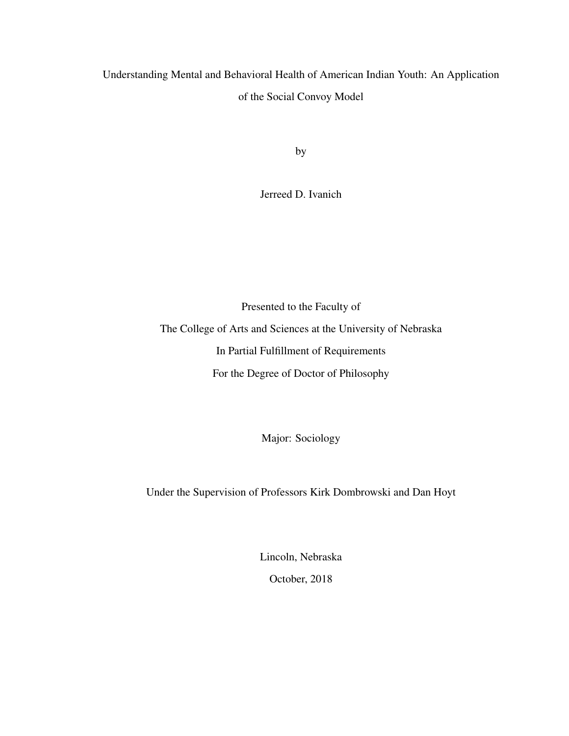## Understanding Mental and Behavioral Health of American Indian Youth: An Application of the Social Convoy Model

by

Jerreed D. Ivanich

Presented to the Faculty of The College of Arts and Sciences at the University of Nebraska In Partial Fulfillment of Requirements For the Degree of Doctor of Philosophy

Major: Sociology

Under the Supervision of Professors Kirk Dombrowski and Dan Hoyt

Lincoln, Nebraska

October, 2018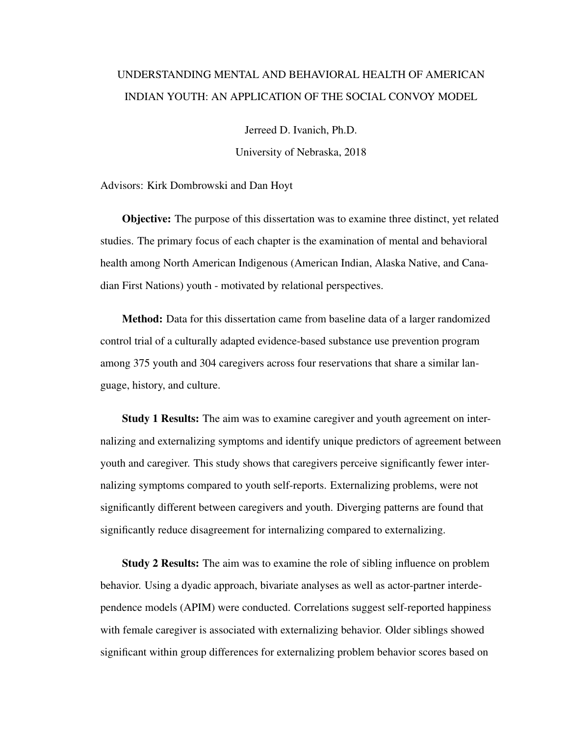## UNDERSTANDING MENTAL AND BEHAVIORAL HEALTH OF AMERICAN INDIAN YOUTH: AN APPLICATION OF THE SOCIAL CONVOY MODEL

Jerreed D. Ivanich, Ph.D.

University of Nebraska, 2018

Advisors: Kirk Dombrowski and Dan Hoyt

Objective: The purpose of this dissertation was to examine three distinct, yet related studies. The primary focus of each chapter is the examination of mental and behavioral health among North American Indigenous (American Indian, Alaska Native, and Canadian First Nations) youth - motivated by relational perspectives.

Method: Data for this dissertation came from baseline data of a larger randomized control trial of a culturally adapted evidence-based substance use prevention program among 375 youth and 304 caregivers across four reservations that share a similar language, history, and culture.

Study 1 Results: The aim was to examine caregiver and youth agreement on internalizing and externalizing symptoms and identify unique predictors of agreement between youth and caregiver. This study shows that caregivers perceive significantly fewer internalizing symptoms compared to youth self-reports. Externalizing problems, were not significantly different between caregivers and youth. Diverging patterns are found that significantly reduce disagreement for internalizing compared to externalizing.

Study 2 Results: The aim was to examine the role of sibling influence on problem behavior. Using a dyadic approach, bivariate analyses as well as actor-partner interdependence models (APIM) were conducted. Correlations suggest self-reported happiness with female caregiver is associated with externalizing behavior. Older siblings showed significant within group differences for externalizing problem behavior scores based on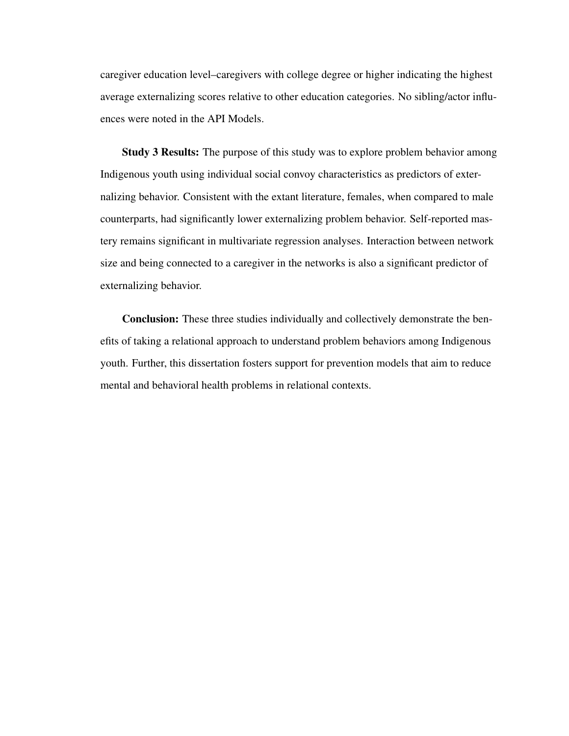caregiver education level–caregivers with college degree or higher indicating the highest average externalizing scores relative to other education categories. No sibling/actor influences were noted in the API Models.

Study 3 Results: The purpose of this study was to explore problem behavior among Indigenous youth using individual social convoy characteristics as predictors of externalizing behavior. Consistent with the extant literature, females, when compared to male counterparts, had significantly lower externalizing problem behavior. Self-reported mastery remains significant in multivariate regression analyses. Interaction between network size and being connected to a caregiver in the networks is also a significant predictor of externalizing behavior.

Conclusion: These three studies individually and collectively demonstrate the benefits of taking a relational approach to understand problem behaviors among Indigenous youth. Further, this dissertation fosters support for prevention models that aim to reduce mental and behavioral health problems in relational contexts.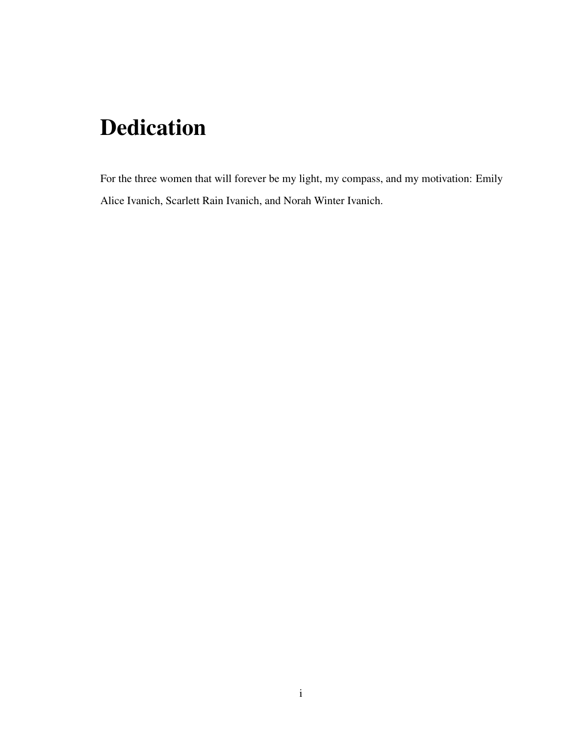# Dedication

For the three women that will forever be my light, my compass, and my motivation: Emily Alice Ivanich, Scarlett Rain Ivanich, and Norah Winter Ivanich.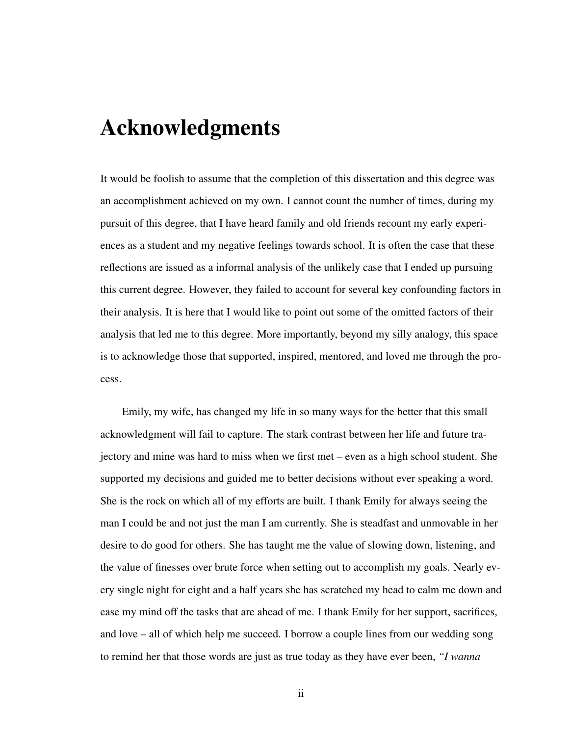## Acknowledgments

It would be foolish to assume that the completion of this dissertation and this degree was an accomplishment achieved on my own. I cannot count the number of times, during my pursuit of this degree, that I have heard family and old friends recount my early experiences as a student and my negative feelings towards school. It is often the case that these reflections are issued as a informal analysis of the unlikely case that I ended up pursuing this current degree. However, they failed to account for several key confounding factors in their analysis. It is here that I would like to point out some of the omitted factors of their analysis that led me to this degree. More importantly, beyond my silly analogy, this space is to acknowledge those that supported, inspired, mentored, and loved me through the process.

Emily, my wife, has changed my life in so many ways for the better that this small acknowledgment will fail to capture. The stark contrast between her life and future trajectory and mine was hard to miss when we first met – even as a high school student. She supported my decisions and guided me to better decisions without ever speaking a word. She is the rock on which all of my efforts are built. I thank Emily for always seeing the man I could be and not just the man I am currently. She is steadfast and unmovable in her desire to do good for others. She has taught me the value of slowing down, listening, and the value of finesses over brute force when setting out to accomplish my goals. Nearly every single night for eight and a half years she has scratched my head to calm me down and ease my mind off the tasks that are ahead of me. I thank Emily for her support, sacrifices, and love – all of which help me succeed. I borrow a couple lines from our wedding song to remind her that those words are just as true today as they have ever been, *"I wanna*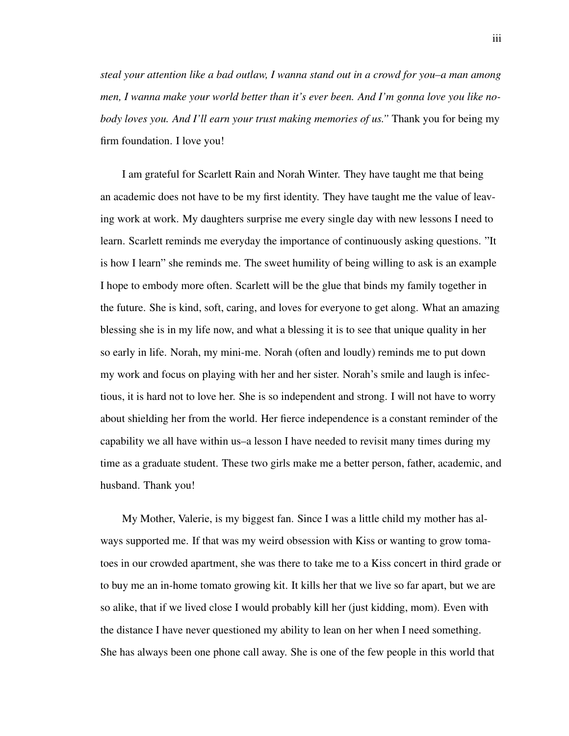*steal your attention like a bad outlaw, I wanna stand out in a crowd for you–a man among men, I wanna make your world better than it's ever been. And I'm gonna love you like nobody loves you. And I'll earn your trust making memories of us."* Thank you for being my firm foundation. I love you!

I am grateful for Scarlett Rain and Norah Winter. They have taught me that being an academic does not have to be my first identity. They have taught me the value of leaving work at work. My daughters surprise me every single day with new lessons I need to learn. Scarlett reminds me everyday the importance of continuously asking questions. "It is how I learn" she reminds me. The sweet humility of being willing to ask is an example I hope to embody more often. Scarlett will be the glue that binds my family together in the future. She is kind, soft, caring, and loves for everyone to get along. What an amazing blessing she is in my life now, and what a blessing it is to see that unique quality in her so early in life. Norah, my mini-me. Norah (often and loudly) reminds me to put down my work and focus on playing with her and her sister. Norah's smile and laugh is infectious, it is hard not to love her. She is so independent and strong. I will not have to worry about shielding her from the world. Her fierce independence is a constant reminder of the capability we all have within us–a lesson I have needed to revisit many times during my time as a graduate student. These two girls make me a better person, father, academic, and husband. Thank you!

My Mother, Valerie, is my biggest fan. Since I was a little child my mother has always supported me. If that was my weird obsession with Kiss or wanting to grow tomatoes in our crowded apartment, she was there to take me to a Kiss concert in third grade or to buy me an in-home tomato growing kit. It kills her that we live so far apart, but we are so alike, that if we lived close I would probably kill her (just kidding, mom). Even with the distance I have never questioned my ability to lean on her when I need something. She has always been one phone call away. She is one of the few people in this world that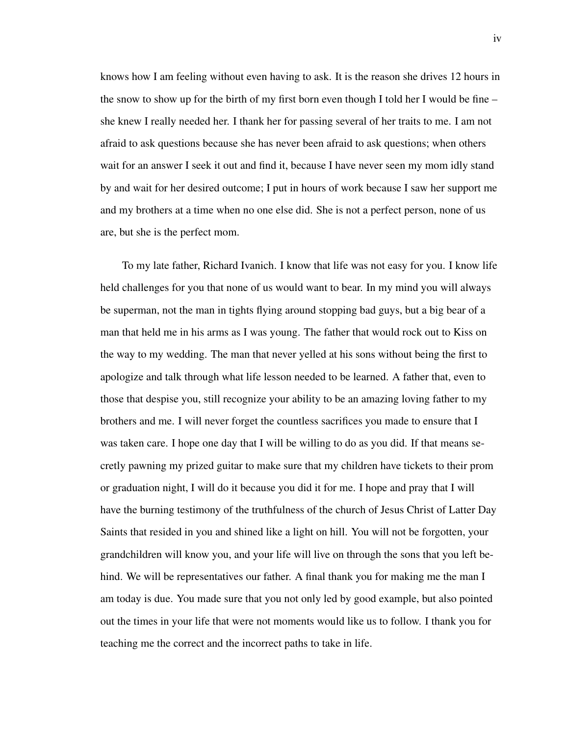knows how I am feeling without even having to ask. It is the reason she drives 12 hours in the snow to show up for the birth of my first born even though I told her I would be fine – she knew I really needed her. I thank her for passing several of her traits to me. I am not afraid to ask questions because she has never been afraid to ask questions; when others wait for an answer I seek it out and find it, because I have never seen my mom idly stand by and wait for her desired outcome; I put in hours of work because I saw her support me and my brothers at a time when no one else did. She is not a perfect person, none of us are, but she is the perfect mom.

To my late father, Richard Ivanich. I know that life was not easy for you. I know life held challenges for you that none of us would want to bear. In my mind you will always be superman, not the man in tights flying around stopping bad guys, but a big bear of a man that held me in his arms as I was young. The father that would rock out to Kiss on the way to my wedding. The man that never yelled at his sons without being the first to apologize and talk through what life lesson needed to be learned. A father that, even to those that despise you, still recognize your ability to be an amazing loving father to my brothers and me. I will never forget the countless sacrifices you made to ensure that I was taken care. I hope one day that I will be willing to do as you did. If that means secretly pawning my prized guitar to make sure that my children have tickets to their prom or graduation night, I will do it because you did it for me. I hope and pray that I will have the burning testimony of the truthfulness of the church of Jesus Christ of Latter Day Saints that resided in you and shined like a light on hill. You will not be forgotten, your grandchildren will know you, and your life will live on through the sons that you left behind. We will be representatives our father. A final thank you for making me the man I am today is due. You made sure that you not only led by good example, but also pointed out the times in your life that were not moments would like us to follow. I thank you for teaching me the correct and the incorrect paths to take in life.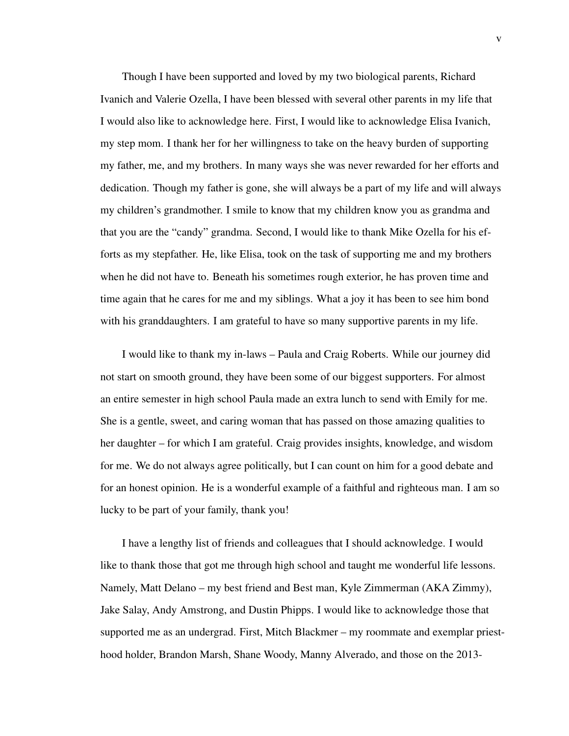Though I have been supported and loved by my two biological parents, Richard Ivanich and Valerie Ozella, I have been blessed with several other parents in my life that I would also like to acknowledge here. First, I would like to acknowledge Elisa Ivanich, my step mom. I thank her for her willingness to take on the heavy burden of supporting my father, me, and my brothers. In many ways she was never rewarded for her efforts and dedication. Though my father is gone, she will always be a part of my life and will always my children's grandmother. I smile to know that my children know you as grandma and that you are the "candy" grandma. Second, I would like to thank Mike Ozella for his efforts as my stepfather. He, like Elisa, took on the task of supporting me and my brothers when he did not have to. Beneath his sometimes rough exterior, he has proven time and time again that he cares for me and my siblings. What a joy it has been to see him bond with his granddaughters. I am grateful to have so many supportive parents in my life.

I would like to thank my in-laws – Paula and Craig Roberts. While our journey did not start on smooth ground, they have been some of our biggest supporters. For almost an entire semester in high school Paula made an extra lunch to send with Emily for me. She is a gentle, sweet, and caring woman that has passed on those amazing qualities to her daughter – for which I am grateful. Craig provides insights, knowledge, and wisdom for me. We do not always agree politically, but I can count on him for a good debate and for an honest opinion. He is a wonderful example of a faithful and righteous man. I am so lucky to be part of your family, thank you!

I have a lengthy list of friends and colleagues that I should acknowledge. I would like to thank those that got me through high school and taught me wonderful life lessons. Namely, Matt Delano – my best friend and Best man, Kyle Zimmerman (AKA Zimmy), Jake Salay, Andy Amstrong, and Dustin Phipps. I would like to acknowledge those that supported me as an undergrad. First, Mitch Blackmer – my roommate and exemplar priesthood holder, Brandon Marsh, Shane Woody, Manny Alverado, and those on the 2013-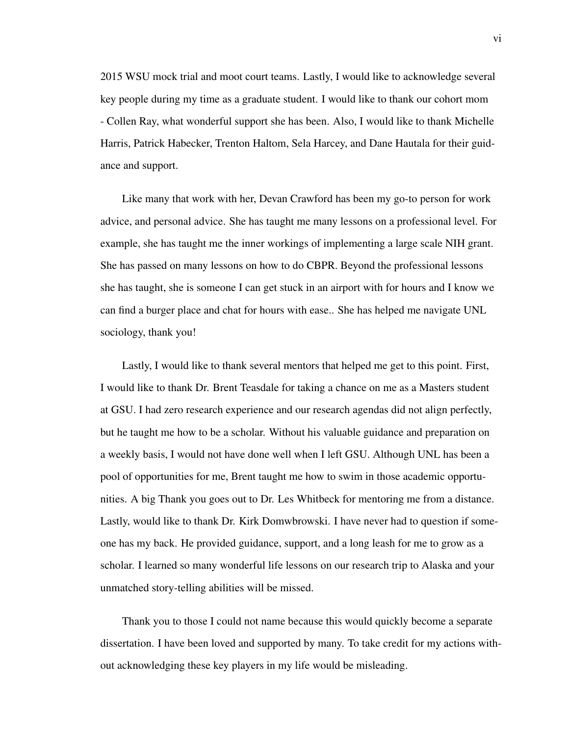2015 WSU mock trial and moot court teams. Lastly, I would like to acknowledge several key people during my time as a graduate student. I would like to thank our cohort mom - Collen Ray, what wonderful support she has been. Also, I would like to thank Michelle Harris, Patrick Habecker, Trenton Haltom, Sela Harcey, and Dane Hautala for their guidance and support.

Like many that work with her, Devan Crawford has been my go-to person for work advice, and personal advice. She has taught me many lessons on a professional level. For example, she has taught me the inner workings of implementing a large scale NIH grant. She has passed on many lessons on how to do CBPR. Beyond the professional lessons she has taught, she is someone I can get stuck in an airport with for hours and I know we can find a burger place and chat for hours with ease.. She has helped me navigate UNL sociology, thank you!

Lastly, I would like to thank several mentors that helped me get to this point. First, I would like to thank Dr. Brent Teasdale for taking a chance on me as a Masters student at GSU. I had zero research experience and our research agendas did not align perfectly, but he taught me how to be a scholar. Without his valuable guidance and preparation on a weekly basis, I would not have done well when I left GSU. Although UNL has been a pool of opportunities for me, Brent taught me how to swim in those academic opportunities. A big Thank you goes out to Dr. Les Whitbeck for mentoring me from a distance. Lastly, would like to thank Dr. Kirk Domwbrowski. I have never had to question if someone has my back. He provided guidance, support, and a long leash for me to grow as a scholar. I learned so many wonderful life lessons on our research trip to Alaska and your unmatched story-telling abilities will be missed.

Thank you to those I could not name because this would quickly become a separate dissertation. I have been loved and supported by many. To take credit for my actions without acknowledging these key players in my life would be misleading.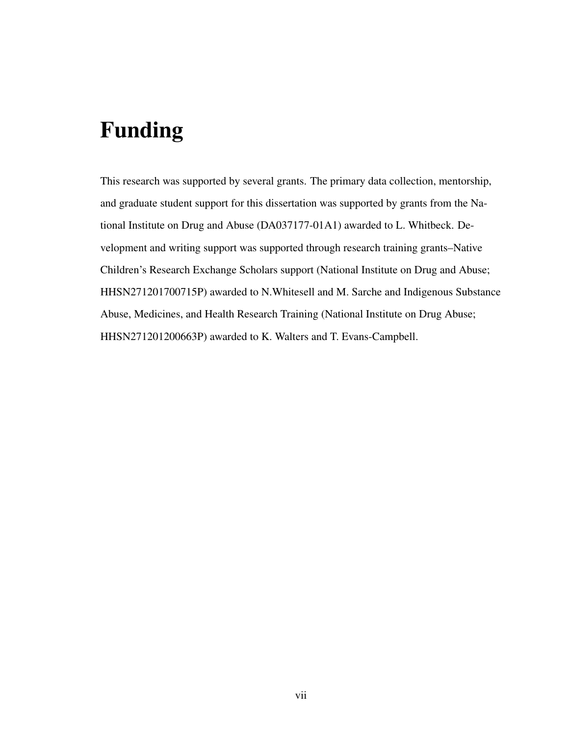# Funding

This research was supported by several grants. The primary data collection, mentorship, and graduate student support for this dissertation was supported by grants from the National Institute on Drug and Abuse (DA037177-01A1) awarded to L. Whitbeck. Development and writing support was supported through research training grants–Native Children's Research Exchange Scholars support (National Institute on Drug and Abuse; HHSN271201700715P) awarded to N.Whitesell and M. Sarche and Indigenous Substance Abuse, Medicines, and Health Research Training (National Institute on Drug Abuse; HHSN271201200663P) awarded to K. Walters and T. Evans-Campbell.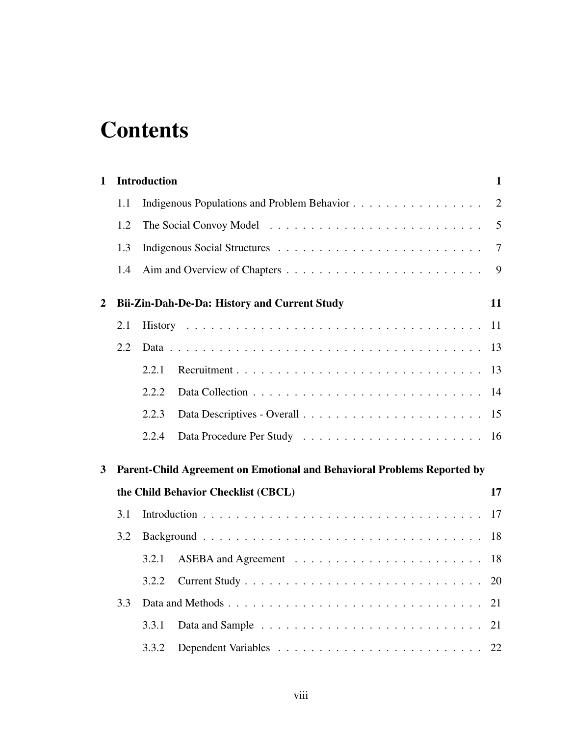# **Contents**

| $\mathbf{1}$     |     | <b>Introduction</b>                                                     | $\mathbf{1}$   |
|------------------|-----|-------------------------------------------------------------------------|----------------|
|                  | 1.1 | Indigenous Populations and Problem Behavior                             | $\overline{2}$ |
|                  | 1.2 |                                                                         | 5              |
|                  | 1.3 |                                                                         | $\overline{7}$ |
|                  | 1.4 |                                                                         | 9              |
| $\boldsymbol{2}$ |     | Bii-Zin-Dah-De-Da: History and Current Study                            | 11             |
|                  | 2.1 |                                                                         | 11             |
|                  | 2.2 |                                                                         | 13             |
|                  |     | 2.2.1                                                                   | 13             |
|                  |     | 2.2.2                                                                   | 14             |
|                  |     | 2.2.3                                                                   | 15             |
|                  |     | 2.2.4                                                                   | 16             |
| 3                |     | Parent-Child Agreement on Emotional and Behavioral Problems Reported by |                |
|                  |     | the Child Behavior Checklist (CBCL)                                     | 17             |
|                  | 3.1 |                                                                         | 17             |
|                  | 3.2 |                                                                         | 18             |
|                  |     | 3.2.1                                                                   | 18             |
|                  |     | 3.2.2                                                                   | 20             |
|                  | 3.3 | Data and Methods                                                        | 21             |
|                  |     | 3.3.1                                                                   | 21             |
|                  |     | 3.3.2                                                                   | 22             |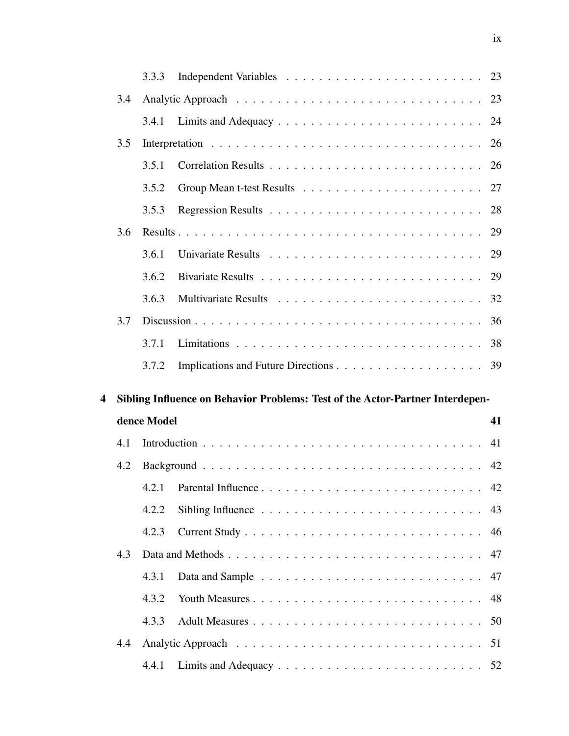|   |     | 3.3.3       |                                                                               | 23 |
|---|-----|-------------|-------------------------------------------------------------------------------|----|
|   | 3.4 |             |                                                                               | 23 |
|   |     | 3.4.1       |                                                                               |    |
|   | 3.5 |             |                                                                               | 26 |
|   |     | 3.5.1       |                                                                               |    |
|   |     | 3.5.2       |                                                                               | 27 |
|   |     | 3.5.3       |                                                                               | 28 |
|   | 3.6 |             |                                                                               | 29 |
|   |     | 3.6.1       |                                                                               | 29 |
|   |     | 3.6.2       |                                                                               | 29 |
|   |     | 3.6.3       |                                                                               |    |
|   | 3.7 |             |                                                                               |    |
|   |     | 3.7.1       |                                                                               |    |
|   |     | 3.7.2       |                                                                               |    |
|   |     |             |                                                                               |    |
| 4 |     |             |                                                                               |    |
|   |     | dence Model | Sibling Influence on Behavior Problems: Test of the Actor-Partner Interdepen- | 41 |
|   | 4.1 |             |                                                                               | 41 |
|   | 4.2 |             |                                                                               | 42 |
|   |     |             |                                                                               |    |
|   |     | 4.2.2       | Sibling Influence $\ldots \ldots \ldots \ldots \ldots \ldots \ldots \ldots$   | 43 |
|   |     | 4.2.3       |                                                                               | 46 |
|   | 4.3 |             | Data and Methods                                                              | 47 |
|   |     | 4.3.1       |                                                                               | 47 |
|   |     | 4.3.2       |                                                                               | 48 |
|   |     | 4.3.3       |                                                                               |    |
|   | 4.4 |             |                                                                               | 51 |
|   |     | 4.4.1       |                                                                               |    |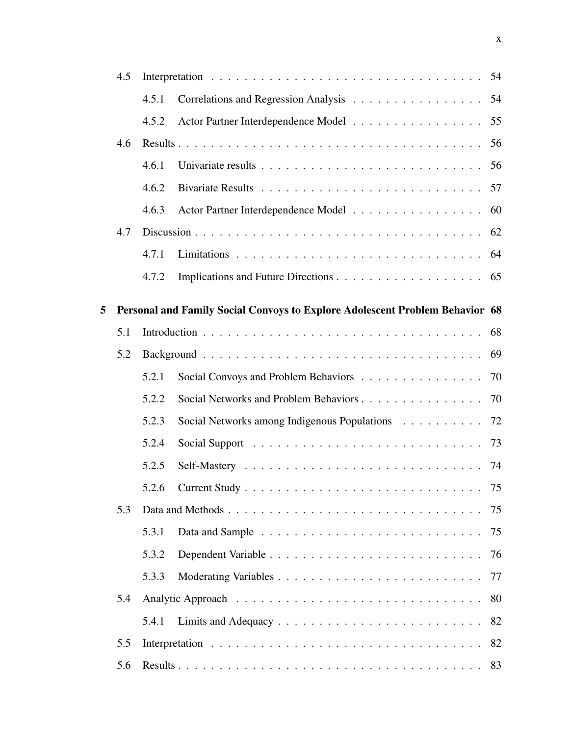|   | 4.5 |       |                                                                              | 54 |
|---|-----|-------|------------------------------------------------------------------------------|----|
|   |     | 4.5.1 | Correlations and Regression Analysis                                         | 54 |
|   |     | 4.5.2 | Actor Partner Interdependence Model                                          | 55 |
|   | 4.6 |       |                                                                              | 56 |
|   |     | 4.6.1 |                                                                              | 56 |
|   |     | 4.6.2 |                                                                              | 57 |
|   |     | 4.6.3 | Actor Partner Interdependence Model                                          | 60 |
|   | 4.7 |       |                                                                              | 62 |
|   |     | 4.7.1 |                                                                              | 64 |
|   |     | 4.7.2 |                                                                              |    |
| 5 |     |       | Personal and Family Social Convoys to Explore Adolescent Problem Behavior 68 |    |
|   | 5.1 |       |                                                                              |    |
|   | 5.2 |       |                                                                              | 69 |
|   |     | 5.2.1 | Social Convoys and Problem Behaviors                                         | 70 |
|   |     | 5.2.2 | Social Networks and Problem Behaviors 70                                     |    |
|   |     | 5.2.3 | Social Networks among Indigenous Populations 72                              |    |
|   |     | 5.2.4 |                                                                              |    |
|   |     | 5.2.5 |                                                                              | 74 |
|   |     | 5.2.6 |                                                                              |    |
|   | 5.3 |       |                                                                              | 75 |
|   |     | 5.3.1 |                                                                              |    |
|   |     | 5.3.2 |                                                                              |    |
|   |     | 5.3.3 |                                                                              |    |
|   | 5.4 |       |                                                                              | 80 |
|   |     | 5.4.1 |                                                                              | 82 |
|   | 5.5 |       |                                                                              | 82 |
|   | 5.6 |       |                                                                              |    |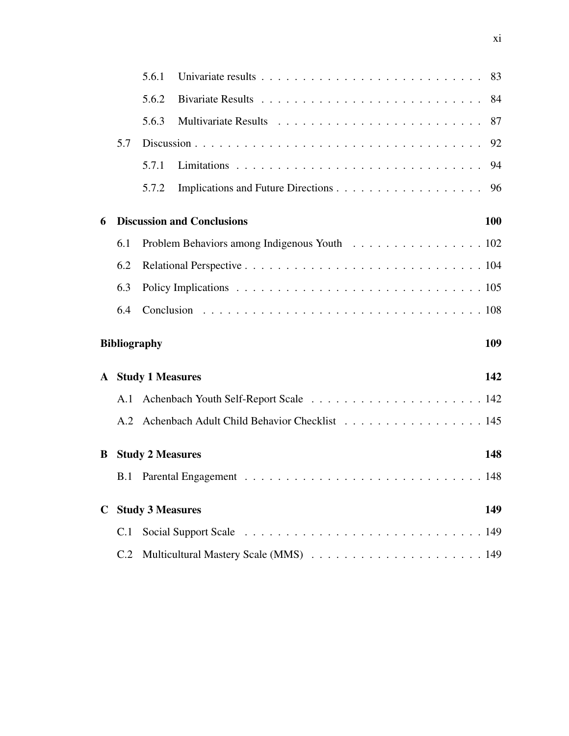|              |     | 5.6.1                   |                                                  |     |
|--------------|-----|-------------------------|--------------------------------------------------|-----|
|              |     | 5.6.2                   |                                                  |     |
|              |     | 5.6.3                   |                                                  |     |
|              | 5.7 |                         |                                                  | 92  |
|              |     | 5.7.1                   |                                                  |     |
|              |     | 5.7.2                   |                                                  |     |
| 6            |     |                         | <b>Discussion and Conclusions</b>                | 100 |
|              | 6.1 |                         | Problem Behaviors among Indigenous Youth 102     |     |
|              | 6.2 |                         |                                                  |     |
|              | 6.3 |                         |                                                  |     |
|              | 6.4 |                         |                                                  |     |
|              |     | <b>Bibliography</b>     |                                                  | 109 |
| $\mathbf{A}$ |     | <b>Study 1 Measures</b> |                                                  | 142 |
|              |     |                         |                                                  |     |
|              |     |                         | A.2 Achenbach Adult Child Behavior Checklist 145 |     |
| B            |     | <b>Study 2 Measures</b> |                                                  | 148 |
|              |     |                         |                                                  |     |
| $\mathbf C$  |     | <b>Study 3 Measures</b> |                                                  | 149 |
|              | C.1 |                         |                                                  |     |
|              | C.2 |                         |                                                  |     |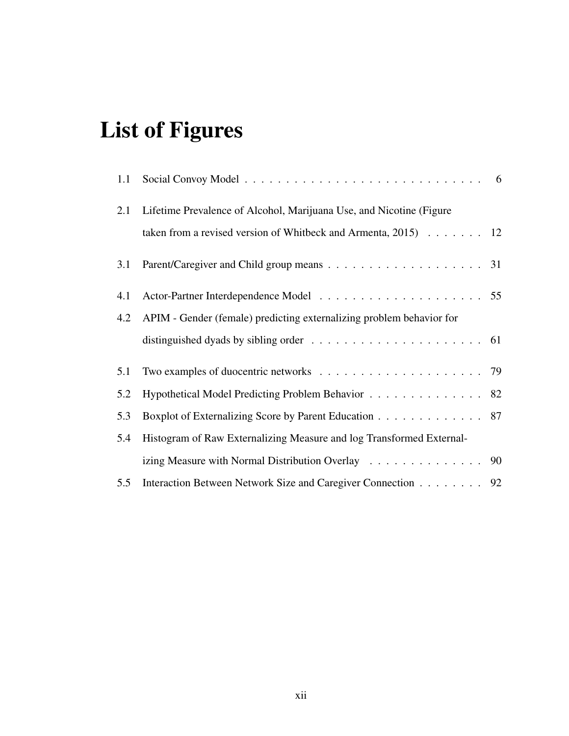# List of Figures

| 1.1 |                                                                      |  |
|-----|----------------------------------------------------------------------|--|
| 2.1 | Lifetime Prevalence of Alcohol, Marijuana Use, and Nicotine (Figure) |  |
|     | taken from a revised version of Whitbeck and Armenta, $2015$ 12      |  |
| 3.1 |                                                                      |  |
| 4.1 |                                                                      |  |
| 4.2 | APIM - Gender (female) predicting externalizing problem behavior for |  |
|     |                                                                      |  |
| 5.1 |                                                                      |  |
| 5.2 | Hypothetical Model Predicting Problem Behavior 82                    |  |
| 5.3 | Boxplot of Externalizing Score by Parent Education 87                |  |
| 5.4 | Histogram of Raw Externalizing Measure and log Transformed External- |  |
|     | izing Measure with Normal Distribution Overlay 90                    |  |
| 5.5 | Interaction Between Network Size and Caregiver Connection 92         |  |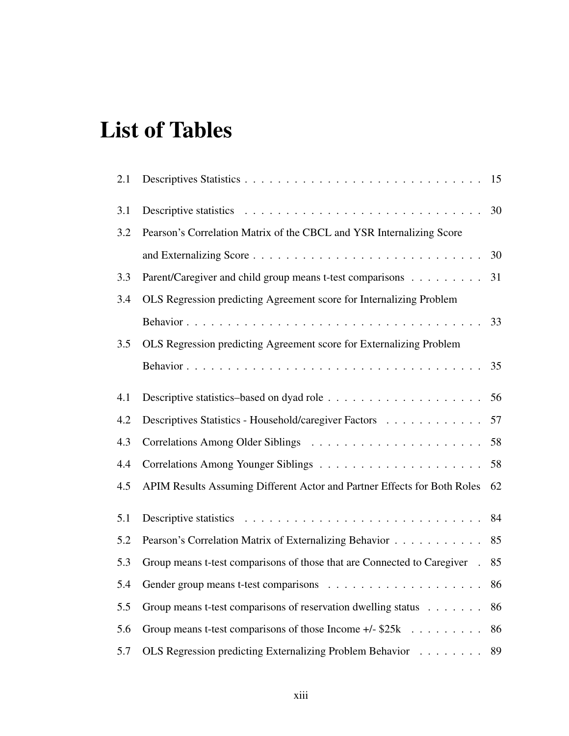# List of Tables

| 2.1 |                                                                          | 15 |
|-----|--------------------------------------------------------------------------|----|
| 3.1 |                                                                          | 30 |
| 3.2 | Pearson's Correlation Matrix of the CBCL and YSR Internalizing Score     |    |
|     |                                                                          | 30 |
| 3.3 | Parent/Caregiver and child group means t-test comparisons                | 31 |
| 3.4 | OLS Regression predicting Agreement score for Internalizing Problem      |    |
|     |                                                                          | 33 |
| 3.5 | OLS Regression predicting Agreement score for Externalizing Problem      |    |
|     |                                                                          | 35 |
| 4.1 |                                                                          | 56 |
| 4.2 | Descriptives Statistics - Household/caregiver Factors                    | 57 |
| 4.3 |                                                                          | 58 |
| 4.4 |                                                                          | 58 |
| 4.5 | APIM Results Assuming Different Actor and Partner Effects for Both Roles | 62 |
| 5.1 |                                                                          | 84 |
| 5.2 | Pearson's Correlation Matrix of Externalizing Behavior                   | 85 |
| 5.3 | Group means t-test comparisons of those that are Connected to Caregiver. | 85 |
| 5.4 |                                                                          | 86 |
| 5.5 | Group means t-test comparisons of reservation dwelling status            | 86 |
| 5.6 | Group means t-test comparisons of those Income $+/-$ \$25 $k$ ,          | 86 |
| 5.7 | OLS Regression predicting Externalizing Problem Behavior                 | 89 |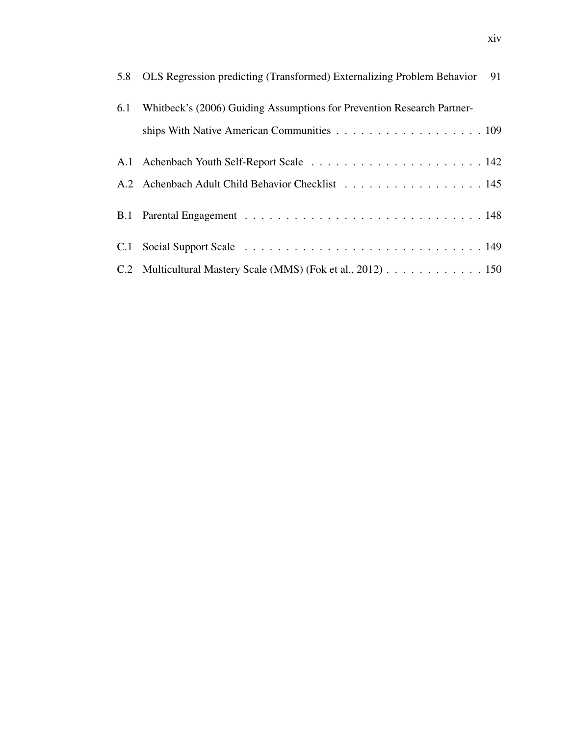| 5.8 OLS Regression predicting (Transformed) Externalizing Problem Behavior 91 |
|-------------------------------------------------------------------------------|
| 6.1 Whitbeck's (2006) Guiding Assumptions for Prevention Research Partner-    |
|                                                                               |
|                                                                               |
| A.2 Achenbach Adult Child Behavior Checklist 145                              |
|                                                                               |
|                                                                               |
| C.2 Multicultural Mastery Scale (MMS) (Fok et al., 2012) 150                  |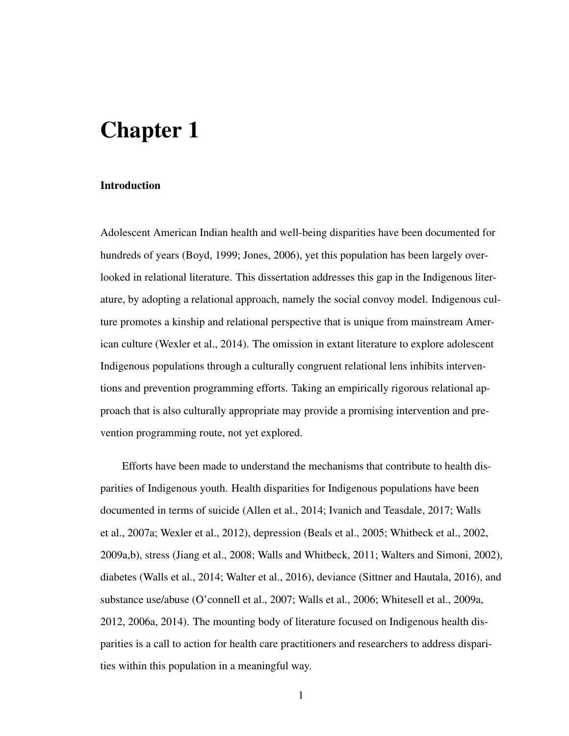# Chapter 1

#### Introduction

Adolescent American Indian health and well-being disparities have been documented for hundreds of years (Boyd, 1999; Jones, 2006), yet this population has been largely overlooked in relational literature. This dissertation addresses this gap in the Indigenous literature, by adopting a relational approach, namely the social convoy model. Indigenous culture promotes a kinship and relational perspective that is unique from mainstream American culture (Wexler et al., 2014). The omission in extant literature to explore adolescent Indigenous populations through a culturally congruent relational lens inhibits interventions and prevention programming efforts. Taking an empirically rigorous relational approach that is also culturally appropriate may provide a promising intervention and prevention programming route, not yet explored.

Efforts have been made to understand the mechanisms that contribute to health disparities of Indigenous youth. Health disparities for Indigenous populations have been documented in terms of suicide (Allen et al., 2014; Ivanich and Teasdale, 2017; Walls et al., 2007a; Wexler et al., 2012), depression (Beals et al., 2005; Whitbeck et al., 2002, 2009a,b), stress (Jiang et al., 2008; Walls and Whitbeck, 2011; Walters and Simoni, 2002), diabetes (Walls et al., 2014; Walter et al., 2016), deviance (Sittner and Hautala, 2016), and substance use/abuse (O'connell et al., 2007; Walls et al., 2006; Whitesell et al., 2009a, 2012, 2006a, 2014). The mounting body of literature focused on Indigenous health disparities is a call to action for health care practitioners and researchers to address disparities within this population in a meaningful way.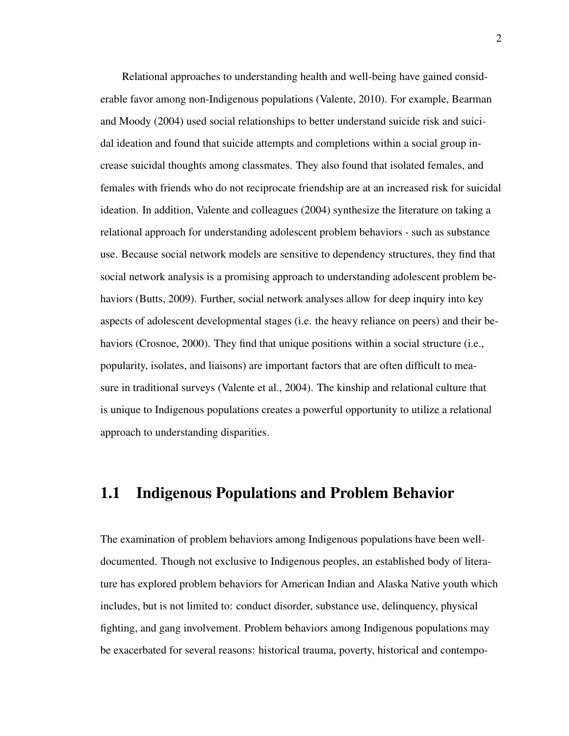Relational approaches to understanding health and well-being have gained considerable favor among non-Indigenous populations (Valente, 2010). For example, Bearman and Moody (2004) used social relationships to better understand suicide risk and suicidal ideation and found that suicide attempts and completions within a social group increase suicidal thoughts among classmates. They also found that isolated females, and females with friends who do not reciprocate friendship are at an increased risk for suicidal ideation. In addition, Valente and colleagues (2004) synthesize the literature on taking a relational approach for understanding adolescent problem behaviors - such as substance use. Because social network models are sensitive to dependency structures, they find that social network analysis is a promising approach to understanding adolescent problem behaviors (Butts, 2009). Further, social network analyses allow for deep inquiry into key aspects of adolescent developmental stages (i.e. the heavy reliance on peers) and their behaviors (Crosnoe, 2000). They find that unique positions within a social structure (i.e., popularity, isolates, and liaisons) are important factors that are often difficult to measure in traditional surveys (Valente et al., 2004). The kinship and relational culture that is unique to Indigenous populations creates a powerful opportunity to utilize a relational approach to understanding disparities.

### 1.1 Indigenous Populations and Problem Behavior

The examination of problem behaviors among Indigenous populations have been welldocumented. Though not exclusive to Indigenous peoples, an established body of literature has explored problem behaviors for American Indian and Alaska Native youth which includes, but is not limited to: conduct disorder, substance use, delinquency, physical fighting, and gang involvement. Problem behaviors among Indigenous populations may be exacerbated for several reasons: historical trauma, poverty, historical and contempo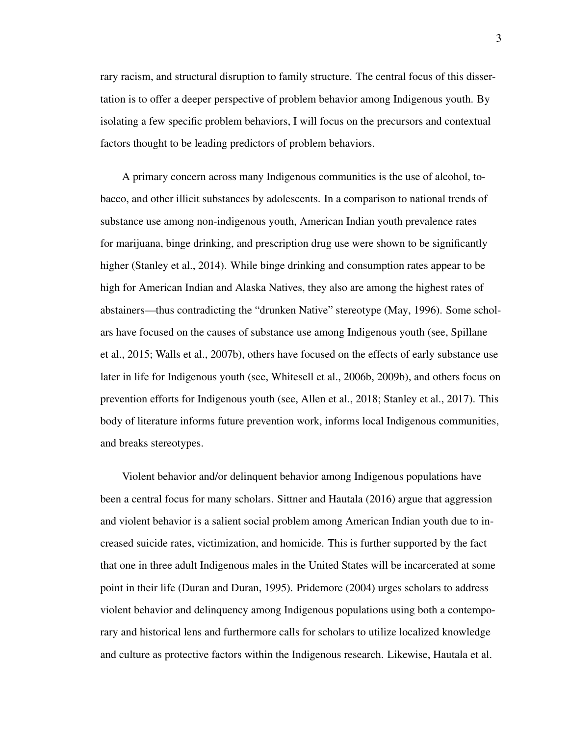rary racism, and structural disruption to family structure. The central focus of this dissertation is to offer a deeper perspective of problem behavior among Indigenous youth. By isolating a few specific problem behaviors, I will focus on the precursors and contextual factors thought to be leading predictors of problem behaviors.

A primary concern across many Indigenous communities is the use of alcohol, tobacco, and other illicit substances by adolescents. In a comparison to national trends of substance use among non-indigenous youth, American Indian youth prevalence rates for marijuana, binge drinking, and prescription drug use were shown to be significantly higher (Stanley et al., 2014). While binge drinking and consumption rates appear to be high for American Indian and Alaska Natives, they also are among the highest rates of abstainers—thus contradicting the "drunken Native" stereotype (May, 1996). Some scholars have focused on the causes of substance use among Indigenous youth (see, Spillane et al., 2015; Walls et al., 2007b), others have focused on the effects of early substance use later in life for Indigenous youth (see, Whitesell et al., 2006b, 2009b), and others focus on prevention efforts for Indigenous youth (see, Allen et al., 2018; Stanley et al., 2017). This body of literature informs future prevention work, informs local Indigenous communities, and breaks stereotypes.

Violent behavior and/or delinquent behavior among Indigenous populations have been a central focus for many scholars. Sittner and Hautala (2016) argue that aggression and violent behavior is a salient social problem among American Indian youth due to increased suicide rates, victimization, and homicide. This is further supported by the fact that one in three adult Indigenous males in the United States will be incarcerated at some point in their life (Duran and Duran, 1995). Pridemore (2004) urges scholars to address violent behavior and delinquency among Indigenous populations using both a contemporary and historical lens and furthermore calls for scholars to utilize localized knowledge and culture as protective factors within the Indigenous research. Likewise, Hautala et al.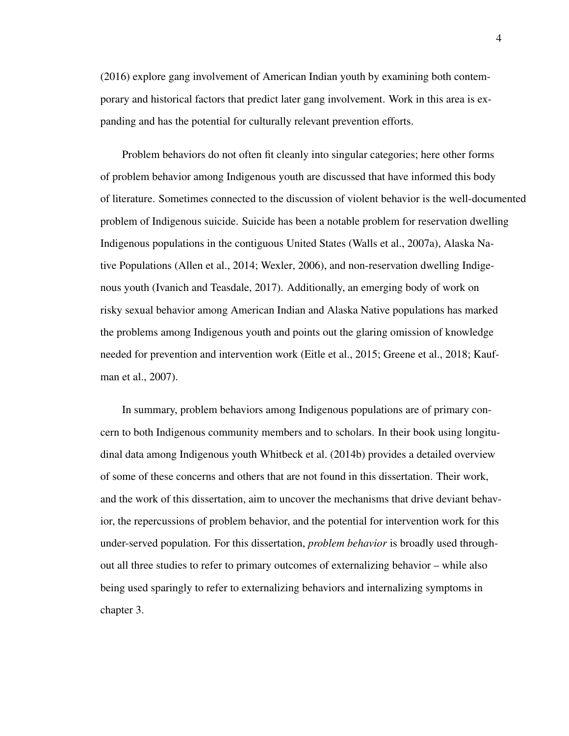(2016) explore gang involvement of American Indian youth by examining both contemporary and historical factors that predict later gang involvement. Work in this area is expanding and has the potential for culturally relevant prevention efforts.

Problem behaviors do not often fit cleanly into singular categories; here other forms of problem behavior among Indigenous youth are discussed that have informed this body of literature. Sometimes connected to the discussion of violent behavior is the well-documented problem of Indigenous suicide. Suicide has been a notable problem for reservation dwelling Indigenous populations in the contiguous United States (Walls et al., 2007a), Alaska Native Populations (Allen et al., 2014; Wexler, 2006), and non-reservation dwelling Indigenous youth (Ivanich and Teasdale, 2017). Additionally, an emerging body of work on risky sexual behavior among American Indian and Alaska Native populations has marked the problems among Indigenous youth and points out the glaring omission of knowledge needed for prevention and intervention work (Eitle et al., 2015; Greene et al., 2018; Kaufman et al., 2007).

In summary, problem behaviors among Indigenous populations are of primary concern to both Indigenous community members and to scholars. In their book using longitudinal data among Indigenous youth Whitbeck et al. (2014b) provides a detailed overview of some of these concerns and others that are not found in this dissertation. Their work, and the work of this dissertation, aim to uncover the mechanisms that drive deviant behavior, the repercussions of problem behavior, and the potential for intervention work for this under-served population. For this dissertation, *problem behavior* is broadly used throughout all three studies to refer to primary outcomes of externalizing behavior – while also being used sparingly to refer to externalizing behaviors and internalizing symptoms in chapter 3.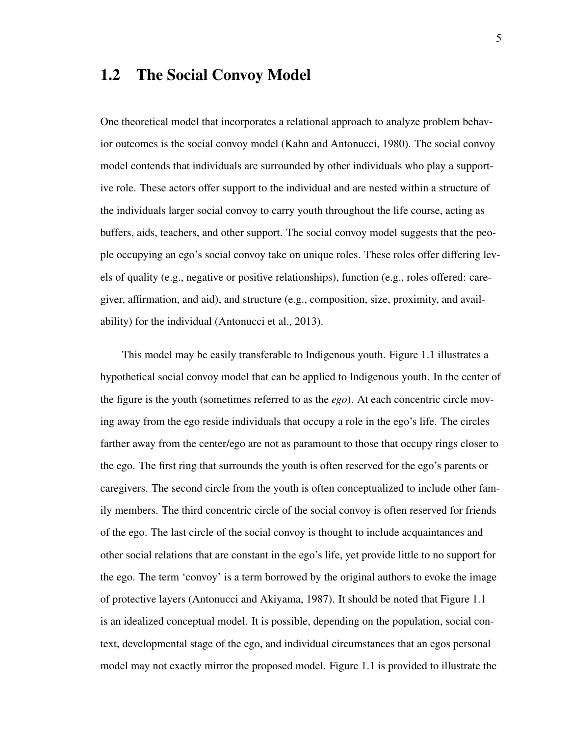## 1.2 The Social Convoy Model

One theoretical model that incorporates a relational approach to analyze problem behavior outcomes is the social convoy model (Kahn and Antonucci, 1980). The social convoy model contends that individuals are surrounded by other individuals who play a supportive role. These actors offer support to the individual and are nested within a structure of the individuals larger social convoy to carry youth throughout the life course, acting as buffers, aids, teachers, and other support. The social convoy model suggests that the people occupying an ego's social convoy take on unique roles. These roles offer differing levels of quality (e.g., negative or positive relationships), function (e.g., roles offered: caregiver, affirmation, and aid), and structure (e.g., composition, size, proximity, and availability) for the individual (Antonucci et al., 2013).

This model may be easily transferable to Indigenous youth. Figure 1.1 illustrates a hypothetical social convoy model that can be applied to Indigenous youth. In the center of the figure is the youth (sometimes referred to as the *ego*). At each concentric circle moving away from the ego reside individuals that occupy a role in the ego's life. The circles farther away from the center/ego are not as paramount to those that occupy rings closer to the ego. The first ring that surrounds the youth is often reserved for the ego's parents or caregivers. The second circle from the youth is often conceptualized to include other family members. The third concentric circle of the social convoy is often reserved for friends of the ego. The last circle of the social convoy is thought to include acquaintances and other social relations that are constant in the ego's life, yet provide little to no support for the ego. The term 'convoy' is a term borrowed by the original authors to evoke the image of protective layers (Antonucci and Akiyama, 1987). It should be noted that Figure 1.1 is an idealized conceptual model. It is possible, depending on the population, social context, developmental stage of the ego, and individual circumstances that an egos personal model may not exactly mirror the proposed model. Figure 1.1 is provided to illustrate the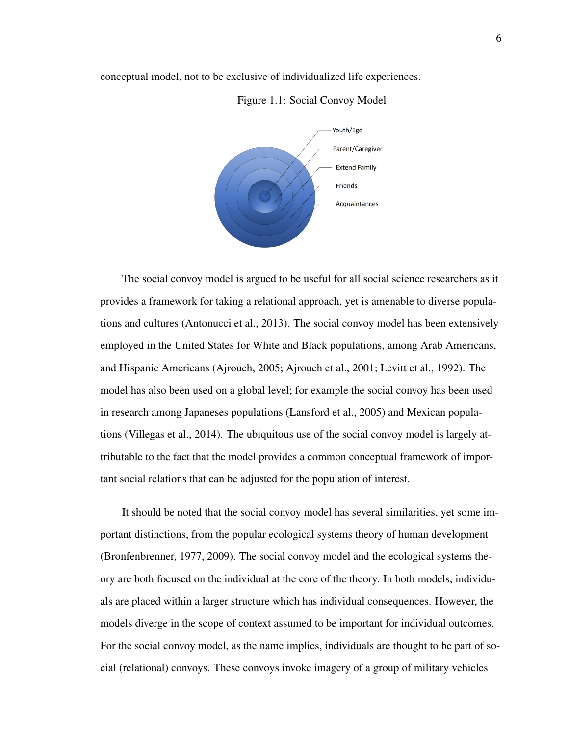conceptual model, not to be exclusive of individualized life experiences.



#### Figure 1.1: Social Convoy Model

The social convoy model is argued to be useful for all social science researchers as it provides a framework for taking a relational approach, yet is amenable to diverse populations and cultures (Antonucci et al., 2013). The social convoy model has been extensively employed in the United States for White and Black populations, among Arab Americans, and Hispanic Americans (Ajrouch, 2005; Ajrouch et al., 2001; Levitt et al., 1992). The model has also been used on a global level; for example the social convoy has been used in research among Japaneses populations (Lansford et al., 2005) and Mexican populations (Villegas et al., 2014). The ubiquitous use of the social convoy model is largely attributable to the fact that the model provides a common conceptual framework of important social relations that can be adjusted for the population of interest.

It should be noted that the social convoy model has several similarities, yet some important distinctions, from the popular ecological systems theory of human development (Bronfenbrenner, 1977, 2009). The social convoy model and the ecological systems theory are both focused on the individual at the core of the theory. In both models, individuals are placed within a larger structure which has individual consequences. However, the models diverge in the scope of context assumed to be important for individual outcomes. For the social convoy model, as the name implies, individuals are thought to be part of social (relational) convoys. These convoys invoke imagery of a group of military vehicles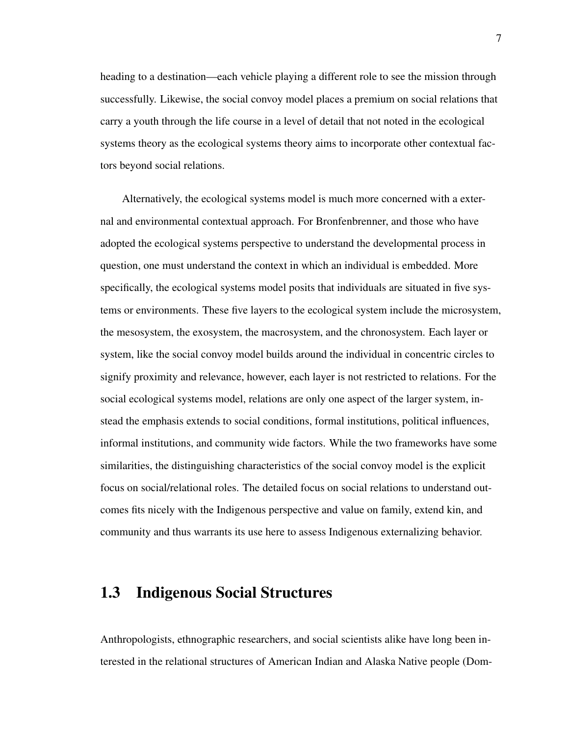heading to a destination—each vehicle playing a different role to see the mission through successfully. Likewise, the social convoy model places a premium on social relations that carry a youth through the life course in a level of detail that not noted in the ecological systems theory as the ecological systems theory aims to incorporate other contextual factors beyond social relations.

Alternatively, the ecological systems model is much more concerned with a external and environmental contextual approach. For Bronfenbrenner, and those who have adopted the ecological systems perspective to understand the developmental process in question, one must understand the context in which an individual is embedded. More specifically, the ecological systems model posits that individuals are situated in five systems or environments. These five layers to the ecological system include the microsystem, the mesosystem, the exosystem, the macrosystem, and the chronosystem. Each layer or system, like the social convoy model builds around the individual in concentric circles to signify proximity and relevance, however, each layer is not restricted to relations. For the social ecological systems model, relations are only one aspect of the larger system, instead the emphasis extends to social conditions, formal institutions, political influences, informal institutions, and community wide factors. While the two frameworks have some similarities, the distinguishing characteristics of the social convoy model is the explicit focus on social/relational roles. The detailed focus on social relations to understand outcomes fits nicely with the Indigenous perspective and value on family, extend kin, and community and thus warrants its use here to assess Indigenous externalizing behavior.

#### 1.3 Indigenous Social Structures

Anthropologists, ethnographic researchers, and social scientists alike have long been interested in the relational structures of American Indian and Alaska Native people (Dom-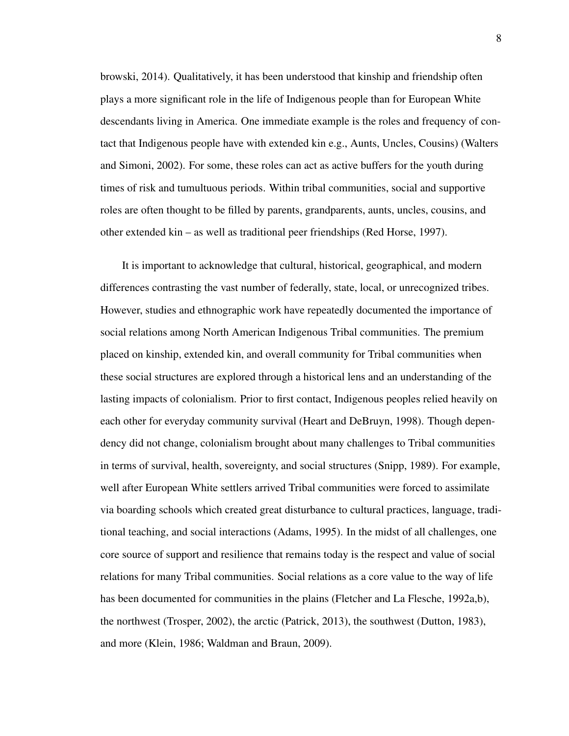browski, 2014). Qualitatively, it has been understood that kinship and friendship often plays a more significant role in the life of Indigenous people than for European White descendants living in America. One immediate example is the roles and frequency of contact that Indigenous people have with extended kin e.g., Aunts, Uncles, Cousins) (Walters and Simoni, 2002). For some, these roles can act as active buffers for the youth during times of risk and tumultuous periods. Within tribal communities, social and supportive roles are often thought to be filled by parents, grandparents, aunts, uncles, cousins, and other extended kin – as well as traditional peer friendships (Red Horse, 1997).

It is important to acknowledge that cultural, historical, geographical, and modern differences contrasting the vast number of federally, state, local, or unrecognized tribes. However, studies and ethnographic work have repeatedly documented the importance of social relations among North American Indigenous Tribal communities. The premium placed on kinship, extended kin, and overall community for Tribal communities when these social structures are explored through a historical lens and an understanding of the lasting impacts of colonialism. Prior to first contact, Indigenous peoples relied heavily on each other for everyday community survival (Heart and DeBruyn, 1998). Though dependency did not change, colonialism brought about many challenges to Tribal communities in terms of survival, health, sovereignty, and social structures (Snipp, 1989). For example, well after European White settlers arrived Tribal communities were forced to assimilate via boarding schools which created great disturbance to cultural practices, language, traditional teaching, and social interactions (Adams, 1995). In the midst of all challenges, one core source of support and resilience that remains today is the respect and value of social relations for many Tribal communities. Social relations as a core value to the way of life has been documented for communities in the plains (Fletcher and La Flesche, 1992a,b), the northwest (Trosper, 2002), the arctic (Patrick, 2013), the southwest (Dutton, 1983), and more (Klein, 1986; Waldman and Braun, 2009).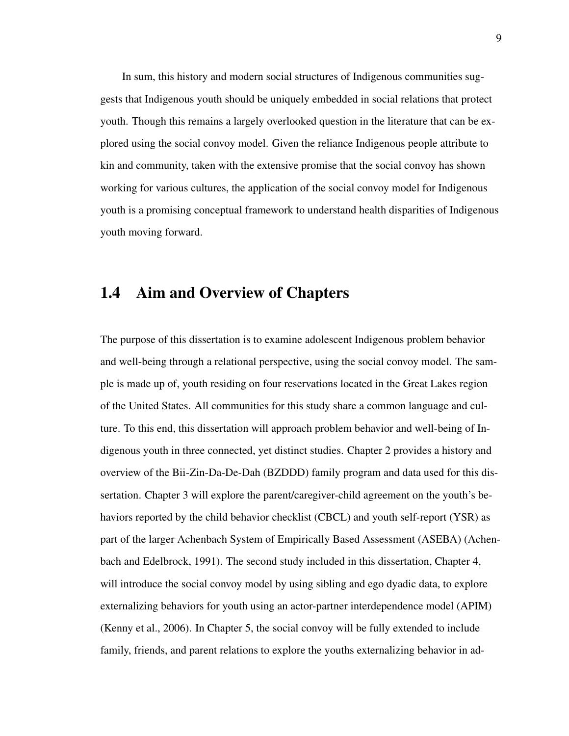In sum, this history and modern social structures of Indigenous communities suggests that Indigenous youth should be uniquely embedded in social relations that protect youth. Though this remains a largely overlooked question in the literature that can be explored using the social convoy model. Given the reliance Indigenous people attribute to kin and community, taken with the extensive promise that the social convoy has shown working for various cultures, the application of the social convoy model for Indigenous youth is a promising conceptual framework to understand health disparities of Indigenous youth moving forward.

#### 1.4 Aim and Overview of Chapters

The purpose of this dissertation is to examine adolescent Indigenous problem behavior and well-being through a relational perspective, using the social convoy model. The sample is made up of, youth residing on four reservations located in the Great Lakes region of the United States. All communities for this study share a common language and culture. To this end, this dissertation will approach problem behavior and well-being of Indigenous youth in three connected, yet distinct studies. Chapter 2 provides a history and overview of the Bii-Zin-Da-De-Dah (BZDDD) family program and data used for this dissertation. Chapter 3 will explore the parent/caregiver-child agreement on the youth's behaviors reported by the child behavior checklist (CBCL) and youth self-report (YSR) as part of the larger Achenbach System of Empirically Based Assessment (ASEBA) (Achenbach and Edelbrock, 1991). The second study included in this dissertation, Chapter 4, will introduce the social convoy model by using sibling and ego dyadic data, to explore externalizing behaviors for youth using an actor-partner interdependence model (APIM) (Kenny et al., 2006). In Chapter 5, the social convoy will be fully extended to include family, friends, and parent relations to explore the youths externalizing behavior in ad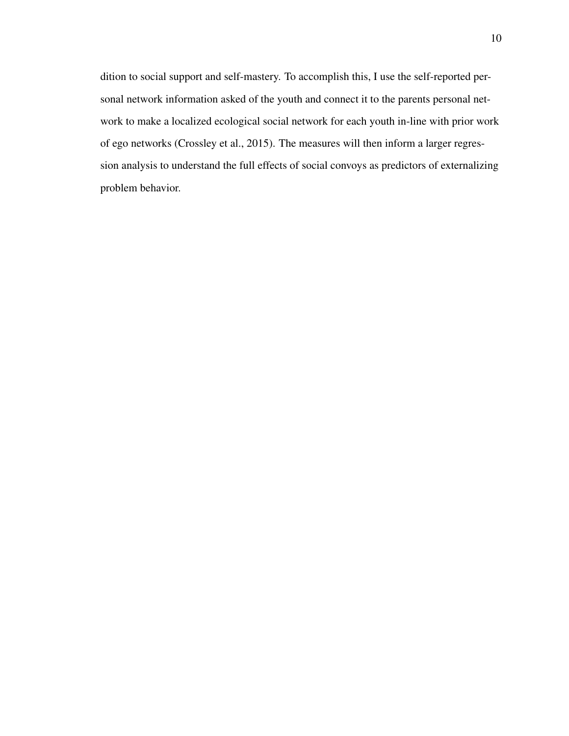dition to social support and self-mastery. To accomplish this, I use the self-reported personal network information asked of the youth and connect it to the parents personal network to make a localized ecological social network for each youth in-line with prior work of ego networks (Crossley et al., 2015). The measures will then inform a larger regression analysis to understand the full effects of social convoys as predictors of externalizing problem behavior.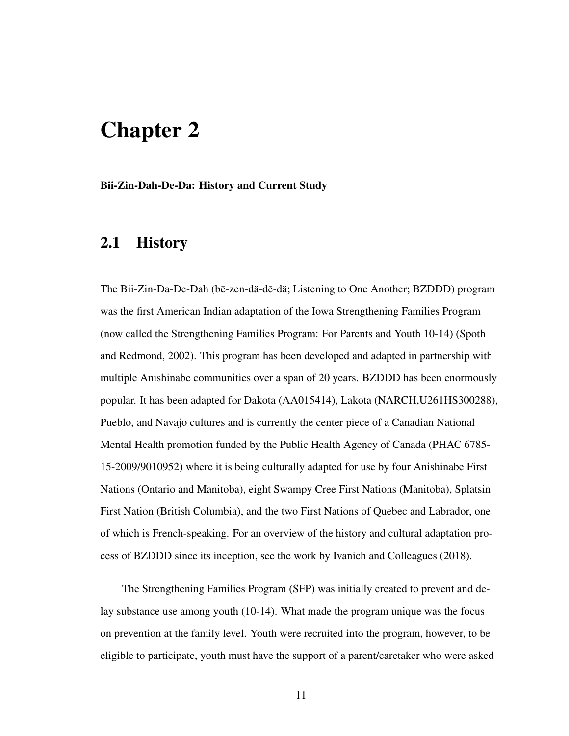# Chapter 2

Bii-Zin-Dah-De-Da: History and Current Study

## 2.1 History

The Bii-Zin-Da-De-Dah (bē-zen-dä-dē-dä; Listening to One Another; BZDDD) program was the first American Indian adaptation of the Iowa Strengthening Families Program (now called the Strengthening Families Program: For Parents and Youth 10-14) (Spoth and Redmond, 2002). This program has been developed and adapted in partnership with multiple Anishinabe communities over a span of 20 years. BZDDD has been enormously popular. It has been adapted for Dakota (AA015414), Lakota (NARCH,U261HS300288), Pueblo, and Navajo cultures and is currently the center piece of a Canadian National Mental Health promotion funded by the Public Health Agency of Canada (PHAC 6785- 15-2009/9010952) where it is being culturally adapted for use by four Anishinabe First Nations (Ontario and Manitoba), eight Swampy Cree First Nations (Manitoba), Splatsin First Nation (British Columbia), and the two First Nations of Quebec and Labrador, one of which is French-speaking. For an overview of the history and cultural adaptation process of BZDDD since its inception, see the work by Ivanich and Colleagues (2018).

The Strengthening Families Program (SFP) was initially created to prevent and delay substance use among youth (10-14). What made the program unique was the focus on prevention at the family level. Youth were recruited into the program, however, to be eligible to participate, youth must have the support of a parent/caretaker who were asked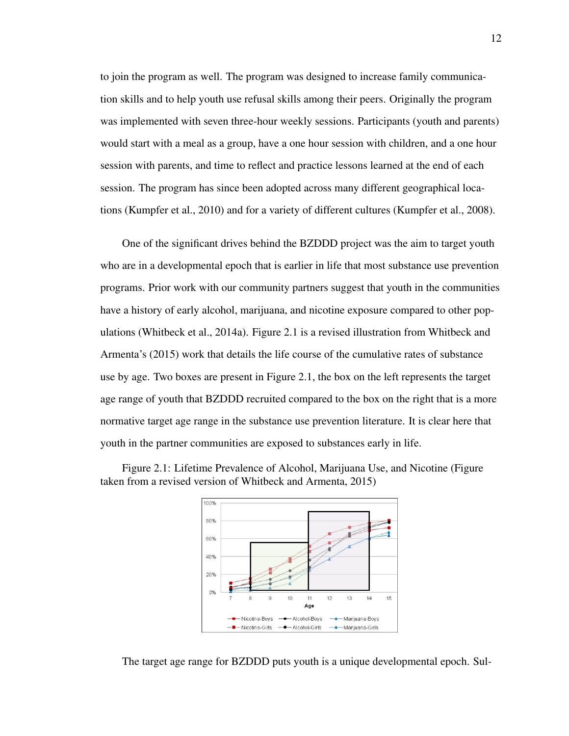to join the program as well. The program was designed to increase family communication skills and to help youth use refusal skills among their peers. Originally the program was implemented with seven three-hour weekly sessions. Participants (youth and parents) would start with a meal as a group, have a one hour session with children, and a one hour session with parents, and time to reflect and practice lessons learned at the end of each session. The program has since been adopted across many different geographical locations (Kumpfer et al., 2010) and for a variety of different cultures (Kumpfer et al., 2008).

One of the significant drives behind the BZDDD project was the aim to target youth who are in a developmental epoch that is earlier in life that most substance use prevention programs. Prior work with our community partners suggest that youth in the communities have a history of early alcohol, marijuana, and nicotine exposure compared to other populations (Whitbeck et al., 2014a). Figure 2.1 is a revised illustration from Whitbeck and Armenta's (2015) work that details the life course of the cumulative rates of substance use by age. Two boxes are present in Figure 2.1, the box on the left represents the target age range of youth that BZDDD recruited compared to the box on the right that is a more normative target age range in the substance use prevention literature. It is clear here that youth in the partner communities are exposed to substances early in life.





The target age range for BZDDD puts youth is a unique developmental epoch. Sul-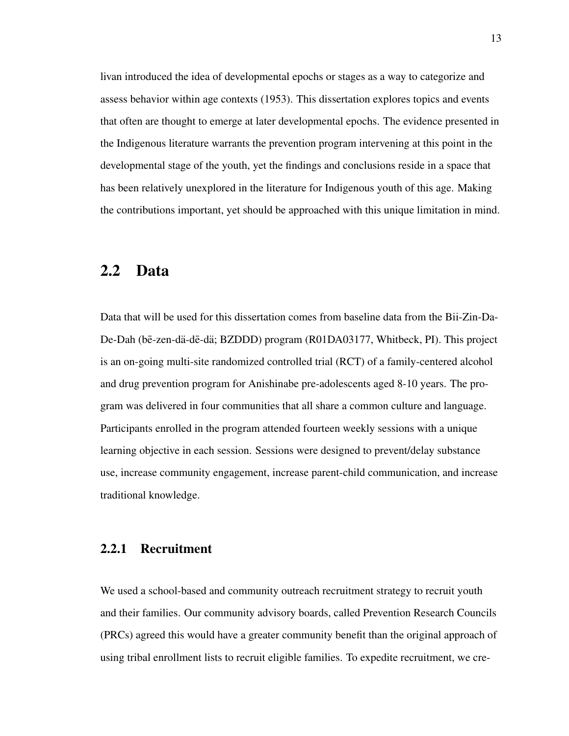livan introduced the idea of developmental epochs or stages as a way to categorize and assess behavior within age contexts (1953). This dissertation explores topics and events that often are thought to emerge at later developmental epochs. The evidence presented in the Indigenous literature warrants the prevention program intervening at this point in the developmental stage of the youth, yet the findings and conclusions reside in a space that has been relatively unexplored in the literature for Indigenous youth of this age. Making the contributions important, yet should be approached with this unique limitation in mind.

#### 2.2 Data

Data that will be used for this dissertation comes from baseline data from the Bii-Zin-Da-De-Dah (bē-zen-dä-dē-dä; BZDDD) program (R01DA03177, Whitbeck, PI). This project is an on-going multi-site randomized controlled trial (RCT) of a family-centered alcohol and drug prevention program for Anishinabe pre-adolescents aged 8-10 years. The program was delivered in four communities that all share a common culture and language. Participants enrolled in the program attended fourteen weekly sessions with a unique learning objective in each session. Sessions were designed to prevent/delay substance use, increase community engagement, increase parent-child communication, and increase traditional knowledge.

#### 2.2.1 Recruitment

We used a school-based and community outreach recruitment strategy to recruit youth and their families. Our community advisory boards, called Prevention Research Councils (PRCs) agreed this would have a greater community benefit than the original approach of using tribal enrollment lists to recruit eligible families. To expedite recruitment, we cre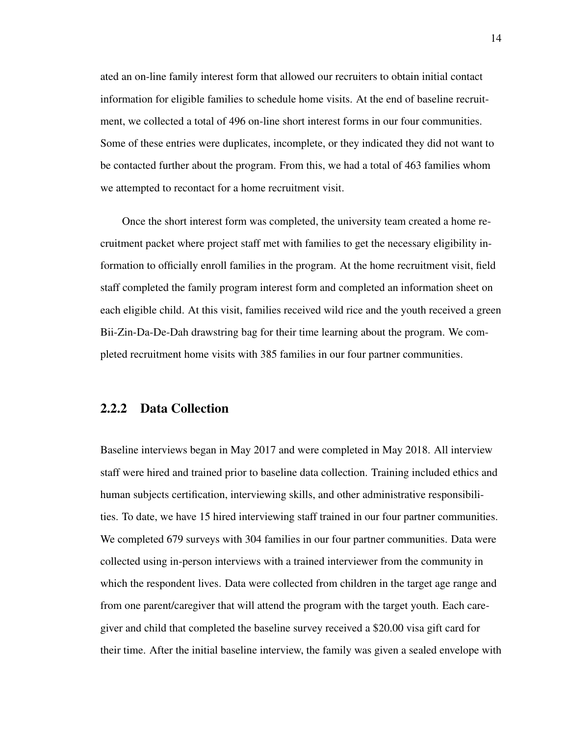ated an on-line family interest form that allowed our recruiters to obtain initial contact information for eligible families to schedule home visits. At the end of baseline recruitment, we collected a total of 496 on-line short interest forms in our four communities. Some of these entries were duplicates, incomplete, or they indicated they did not want to be contacted further about the program. From this, we had a total of 463 families whom we attempted to recontact for a home recruitment visit.

Once the short interest form was completed, the university team created a home recruitment packet where project staff met with families to get the necessary eligibility information to officially enroll families in the program. At the home recruitment visit, field staff completed the family program interest form and completed an information sheet on each eligible child. At this visit, families received wild rice and the youth received a green Bii-Zin-Da-De-Dah drawstring bag for their time learning about the program. We completed recruitment home visits with 385 families in our four partner communities.

#### 2.2.2 Data Collection

Baseline interviews began in May 2017 and were completed in May 2018. All interview staff were hired and trained prior to baseline data collection. Training included ethics and human subjects certification, interviewing skills, and other administrative responsibilities. To date, we have 15 hired interviewing staff trained in our four partner communities. We completed 679 surveys with 304 families in our four partner communities. Data were collected using in-person interviews with a trained interviewer from the community in which the respondent lives. Data were collected from children in the target age range and from one parent/caregiver that will attend the program with the target youth. Each caregiver and child that completed the baseline survey received a \$20.00 visa gift card for their time. After the initial baseline interview, the family was given a sealed envelope with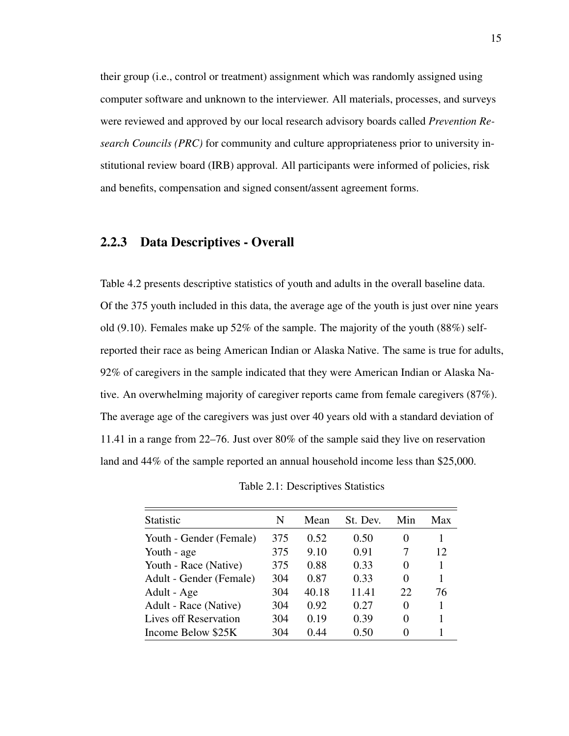their group (i.e., control or treatment) assignment which was randomly assigned using computer software and unknown to the interviewer. All materials, processes, and surveys were reviewed and approved by our local research advisory boards called *Prevention Research Councils (PRC)* for community and culture appropriateness prior to university institutional review board (IRB) approval. All participants were informed of policies, risk and benefits, compensation and signed consent/assent agreement forms.

#### 2.2.3 Data Descriptives - Overall

Table 4.2 presents descriptive statistics of youth and adults in the overall baseline data. Of the 375 youth included in this data, the average age of the youth is just over nine years old (9.10). Females make up  $52\%$  of the sample. The majority of the youth (88%) selfreported their race as being American Indian or Alaska Native. The same is true for adults, 92% of caregivers in the sample indicated that they were American Indian or Alaska Native. An overwhelming majority of caregiver reports came from female caregivers (87%). The average age of the caregivers was just over 40 years old with a standard deviation of 11.41 in a range from 22–76. Just over 80% of the sample said they live on reservation land and 44% of the sample reported an annual household income less than \$25,000.

| Statistic               | N   | Mean  | St. Dev. | Min      | Max |
|-------------------------|-----|-------|----------|----------|-----|
| Youth - Gender (Female) | 375 | 0.52  | 0.50     | $\theta$ |     |
| Youth - age             | 375 | 9.10  | 0.91     | 7        | 12  |
| Youth - Race (Native)   | 375 | 0.88  | 0.33     | 0        |     |
| Adult - Gender (Female) | 304 | 0.87  | 0.33     | 0        |     |
| Adult - Age             | 304 | 40.18 | 11.41    | 22       | 76  |
| Adult - Race (Native)   | 304 | 0.92  | 0.27     | 0        |     |
| Lives off Reservation   | 304 | 0.19  | 0.39     | 0        |     |
| Income Below \$25K      | 304 | 0.44  | 0.50     | $\theta$ |     |

Table 2.1: Descriptives Statistics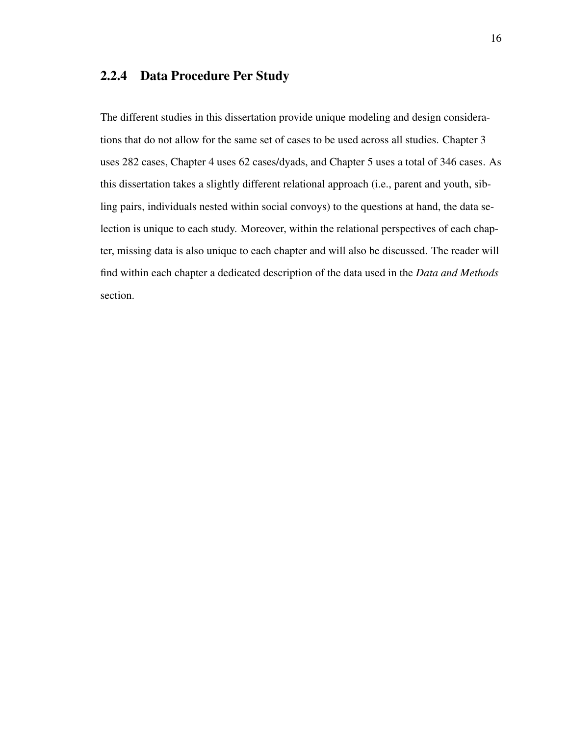#### 2.2.4 Data Procedure Per Study

The different studies in this dissertation provide unique modeling and design considerations that do not allow for the same set of cases to be used across all studies. Chapter 3 uses 282 cases, Chapter 4 uses 62 cases/dyads, and Chapter 5 uses a total of 346 cases. As this dissertation takes a slightly different relational approach (i.e., parent and youth, sibling pairs, individuals nested within social convoys) to the questions at hand, the data selection is unique to each study. Moreover, within the relational perspectives of each chapter, missing data is also unique to each chapter and will also be discussed. The reader will find within each chapter a dedicated description of the data used in the *Data and Methods* section.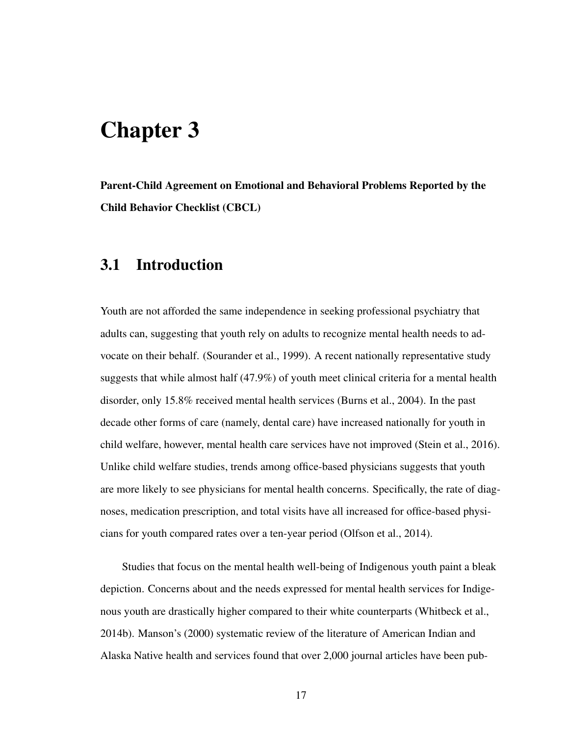# Chapter 3

Parent-Child Agreement on Emotional and Behavioral Problems Reported by the Child Behavior Checklist (CBCL)

## 3.1 Introduction

Youth are not afforded the same independence in seeking professional psychiatry that adults can, suggesting that youth rely on adults to recognize mental health needs to advocate on their behalf. (Sourander et al., 1999). A recent nationally representative study suggests that while almost half (47.9%) of youth meet clinical criteria for a mental health disorder, only 15.8% received mental health services (Burns et al., 2004). In the past decade other forms of care (namely, dental care) have increased nationally for youth in child welfare, however, mental health care services have not improved (Stein et al., 2016). Unlike child welfare studies, trends among office-based physicians suggests that youth are more likely to see physicians for mental health concerns. Specifically, the rate of diagnoses, medication prescription, and total visits have all increased for office-based physicians for youth compared rates over a ten-year period (Olfson et al., 2014).

Studies that focus on the mental health well-being of Indigenous youth paint a bleak depiction. Concerns about and the needs expressed for mental health services for Indigenous youth are drastically higher compared to their white counterparts (Whitbeck et al., 2014b). Manson's (2000) systematic review of the literature of American Indian and Alaska Native health and services found that over 2,000 journal articles have been pub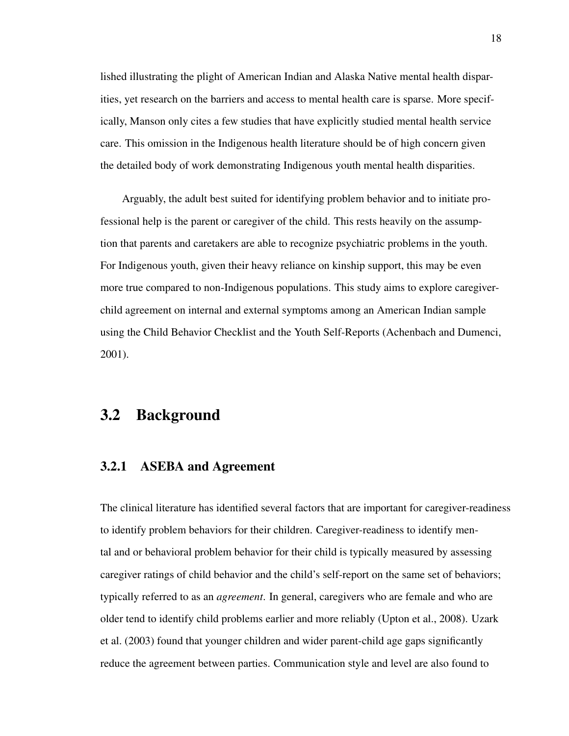lished illustrating the plight of American Indian and Alaska Native mental health disparities, yet research on the barriers and access to mental health care is sparse. More specifically, Manson only cites a few studies that have explicitly studied mental health service care. This omission in the Indigenous health literature should be of high concern given the detailed body of work demonstrating Indigenous youth mental health disparities.

Arguably, the adult best suited for identifying problem behavior and to initiate professional help is the parent or caregiver of the child. This rests heavily on the assumption that parents and caretakers are able to recognize psychiatric problems in the youth. For Indigenous youth, given their heavy reliance on kinship support, this may be even more true compared to non-Indigenous populations. This study aims to explore caregiverchild agreement on internal and external symptoms among an American Indian sample using the Child Behavior Checklist and the Youth Self-Reports (Achenbach and Dumenci, 2001).

### 3.2 Background

#### 3.2.1 ASEBA and Agreement

The clinical literature has identified several factors that are important for caregiver-readiness to identify problem behaviors for their children. Caregiver-readiness to identify mental and or behavioral problem behavior for their child is typically measured by assessing caregiver ratings of child behavior and the child's self-report on the same set of behaviors; typically referred to as an *agreement*. In general, caregivers who are female and who are older tend to identify child problems earlier and more reliably (Upton et al., 2008). Uzark et al. (2003) found that younger children and wider parent-child age gaps significantly reduce the agreement between parties. Communication style and level are also found to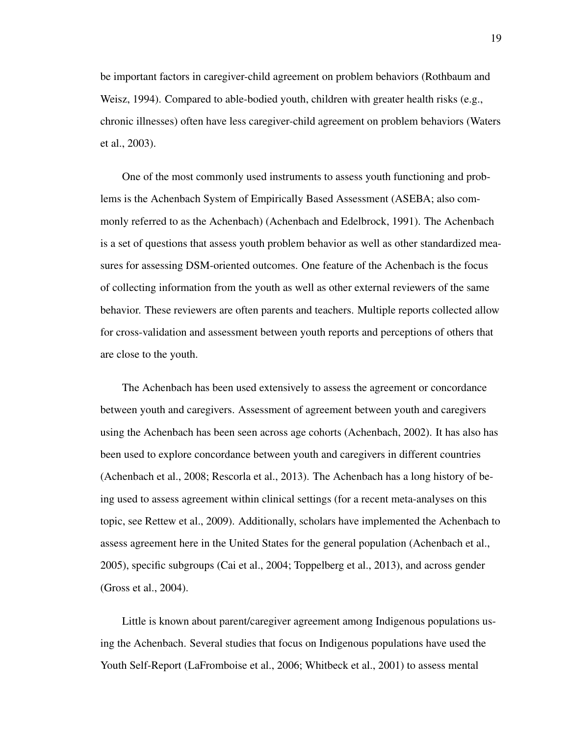be important factors in caregiver-child agreement on problem behaviors (Rothbaum and Weisz, 1994). Compared to able-bodied youth, children with greater health risks (e.g., chronic illnesses) often have less caregiver-child agreement on problem behaviors (Waters et al., 2003).

One of the most commonly used instruments to assess youth functioning and problems is the Achenbach System of Empirically Based Assessment (ASEBA; also commonly referred to as the Achenbach) (Achenbach and Edelbrock, 1991). The Achenbach is a set of questions that assess youth problem behavior as well as other standardized measures for assessing DSM-oriented outcomes. One feature of the Achenbach is the focus of collecting information from the youth as well as other external reviewers of the same behavior. These reviewers are often parents and teachers. Multiple reports collected allow for cross-validation and assessment between youth reports and perceptions of others that are close to the youth.

The Achenbach has been used extensively to assess the agreement or concordance between youth and caregivers. Assessment of agreement between youth and caregivers using the Achenbach has been seen across age cohorts (Achenbach, 2002). It has also has been used to explore concordance between youth and caregivers in different countries (Achenbach et al., 2008; Rescorla et al., 2013). The Achenbach has a long history of being used to assess agreement within clinical settings (for a recent meta-analyses on this topic, see Rettew et al., 2009). Additionally, scholars have implemented the Achenbach to assess agreement here in the United States for the general population (Achenbach et al., 2005), specific subgroups (Cai et al., 2004; Toppelberg et al., 2013), and across gender (Gross et al., 2004).

Little is known about parent/caregiver agreement among Indigenous populations using the Achenbach. Several studies that focus on Indigenous populations have used the Youth Self-Report (LaFromboise et al., 2006; Whitbeck et al., 2001) to assess mental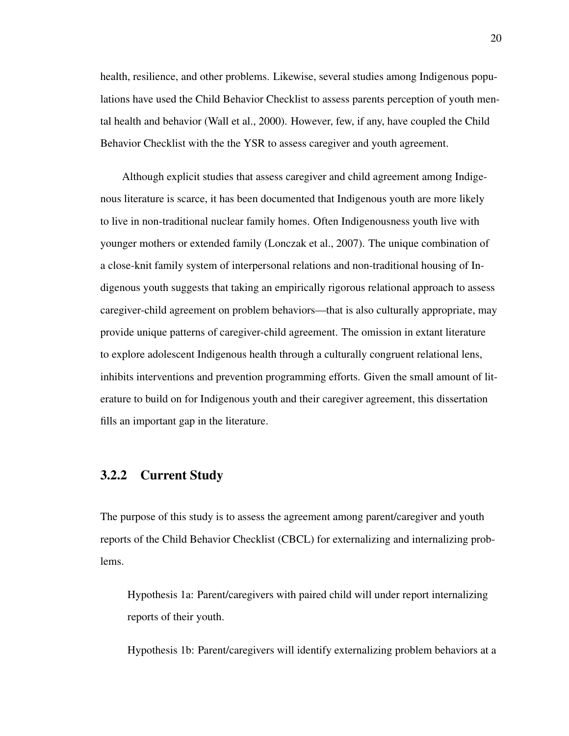health, resilience, and other problems. Likewise, several studies among Indigenous populations have used the Child Behavior Checklist to assess parents perception of youth mental health and behavior (Wall et al., 2000). However, few, if any, have coupled the Child Behavior Checklist with the the YSR to assess caregiver and youth agreement.

Although explicit studies that assess caregiver and child agreement among Indigenous literature is scarce, it has been documented that Indigenous youth are more likely to live in non-traditional nuclear family homes. Often Indigenousness youth live with younger mothers or extended family (Lonczak et al., 2007). The unique combination of a close-knit family system of interpersonal relations and non-traditional housing of Indigenous youth suggests that taking an empirically rigorous relational approach to assess caregiver-child agreement on problem behaviors—that is also culturally appropriate, may provide unique patterns of caregiver-child agreement. The omission in extant literature to explore adolescent Indigenous health through a culturally congruent relational lens, inhibits interventions and prevention programming efforts. Given the small amount of literature to build on for Indigenous youth and their caregiver agreement, this dissertation fills an important gap in the literature.

#### 3.2.2 Current Study

The purpose of this study is to assess the agreement among parent/caregiver and youth reports of the Child Behavior Checklist (CBCL) for externalizing and internalizing problems.

Hypothesis 1a: Parent/caregivers with paired child will under report internalizing reports of their youth.

Hypothesis 1b: Parent/caregivers will identify externalizing problem behaviors at a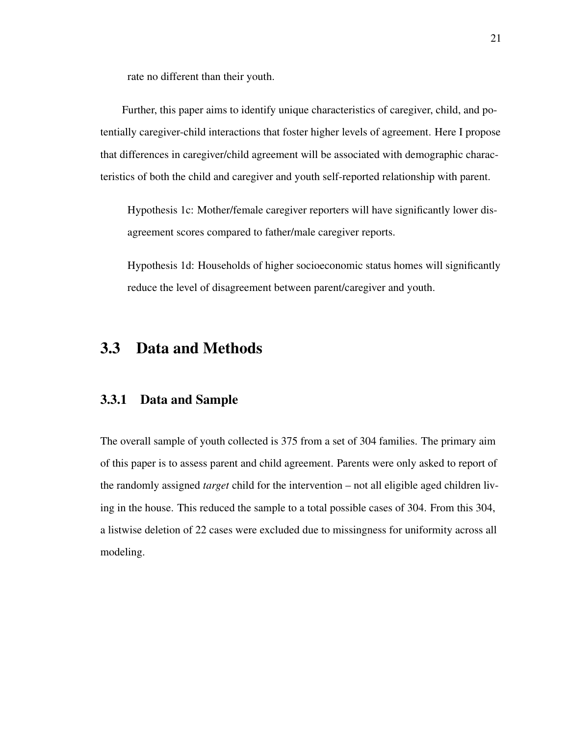rate no different than their youth.

Further, this paper aims to identify unique characteristics of caregiver, child, and potentially caregiver-child interactions that foster higher levels of agreement. Here I propose that differences in caregiver/child agreement will be associated with demographic characteristics of both the child and caregiver and youth self-reported relationship with parent.

Hypothesis 1c: Mother/female caregiver reporters will have significantly lower disagreement scores compared to father/male caregiver reports.

Hypothesis 1d: Households of higher socioeconomic status homes will significantly reduce the level of disagreement between parent/caregiver and youth.

# 3.3 Data and Methods

# 3.3.1 Data and Sample

The overall sample of youth collected is 375 from a set of 304 families. The primary aim of this paper is to assess parent and child agreement. Parents were only asked to report of the randomly assigned *target* child for the intervention – not all eligible aged children living in the house. This reduced the sample to a total possible cases of 304. From this 304, a listwise deletion of 22 cases were excluded due to missingness for uniformity across all modeling.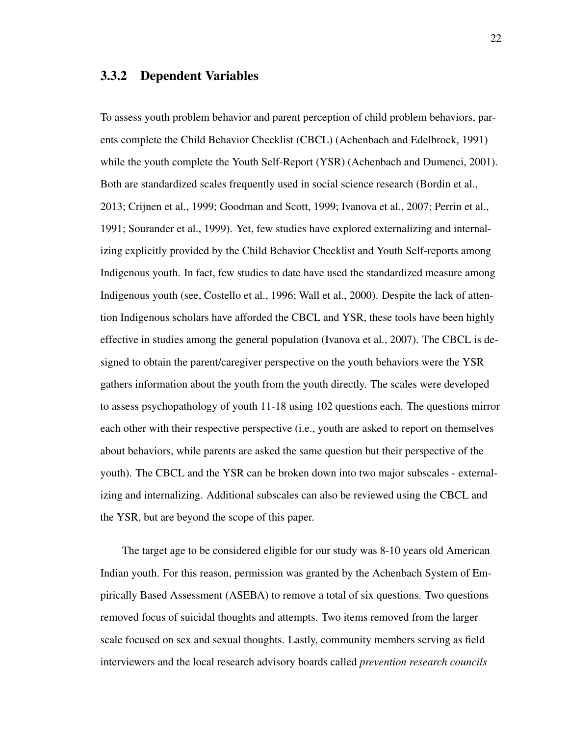#### 3.3.2 Dependent Variables

To assess youth problem behavior and parent perception of child problem behaviors, parents complete the Child Behavior Checklist (CBCL) (Achenbach and Edelbrock, 1991) while the youth complete the Youth Self-Report (YSR) (Achenbach and Dumenci, 2001). Both are standardized scales frequently used in social science research (Bordin et al., 2013; Crijnen et al., 1999; Goodman and Scott, 1999; Ivanova et al., 2007; Perrin et al., 1991; Sourander et al., 1999). Yet, few studies have explored externalizing and internalizing explicitly provided by the Child Behavior Checklist and Youth Self-reports among Indigenous youth. In fact, few studies to date have used the standardized measure among Indigenous youth (see, Costello et al., 1996; Wall et al., 2000). Despite the lack of attention Indigenous scholars have afforded the CBCL and YSR, these tools have been highly effective in studies among the general population (Ivanova et al., 2007). The CBCL is designed to obtain the parent/caregiver perspective on the youth behaviors were the YSR gathers information about the youth from the youth directly. The scales were developed to assess psychopathology of youth 11-18 using 102 questions each. The questions mirror each other with their respective perspective (i.e., youth are asked to report on themselves about behaviors, while parents are asked the same question but their perspective of the youth). The CBCL and the YSR can be broken down into two major subscales - externalizing and internalizing. Additional subscales can also be reviewed using the CBCL and the YSR, but are beyond the scope of this paper.

The target age to be considered eligible for our study was 8-10 years old American Indian youth. For this reason, permission was granted by the Achenbach System of Empirically Based Assessment (ASEBA) to remove a total of six questions. Two questions removed focus of suicidal thoughts and attempts. Two items removed from the larger scale focused on sex and sexual thoughts. Lastly, community members serving as field interviewers and the local research advisory boards called *prevention research councils*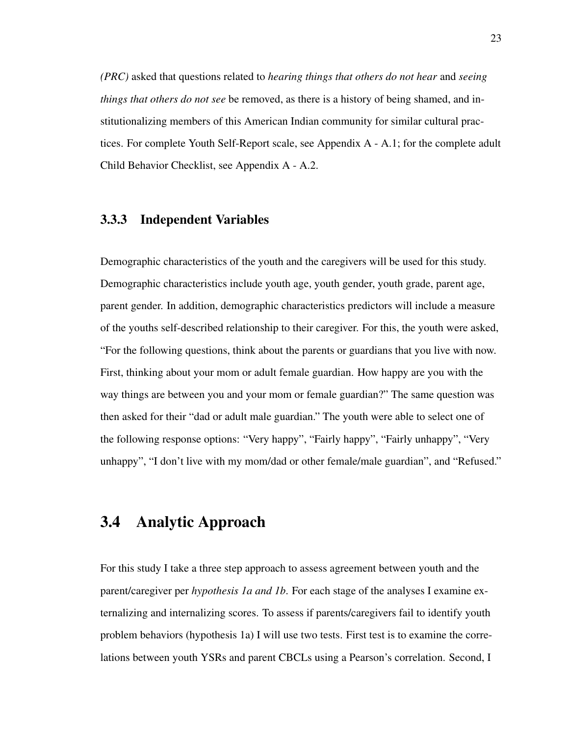*(PRC)* asked that questions related to *hearing things that others do not hear* and *seeing things that others do not see* be removed, as there is a history of being shamed, and institutionalizing members of this American Indian community for similar cultural practices. For complete Youth Self-Report scale, see Appendix A - A.1; for the complete adult Child Behavior Checklist, see Appendix A - A.2.

#### 3.3.3 Independent Variables

Demographic characteristics of the youth and the caregivers will be used for this study. Demographic characteristics include youth age, youth gender, youth grade, parent age, parent gender. In addition, demographic characteristics predictors will include a measure of the youths self-described relationship to their caregiver. For this, the youth were asked, "For the following questions, think about the parents or guardians that you live with now. First, thinking about your mom or adult female guardian. How happy are you with the way things are between you and your mom or female guardian?" The same question was then asked for their "dad or adult male guardian." The youth were able to select one of the following response options: "Very happy", "Fairly happy", "Fairly unhappy", "Very unhappy", "I don't live with my mom/dad or other female/male guardian", and "Refused."

# 3.4 Analytic Approach

For this study I take a three step approach to assess agreement between youth and the parent/caregiver per *hypothesis 1a and 1b*. For each stage of the analyses I examine externalizing and internalizing scores. To assess if parents/caregivers fail to identify youth problem behaviors (hypothesis 1a) I will use two tests. First test is to examine the correlations between youth YSRs and parent CBCLs using a Pearson's correlation. Second, I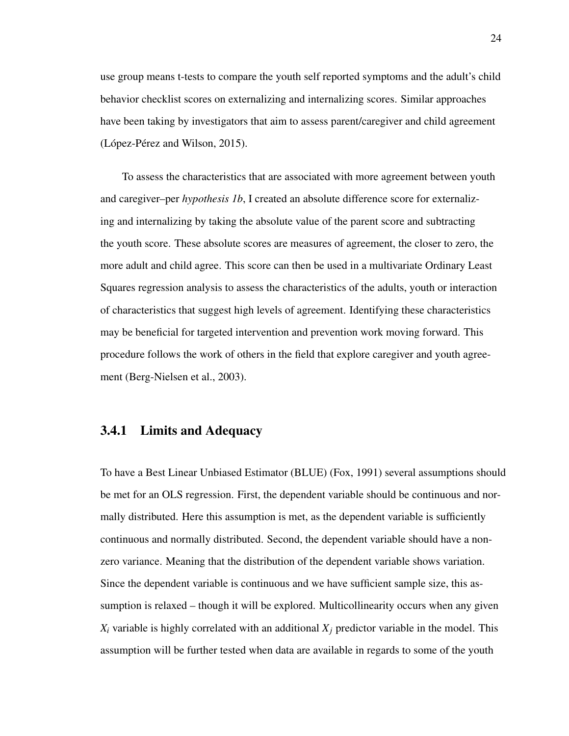use group means t-tests to compare the youth self reported symptoms and the adult's child behavior checklist scores on externalizing and internalizing scores. Similar approaches have been taking by investigators that aim to assess parent/caregiver and child agreement  $(López-Pérez and Wilson, 2015).$ 

To assess the characteristics that are associated with more agreement between youth and caregiver–per *hypothesis 1b*, I created an absolute difference score for externalizing and internalizing by taking the absolute value of the parent score and subtracting the youth score. These absolute scores are measures of agreement, the closer to zero, the more adult and child agree. This score can then be used in a multivariate Ordinary Least Squares regression analysis to assess the characteristics of the adults, youth or interaction of characteristics that suggest high levels of agreement. Identifying these characteristics may be beneficial for targeted intervention and prevention work moving forward. This procedure follows the work of others in the field that explore caregiver and youth agreement (Berg-Nielsen et al., 2003).

#### 3.4.1 Limits and Adequacy

To have a Best Linear Unbiased Estimator (BLUE) (Fox, 1991) several assumptions should be met for an OLS regression. First, the dependent variable should be continuous and normally distributed. Here this assumption is met, as the dependent variable is sufficiently continuous and normally distributed. Second, the dependent variable should have a nonzero variance. Meaning that the distribution of the dependent variable shows variation. Since the dependent variable is continuous and we have sufficient sample size, this assumption is relaxed – though it will be explored. Multicollinearity occurs when any given  $X_i$  variable is highly correlated with an additional  $X_j$  predictor variable in the model. This assumption will be further tested when data are available in regards to some of the youth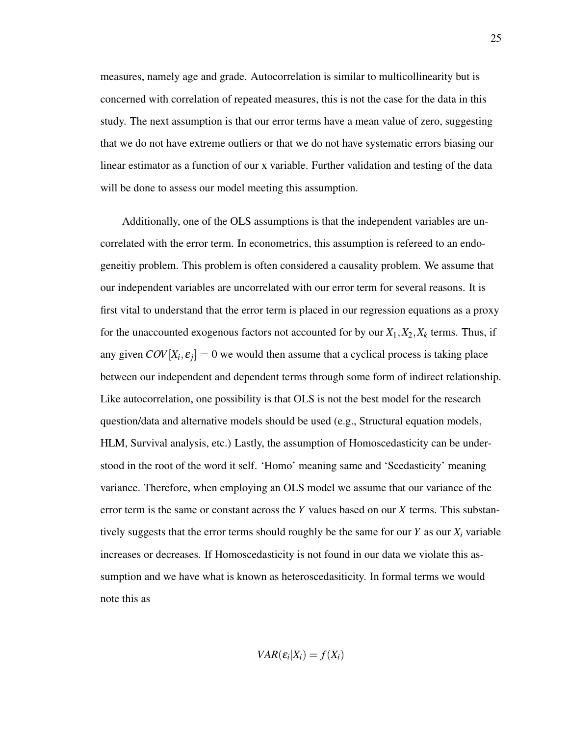measures, namely age and grade. Autocorrelation is similar to multicollinearity but is concerned with correlation of repeated measures, this is not the case for the data in this study. The next assumption is that our error terms have a mean value of zero, suggesting that we do not have extreme outliers or that we do not have systematic errors biasing our linear estimator as a function of our x variable. Further validation and testing of the data will be done to assess our model meeting this assumption.

Additionally, one of the OLS assumptions is that the independent variables are uncorrelated with the error term. In econometrics, this assumption is refereed to an endogeneitiy problem. This problem is often considered a causality problem. We assume that our independent variables are uncorrelated with our error term for several reasons. It is first vital to understand that the error term is placed in our regression equations as a proxy for the unaccounted exogenous factors not accounted for by our  $X_1, X_2, X_k$  terms. Thus, if any given  $COV[X_i, \varepsilon_j] = 0$  we would then assume that a cyclical process is taking place between our independent and dependent terms through some form of indirect relationship. Like autocorrelation, one possibility is that OLS is not the best model for the research question/data and alternative models should be used (e.g., Structural equation models, HLM, Survival analysis, etc.) Lastly, the assumption of Homoscedasticity can be understood in the root of the word it self. 'Homo' meaning same and 'Scedasticity' meaning variance. Therefore, when employing an OLS model we assume that our variance of the error term is the same or constant across the *Y* values based on our *X* terms. This substantively suggests that the error terms should roughly be the same for our  $Y$  as our  $X_i$  variable increases or decreases. If Homoscedasticity is not found in our data we violate this assumption and we have what is known as heteroscedasiticity. In formal terms we would note this as

$$
VAR(\varepsilon_i | X_i) = f(X_i)
$$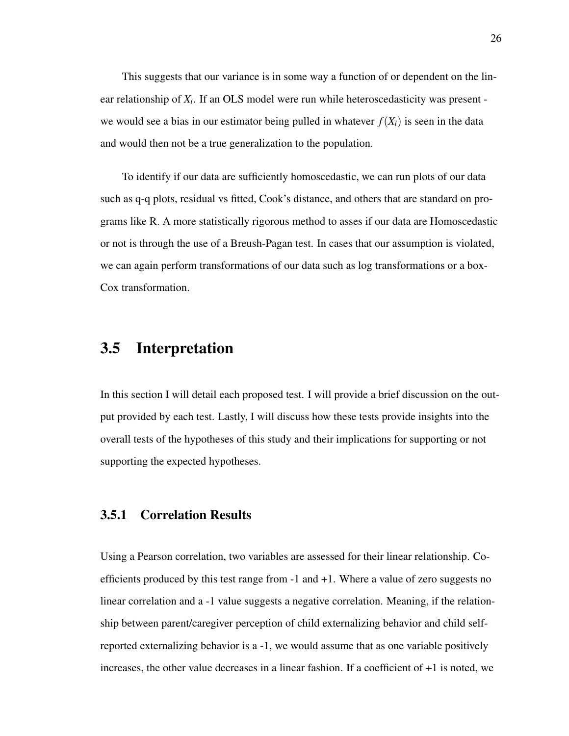This suggests that our variance is in some way a function of or dependent on the linear relationship of  $X_i$ . If an OLS model were run while heteroscedasticity was present we would see a bias in our estimator being pulled in whatever  $f(X_i)$  is seen in the data and would then not be a true generalization to the population.

To identify if our data are sufficiently homoscedastic, we can run plots of our data such as q-q plots, residual vs fitted, Cook's distance, and others that are standard on programs like R. A more statistically rigorous method to asses if our data are Homoscedastic or not is through the use of a Breush-Pagan test. In cases that our assumption is violated, we can again perform transformations of our data such as log transformations or a box-Cox transformation.

# 3.5 Interpretation

In this section I will detail each proposed test. I will provide a brief discussion on the output provided by each test. Lastly, I will discuss how these tests provide insights into the overall tests of the hypotheses of this study and their implications for supporting or not supporting the expected hypotheses.

## 3.5.1 Correlation Results

Using a Pearson correlation, two variables are assessed for their linear relationship. Coefficients produced by this test range from -1 and +1. Where a value of zero suggests no linear correlation and a -1 value suggests a negative correlation. Meaning, if the relationship between parent/caregiver perception of child externalizing behavior and child selfreported externalizing behavior is a -1, we would assume that as one variable positively increases, the other value decreases in a linear fashion. If a coefficient of +1 is noted, we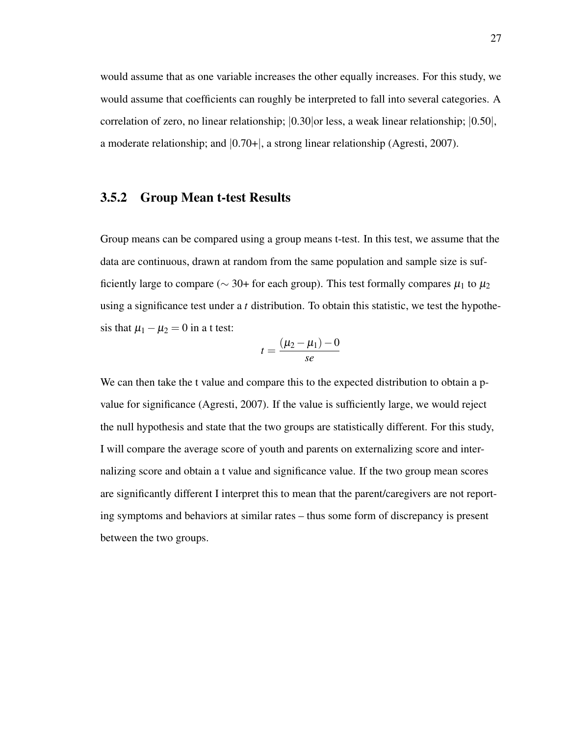would assume that as one variable increases the other equally increases. For this study, we would assume that coefficients can roughly be interpreted to fall into several categories. A correlation of zero, no linear relationship;  $(0.30)$  or less, a weak linear relationship;  $(0.50)$ , a moderate relationship; and |0.70+|, a strong linear relationship (Agresti, 2007).

#### 3.5.2 Group Mean t-test Results

Group means can be compared using a group means t-test. In this test, we assume that the data are continuous, drawn at random from the same population and sample size is sufficiently large to compare ( $\sim$  30+ for each group). This test formally compares  $\mu_1$  to  $\mu_2$ using a significance test under a *t* distribution. To obtain this statistic, we test the hypothesis that  $\mu_1 - \mu_2 = 0$  in a t test:

$$
t=\frac{(\mu_2-\mu_1)-0}{se}
$$

We can then take the t value and compare this to the expected distribution to obtain a pvalue for significance (Agresti, 2007). If the value is sufficiently large, we would reject the null hypothesis and state that the two groups are statistically different. For this study, I will compare the average score of youth and parents on externalizing score and internalizing score and obtain a t value and significance value. If the two group mean scores are significantly different I interpret this to mean that the parent/caregivers are not reporting symptoms and behaviors at similar rates – thus some form of discrepancy is present between the two groups.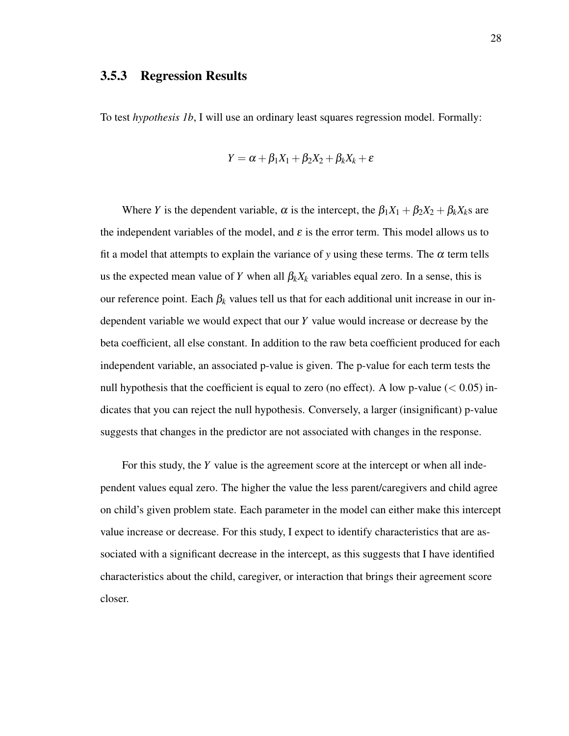#### 3.5.3 Regression Results

To test *hypothesis 1b*, I will use an ordinary least squares regression model. Formally:

$$
Y = \alpha + \beta_1 X_1 + \beta_2 X_2 + \beta_k X_k + \varepsilon
$$

Where *Y* is the dependent variable,  $\alpha$  is the intercept, the  $\beta_1 X_1 + \beta_2 X_2 + \beta_k X_k$ s are the independent variables of the model, and  $\varepsilon$  is the error term. This model allows us to fit a model that attempts to explain the variance of *y* using these terms. The  $\alpha$  term tells us the expected mean value of *Y* when all  $\beta_k X_k$  variables equal zero. In a sense, this is our reference point. Each  $\beta_k$  values tell us that for each additional unit increase in our independent variable we would expect that our *Y* value would increase or decrease by the beta coefficient, all else constant. In addition to the raw beta coefficient produced for each independent variable, an associated p-value is given. The p-value for each term tests the null hypothesis that the coefficient is equal to zero (no effect). A low p-value  $(< 0.05)$  indicates that you can reject the null hypothesis. Conversely, a larger (insignificant) p-value suggests that changes in the predictor are not associated with changes in the response.

For this study, the *Y* value is the agreement score at the intercept or when all independent values equal zero. The higher the value the less parent/caregivers and child agree on child's given problem state. Each parameter in the model can either make this intercept value increase or decrease. For this study, I expect to identify characteristics that are associated with a significant decrease in the intercept, as this suggests that I have identified characteristics about the child, caregiver, or interaction that brings their agreement score closer.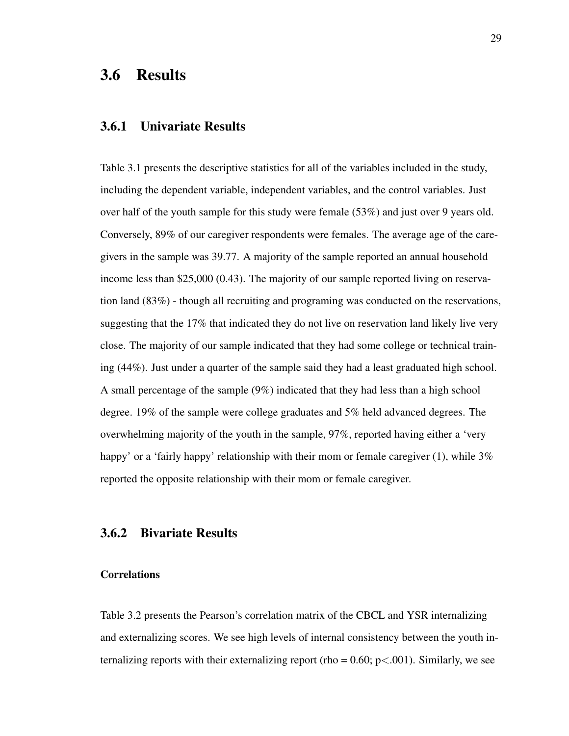# 3.6 Results

#### 3.6.1 Univariate Results

Table 3.1 presents the descriptive statistics for all of the variables included in the study, including the dependent variable, independent variables, and the control variables. Just over half of the youth sample for this study were female (53%) and just over 9 years old. Conversely, 89% of our caregiver respondents were females. The average age of the caregivers in the sample was 39.77. A majority of the sample reported an annual household income less than \$25,000 (0.43). The majority of our sample reported living on reservation land (83%) - though all recruiting and programing was conducted on the reservations, suggesting that the 17% that indicated they do not live on reservation land likely live very close. The majority of our sample indicated that they had some college or technical training (44%). Just under a quarter of the sample said they had a least graduated high school. A small percentage of the sample (9%) indicated that they had less than a high school degree. 19% of the sample were college graduates and 5% held advanced degrees. The overwhelming majority of the youth in the sample, 97%, reported having either a 'very happy' or a 'fairly happy' relationship with their mom or female caregiver (1), while 3% reported the opposite relationship with their mom or female caregiver.

#### 3.6.2 Bivariate Results

#### **Correlations**

Table 3.2 presents the Pearson's correlation matrix of the CBCL and YSR internalizing and externalizing scores. We see high levels of internal consistency between the youth internalizing reports with their externalizing report (rho =  $0.60$ ; p $< .001$ ). Similarly, we see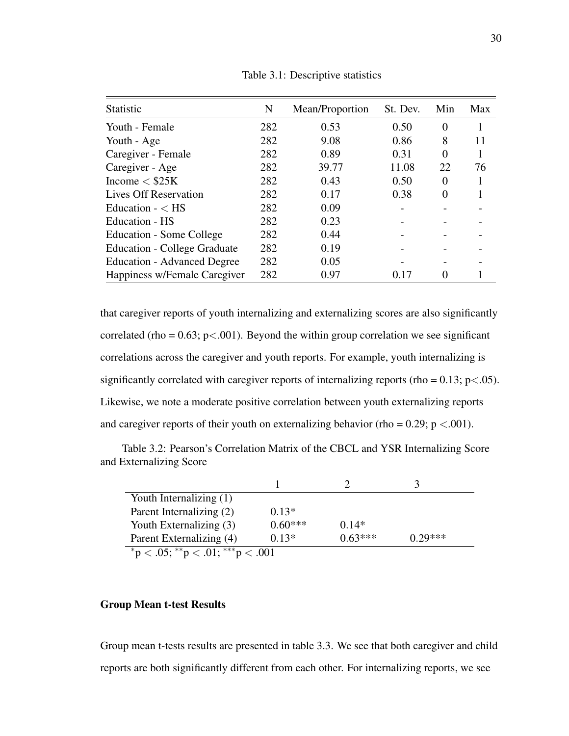| Statistic                           | N   | Mean/Proportion | St. Dev. | Min      | Max |
|-------------------------------------|-----|-----------------|----------|----------|-----|
| Youth - Female                      | 282 | 0.53            | 0.50     | $\Omega$ |     |
| Youth - Age                         | 282 | 9.08            | 0.86     | 8        | 11  |
| Caregiver - Female                  | 282 | 0.89            | 0.31     | $\Omega$ |     |
| Caregiver - Age                     | 282 | 39.77           | 11.08    | 22       | 76  |
| Income $<$ \$25K                    | 282 | 0.43            | 0.50     | $\Omega$ |     |
| <b>Lives Off Reservation</b>        | 282 | 0.17            | 0.38     | $\Omega$ |     |
| Education $- <$ HS                  | 282 | 0.09            |          |          |     |
| Education - HS                      | 282 | 0.23            |          |          |     |
| Education - Some College            | 282 | 0.44            |          |          |     |
| <b>Education - College Graduate</b> | 282 | 0.19            |          |          |     |
| <b>Education - Advanced Degree</b>  | 282 | 0.05            |          |          |     |
| Happiness w/Female Caregiver        | 282 | 0.97            | 0.17     |          |     |

Table 3.1: Descriptive statistics

that caregiver reports of youth internalizing and externalizing scores are also significantly correlated (rho =  $0.63$ ; p<.001). Beyond the within group correlation we see significant correlations across the caregiver and youth reports. For example, youth internalizing is significantly correlated with caregiver reports of internalizing reports (rho =  $0.13$ ; p<.05). Likewise, we note a moderate positive correlation between youth externalizing reports and caregiver reports of their youth on externalizing behavior (rho =  $0.29$ ; p <  $0.001$ ).

Table 3.2: Pearson's Correlation Matrix of the CBCL and YSR Internalizing Score and Externalizing Score

| Youth Internalizing (1)          |           |           |           |  |
|----------------------------------|-----------|-----------|-----------|--|
| Parent Internalizing (2)         | $0.13*$   |           |           |  |
| Youth Externalizing (3)          | $0.60***$ | $0.14*$   |           |  |
| Parent Externalizing (4)         | $0.13*$   | $0.63***$ | $0.29***$ |  |
| *p < .05; **p < .01; ***p < .001 |           |           |           |  |

#### Group Mean t-test Results

Group mean t-tests results are presented in table 3.3. We see that both caregiver and child reports are both significantly different from each other. For internalizing reports, we see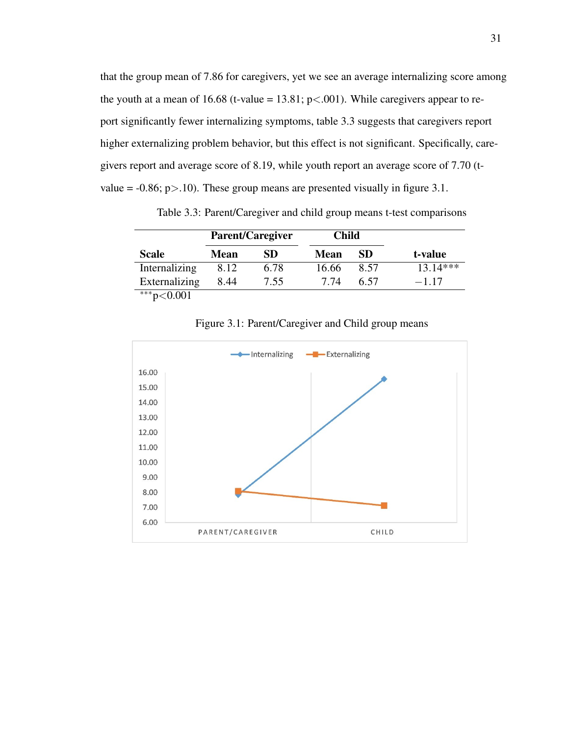that the group mean of 7.86 for caregivers, yet we see an average internalizing score among the youth at a mean of 16.68 (t-value = 13.81;  $p<.001$ ). While caregivers appear to report significantly fewer internalizing symptoms, table 3.3 suggests that caregivers report higher externalizing problem behavior, but this effect is not significant. Specifically, caregivers report and average score of 8.19, while youth report an average score of 7.70 (tvalue =  $-0.86$ ; p $>10$ ). These group means are presented visually in figure 3.1.

Parent/Caregiver Child Scale Mean SD Mean SD t-value Internalizing 8.12 6.78 16.66 8.57 13.14\*\*\* Externalizing  $8.44$   $7.55$   $7.74$   $6.57$   $-1.17$ 

Table 3.3: Parent/Caregiver and child group means t-test comparisons

 $***p<0.001$ 



Figure 3.1: Parent/Caregiver and Child group means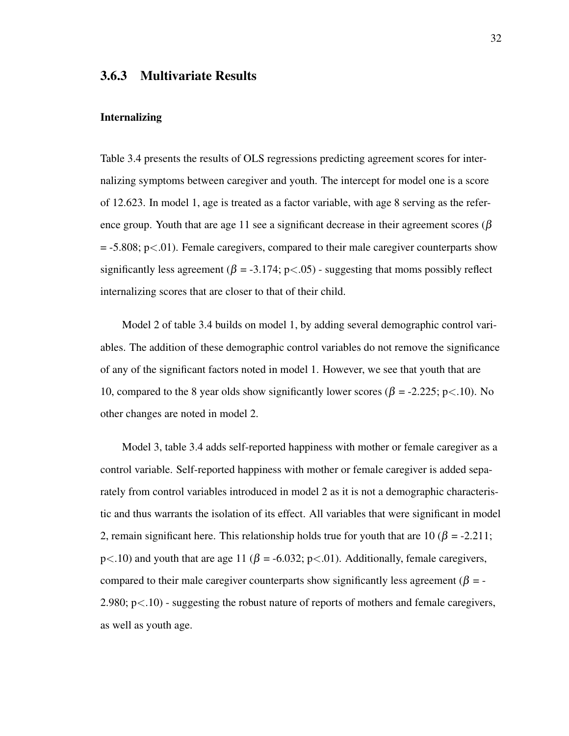## 3.6.3 Multivariate Results

#### Internalizing

Table 3.4 presents the results of OLS regressions predicting agreement scores for internalizing symptoms between caregiver and youth. The intercept for model one is a score of 12.623. In model 1, age is treated as a factor variable, with age 8 serving as the reference group. Youth that are age 11 see a significant decrease in their agreement scores ( $\beta$ )  $=$  -5.808; p $<$ .01). Female caregivers, compared to their male caregiver counterparts show significantly less agreement ( $\beta = -3.174$ ; p<.05) - suggesting that moms possibly reflect internalizing scores that are closer to that of their child.

Model 2 of table 3.4 builds on model 1, by adding several demographic control variables. The addition of these demographic control variables do not remove the significance of any of the significant factors noted in model 1. However, we see that youth that are 10, compared to the 8 year olds show significantly lower scores ( $\beta$  = -2.225; p<.10). No other changes are noted in model 2.

Model 3, table 3.4 adds self-reported happiness with mother or female caregiver as a control variable. Self-reported happiness with mother or female caregiver is added separately from control variables introduced in model 2 as it is not a demographic characteristic and thus warrants the isolation of its effect. All variables that were significant in model 2, remain significant here. This relationship holds true for youth that are 10 ( $\beta$  = -2.211; p $\lt$ .10) and youth that are age 11 ( $\beta$  = -6.032; p $\lt$ .01). Additionally, female caregivers, compared to their male caregiver counterparts show significantly less agreement ( $\beta = 2.980$ ;  $p<.10$ ) - suggesting the robust nature of reports of mothers and female caregivers, as well as youth age.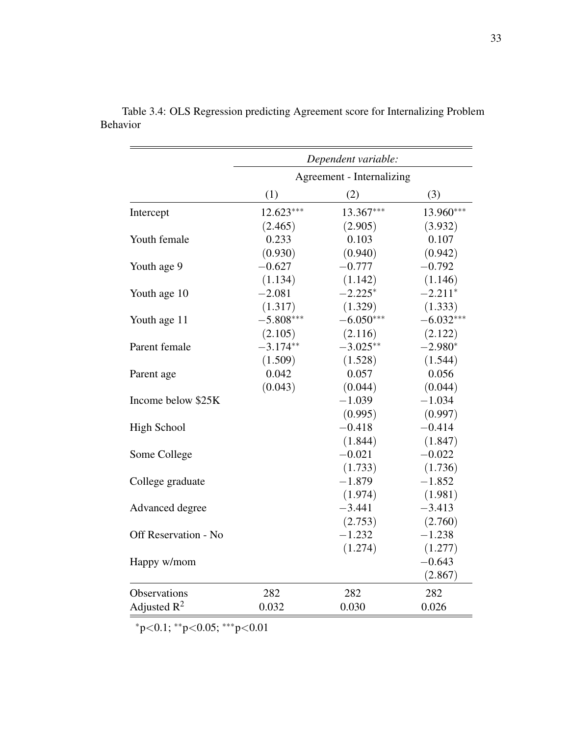|                      |                           | Dependent variable: |             |  |
|----------------------|---------------------------|---------------------|-------------|--|
|                      | Agreement - Internalizing |                     |             |  |
|                      | (1)                       | (2)                 | (3)         |  |
| Intercept            | $12.623***$               | 13.367***           | 13.960***   |  |
|                      | (2.465)                   | (2.905)             | (3.932)     |  |
| Youth female         | 0.233                     | 0.103               | 0.107       |  |
|                      | (0.930)                   | (0.940)             | (0.942)     |  |
| Youth age 9          | $-0.627$                  | $-0.777$            | $-0.792$    |  |
|                      | (1.134)                   | (1.142)             | (1.146)     |  |
| Youth age 10         | $-2.081$                  | $-2.225*$           | $-2.211*$   |  |
|                      | (1.317)                   | (1.329)             | (1.333)     |  |
| Youth age 11         | $-5.808***$               | $-6.050***$         | $-6.032***$ |  |
|                      | (2.105)                   | (2.116)             | (2.122)     |  |
| Parent female        | $-3.174**$                | $-3.025**$          | $-2.980*$   |  |
|                      | (1.509)                   | (1.528)             | (1.544)     |  |
| Parent age           | 0.042                     | 0.057               | 0.056       |  |
|                      | (0.043)                   | (0.044)             | (0.044)     |  |
| Income below \$25K   |                           | $-1.039$            | $-1.034$    |  |
|                      |                           | (0.995)             | (0.997)     |  |
| <b>High School</b>   |                           | $-0.418$            | $-0.414$    |  |
|                      |                           | (1.844)             | (1.847)     |  |
| Some College         |                           | $-0.021$            | $-0.022$    |  |
|                      |                           | (1.733)             | (1.736)     |  |
| College graduate     |                           | $-1.879$            | $-1.852$    |  |
|                      |                           | (1.974)             | (1.981)     |  |
| Advanced degree      |                           | $-3.441$            | $-3.413$    |  |
|                      |                           | (2.753)             | (2.760)     |  |
| Off Reservation - No |                           | $-1.232$            | $-1.238$    |  |
|                      |                           | (1.274)             | (1.277)     |  |
| Happy w/mom          |                           |                     | $-0.643$    |  |
|                      |                           |                     | (2.867)     |  |
| Observations         | 282                       | 282                 | 282         |  |
| Adjusted $R^2$       | 0.032                     | 0.030               | 0.026       |  |

Table 3.4: OLS Regression predicting Agreement score for Internalizing Problem Behavior

<sup>∗</sup>p<0.1; ∗∗p<0.05; ∗∗∗p<0.01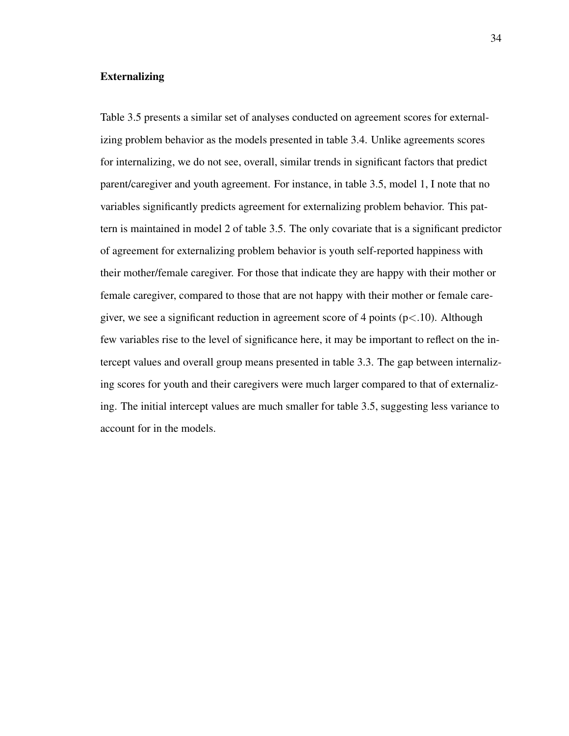#### Externalizing

Table 3.5 presents a similar set of analyses conducted on agreement scores for externalizing problem behavior as the models presented in table 3.4. Unlike agreements scores for internalizing, we do not see, overall, similar trends in significant factors that predict parent/caregiver and youth agreement. For instance, in table 3.5, model 1, I note that no variables significantly predicts agreement for externalizing problem behavior. This pattern is maintained in model 2 of table 3.5. The only covariate that is a significant predictor of agreement for externalizing problem behavior is youth self-reported happiness with their mother/female caregiver. For those that indicate they are happy with their mother or female caregiver, compared to those that are not happy with their mother or female caregiver, we see a significant reduction in agreement score of 4 points ( $p < 10$ ). Although few variables rise to the level of significance here, it may be important to reflect on the intercept values and overall group means presented in table 3.3. The gap between internalizing scores for youth and their caregivers were much larger compared to that of externalizing. The initial intercept values are much smaller for table 3.5, suggesting less variance to account for in the models.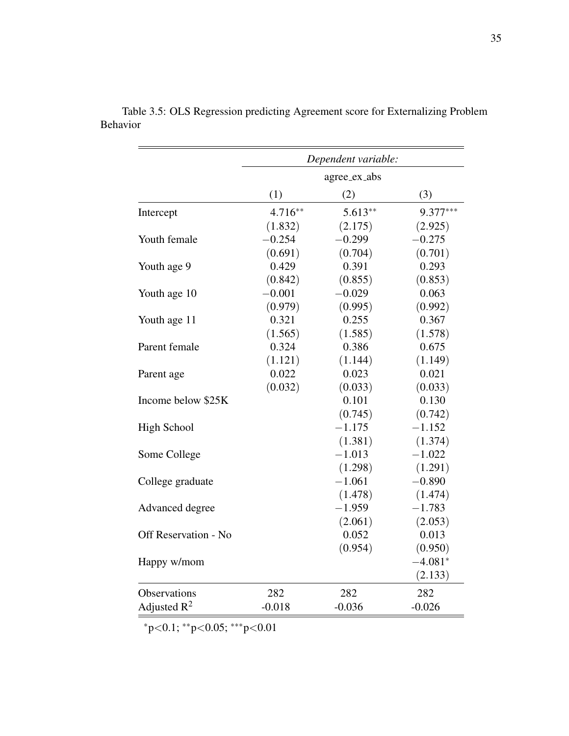|                      |           | Dependent variable: |            |
|----------------------|-----------|---------------------|------------|
|                      |           | agree_ex_abs        |            |
|                      | (1)       | (2)                 | (3)        |
| Intercept            | $4.716**$ | $5.613**$           | $9.377***$ |
|                      | (1.832)   | (2.175)             | (2.925)    |
| Youth female         | $-0.254$  | $-0.299$            | $-0.275$   |
|                      | (0.691)   | (0.704)             | (0.701)    |
| Youth age 9          | 0.429     | 0.391               | 0.293      |
|                      | (0.842)   | (0.855)             | (0.853)    |
| Youth age 10         | $-0.001$  | $-0.029$            | 0.063      |
|                      | (0.979)   | (0.995)             | (0.992)    |
| Youth age 11         | 0.321     | 0.255               | 0.367      |
|                      | (1.565)   | (1.585)             | (1.578)    |
| Parent female        | 0.324     | 0.386               | 0.675      |
|                      | (1.121)   | (1.144)             | (1.149)    |
| Parent age           | 0.022     | 0.023               | 0.021      |
|                      | (0.032)   | (0.033)             | (0.033)    |
| Income below \$25K   |           | 0.101               | 0.130      |
|                      |           | (0.745)             | (0.742)    |
| <b>High School</b>   |           | $-1.175$            | $-1.152$   |
|                      |           | (1.381)             | (1.374)    |
| Some College         |           | $-1.013$            | $-1.022$   |
|                      |           | (1.298)             | (1.291)    |
| College graduate     |           | $-1.061$            | $-0.890$   |
|                      |           | (1.478)             | (1.474)    |
| Advanced degree      |           | $-1.959$            | $-1.783$   |
|                      |           | (2.061)             | (2.053)    |
| Off Reservation - No |           | 0.052               | 0.013      |
|                      |           | (0.954)             | (0.950)    |
| Happy w/mom          |           |                     | $-4.081*$  |
|                      |           |                     | (2.133)    |
| Observations         | 282       | 282                 | 282        |
| Adjusted $R^2$       | $-0.018$  | $-0.036$            | $-0.026$   |

Table 3.5: OLS Regression predicting Agreement score for Externalizing Problem Behavior

<sup>∗</sup>p<0.1; ∗∗p<0.05; ∗∗∗p<0.01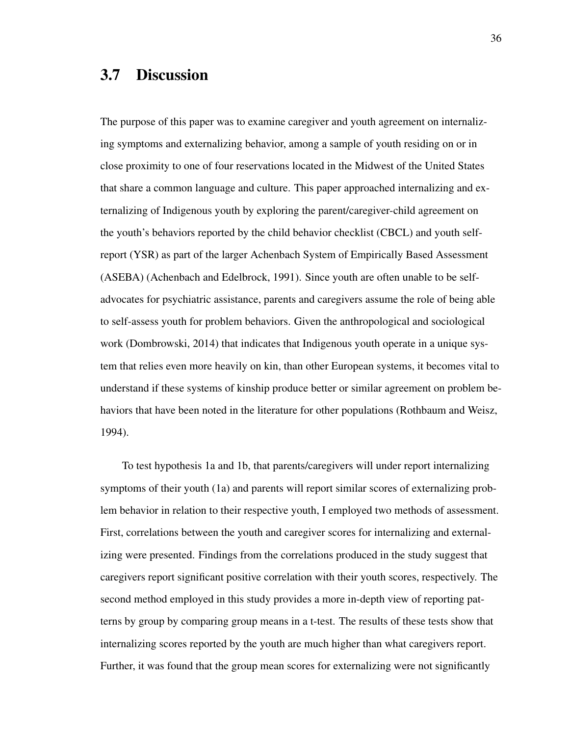# 3.7 Discussion

The purpose of this paper was to examine caregiver and youth agreement on internalizing symptoms and externalizing behavior, among a sample of youth residing on or in close proximity to one of four reservations located in the Midwest of the United States that share a common language and culture. This paper approached internalizing and externalizing of Indigenous youth by exploring the parent/caregiver-child agreement on the youth's behaviors reported by the child behavior checklist (CBCL) and youth selfreport (YSR) as part of the larger Achenbach System of Empirically Based Assessment (ASEBA) (Achenbach and Edelbrock, 1991). Since youth are often unable to be selfadvocates for psychiatric assistance, parents and caregivers assume the role of being able to self-assess youth for problem behaviors. Given the anthropological and sociological work (Dombrowski, 2014) that indicates that Indigenous youth operate in a unique system that relies even more heavily on kin, than other European systems, it becomes vital to understand if these systems of kinship produce better or similar agreement on problem behaviors that have been noted in the literature for other populations (Rothbaum and Weisz, 1994).

To test hypothesis 1a and 1b, that parents/caregivers will under report internalizing symptoms of their youth (1a) and parents will report similar scores of externalizing problem behavior in relation to their respective youth, I employed two methods of assessment. First, correlations between the youth and caregiver scores for internalizing and externalizing were presented. Findings from the correlations produced in the study suggest that caregivers report significant positive correlation with their youth scores, respectively. The second method employed in this study provides a more in-depth view of reporting patterns by group by comparing group means in a t-test. The results of these tests show that internalizing scores reported by the youth are much higher than what caregivers report. Further, it was found that the group mean scores for externalizing were not significantly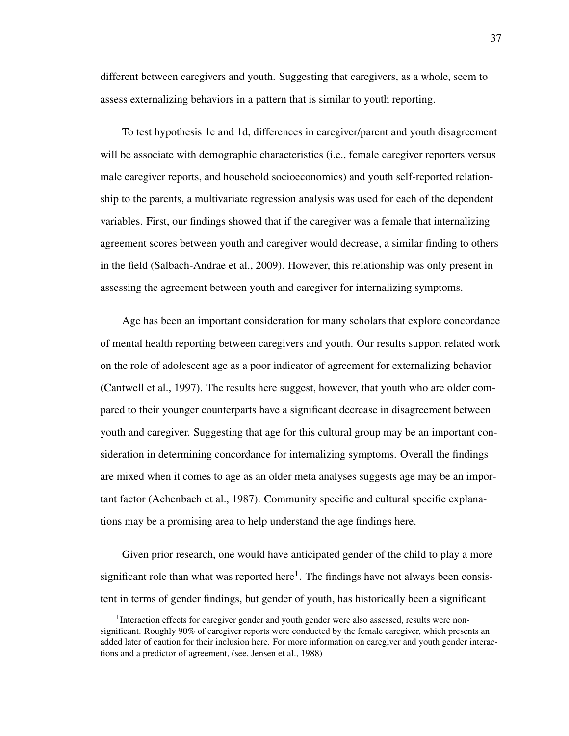different between caregivers and youth. Suggesting that caregivers, as a whole, seem to assess externalizing behaviors in a pattern that is similar to youth reporting.

To test hypothesis 1c and 1d, differences in caregiver/parent and youth disagreement will be associate with demographic characteristics (i.e., female caregiver reporters versus male caregiver reports, and household socioeconomics) and youth self-reported relationship to the parents, a multivariate regression analysis was used for each of the dependent variables. First, our findings showed that if the caregiver was a female that internalizing agreement scores between youth and caregiver would decrease, a similar finding to others in the field (Salbach-Andrae et al., 2009). However, this relationship was only present in assessing the agreement between youth and caregiver for internalizing symptoms.

Age has been an important consideration for many scholars that explore concordance of mental health reporting between caregivers and youth. Our results support related work on the role of adolescent age as a poor indicator of agreement for externalizing behavior (Cantwell et al., 1997). The results here suggest, however, that youth who are older compared to their younger counterparts have a significant decrease in disagreement between youth and caregiver. Suggesting that age for this cultural group may be an important consideration in determining concordance for internalizing symptoms. Overall the findings are mixed when it comes to age as an older meta analyses suggests age may be an important factor (Achenbach et al., 1987). Community specific and cultural specific explanations may be a promising area to help understand the age findings here.

Given prior research, one would have anticipated gender of the child to play a more significant role than what was reported here $<sup>1</sup>$ . The findings have not always been consis-</sup> tent in terms of gender findings, but gender of youth, has historically been a significant

<sup>&</sup>lt;sup>1</sup>Interaction effects for caregiver gender and youth gender were also assessed, results were nonsignificant. Roughly 90% of caregiver reports were conducted by the female caregiver, which presents an added later of caution for their inclusion here. For more information on caregiver and youth gender interactions and a predictor of agreement, (see, Jensen et al., 1988)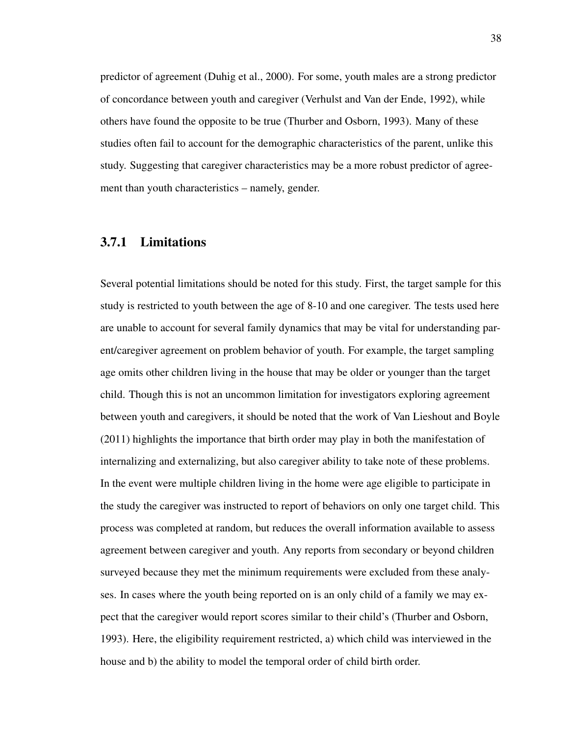predictor of agreement (Duhig et al., 2000). For some, youth males are a strong predictor of concordance between youth and caregiver (Verhulst and Van der Ende, 1992), while others have found the opposite to be true (Thurber and Osborn, 1993). Many of these studies often fail to account for the demographic characteristics of the parent, unlike this study. Suggesting that caregiver characteristics may be a more robust predictor of agreement than youth characteristics – namely, gender.

## 3.7.1 Limitations

Several potential limitations should be noted for this study. First, the target sample for this study is restricted to youth between the age of 8-10 and one caregiver. The tests used here are unable to account for several family dynamics that may be vital for understanding parent/caregiver agreement on problem behavior of youth. For example, the target sampling age omits other children living in the house that may be older or younger than the target child. Though this is not an uncommon limitation for investigators exploring agreement between youth and caregivers, it should be noted that the work of Van Lieshout and Boyle (2011) highlights the importance that birth order may play in both the manifestation of internalizing and externalizing, but also caregiver ability to take note of these problems. In the event were multiple children living in the home were age eligible to participate in the study the caregiver was instructed to report of behaviors on only one target child. This process was completed at random, but reduces the overall information available to assess agreement between caregiver and youth. Any reports from secondary or beyond children surveyed because they met the minimum requirements were excluded from these analyses. In cases where the youth being reported on is an only child of a family we may expect that the caregiver would report scores similar to their child's (Thurber and Osborn, 1993). Here, the eligibility requirement restricted, a) which child was interviewed in the house and b) the ability to model the temporal order of child birth order.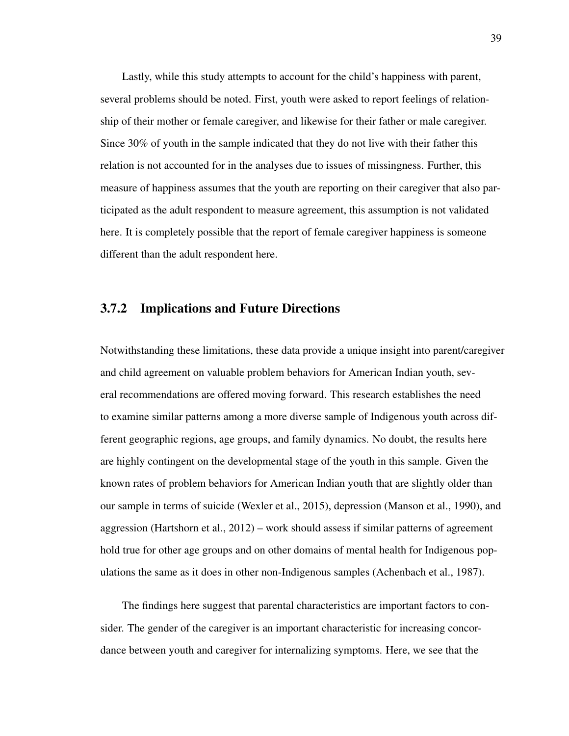Lastly, while this study attempts to account for the child's happiness with parent, several problems should be noted. First, youth were asked to report feelings of relationship of their mother or female caregiver, and likewise for their father or male caregiver. Since 30% of youth in the sample indicated that they do not live with their father this relation is not accounted for in the analyses due to issues of missingness. Further, this measure of happiness assumes that the youth are reporting on their caregiver that also participated as the adult respondent to measure agreement, this assumption is not validated here. It is completely possible that the report of female caregiver happiness is someone different than the adult respondent here.

## 3.7.2 Implications and Future Directions

Notwithstanding these limitations, these data provide a unique insight into parent/caregiver and child agreement on valuable problem behaviors for American Indian youth, several recommendations are offered moving forward. This research establishes the need to examine similar patterns among a more diverse sample of Indigenous youth across different geographic regions, age groups, and family dynamics. No doubt, the results here are highly contingent on the developmental stage of the youth in this sample. Given the known rates of problem behaviors for American Indian youth that are slightly older than our sample in terms of suicide (Wexler et al., 2015), depression (Manson et al., 1990), and aggression (Hartshorn et al., 2012) – work should assess if similar patterns of agreement hold true for other age groups and on other domains of mental health for Indigenous populations the same as it does in other non-Indigenous samples (Achenbach et al., 1987).

The findings here suggest that parental characteristics are important factors to consider. The gender of the caregiver is an important characteristic for increasing concordance between youth and caregiver for internalizing symptoms. Here, we see that the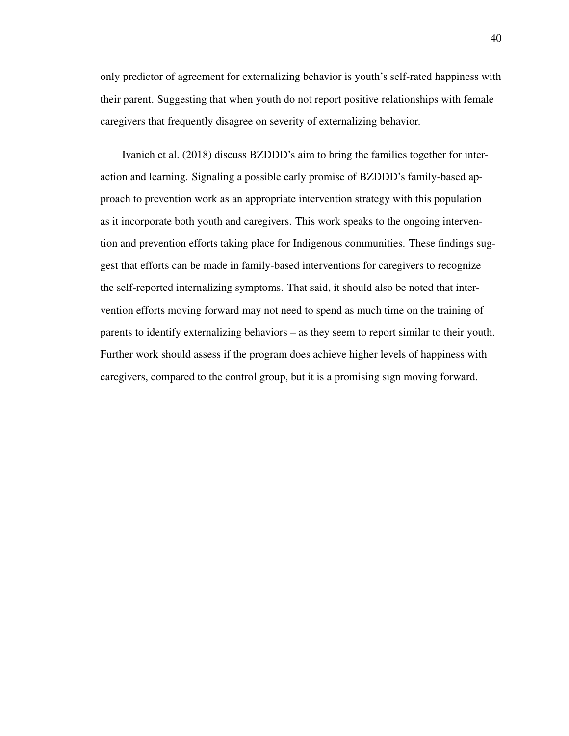only predictor of agreement for externalizing behavior is youth's self-rated happiness with their parent. Suggesting that when youth do not report positive relationships with female caregivers that frequently disagree on severity of externalizing behavior.

Ivanich et al. (2018) discuss BZDDD's aim to bring the families together for interaction and learning. Signaling a possible early promise of BZDDD's family-based approach to prevention work as an appropriate intervention strategy with this population as it incorporate both youth and caregivers. This work speaks to the ongoing intervention and prevention efforts taking place for Indigenous communities. These findings suggest that efforts can be made in family-based interventions for caregivers to recognize the self-reported internalizing symptoms. That said, it should also be noted that intervention efforts moving forward may not need to spend as much time on the training of parents to identify externalizing behaviors – as they seem to report similar to their youth. Further work should assess if the program does achieve higher levels of happiness with caregivers, compared to the control group, but it is a promising sign moving forward.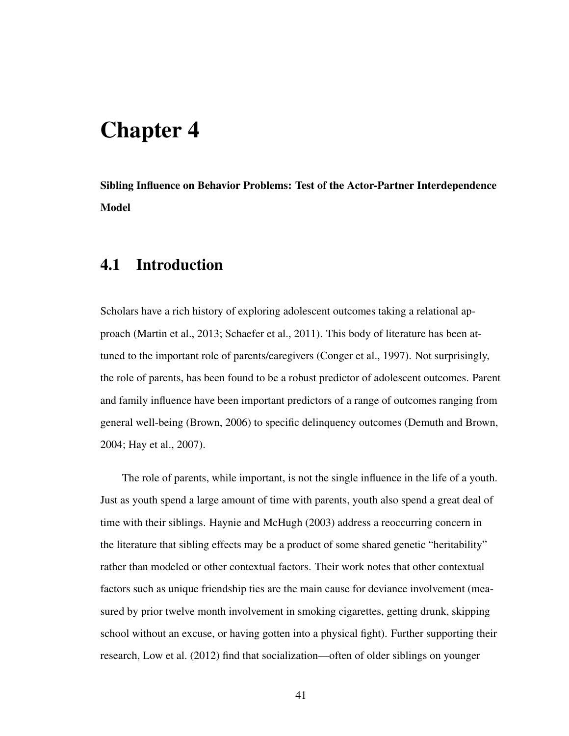# Chapter 4

Sibling Influence on Behavior Problems: Test of the Actor-Partner Interdependence Model

# 4.1 Introduction

Scholars have a rich history of exploring adolescent outcomes taking a relational approach (Martin et al., 2013; Schaefer et al., 2011). This body of literature has been attuned to the important role of parents/caregivers (Conger et al., 1997). Not surprisingly, the role of parents, has been found to be a robust predictor of adolescent outcomes. Parent and family influence have been important predictors of a range of outcomes ranging from general well-being (Brown, 2006) to specific delinquency outcomes (Demuth and Brown, 2004; Hay et al., 2007).

The role of parents, while important, is not the single influence in the life of a youth. Just as youth spend a large amount of time with parents, youth also spend a great deal of time with their siblings. Haynie and McHugh (2003) address a reoccurring concern in the literature that sibling effects may be a product of some shared genetic "heritability" rather than modeled or other contextual factors. Their work notes that other contextual factors such as unique friendship ties are the main cause for deviance involvement (measured by prior twelve month involvement in smoking cigarettes, getting drunk, skipping school without an excuse, or having gotten into a physical fight). Further supporting their research, Low et al. (2012) find that socialization—often of older siblings on younger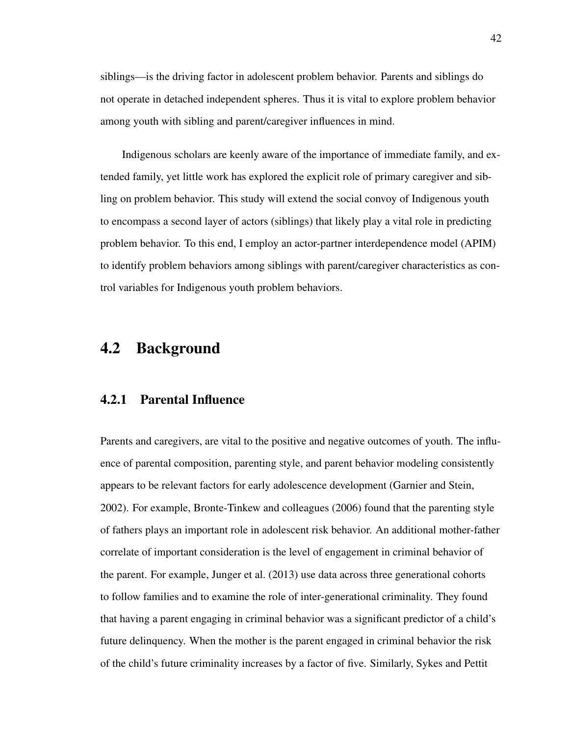siblings—is the driving factor in adolescent problem behavior. Parents and siblings do not operate in detached independent spheres. Thus it is vital to explore problem behavior among youth with sibling and parent/caregiver influences in mind.

Indigenous scholars are keenly aware of the importance of immediate family, and extended family, yet little work has explored the explicit role of primary caregiver and sibling on problem behavior. This study will extend the social convoy of Indigenous youth to encompass a second layer of actors (siblings) that likely play a vital role in predicting problem behavior. To this end, I employ an actor-partner interdependence model (APIM) to identify problem behaviors among siblings with parent/caregiver characteristics as control variables for Indigenous youth problem behaviors.

# 4.2 Background

## 4.2.1 Parental Influence

Parents and caregivers, are vital to the positive and negative outcomes of youth. The influence of parental composition, parenting style, and parent behavior modeling consistently appears to be relevant factors for early adolescence development (Garnier and Stein, 2002). For example, Bronte-Tinkew and colleagues (2006) found that the parenting style of fathers plays an important role in adolescent risk behavior. An additional mother-father correlate of important consideration is the level of engagement in criminal behavior of the parent. For example, Junger et al. (2013) use data across three generational cohorts to follow families and to examine the role of inter-generational criminality. They found that having a parent engaging in criminal behavior was a significant predictor of a child's future delinquency. When the mother is the parent engaged in criminal behavior the risk of the child's future criminality increases by a factor of five. Similarly, Sykes and Pettit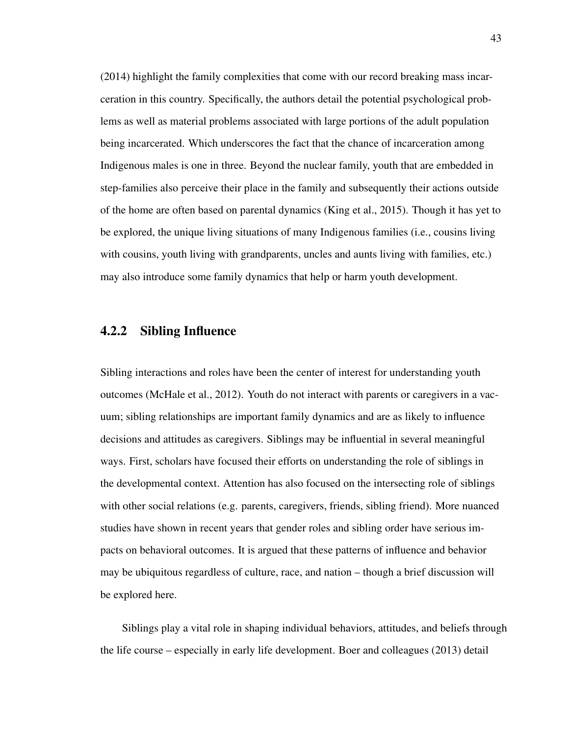(2014) highlight the family complexities that come with our record breaking mass incarceration in this country. Specifically, the authors detail the potential psychological problems as well as material problems associated with large portions of the adult population being incarcerated. Which underscores the fact that the chance of incarceration among Indigenous males is one in three. Beyond the nuclear family, youth that are embedded in step-families also perceive their place in the family and subsequently their actions outside of the home are often based on parental dynamics (King et al., 2015). Though it has yet to be explored, the unique living situations of many Indigenous families (i.e., cousins living with cousins, youth living with grandparents, uncles and aunts living with families, etc.) may also introduce some family dynamics that help or harm youth development.

## 4.2.2 Sibling Influence

Sibling interactions and roles have been the center of interest for understanding youth outcomes (McHale et al., 2012). Youth do not interact with parents or caregivers in a vacuum; sibling relationships are important family dynamics and are as likely to influence decisions and attitudes as caregivers. Siblings may be influential in several meaningful ways. First, scholars have focused their efforts on understanding the role of siblings in the developmental context. Attention has also focused on the intersecting role of siblings with other social relations (e.g. parents, caregivers, friends, sibling friend). More nuanced studies have shown in recent years that gender roles and sibling order have serious impacts on behavioral outcomes. It is argued that these patterns of influence and behavior may be ubiquitous regardless of culture, race, and nation – though a brief discussion will be explored here.

Siblings play a vital role in shaping individual behaviors, attitudes, and beliefs through the life course – especially in early life development. Boer and colleagues (2013) detail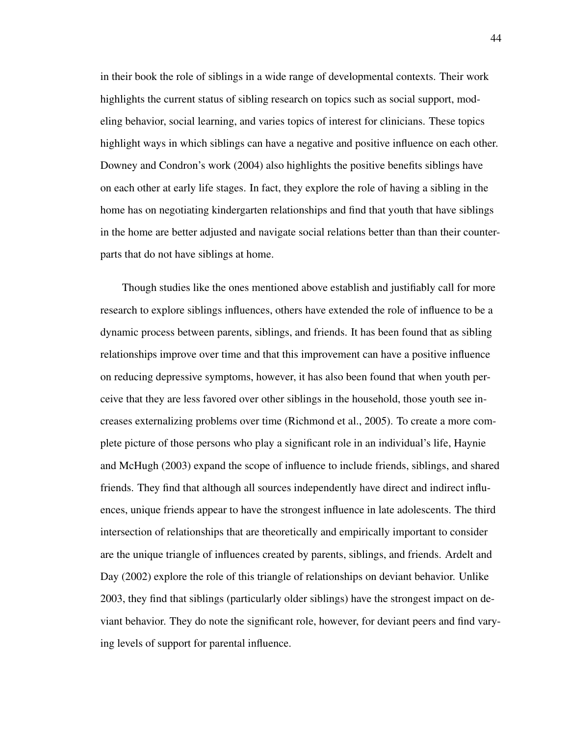in their book the role of siblings in a wide range of developmental contexts. Their work highlights the current status of sibling research on topics such as social support, modeling behavior, social learning, and varies topics of interest for clinicians. These topics highlight ways in which siblings can have a negative and positive influence on each other. Downey and Condron's work (2004) also highlights the positive benefits siblings have on each other at early life stages. In fact, they explore the role of having a sibling in the home has on negotiating kindergarten relationships and find that youth that have siblings in the home are better adjusted and navigate social relations better than than their counterparts that do not have siblings at home.

Though studies like the ones mentioned above establish and justifiably call for more research to explore siblings influences, others have extended the role of influence to be a dynamic process between parents, siblings, and friends. It has been found that as sibling relationships improve over time and that this improvement can have a positive influence on reducing depressive symptoms, however, it has also been found that when youth perceive that they are less favored over other siblings in the household, those youth see increases externalizing problems over time (Richmond et al., 2005). To create a more complete picture of those persons who play a significant role in an individual's life, Haynie and McHugh (2003) expand the scope of influence to include friends, siblings, and shared friends. They find that although all sources independently have direct and indirect influences, unique friends appear to have the strongest influence in late adolescents. The third intersection of relationships that are theoretically and empirically important to consider are the unique triangle of influences created by parents, siblings, and friends. Ardelt and Day (2002) explore the role of this triangle of relationships on deviant behavior. Unlike 2003, they find that siblings (particularly older siblings) have the strongest impact on deviant behavior. They do note the significant role, however, for deviant peers and find varying levels of support for parental influence.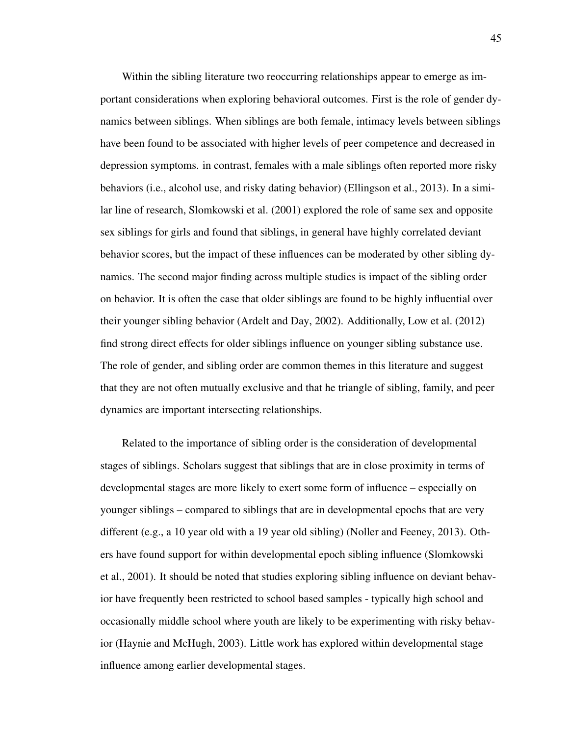Within the sibling literature two reoccurring relationships appear to emerge as important considerations when exploring behavioral outcomes. First is the role of gender dynamics between siblings. When siblings are both female, intimacy levels between siblings have been found to be associated with higher levels of peer competence and decreased in depression symptoms. in contrast, females with a male siblings often reported more risky behaviors (i.e., alcohol use, and risky dating behavior) (Ellingson et al., 2013). In a similar line of research, Slomkowski et al. (2001) explored the role of same sex and opposite sex siblings for girls and found that siblings, in general have highly correlated deviant behavior scores, but the impact of these influences can be moderated by other sibling dynamics. The second major finding across multiple studies is impact of the sibling order on behavior. It is often the case that older siblings are found to be highly influential over their younger sibling behavior (Ardelt and Day, 2002). Additionally, Low et al. (2012) find strong direct effects for older siblings influence on younger sibling substance use. The role of gender, and sibling order are common themes in this literature and suggest that they are not often mutually exclusive and that he triangle of sibling, family, and peer dynamics are important intersecting relationships.

Related to the importance of sibling order is the consideration of developmental stages of siblings. Scholars suggest that siblings that are in close proximity in terms of developmental stages are more likely to exert some form of influence – especially on younger siblings – compared to siblings that are in developmental epochs that are very different (e.g., a 10 year old with a 19 year old sibling) (Noller and Feeney, 2013). Others have found support for within developmental epoch sibling influence (Slomkowski et al., 2001). It should be noted that studies exploring sibling influence on deviant behavior have frequently been restricted to school based samples - typically high school and occasionally middle school where youth are likely to be experimenting with risky behavior (Haynie and McHugh, 2003). Little work has explored within developmental stage influence among earlier developmental stages.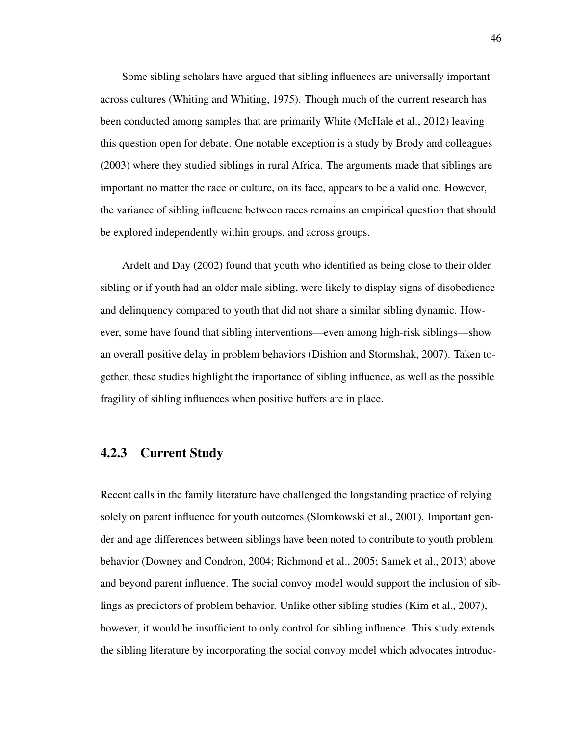Some sibling scholars have argued that sibling influences are universally important across cultures (Whiting and Whiting, 1975). Though much of the current research has been conducted among samples that are primarily White (McHale et al., 2012) leaving this question open for debate. One notable exception is a study by Brody and colleagues (2003) where they studied siblings in rural Africa. The arguments made that siblings are important no matter the race or culture, on its face, appears to be a valid one. However, the variance of sibling infleucne between races remains an empirical question that should be explored independently within groups, and across groups.

Ardelt and Day (2002) found that youth who identified as being close to their older sibling or if youth had an older male sibling, were likely to display signs of disobedience and delinquency compared to youth that did not share a similar sibling dynamic. However, some have found that sibling interventions—even among high-risk siblings—show an overall positive delay in problem behaviors (Dishion and Stormshak, 2007). Taken together, these studies highlight the importance of sibling influence, as well as the possible fragility of sibling influences when positive buffers are in place.

## 4.2.3 Current Study

Recent calls in the family literature have challenged the longstanding practice of relying solely on parent influence for youth outcomes (Slomkowski et al., 2001). Important gender and age differences between siblings have been noted to contribute to youth problem behavior (Downey and Condron, 2004; Richmond et al., 2005; Samek et al., 2013) above and beyond parent influence. The social convoy model would support the inclusion of siblings as predictors of problem behavior. Unlike other sibling studies (Kim et al., 2007), however, it would be insufficient to only control for sibling influence. This study extends the sibling literature by incorporating the social convoy model which advocates introduc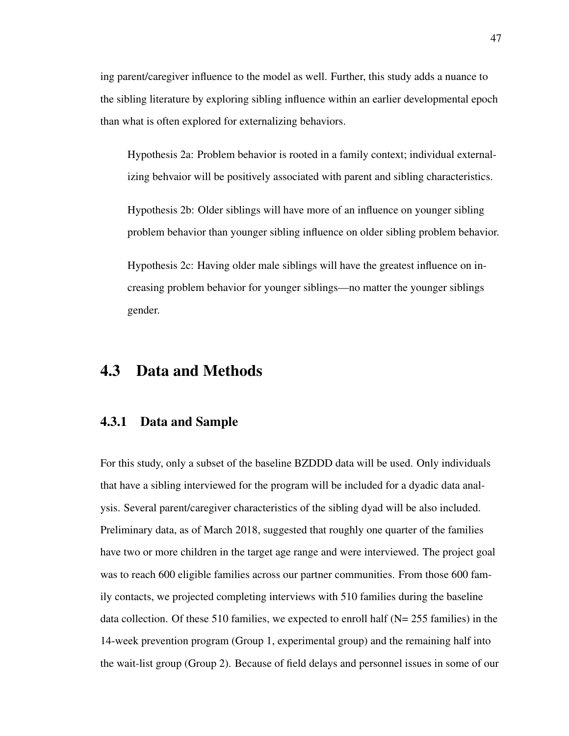ing parent/caregiver influence to the model as well. Further, this study adds a nuance to the sibling literature by exploring sibling influence within an earlier developmental epoch than what is often explored for externalizing behaviors.

Hypothesis 2a: Problem behavior is rooted in a family context; individual externalizing behvaior will be positively associated with parent and sibling characteristics.

Hypothesis 2b: Older siblings will have more of an influence on younger sibling problem behavior than younger sibling influence on older sibling problem behavior.

Hypothesis 2c: Having older male siblings will have the greatest influence on increasing problem behavior for younger siblings—no matter the younger siblings gender.

# 4.3 Data and Methods

# 4.3.1 Data and Sample

For this study, only a subset of the baseline BZDDD data will be used. Only individuals that have a sibling interviewed for the program will be included for a dyadic data analysis. Several parent/caregiver characteristics of the sibling dyad will be also included. Preliminary data, as of March 2018, suggested that roughly one quarter of the families have two or more children in the target age range and were interviewed. The project goal was to reach 600 eligible families across our partner communities. From those 600 family contacts, we projected completing interviews with 510 families during the baseline data collection. Of these 510 families, we expected to enroll half (N= 255 families) in the 14-week prevention program (Group 1, experimental group) and the remaining half into the wait-list group (Group 2). Because of field delays and personnel issues in some of our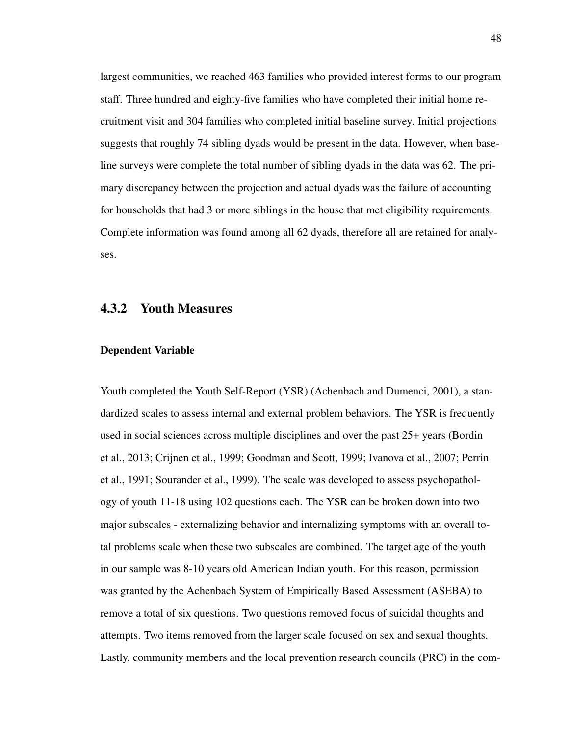largest communities, we reached 463 families who provided interest forms to our program staff. Three hundred and eighty-five families who have completed their initial home recruitment visit and 304 families who completed initial baseline survey. Initial projections suggests that roughly 74 sibling dyads would be present in the data. However, when baseline surveys were complete the total number of sibling dyads in the data was 62. The primary discrepancy between the projection and actual dyads was the failure of accounting for households that had 3 or more siblings in the house that met eligibility requirements. Complete information was found among all 62 dyads, therefore all are retained for analyses.

## 4.3.2 Youth Measures

#### Dependent Variable

Youth completed the Youth Self-Report (YSR) (Achenbach and Dumenci, 2001), a standardized scales to assess internal and external problem behaviors. The YSR is frequently used in social sciences across multiple disciplines and over the past 25+ years (Bordin et al., 2013; Crijnen et al., 1999; Goodman and Scott, 1999; Ivanova et al., 2007; Perrin et al., 1991; Sourander et al., 1999). The scale was developed to assess psychopathology of youth 11-18 using 102 questions each. The YSR can be broken down into two major subscales - externalizing behavior and internalizing symptoms with an overall total problems scale when these two subscales are combined. The target age of the youth in our sample was 8-10 years old American Indian youth. For this reason, permission was granted by the Achenbach System of Empirically Based Assessment (ASEBA) to remove a total of six questions. Two questions removed focus of suicidal thoughts and attempts. Two items removed from the larger scale focused on sex and sexual thoughts. Lastly, community members and the local prevention research councils (PRC) in the com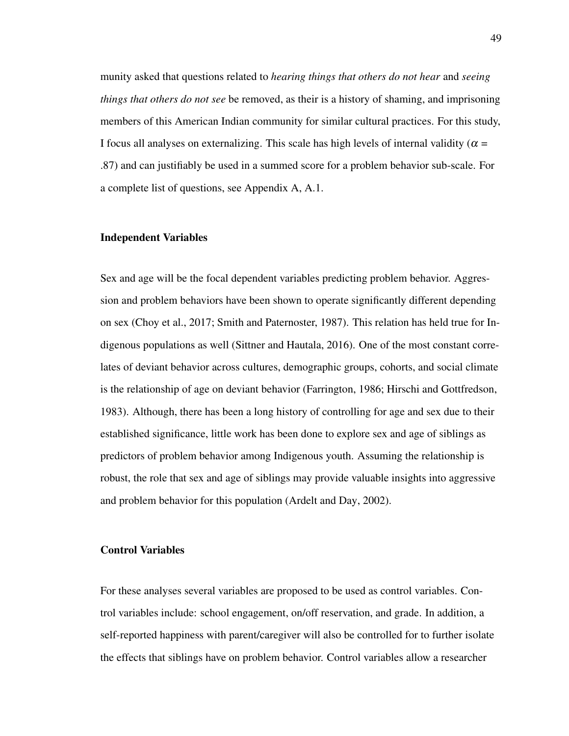munity asked that questions related to *hearing things that others do not hear* and *seeing things that others do not see* be removed, as their is a history of shaming, and imprisoning members of this American Indian community for similar cultural practices. For this study, I focus all analyses on externalizing. This scale has high levels of internal validity ( $\alpha$  = .87) and can justifiably be used in a summed score for a problem behavior sub-scale. For a complete list of questions, see Appendix A, A.1.

#### Independent Variables

Sex and age will be the focal dependent variables predicting problem behavior. Aggression and problem behaviors have been shown to operate significantly different depending on sex (Choy et al., 2017; Smith and Paternoster, 1987). This relation has held true for Indigenous populations as well (Sittner and Hautala, 2016). One of the most constant correlates of deviant behavior across cultures, demographic groups, cohorts, and social climate is the relationship of age on deviant behavior (Farrington, 1986; Hirschi and Gottfredson, 1983). Although, there has been a long history of controlling for age and sex due to their established significance, little work has been done to explore sex and age of siblings as predictors of problem behavior among Indigenous youth. Assuming the relationship is robust, the role that sex and age of siblings may provide valuable insights into aggressive and problem behavior for this population (Ardelt and Day, 2002).

#### Control Variables

For these analyses several variables are proposed to be used as control variables. Control variables include: school engagement, on/off reservation, and grade. In addition, a self-reported happiness with parent/caregiver will also be controlled for to further isolate the effects that siblings have on problem behavior. Control variables allow a researcher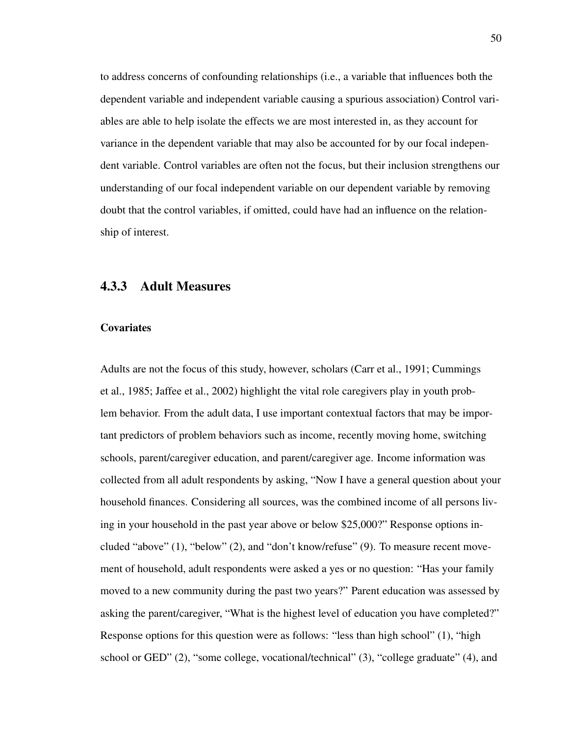to address concerns of confounding relationships (i.e., a variable that influences both the dependent variable and independent variable causing a spurious association) Control variables are able to help isolate the effects we are most interested in, as they account for variance in the dependent variable that may also be accounted for by our focal independent variable. Control variables are often not the focus, but their inclusion strengthens our understanding of our focal independent variable on our dependent variable by removing doubt that the control variables, if omitted, could have had an influence on the relationship of interest.

## 4.3.3 Adult Measures

#### **Covariates**

Adults are not the focus of this study, however, scholars (Carr et al., 1991; Cummings et al., 1985; Jaffee et al., 2002) highlight the vital role caregivers play in youth problem behavior. From the adult data, I use important contextual factors that may be important predictors of problem behaviors such as income, recently moving home, switching schools, parent/caregiver education, and parent/caregiver age. Income information was collected from all adult respondents by asking, "Now I have a general question about your household finances. Considering all sources, was the combined income of all persons living in your household in the past year above or below \$25,000?" Response options included "above" (1), "below" (2), and "don't know/refuse" (9). To measure recent movement of household, adult respondents were asked a yes or no question: "Has your family moved to a new community during the past two years?" Parent education was assessed by asking the parent/caregiver, "What is the highest level of education you have completed?" Response options for this question were as follows: "less than high school" (1), "high school or GED" (2), "some college, vocational/technical" (3), "college graduate" (4), and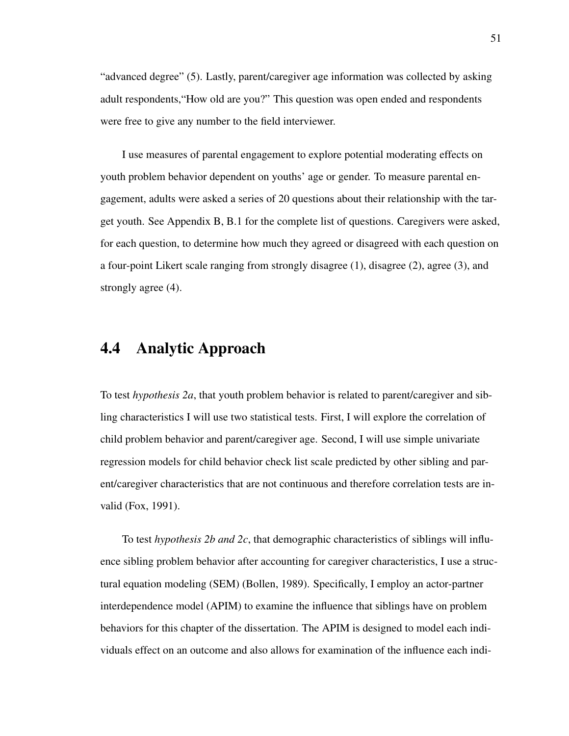"advanced degree" (5). Lastly, parent/caregiver age information was collected by asking adult respondents,"How old are you?" This question was open ended and respondents were free to give any number to the field interviewer.

I use measures of parental engagement to explore potential moderating effects on youth problem behavior dependent on youths' age or gender. To measure parental engagement, adults were asked a series of 20 questions about their relationship with the target youth. See Appendix B, B.1 for the complete list of questions. Caregivers were asked, for each question, to determine how much they agreed or disagreed with each question on a four-point Likert scale ranging from strongly disagree (1), disagree (2), agree (3), and strongly agree (4).

# 4.4 Analytic Approach

To test *hypothesis 2a*, that youth problem behavior is related to parent/caregiver and sibling characteristics I will use two statistical tests. First, I will explore the correlation of child problem behavior and parent/caregiver age. Second, I will use simple univariate regression models for child behavior check list scale predicted by other sibling and parent/caregiver characteristics that are not continuous and therefore correlation tests are invalid (Fox, 1991).

To test *hypothesis 2b and 2c*, that demographic characteristics of siblings will influence sibling problem behavior after accounting for caregiver characteristics, I use a structural equation modeling (SEM) (Bollen, 1989). Specifically, I employ an actor-partner interdependence model (APIM) to examine the influence that siblings have on problem behaviors for this chapter of the dissertation. The APIM is designed to model each individuals effect on an outcome and also allows for examination of the influence each indi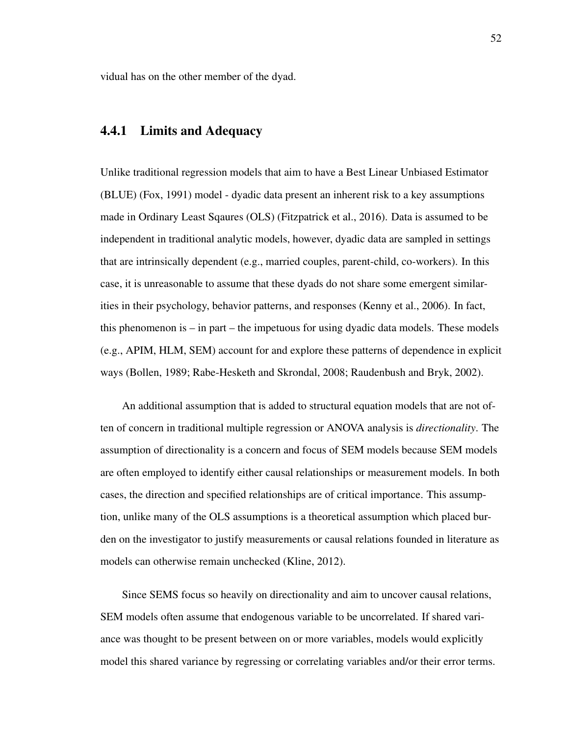vidual has on the other member of the dyad.

## 4.4.1 Limits and Adequacy

Unlike traditional regression models that aim to have a Best Linear Unbiased Estimator (BLUE) (Fox, 1991) model - dyadic data present an inherent risk to a key assumptions made in Ordinary Least Sqaures (OLS) (Fitzpatrick et al., 2016). Data is assumed to be independent in traditional analytic models, however, dyadic data are sampled in settings that are intrinsically dependent (e.g., married couples, parent-child, co-workers). In this case, it is unreasonable to assume that these dyads do not share some emergent similarities in their psychology, behavior patterns, and responses (Kenny et al., 2006). In fact, this phenomenon is – in part – the impetuous for using dyadic data models. These models (e.g., APIM, HLM, SEM) account for and explore these patterns of dependence in explicit ways (Bollen, 1989; Rabe-Hesketh and Skrondal, 2008; Raudenbush and Bryk, 2002).

An additional assumption that is added to structural equation models that are not often of concern in traditional multiple regression or ANOVA analysis is *directionality*. The assumption of directionality is a concern and focus of SEM models because SEM models are often employed to identify either causal relationships or measurement models. In both cases, the direction and specified relationships are of critical importance. This assumption, unlike many of the OLS assumptions is a theoretical assumption which placed burden on the investigator to justify measurements or causal relations founded in literature as models can otherwise remain unchecked (Kline, 2012).

Since SEMS focus so heavily on directionality and aim to uncover causal relations, SEM models often assume that endogenous variable to be uncorrelated. If shared variance was thought to be present between on or more variables, models would explicitly model this shared variance by regressing or correlating variables and/or their error terms.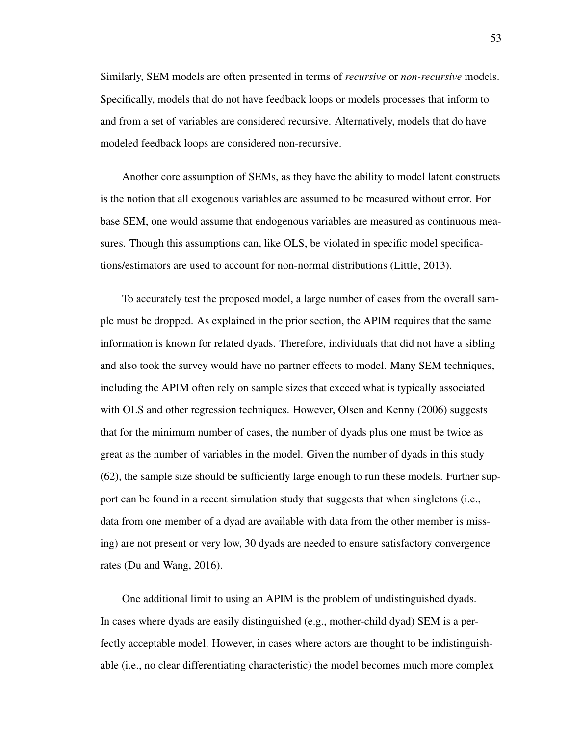Similarly, SEM models are often presented in terms of *recursive* or *non-recursive* models. Specifically, models that do not have feedback loops or models processes that inform to and from a set of variables are considered recursive. Alternatively, models that do have modeled feedback loops are considered non-recursive.

Another core assumption of SEMs, as they have the ability to model latent constructs is the notion that all exogenous variables are assumed to be measured without error. For base SEM, one would assume that endogenous variables are measured as continuous measures. Though this assumptions can, like OLS, be violated in specific model specifications/estimators are used to account for non-normal distributions (Little, 2013).

To accurately test the proposed model, a large number of cases from the overall sample must be dropped. As explained in the prior section, the APIM requires that the same information is known for related dyads. Therefore, individuals that did not have a sibling and also took the survey would have no partner effects to model. Many SEM techniques, including the APIM often rely on sample sizes that exceed what is typically associated with OLS and other regression techniques. However, Olsen and Kenny (2006) suggests that for the minimum number of cases, the number of dyads plus one must be twice as great as the number of variables in the model. Given the number of dyads in this study (62), the sample size should be sufficiently large enough to run these models. Further support can be found in a recent simulation study that suggests that when singletons (i.e., data from one member of a dyad are available with data from the other member is missing) are not present or very low, 30 dyads are needed to ensure satisfactory convergence rates (Du and Wang, 2016).

One additional limit to using an APIM is the problem of undistinguished dyads. In cases where dyads are easily distinguished (e.g., mother-child dyad) SEM is a perfectly acceptable model. However, in cases where actors are thought to be indistinguishable (i.e., no clear differentiating characteristic) the model becomes much more complex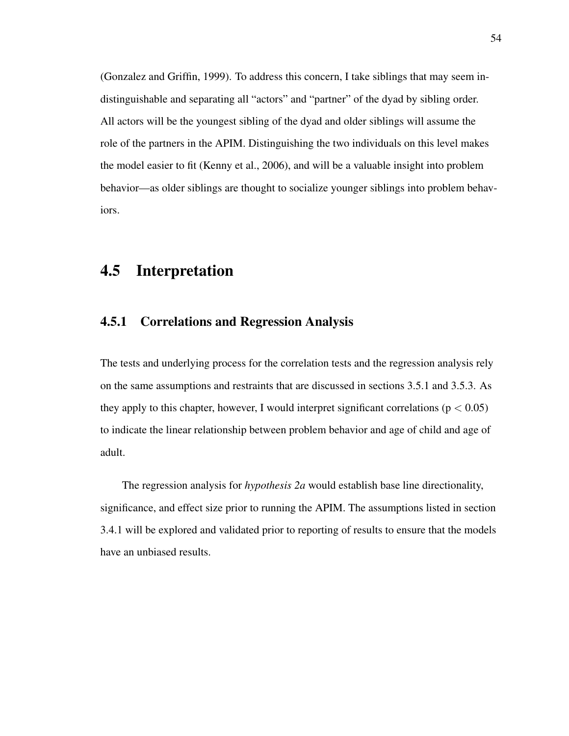(Gonzalez and Griffin, 1999). To address this concern, I take siblings that may seem indistinguishable and separating all "actors" and "partner" of the dyad by sibling order. All actors will be the youngest sibling of the dyad and older siblings will assume the role of the partners in the APIM. Distinguishing the two individuals on this level makes the model easier to fit (Kenny et al., 2006), and will be a valuable insight into problem behavior—as older siblings are thought to socialize younger siblings into problem behaviors.

# 4.5 Interpretation

## 4.5.1 Correlations and Regression Analysis

The tests and underlying process for the correlation tests and the regression analysis rely on the same assumptions and restraints that are discussed in sections 3.5.1 and 3.5.3. As they apply to this chapter, however, I would interpret significant correlations ( $p < 0.05$ ) to indicate the linear relationship between problem behavior and age of child and age of adult.

The regression analysis for *hypothesis 2a* would establish base line directionality, significance, and effect size prior to running the APIM. The assumptions listed in section 3.4.1 will be explored and validated prior to reporting of results to ensure that the models have an unbiased results.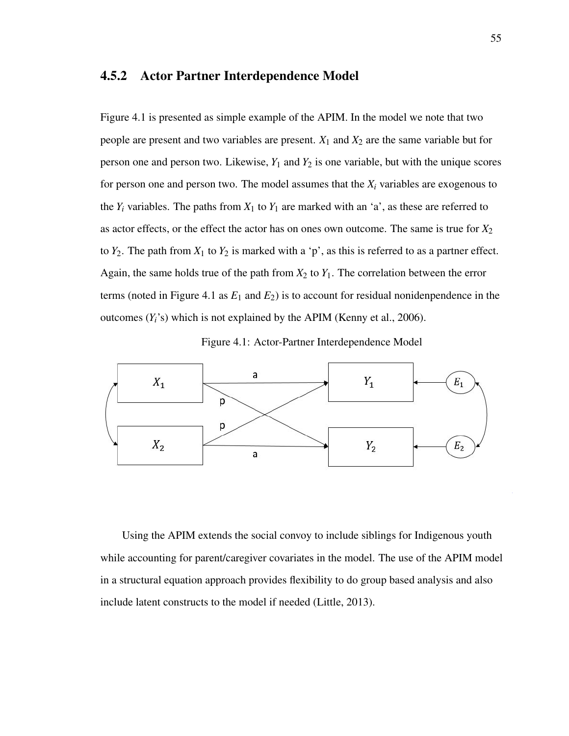### 4.5.2 Actor Partner Interdependence Model

Figure 4.1 is presented as simple example of the APIM. In the model we note that two people are present and two variables are present.  $X_1$  and  $X_2$  are the same variable but for person one and person two. Likewise,  $Y_1$  and  $Y_2$  is one variable, but with the unique scores for person one and person two. The model assumes that the  $X_i$  variables are exogenous to the  $Y_i$  variables. The paths from  $X_1$  to  $Y_1$  are marked with an 'a', as these are referred to as actor effects, or the effect the actor has on ones own outcome. The same is true for *X*<sup>2</sup> to  $Y_2$ . The path from  $X_1$  to  $Y_2$  is marked with a 'p', as this is referred to as a partner effect. Again, the same holds true of the path from  $X_2$  to  $Y_1$ . The correlation between the error terms (noted in Figure 4.1 as  $E_1$  and  $E_2$ ) is to account for residual nonidenpendence in the outcomes  $(Y_i$ 's) which is not explained by the APIM (Kenny et al., 2006).





Using the APIM extends the social convoy to include siblings for Indigenous youth while accounting for parent/caregiver covariates in the model. The use of the APIM model in a structural equation approach provides flexibility to do group based analysis and also include latent constructs to the model if needed (Little, 2013).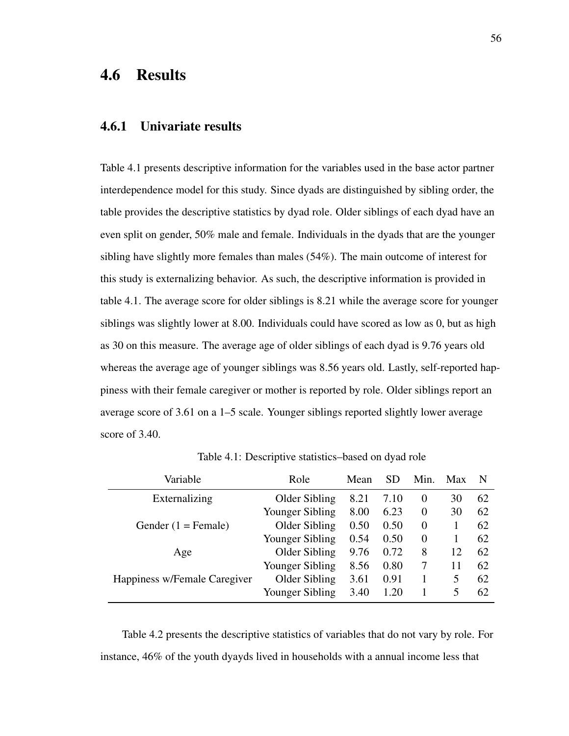# 4.6 Results

#### 4.6.1 Univariate results

Table 4.1 presents descriptive information for the variables used in the base actor partner interdependence model for this study. Since dyads are distinguished by sibling order, the table provides the descriptive statistics by dyad role. Older siblings of each dyad have an even split on gender, 50% male and female. Individuals in the dyads that are the younger sibling have slightly more females than males (54%). The main outcome of interest for this study is externalizing behavior. As such, the descriptive information is provided in table 4.1. The average score for older siblings is 8.21 while the average score for younger siblings was slightly lower at 8.00. Individuals could have scored as low as 0, but as high as 30 on this measure. The average age of older siblings of each dyad is 9.76 years old whereas the average age of younger siblings was 8.56 years old. Lastly, self-reported happiness with their female caregiver or mother is reported by role. Older siblings report an average score of 3.61 on a 1–5 scale. Younger siblings reported slightly lower average score of 3.40.

| Variable                     | Role            | Mean | SD   | Min.     | Max | N  |
|------------------------------|-----------------|------|------|----------|-----|----|
| Externalizing                | Older Sibling   | 8.21 | 7.10 | $\theta$ | 30  | 62 |
|                              | Younger Sibling | 8.00 | 6.23 | $\Omega$ | 30  | 62 |
| Gender $(1 =$ Female)        | Older Sibling   | 0.50 | 0.50 | $\Omega$ |     | 62 |
|                              | Younger Sibling | 0.54 | 0.50 | $\Omega$ |     | 62 |
| Age                          | Older Sibling   | 9.76 | 0.72 | 8        | 12  | 62 |
|                              | Younger Sibling | 8.56 | 0.80 | 7        | 11  | 62 |
| Happiness w/Female Caregiver | Older Sibling   | 3.61 | 0.91 |          | 5   | 62 |
|                              | Younger Sibling | 3.40 | 1.20 |          | 5   | 62 |

Table 4.1: Descriptive statistics–based on dyad role

Table 4.2 presents the descriptive statistics of variables that do not vary by role. For instance, 46% of the youth dyayds lived in households with a annual income less that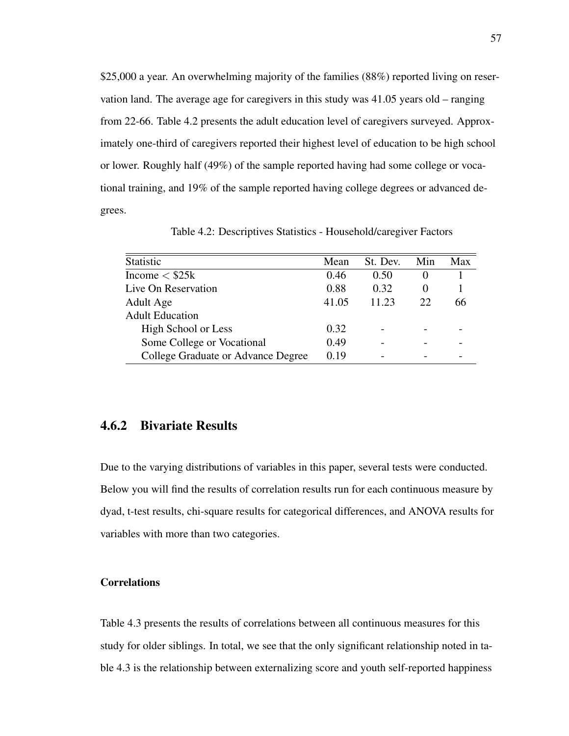\$25,000 a year. An overwhelming majority of the families (88%) reported living on reservation land. The average age for caregivers in this study was 41.05 years old – ranging from 22-66. Table 4.2 presents the adult education level of caregivers surveyed. Approximately one-third of caregivers reported their highest level of education to be high school or lower. Roughly half (49%) of the sample reported having had some college or vocational training, and 19% of the sample reported having college degrees or advanced degrees.

| Statistic                          | Mean  | St. Dev. | Min          | Max |
|------------------------------------|-------|----------|--------------|-----|
| Income $<$ \$25 $k$                | 0.46  | 0.50     | $\mathbf{0}$ |     |
| Live On Reservation                | 0.88  | 0.32     | $\theta$     |     |
| Adult Age                          | 41.05 | 11.23    | 22           | 66  |
| <b>Adult Education</b>             |       |          |              |     |
| High School or Less                | 0.32  |          |              |     |
| Some College or Vocational         | 0.49  |          |              |     |
| College Graduate or Advance Degree | 0.19  |          |              |     |

Table 4.2: Descriptives Statistics - Household/caregiver Factors

### 4.6.2 Bivariate Results

Due to the varying distributions of variables in this paper, several tests were conducted. Below you will find the results of correlation results run for each continuous measure by dyad, t-test results, chi-square results for categorical differences, and ANOVA results for variables with more than two categories.

#### **Correlations**

Table 4.3 presents the results of correlations between all continuous measures for this study for older siblings. In total, we see that the only significant relationship noted in table 4.3 is the relationship between externalizing score and youth self-reported happiness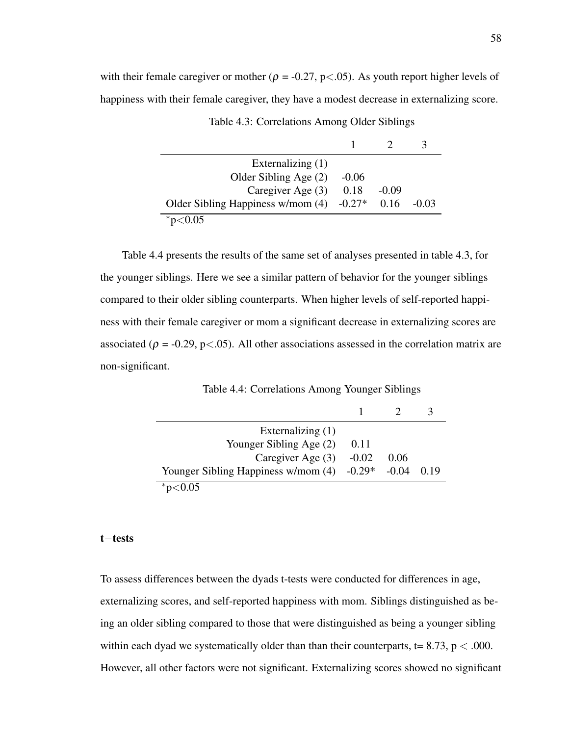with their female caregiver or mother ( $\rho = -0.27$ , p<.05). As youth report higher levels of happiness with their female caregiver, they have a modest decrease in externalizing score.

| Externalizing (1)                 |          |         |                |
|-----------------------------------|----------|---------|----------------|
| Older Sibling Age (2)             | $-0.06$  |         |                |
| Caregiver Age (3)                 | 0.18     | $-0.09$ |                |
| Older Sibling Happiness w/mom (4) | $-0.27*$ | 0.16    | $-()$ . $()$ 3 |
| * $p<0.05$                        |          |         |                |

|  | Table 4.3: Correlations Among Older Siblings |  |  |  |
|--|----------------------------------------------|--|--|--|
|--|----------------------------------------------|--|--|--|

Table 4.4 presents the results of the same set of analyses presented in table 4.3, for the younger siblings. Here we see a similar pattern of behavior for the younger siblings compared to their older sibling counterparts. When higher levels of self-reported happiness with their female caregiver or mom a significant decrease in externalizing scores are associated ( $\rho = -0.29$ , p<.05). All other associations assessed in the correlation matrix are non-significant.

| Externalizing $(1)$                          |         |       |      |
|----------------------------------------------|---------|-------|------|
| Younger Sibling Age (2)                      | 0.11    |       |      |
| Caregiver Age (3)                            | $-0.02$ | 0.06  |      |
| Younger Sibling Happiness w/mom $(4)$ -0.29* |         | -0.04 | 0.19 |
| 0.05                                         |         |       |      |

#### t−tests

To assess differences between the dyads t-tests were conducted for differences in age, externalizing scores, and self-reported happiness with mom. Siblings distinguished as being an older sibling compared to those that were distinguished as being a younger sibling within each dyad we systematically older than than their counterparts,  $t = 8.73$ , p  $< .000$ . However, all other factors were not significant. Externalizing scores showed no significant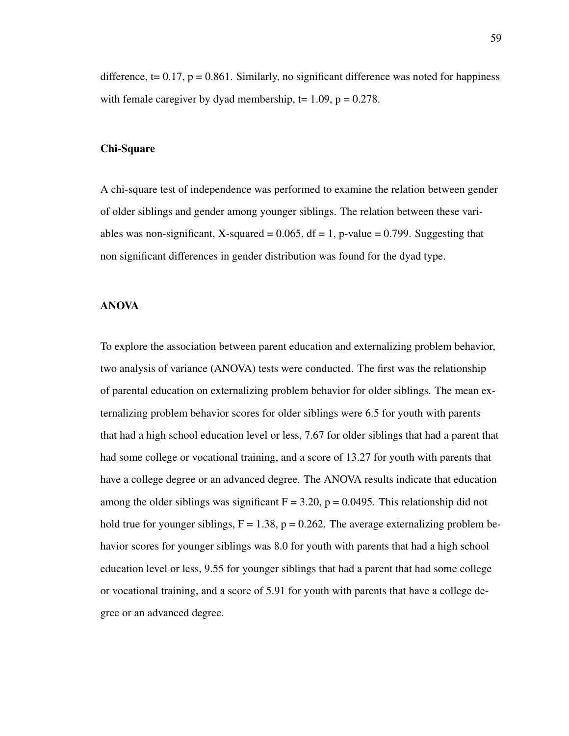difference,  $t = 0.17$ ,  $p = 0.861$ . Similarly, no significant difference was noted for happiness with female caregiver by dyad membership,  $t = 1.09$ ,  $p = 0.278$ .

#### Chi-Square

A chi-square test of independence was performed to examine the relation between gender of older siblings and gender among younger siblings. The relation between these variables was non-significant, X-squared =  $0.065$ , df = 1, p-value = 0.799. Suggesting that non significant differences in gender distribution was found for the dyad type.

#### ANOVA

To explore the association between parent education and externalizing problem behavior, two analysis of variance (ANOVA) tests were conducted. The first was the relationship of parental education on externalizing problem behavior for older siblings. The mean externalizing problem behavior scores for older siblings were 6.5 for youth with parents that had a high school education level or less, 7.67 for older siblings that had a parent that had some college or vocational training, and a score of 13.27 for youth with parents that have a college degree or an advanced degree. The ANOVA results indicate that education among the older siblings was significant  $F = 3.20$ ,  $p = 0.0495$ . This relationship did not hold true for younger siblings,  $F = 1.38$ ,  $p = 0.262$ . The average externalizing problem behavior scores for younger siblings was 8.0 for youth with parents that had a high school education level or less, 9.55 for younger siblings that had a parent that had some college or vocational training, and a score of 5.91 for youth with parents that have a college degree or an advanced degree.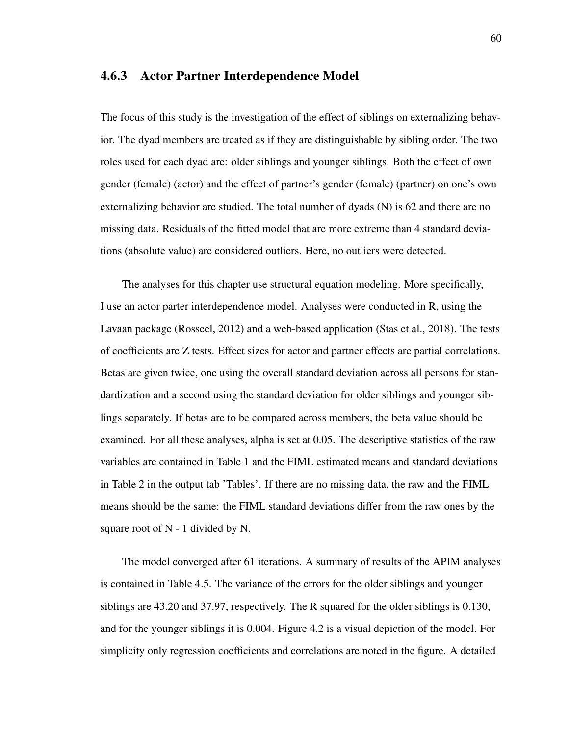## 4.6.3 Actor Partner Interdependence Model

The focus of this study is the investigation of the effect of siblings on externalizing behavior. The dyad members are treated as if they are distinguishable by sibling order. The two roles used for each dyad are: older siblings and younger siblings. Both the effect of own gender (female) (actor) and the effect of partner's gender (female) (partner) on one's own externalizing behavior are studied. The total number of dyads (N) is 62 and there are no missing data. Residuals of the fitted model that are more extreme than 4 standard deviations (absolute value) are considered outliers. Here, no outliers were detected.

The analyses for this chapter use structural equation modeling. More specifically, I use an actor parter interdependence model. Analyses were conducted in R, using the Lavaan package (Rosseel, 2012) and a web-based application (Stas et al., 2018). The tests of coefficients are Z tests. Effect sizes for actor and partner effects are partial correlations. Betas are given twice, one using the overall standard deviation across all persons for standardization and a second using the standard deviation for older siblings and younger siblings separately. If betas are to be compared across members, the beta value should be examined. For all these analyses, alpha is set at 0.05. The descriptive statistics of the raw variables are contained in Table 1 and the FIML estimated means and standard deviations in Table 2 in the output tab 'Tables'. If there are no missing data, the raw and the FIML means should be the same: the FIML standard deviations differ from the raw ones by the square root of  $N - 1$  divided by N.

The model converged after 61 iterations. A summary of results of the APIM analyses is contained in Table 4.5. The variance of the errors for the older siblings and younger siblings are 43.20 and 37.97, respectively. The R squared for the older siblings is 0.130, and for the younger siblings it is 0.004. Figure 4.2 is a visual depiction of the model. For simplicity only regression coefficients and correlations are noted in the figure. A detailed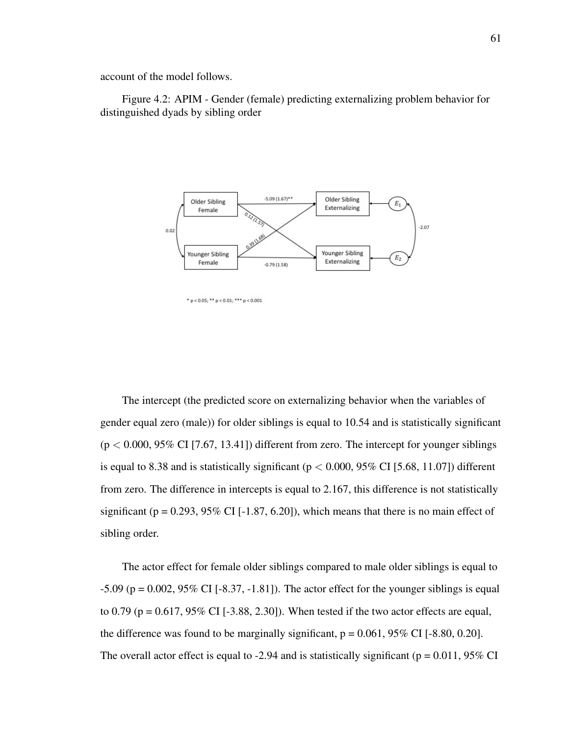account of the model follows.

Figure 4.2: APIM - Gender (female) predicting externalizing problem behavior for distinguished dyads by sibling order



\*  $p < 0.05$ ; \*\*  $p < 0.01$ ; \*\*\*  $p < 0.001$ 

The intercept (the predicted score on externalizing behavior when the variables of gender equal zero (male)) for older siblings is equal to 10.54 and is statistically significant  $(p < 0.000, 95\% \text{ CI}$  [7.67, 13.41]) different from zero. The intercept for younger siblings is equal to 8.38 and is statistically significant ( $p < 0.000$ , 95% CI [5.68, 11.07]) different from zero. The difference in intercepts is equal to 2.167, this difference is not statistically significant ( $p = 0.293, 95\%$  CI [-1.87, 6.20]), which means that there is no main effect of sibling order.

The actor effect for female older siblings compared to male older siblings is equal to  $-5.09$  (p = 0.002, 95% CI [ $-8.37, -1.81$ ]). The actor effect for the younger siblings is equal to 0.79 ( $p = 0.617$ , 95% CI [-3.88, 2.30]). When tested if the two actor effects are equal, the difference was found to be marginally significant,  $p = 0.061$ ,  $95\%$  CI [-8.80, 0.20]. The overall actor effect is equal to -2.94 and is statistically significant ( $p = 0.011$ , 95% CI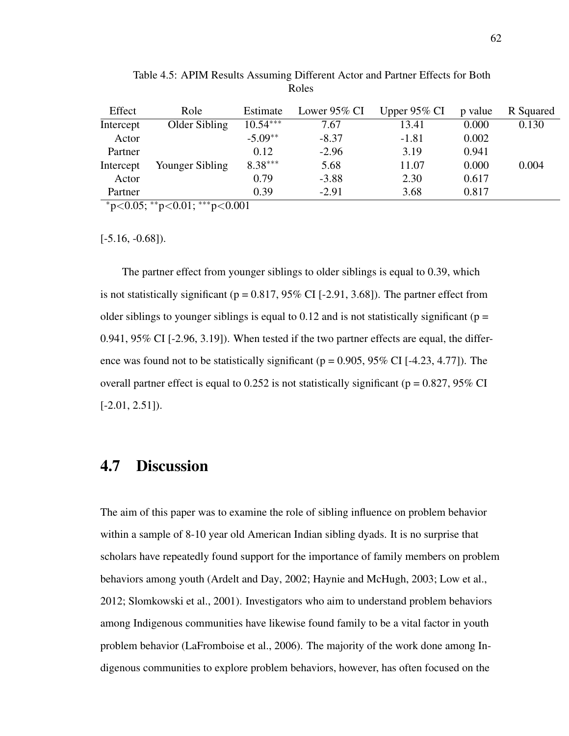| Effect    | Role            | Estimate   | Lower $95\%$ CI | Upper $95\%$ CI | p value | R Squared |
|-----------|-----------------|------------|-----------------|-----------------|---------|-----------|
| Intercept | Older Sibling   | $10.54***$ | 7.67            | 13.41           | 0.000   | 0.130     |
| Actor     |                 | $-5.09**$  | $-8.37$         | $-1.81$         | 0.002   |           |
| Partner   |                 | 0.12       | $-2.96$         | 3.19            | 0.941   |           |
| Intercept | Younger Sibling | $8.38***$  | 5.68            | 11.07           | 0.000   | 0.004     |
| Actor     |                 | 0.79       | $-3.88$         | 2.30            | 0.617   |           |
| Partner   |                 | 0.39       | $-2.91$         | 3.68            | 0.817   |           |

Table 4.5: APIM Results Assuming Different Actor and Partner Effects for Both Roles

<sup>∗</sup>p<0.05; ∗∗p<0.01; ∗∗∗p<0.001

 $[-5.16, -0.68]$ .

The partner effect from younger siblings to older siblings is equal to 0.39, which is not statistically significant ( $p = 0.817, 95\%$  CI [-2.91, 3.68]). The partner effect from older siblings to younger siblings is equal to 0.12 and is not statistically significant ( $p =$ 0.941, 95% CI [-2.96, 3.19]). When tested if the two partner effects are equal, the difference was found not to be statistically significant ( $p = 0.905, 95\%$  CI [-4.23, 4.77]). The overall partner effect is equal to 0.252 is not statistically significant ( $p = 0.827$ , 95% CI  $[-2.01, 2.51]$ .

# 4.7 Discussion

The aim of this paper was to examine the role of sibling influence on problem behavior within a sample of 8-10 year old American Indian sibling dyads. It is no surprise that scholars have repeatedly found support for the importance of family members on problem behaviors among youth (Ardelt and Day, 2002; Haynie and McHugh, 2003; Low et al., 2012; Slomkowski et al., 2001). Investigators who aim to understand problem behaviors among Indigenous communities have likewise found family to be a vital factor in youth problem behavior (LaFromboise et al., 2006). The majority of the work done among Indigenous communities to explore problem behaviors, however, has often focused on the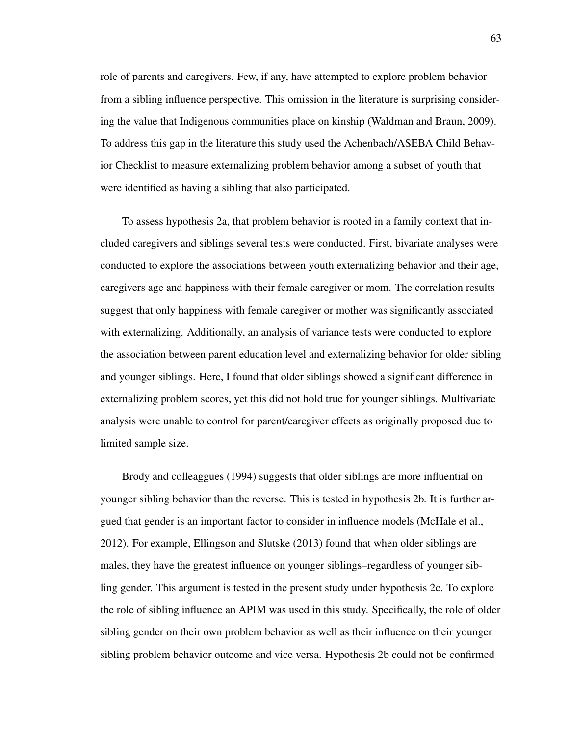role of parents and caregivers. Few, if any, have attempted to explore problem behavior from a sibling influence perspective. This omission in the literature is surprising considering the value that Indigenous communities place on kinship (Waldman and Braun, 2009). To address this gap in the literature this study used the Achenbach/ASEBA Child Behavior Checklist to measure externalizing problem behavior among a subset of youth that were identified as having a sibling that also participated.

To assess hypothesis 2a, that problem behavior is rooted in a family context that included caregivers and siblings several tests were conducted. First, bivariate analyses were conducted to explore the associations between youth externalizing behavior and their age, caregivers age and happiness with their female caregiver or mom. The correlation results suggest that only happiness with female caregiver or mother was significantly associated with externalizing. Additionally, an analysis of variance tests were conducted to explore the association between parent education level and externalizing behavior for older sibling and younger siblings. Here, I found that older siblings showed a significant difference in externalizing problem scores, yet this did not hold true for younger siblings. Multivariate analysis were unable to control for parent/caregiver effects as originally proposed due to limited sample size.

Brody and colleaggues (1994) suggests that older siblings are more influential on younger sibling behavior than the reverse. This is tested in hypothesis 2b. It is further argued that gender is an important factor to consider in influence models (McHale et al., 2012). For example, Ellingson and Slutske (2013) found that when older siblings are males, they have the greatest influence on younger siblings–regardless of younger sibling gender. This argument is tested in the present study under hypothesis 2c. To explore the role of sibling influence an APIM was used in this study. Specifically, the role of older sibling gender on their own problem behavior as well as their influence on their younger sibling problem behavior outcome and vice versa. Hypothesis 2b could not be confirmed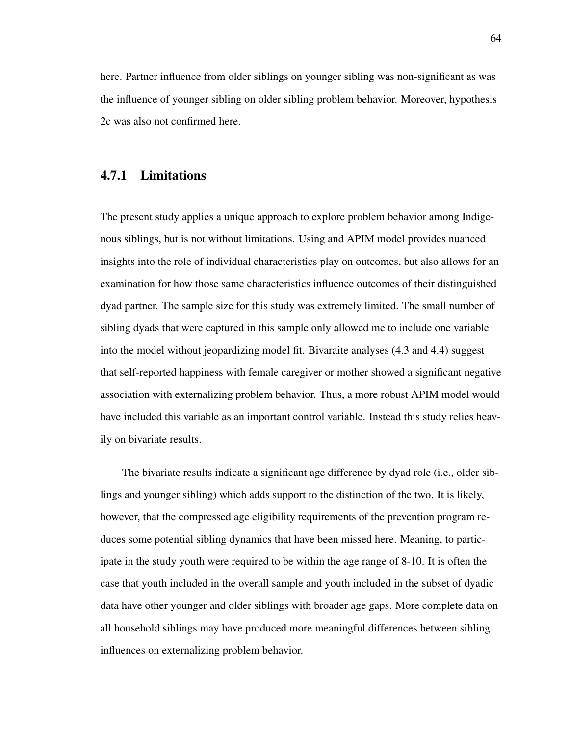here. Partner influence from older siblings on younger sibling was non-significant as was the influence of younger sibling on older sibling problem behavior. Moreover, hypothesis 2c was also not confirmed here.

### 4.7.1 Limitations

The present study applies a unique approach to explore problem behavior among Indigenous siblings, but is not without limitations. Using and APIM model provides nuanced insights into the role of individual characteristics play on outcomes, but also allows for an examination for how those same characteristics influence outcomes of their distinguished dyad partner. The sample size for this study was extremely limited. The small number of sibling dyads that were captured in this sample only allowed me to include one variable into the model without jeopardizing model fit. Bivaraite analyses (4.3 and 4.4) suggest that self-reported happiness with female caregiver or mother showed a significant negative association with externalizing problem behavior. Thus, a more robust APIM model would have included this variable as an important control variable. Instead this study relies heavily on bivariate results.

The bivariate results indicate a significant age difference by dyad role (i.e., older siblings and younger sibling) which adds support to the distinction of the two. It is likely, however, that the compressed age eligibility requirements of the prevention program reduces some potential sibling dynamics that have been missed here. Meaning, to participate in the study youth were required to be within the age range of 8-10. It is often the case that youth included in the overall sample and youth included in the subset of dyadic data have other younger and older siblings with broader age gaps. More complete data on all household siblings may have produced more meaningful differences between sibling influences on externalizing problem behavior.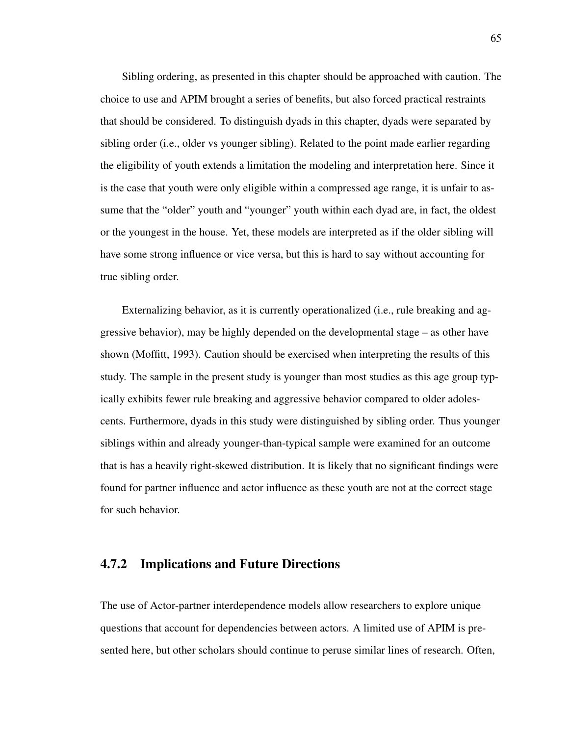Sibling ordering, as presented in this chapter should be approached with caution. The choice to use and APIM brought a series of benefits, but also forced practical restraints that should be considered. To distinguish dyads in this chapter, dyads were separated by sibling order (i.e., older vs younger sibling). Related to the point made earlier regarding the eligibility of youth extends a limitation the modeling and interpretation here. Since it is the case that youth were only eligible within a compressed age range, it is unfair to assume that the "older" youth and "younger" youth within each dyad are, in fact, the oldest or the youngest in the house. Yet, these models are interpreted as if the older sibling will have some strong influence or vice versa, but this is hard to say without accounting for true sibling order.

Externalizing behavior, as it is currently operationalized (i.e., rule breaking and aggressive behavior), may be highly depended on the developmental stage – as other have shown (Moffitt, 1993). Caution should be exercised when interpreting the results of this study. The sample in the present study is younger than most studies as this age group typically exhibits fewer rule breaking and aggressive behavior compared to older adolescents. Furthermore, dyads in this study were distinguished by sibling order. Thus younger siblings within and already younger-than-typical sample were examined for an outcome that is has a heavily right-skewed distribution. It is likely that no significant findings were found for partner influence and actor influence as these youth are not at the correct stage for such behavior.

### 4.7.2 Implications and Future Directions

The use of Actor-partner interdependence models allow researchers to explore unique questions that account for dependencies between actors. A limited use of APIM is presented here, but other scholars should continue to peruse similar lines of research. Often,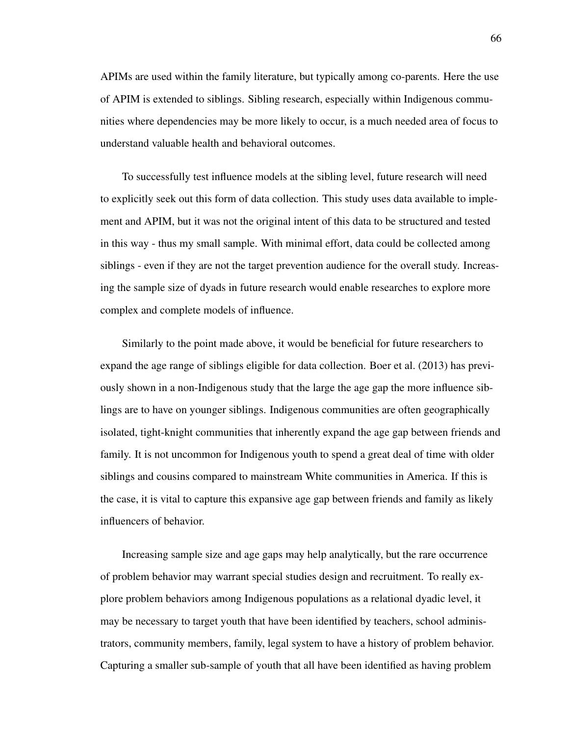APIMs are used within the family literature, but typically among co-parents. Here the use of APIM is extended to siblings. Sibling research, especially within Indigenous communities where dependencies may be more likely to occur, is a much needed area of focus to understand valuable health and behavioral outcomes.

To successfully test influence models at the sibling level, future research will need to explicitly seek out this form of data collection. This study uses data available to implement and APIM, but it was not the original intent of this data to be structured and tested in this way - thus my small sample. With minimal effort, data could be collected among siblings - even if they are not the target prevention audience for the overall study. Increasing the sample size of dyads in future research would enable researches to explore more complex and complete models of influence.

Similarly to the point made above, it would be beneficial for future researchers to expand the age range of siblings eligible for data collection. Boer et al. (2013) has previously shown in a non-Indigenous study that the large the age gap the more influence siblings are to have on younger siblings. Indigenous communities are often geographically isolated, tight-knight communities that inherently expand the age gap between friends and family. It is not uncommon for Indigenous youth to spend a great deal of time with older siblings and cousins compared to mainstream White communities in America. If this is the case, it is vital to capture this expansive age gap between friends and family as likely influencers of behavior.

Increasing sample size and age gaps may help analytically, but the rare occurrence of problem behavior may warrant special studies design and recruitment. To really explore problem behaviors among Indigenous populations as a relational dyadic level, it may be necessary to target youth that have been identified by teachers, school administrators, community members, family, legal system to have a history of problem behavior. Capturing a smaller sub-sample of youth that all have been identified as having problem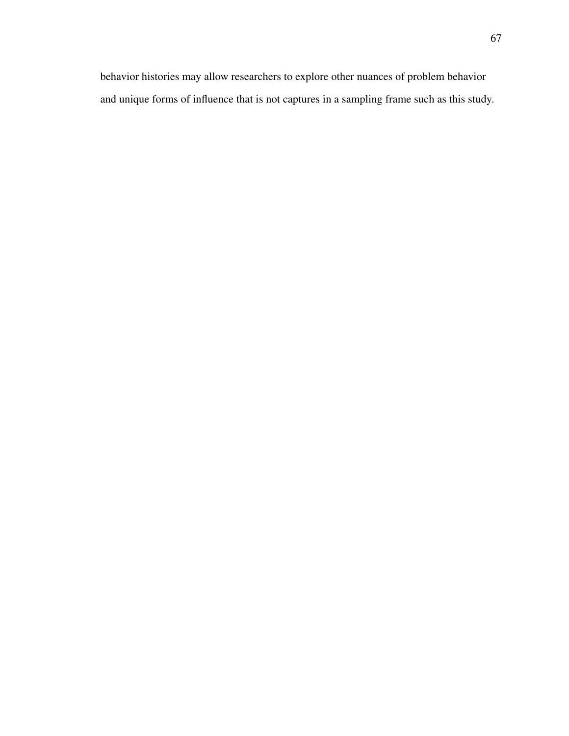behavior histories may allow researchers to explore other nuances of problem behavior and unique forms of influence that is not captures in a sampling frame such as this study.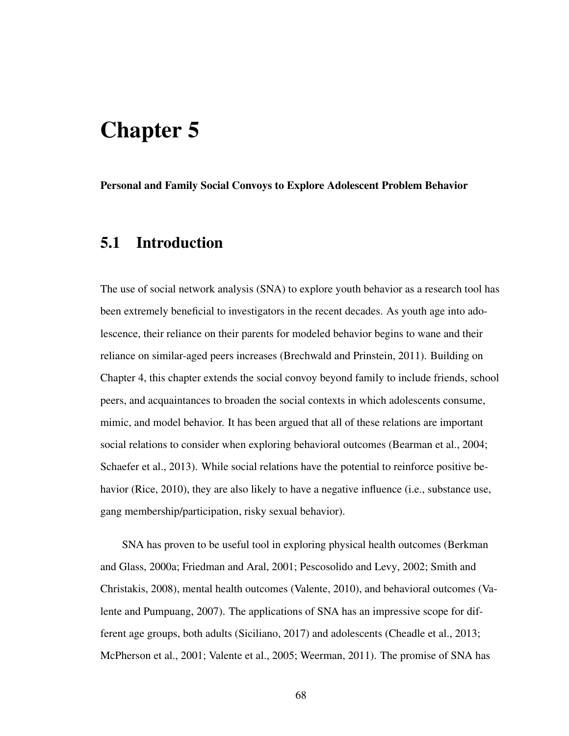# Chapter 5

Personal and Family Social Convoys to Explore Adolescent Problem Behavior

# 5.1 Introduction

The use of social network analysis (SNA) to explore youth behavior as a research tool has been extremely beneficial to investigators in the recent decades. As youth age into adolescence, their reliance on their parents for modeled behavior begins to wane and their reliance on similar-aged peers increases (Brechwald and Prinstein, 2011). Building on Chapter 4, this chapter extends the social convoy beyond family to include friends, school peers, and acquaintances to broaden the social contexts in which adolescents consume, mimic, and model behavior. It has been argued that all of these relations are important social relations to consider when exploring behavioral outcomes (Bearman et al., 2004; Schaefer et al., 2013). While social relations have the potential to reinforce positive behavior (Rice, 2010), they are also likely to have a negative influence (i.e., substance use, gang membership/participation, risky sexual behavior).

SNA has proven to be useful tool in exploring physical health outcomes (Berkman and Glass, 2000a; Friedman and Aral, 2001; Pescosolido and Levy, 2002; Smith and Christakis, 2008), mental health outcomes (Valente, 2010), and behavioral outcomes (Valente and Pumpuang, 2007). The applications of SNA has an impressive scope for different age groups, both adults (Siciliano, 2017) and adolescents (Cheadle et al., 2013; McPherson et al., 2001; Valente et al., 2005; Weerman, 2011). The promise of SNA has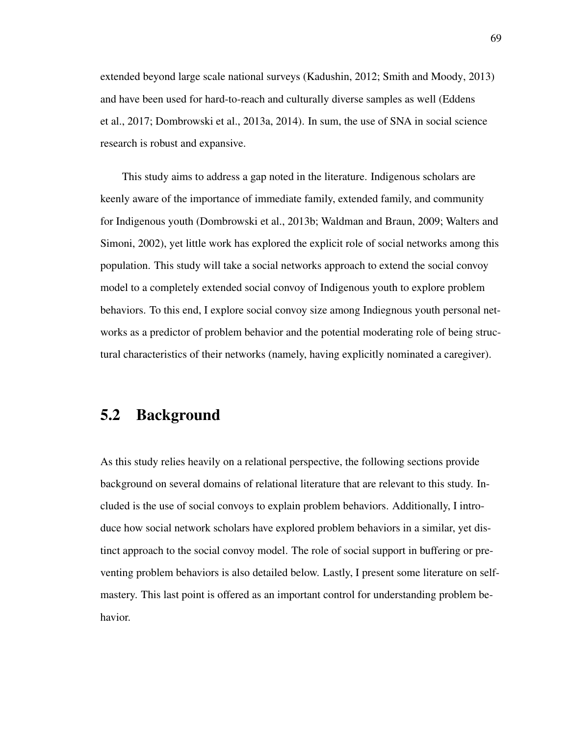extended beyond large scale national surveys (Kadushin, 2012; Smith and Moody, 2013) and have been used for hard-to-reach and culturally diverse samples as well (Eddens et al., 2017; Dombrowski et al., 2013a, 2014). In sum, the use of SNA in social science research is robust and expansive.

This study aims to address a gap noted in the literature. Indigenous scholars are keenly aware of the importance of immediate family, extended family, and community for Indigenous youth (Dombrowski et al., 2013b; Waldman and Braun, 2009; Walters and Simoni, 2002), yet little work has explored the explicit role of social networks among this population. This study will take a social networks approach to extend the social convoy model to a completely extended social convoy of Indigenous youth to explore problem behaviors. To this end, I explore social convoy size among Indiegnous youth personal networks as a predictor of problem behavior and the potential moderating role of being structural characteristics of their networks (namely, having explicitly nominated a caregiver).

# 5.2 Background

As this study relies heavily on a relational perspective, the following sections provide background on several domains of relational literature that are relevant to this study. Included is the use of social convoys to explain problem behaviors. Additionally, I introduce how social network scholars have explored problem behaviors in a similar, yet distinct approach to the social convoy model. The role of social support in buffering or preventing problem behaviors is also detailed below. Lastly, I present some literature on selfmastery. This last point is offered as an important control for understanding problem behavior.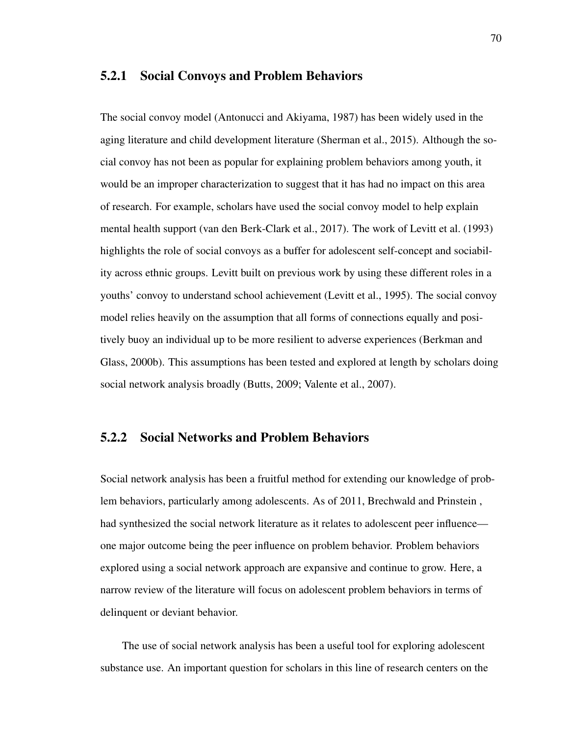#### 5.2.1 Social Convoys and Problem Behaviors

The social convoy model (Antonucci and Akiyama, 1987) has been widely used in the aging literature and child development literature (Sherman et al., 2015). Although the social convoy has not been as popular for explaining problem behaviors among youth, it would be an improper characterization to suggest that it has had no impact on this area of research. For example, scholars have used the social convoy model to help explain mental health support (van den Berk-Clark et al., 2017). The work of Levitt et al. (1993) highlights the role of social convoys as a buffer for adolescent self-concept and sociability across ethnic groups. Levitt built on previous work by using these different roles in a youths' convoy to understand school achievement (Levitt et al., 1995). The social convoy model relies heavily on the assumption that all forms of connections equally and positively buoy an individual up to be more resilient to adverse experiences (Berkman and Glass, 2000b). This assumptions has been tested and explored at length by scholars doing social network analysis broadly (Butts, 2009; Valente et al., 2007).

#### 5.2.2 Social Networks and Problem Behaviors

Social network analysis has been a fruitful method for extending our knowledge of problem behaviors, particularly among adolescents. As of 2011, Brechwald and Prinstein , had synthesized the social network literature as it relates to adolescent peer influence one major outcome being the peer influence on problem behavior. Problem behaviors explored using a social network approach are expansive and continue to grow. Here, a narrow review of the literature will focus on adolescent problem behaviors in terms of delinquent or deviant behavior.

The use of social network analysis has been a useful tool for exploring adolescent substance use. An important question for scholars in this line of research centers on the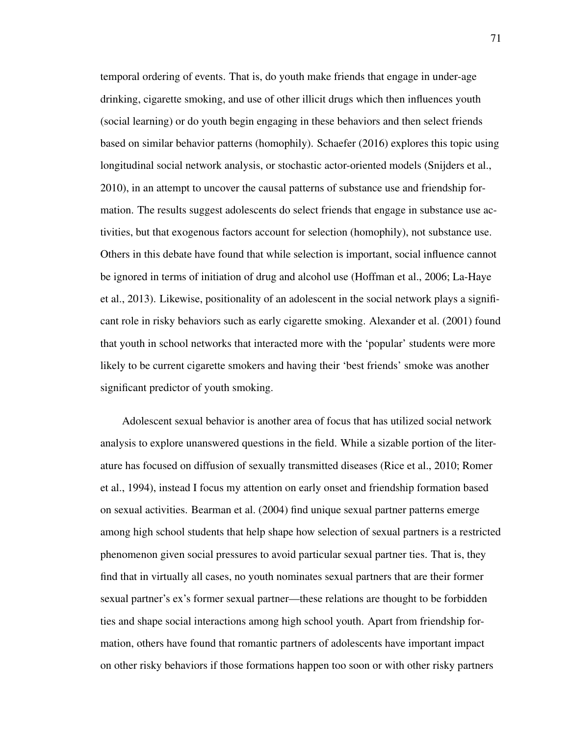temporal ordering of events. That is, do youth make friends that engage in under-age drinking, cigarette smoking, and use of other illicit drugs which then influences youth (social learning) or do youth begin engaging in these behaviors and then select friends based on similar behavior patterns (homophily). Schaefer (2016) explores this topic using longitudinal social network analysis, or stochastic actor-oriented models (Snijders et al., 2010), in an attempt to uncover the causal patterns of substance use and friendship formation. The results suggest adolescents do select friends that engage in substance use activities, but that exogenous factors account for selection (homophily), not substance use. Others in this debate have found that while selection is important, social influence cannot be ignored in terms of initiation of drug and alcohol use (Hoffman et al., 2006; La-Haye et al., 2013). Likewise, positionality of an adolescent in the social network plays a significant role in risky behaviors such as early cigarette smoking. Alexander et al. (2001) found that youth in school networks that interacted more with the 'popular' students were more likely to be current cigarette smokers and having their 'best friends' smoke was another significant predictor of youth smoking.

Adolescent sexual behavior is another area of focus that has utilized social network analysis to explore unanswered questions in the field. While a sizable portion of the literature has focused on diffusion of sexually transmitted diseases (Rice et al., 2010; Romer et al., 1994), instead I focus my attention on early onset and friendship formation based on sexual activities. Bearman et al. (2004) find unique sexual partner patterns emerge among high school students that help shape how selection of sexual partners is a restricted phenomenon given social pressures to avoid particular sexual partner ties. That is, they find that in virtually all cases, no youth nominates sexual partners that are their former sexual partner's ex's former sexual partner—these relations are thought to be forbidden ties and shape social interactions among high school youth. Apart from friendship formation, others have found that romantic partners of adolescents have important impact on other risky behaviors if those formations happen too soon or with other risky partners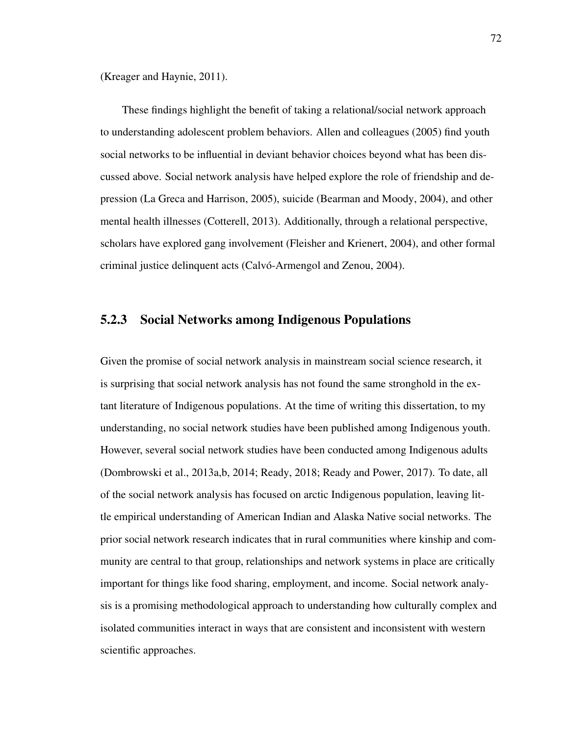(Kreager and Haynie, 2011).

These findings highlight the benefit of taking a relational/social network approach to understanding adolescent problem behaviors. Allen and colleagues (2005) find youth social networks to be influential in deviant behavior choices beyond what has been discussed above. Social network analysis have helped explore the role of friendship and depression (La Greca and Harrison, 2005), suicide (Bearman and Moody, 2004), and other mental health illnesses (Cotterell, 2013). Additionally, through a relational perspective, scholars have explored gang involvement (Fleisher and Krienert, 2004), and other formal criminal justice delinquent acts (Calvó-Armengol and Zenou, 2004).

#### 5.2.3 Social Networks among Indigenous Populations

Given the promise of social network analysis in mainstream social science research, it is surprising that social network analysis has not found the same stronghold in the extant literature of Indigenous populations. At the time of writing this dissertation, to my understanding, no social network studies have been published among Indigenous youth. However, several social network studies have been conducted among Indigenous adults (Dombrowski et al., 2013a,b, 2014; Ready, 2018; Ready and Power, 2017). To date, all of the social network analysis has focused on arctic Indigenous population, leaving little empirical understanding of American Indian and Alaska Native social networks. The prior social network research indicates that in rural communities where kinship and community are central to that group, relationships and network systems in place are critically important for things like food sharing, employment, and income. Social network analysis is a promising methodological approach to understanding how culturally complex and isolated communities interact in ways that are consistent and inconsistent with western scientific approaches.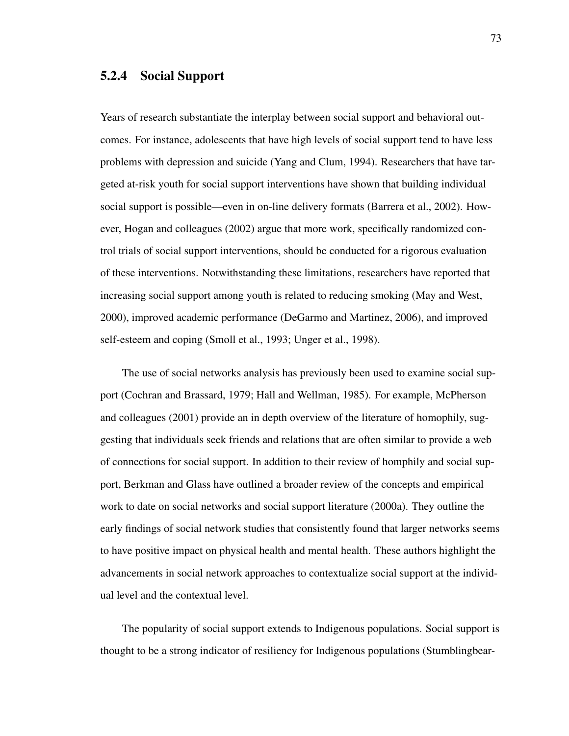# 5.2.4 Social Support

Years of research substantiate the interplay between social support and behavioral outcomes. For instance, adolescents that have high levels of social support tend to have less problems with depression and suicide (Yang and Clum, 1994). Researchers that have targeted at-risk youth for social support interventions have shown that building individual social support is possible—even in on-line delivery formats (Barrera et al., 2002). However, Hogan and colleagues (2002) argue that more work, specifically randomized control trials of social support interventions, should be conducted for a rigorous evaluation of these interventions. Notwithstanding these limitations, researchers have reported that increasing social support among youth is related to reducing smoking (May and West, 2000), improved academic performance (DeGarmo and Martinez, 2006), and improved self-esteem and coping (Smoll et al., 1993; Unger et al., 1998).

The use of social networks analysis has previously been used to examine social support (Cochran and Brassard, 1979; Hall and Wellman, 1985). For example, McPherson and colleagues (2001) provide an in depth overview of the literature of homophily, suggesting that individuals seek friends and relations that are often similar to provide a web of connections for social support. In addition to their review of homphily and social support, Berkman and Glass have outlined a broader review of the concepts and empirical work to date on social networks and social support literature (2000a). They outline the early findings of social network studies that consistently found that larger networks seems to have positive impact on physical health and mental health. These authors highlight the advancements in social network approaches to contextualize social support at the individual level and the contextual level.

The popularity of social support extends to Indigenous populations. Social support is thought to be a strong indicator of resiliency for Indigenous populations (Stumblingbear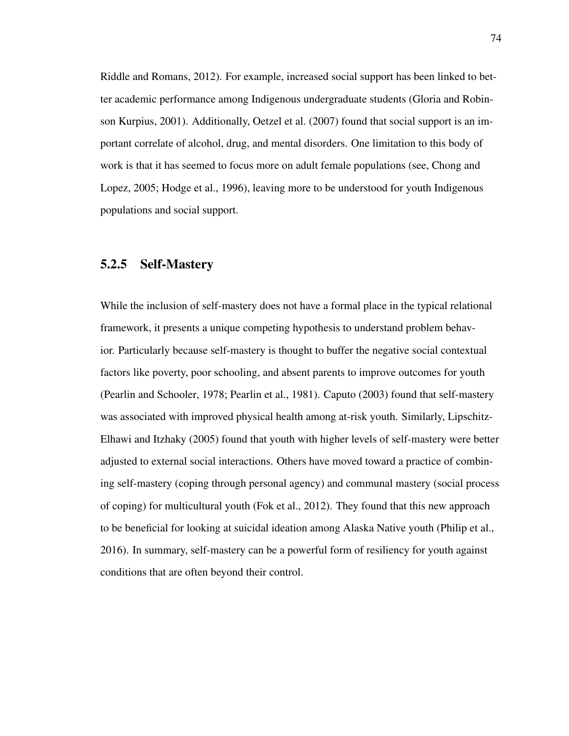Riddle and Romans, 2012). For example, increased social support has been linked to better academic performance among Indigenous undergraduate students (Gloria and Robinson Kurpius, 2001). Additionally, Oetzel et al. (2007) found that social support is an important correlate of alcohol, drug, and mental disorders. One limitation to this body of work is that it has seemed to focus more on adult female populations (see, Chong and Lopez, 2005; Hodge et al., 1996), leaving more to be understood for youth Indigenous populations and social support.

### 5.2.5 Self-Mastery

While the inclusion of self-mastery does not have a formal place in the typical relational framework, it presents a unique competing hypothesis to understand problem behavior. Particularly because self-mastery is thought to buffer the negative social contextual factors like poverty, poor schooling, and absent parents to improve outcomes for youth (Pearlin and Schooler, 1978; Pearlin et al., 1981). Caputo (2003) found that self-mastery was associated with improved physical health among at-risk youth. Similarly, Lipschitz-Elhawi and Itzhaky (2005) found that youth with higher levels of self-mastery were better adjusted to external social interactions. Others have moved toward a practice of combining self-mastery (coping through personal agency) and communal mastery (social process of coping) for multicultural youth (Fok et al., 2012). They found that this new approach to be beneficial for looking at suicidal ideation among Alaska Native youth (Philip et al., 2016). In summary, self-mastery can be a powerful form of resiliency for youth against conditions that are often beyond their control.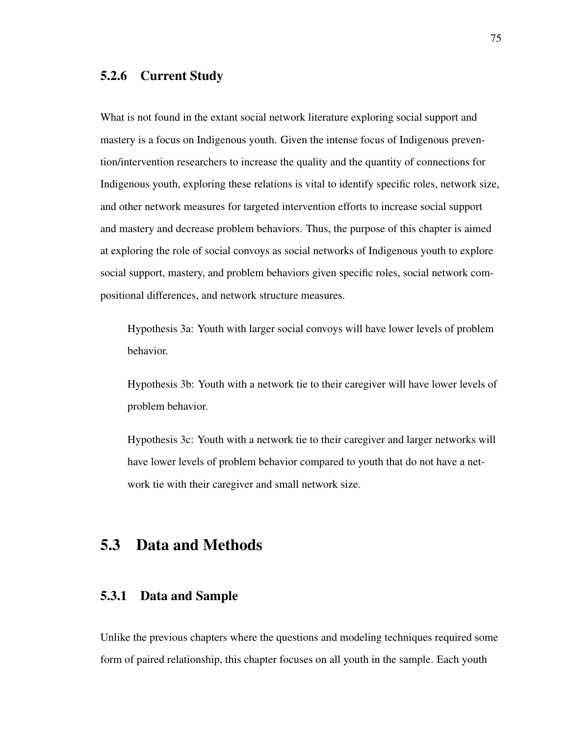# 5.2.6 Current Study

What is not found in the extant social network literature exploring social support and mastery is a focus on Indigenous youth. Given the intense focus of Indigenous prevention/intervention researchers to increase the quality and the quantity of connections for Indigenous youth, exploring these relations is vital to identify specific roles, network size, and other network measures for targeted intervention efforts to increase social support and mastery and decrease problem behaviors. Thus, the purpose of this chapter is aimed at exploring the role of social convoys as social networks of Indigenous youth to explore social support, mastery, and problem behaviors given specific roles, social network compositional differences, and network structure measures.

Hypothesis 3a: Youth with larger social convoys will have lower levels of problem behavior.

Hypothesis 3b: Youth with a network tie to their caregiver will have lower levels of problem behavior.

Hypothesis 3c: Youth with a network tie to their caregiver and larger networks will have lower levels of problem behavior compared to youth that do not have a network tie with their caregiver and small network size.

# 5.3 Data and Methods

# 5.3.1 Data and Sample

Unlike the previous chapters where the questions and modeling techniques required some form of paired relationship, this chapter focuses on all youth in the sample. Each youth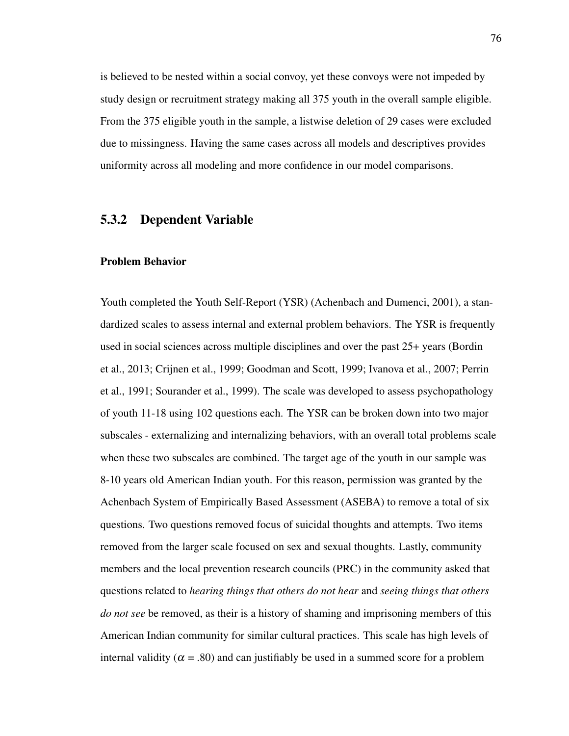is believed to be nested within a social convoy, yet these convoys were not impeded by study design or recruitment strategy making all 375 youth in the overall sample eligible. From the 375 eligible youth in the sample, a listwise deletion of 29 cases were excluded due to missingness. Having the same cases across all models and descriptives provides uniformity across all modeling and more confidence in our model comparisons.

#### 5.3.2 Dependent Variable

#### Problem Behavior

Youth completed the Youth Self-Report (YSR) (Achenbach and Dumenci, 2001), a standardized scales to assess internal and external problem behaviors. The YSR is frequently used in social sciences across multiple disciplines and over the past 25+ years (Bordin et al., 2013; Crijnen et al., 1999; Goodman and Scott, 1999; Ivanova et al., 2007; Perrin et al., 1991; Sourander et al., 1999). The scale was developed to assess psychopathology of youth 11-18 using 102 questions each. The YSR can be broken down into two major subscales - externalizing and internalizing behaviors, with an overall total problems scale when these two subscales are combined. The target age of the youth in our sample was 8-10 years old American Indian youth. For this reason, permission was granted by the Achenbach System of Empirically Based Assessment (ASEBA) to remove a total of six questions. Two questions removed focus of suicidal thoughts and attempts. Two items removed from the larger scale focused on sex and sexual thoughts. Lastly, community members and the local prevention research councils (PRC) in the community asked that questions related to *hearing things that others do not hear* and *seeing things that others do not see* be removed, as their is a history of shaming and imprisoning members of this American Indian community for similar cultural practices. This scale has high levels of internal validity ( $\alpha$  = .80) and can justifiably be used in a summed score for a problem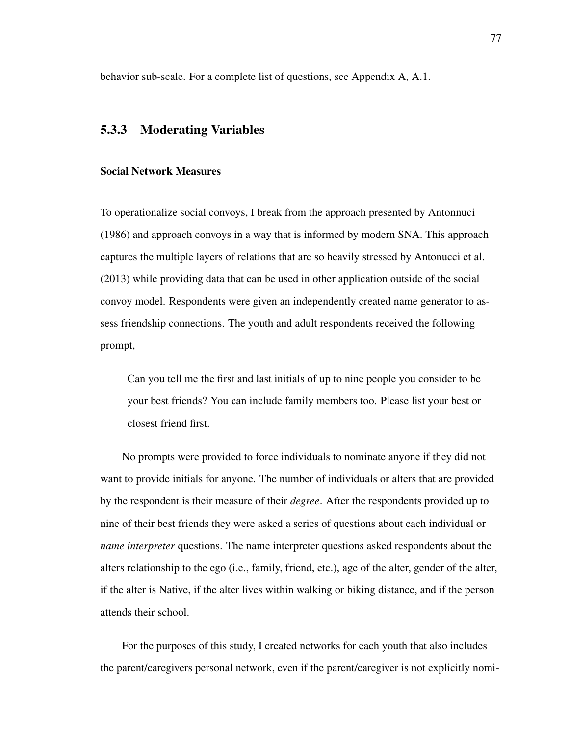behavior sub-scale. For a complete list of questions, see Appendix A, A.1.

### 5.3.3 Moderating Variables

#### Social Network Measures

To operationalize social convoys, I break from the approach presented by Antonnuci (1986) and approach convoys in a way that is informed by modern SNA. This approach captures the multiple layers of relations that are so heavily stressed by Antonucci et al. (2013) while providing data that can be used in other application outside of the social convoy model. Respondents were given an independently created name generator to assess friendship connections. The youth and adult respondents received the following prompt,

Can you tell me the first and last initials of up to nine people you consider to be your best friends? You can include family members too. Please list your best or closest friend first.

No prompts were provided to force individuals to nominate anyone if they did not want to provide initials for anyone. The number of individuals or alters that are provided by the respondent is their measure of their *degree*. After the respondents provided up to nine of their best friends they were asked a series of questions about each individual or *name interpreter* questions. The name interpreter questions asked respondents about the alters relationship to the ego (i.e., family, friend, etc.), age of the alter, gender of the alter, if the alter is Native, if the alter lives within walking or biking distance, and if the person attends their school.

For the purposes of this study, I created networks for each youth that also includes the parent/caregivers personal network, even if the parent/caregiver is not explicitly nomi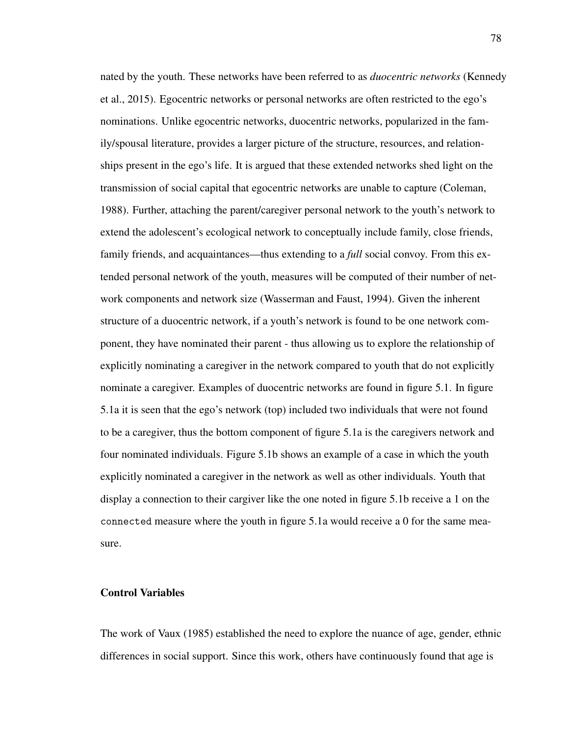nated by the youth. These networks have been referred to as *duocentric networks* (Kennedy et al., 2015). Egocentric networks or personal networks are often restricted to the ego's nominations. Unlike egocentric networks, duocentric networks, popularized in the family/spousal literature, provides a larger picture of the structure, resources, and relationships present in the ego's life. It is argued that these extended networks shed light on the transmission of social capital that egocentric networks are unable to capture (Coleman, 1988). Further, attaching the parent/caregiver personal network to the youth's network to extend the adolescent's ecological network to conceptually include family, close friends, family friends, and acquaintances—thus extending to a *full* social convoy. From this extended personal network of the youth, measures will be computed of their number of network components and network size (Wasserman and Faust, 1994). Given the inherent structure of a duocentric network, if a youth's network is found to be one network component, they have nominated their parent - thus allowing us to explore the relationship of explicitly nominating a caregiver in the network compared to youth that do not explicitly nominate a caregiver. Examples of duocentric networks are found in figure 5.1. In figure 5.1a it is seen that the ego's network (top) included two individuals that were not found to be a caregiver, thus the bottom component of figure 5.1a is the caregivers network and four nominated individuals. Figure 5.1b shows an example of a case in which the youth explicitly nominated a caregiver in the network as well as other individuals. Youth that display a connection to their cargiver like the one noted in figure 5.1b receive a 1 on the connected measure where the youth in figure 5.1a would receive a 0 for the same measure.

#### Control Variables

The work of Vaux (1985) established the need to explore the nuance of age, gender, ethnic differences in social support. Since this work, others have continuously found that age is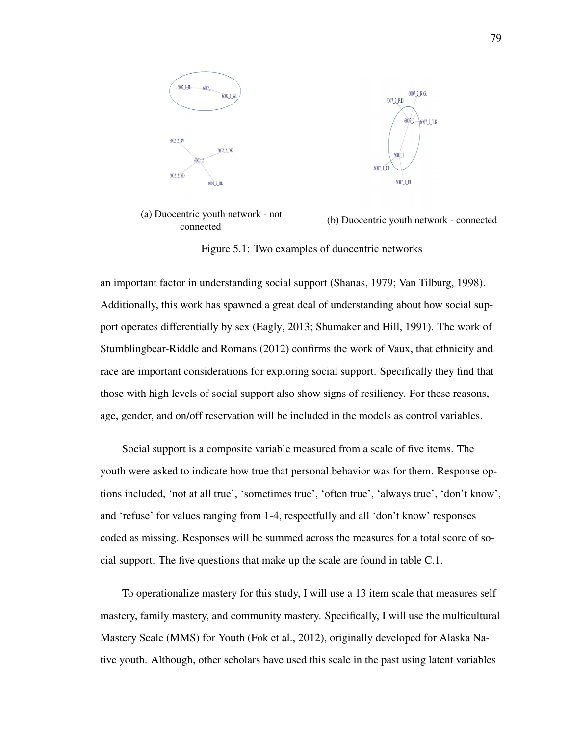

(a) Duocentric youth network - not connected (b) Duocentric youth network - connected

Figure 5.1: Two examples of duocentric networks

an important factor in understanding social support (Shanas, 1979; Van Tilburg, 1998). Additionally, this work has spawned a great deal of understanding about how social support operates differentially by sex (Eagly, 2013; Shumaker and Hill, 1991). The work of Stumblingbear-Riddle and Romans (2012) confirms the work of Vaux, that ethnicity and race are important considerations for exploring social support. Specifically they find that those with high levels of social support also show signs of resiliency. For these reasons, age, gender, and on/off reservation will be included in the models as control variables.

Social support is a composite variable measured from a scale of five items. The youth were asked to indicate how true that personal behavior was for them. Response options included, 'not at all true', 'sometimes true', 'often true', 'always true', 'don't know', and 'refuse' for values ranging from 1-4, respectfully and all 'don't know' responses coded as missing. Responses will be summed across the measures for a total score of social support. The five questions that make up the scale are found in table C.1.

To operationalize mastery for this study, I will use a 13 item scale that measures self mastery, family mastery, and community mastery. Specifically, I will use the multicultural Mastery Scale (MMS) for Youth (Fok et al., 2012), originally developed for Alaska Native youth. Although, other scholars have used this scale in the past using latent variables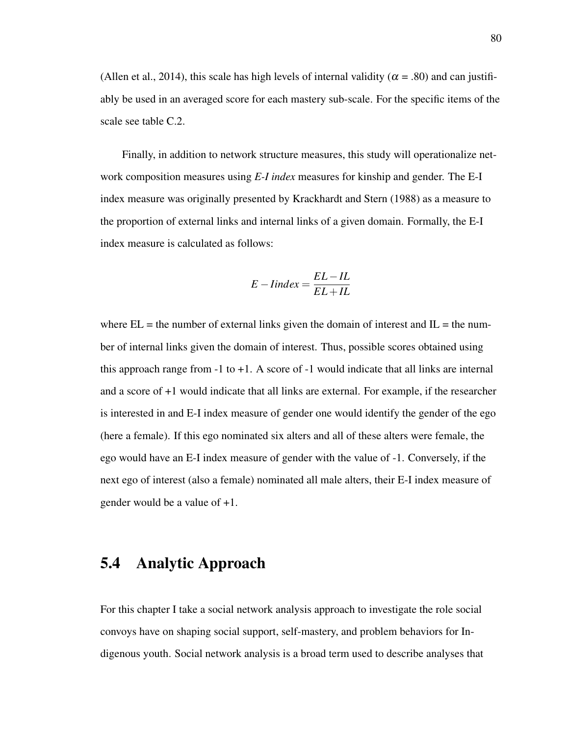(Allen et al., 2014), this scale has high levels of internal validity ( $\alpha$  = .80) and can justifiably be used in an averaged score for each mastery sub-scale. For the specific items of the scale see table C.2.

Finally, in addition to network structure measures, this study will operationalize network composition measures using *E-I index* measures for kinship and gender. The E-I index measure was originally presented by Krackhardt and Stern (1988) as a measure to the proportion of external links and internal links of a given domain. Formally, the E-I index measure is calculated as follows:

$$
E-Index = \frac{EL-IL}{EL+IL}
$$

where  $EL =$  the number of external links given the domain of interest and  $IL =$  the number of internal links given the domain of interest. Thus, possible scores obtained using this approach range from  $-1$  to  $+1$ . A score of  $-1$  would indicate that all links are internal and a score of +1 would indicate that all links are external. For example, if the researcher is interested in and E-I index measure of gender one would identify the gender of the ego (here a female). If this ego nominated six alters and all of these alters were female, the ego would have an E-I index measure of gender with the value of -1. Conversely, if the next ego of interest (also a female) nominated all male alters, their E-I index measure of gender would be a value of +1.

# 5.4 Analytic Approach

For this chapter I take a social network analysis approach to investigate the role social convoys have on shaping social support, self-mastery, and problem behaviors for Indigenous youth. Social network analysis is a broad term used to describe analyses that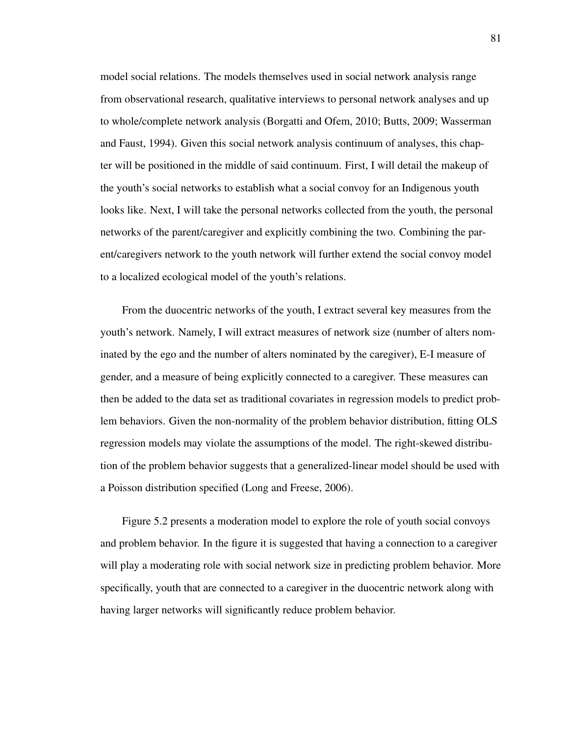model social relations. The models themselves used in social network analysis range from observational research, qualitative interviews to personal network analyses and up to whole/complete network analysis (Borgatti and Ofem, 2010; Butts, 2009; Wasserman and Faust, 1994). Given this social network analysis continuum of analyses, this chapter will be positioned in the middle of said continuum. First, I will detail the makeup of the youth's social networks to establish what a social convoy for an Indigenous youth looks like. Next, I will take the personal networks collected from the youth, the personal networks of the parent/caregiver and explicitly combining the two. Combining the parent/caregivers network to the youth network will further extend the social convoy model to a localized ecological model of the youth's relations.

From the duocentric networks of the youth, I extract several key measures from the youth's network. Namely, I will extract measures of network size (number of alters nominated by the ego and the number of alters nominated by the caregiver), E-I measure of gender, and a measure of being explicitly connected to a caregiver. These measures can then be added to the data set as traditional covariates in regression models to predict problem behaviors. Given the non-normality of the problem behavior distribution, fitting OLS regression models may violate the assumptions of the model. The right-skewed distribution of the problem behavior suggests that a generalized-linear model should be used with a Poisson distribution specified (Long and Freese, 2006).

Figure 5.2 presents a moderation model to explore the role of youth social convoys and problem behavior. In the figure it is suggested that having a connection to a caregiver will play a moderating role with social network size in predicting problem behavior. More specifically, youth that are connected to a caregiver in the duocentric network along with having larger networks will significantly reduce problem behavior.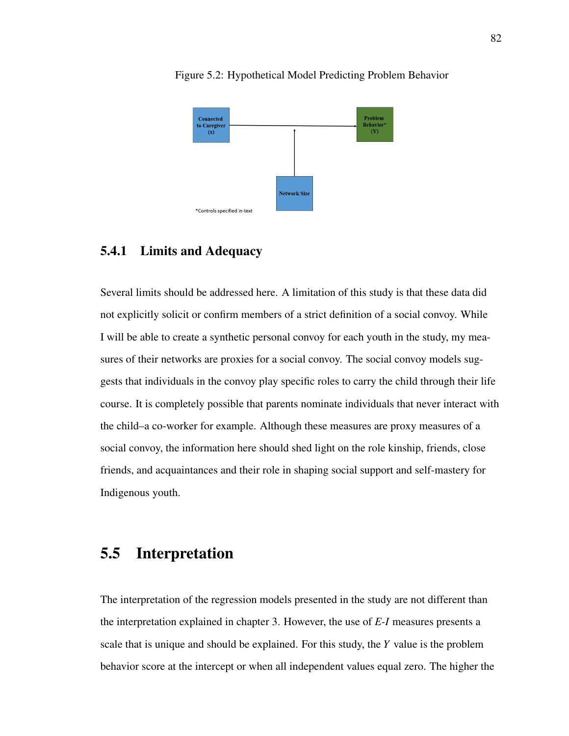

Figure 5.2: Hypothetical Model Predicting Problem Behavior

## 5.4.1 Limits and Adequacy

Several limits should be addressed here. A limitation of this study is that these data did not explicitly solicit or confirm members of a strict definition of a social convoy. While I will be able to create a synthetic personal convoy for each youth in the study, my measures of their networks are proxies for a social convoy. The social convoy models suggests that individuals in the convoy play specific roles to carry the child through their life course. It is completely possible that parents nominate individuals that never interact with the child–a co-worker for example. Although these measures are proxy measures of a social convoy, the information here should shed light on the role kinship, friends, close friends, and acquaintances and their role in shaping social support and self-mastery for Indigenous youth.

# 5.5 Interpretation

The interpretation of the regression models presented in the study are not different than the interpretation explained in chapter 3. However, the use of *E-I* measures presents a scale that is unique and should be explained. For this study, the *Y* value is the problem behavior score at the intercept or when all independent values equal zero. The higher the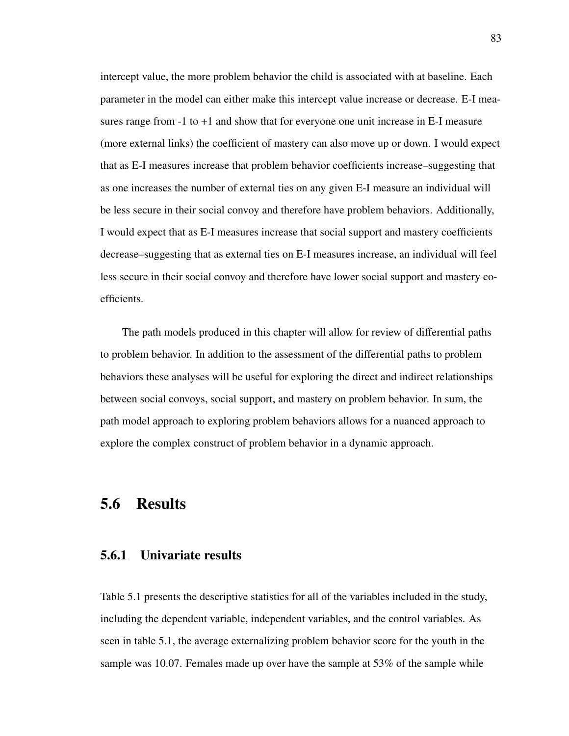intercept value, the more problem behavior the child is associated with at baseline. Each parameter in the model can either make this intercept value increase or decrease. E-I measures range from -1 to +1 and show that for everyone one unit increase in E-I measure (more external links) the coefficient of mastery can also move up or down. I would expect that as E-I measures increase that problem behavior coefficients increase–suggesting that as one increases the number of external ties on any given E-I measure an individual will be less secure in their social convoy and therefore have problem behaviors. Additionally, I would expect that as E-I measures increase that social support and mastery coefficients decrease–suggesting that as external ties on E-I measures increase, an individual will feel less secure in their social convoy and therefore have lower social support and mastery coefficients.

The path models produced in this chapter will allow for review of differential paths to problem behavior. In addition to the assessment of the differential paths to problem behaviors these analyses will be useful for exploring the direct and indirect relationships between social convoys, social support, and mastery on problem behavior. In sum, the path model approach to exploring problem behaviors allows for a nuanced approach to explore the complex construct of problem behavior in a dynamic approach.

# 5.6 Results

### 5.6.1 Univariate results

Table 5.1 presents the descriptive statistics for all of the variables included in the study, including the dependent variable, independent variables, and the control variables. As seen in table 5.1, the average externalizing problem behavior score for the youth in the sample was 10.07. Females made up over have the sample at 53% of the sample while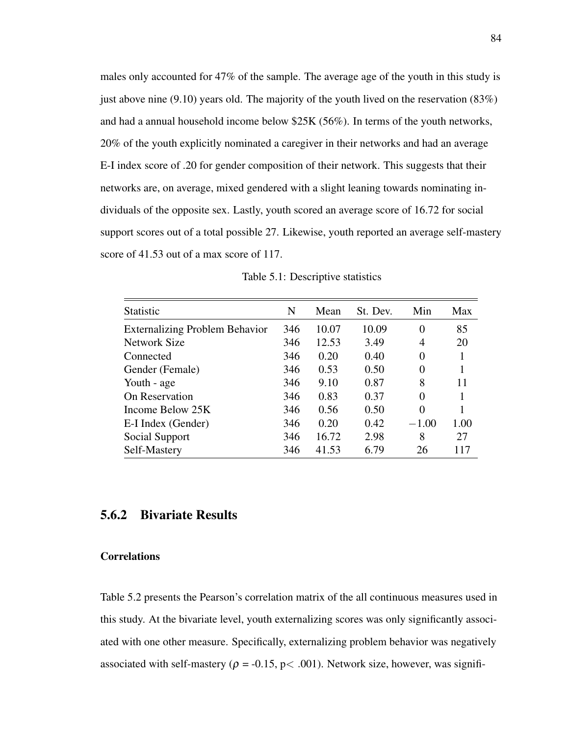males only accounted for 47% of the sample. The average age of the youth in this study is just above nine  $(9.10)$  years old. The majority of the youth lived on the reservation  $(83%)$ and had a annual household income below \$25K (56%). In terms of the youth networks, 20% of the youth explicitly nominated a caregiver in their networks and had an average E-I index score of .20 for gender composition of their network. This suggests that their networks are, on average, mixed gendered with a slight leaning towards nominating individuals of the opposite sex. Lastly, youth scored an average score of 16.72 for social support scores out of a total possible 27. Likewise, youth reported an average self-mastery score of 41.53 out of a max score of 117.

| <b>Statistic</b>                      | N   | Mean  | St. Dev. | Min      | Max  |
|---------------------------------------|-----|-------|----------|----------|------|
| <b>Externalizing Problem Behavior</b> | 346 | 10.07 | 10.09    | $\Omega$ | 85   |
| Network Size                          | 346 | 12.53 | 3.49     | 4        | 20   |
| Connected                             | 346 | 0.20  | 0.40     | $\Omega$ |      |
| Gender (Female)                       | 346 | 0.53  | 0.50     | $\Omega$ |      |
| Youth - age                           | 346 | 9.10  | 0.87     | 8        | 11   |
| On Reservation                        | 346 | 0.83  | 0.37     | $\Omega$ |      |
| Income Below 25K                      | 346 | 0.56  | 0.50     | $\Omega$ |      |
| E-I Index (Gender)                    | 346 | 0.20  | 0.42     | $-1.00$  | 1.00 |
| Social Support                        | 346 | 16.72 | 2.98     | 8        | 27   |
| Self-Mastery                          | 346 | 41.53 | 6.79     | 26       | 117  |

Table 5.1: Descriptive statistics

### 5.6.2 Bivariate Results

#### **Correlations**

Table 5.2 presents the Pearson's correlation matrix of the all continuous measures used in this study. At the bivariate level, youth externalizing scores was only significantly associated with one other measure. Specifically, externalizing problem behavior was negatively associated with self-mastery ( $\rho = -0.15$ , p $< .001$ ). Network size, however, was signifi-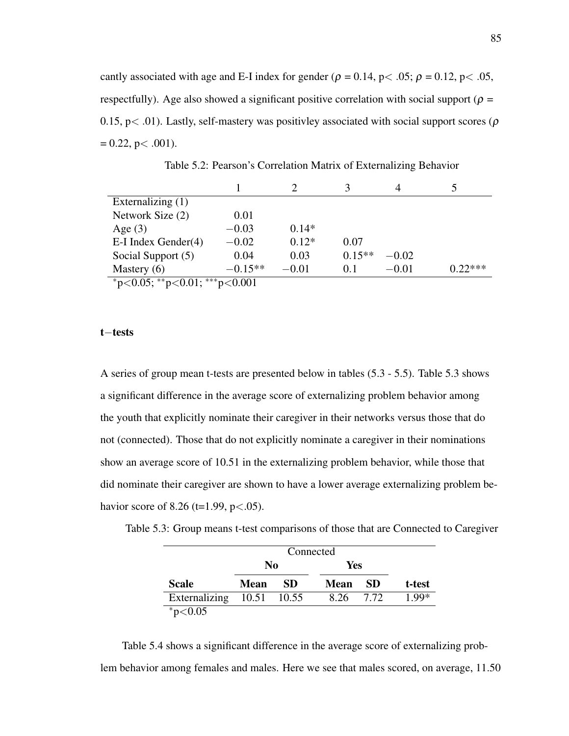cantly associated with age and E-I index for gender ( $\rho = 0.14$ , p $< .05$ ;  $\rho = 0.12$ , p $< .05$ , respectfully). Age also showed a significant positive correlation with social support ( $\rho$  = 0.15, p $<$  .01). Lastly, self-mastery was positivley associated with social support scores ( $\rho$ )  $= 0.22$ , p $< .001$ ).

|                               |           |         |          | 4       | 5         |
|-------------------------------|-----------|---------|----------|---------|-----------|
| Externalizing $(1)$           |           |         |          |         |           |
| Network Size (2)              | 0.01      |         |          |         |           |
| Age $(3)$                     | $-0.03$   | $0.14*$ |          |         |           |
| $E-I$ Index Gender $(4)$      | $-0.02$   | $0.12*$ | 0.07     |         |           |
| Social Support (5)            | 0.04      | 0.03    | $0.15**$ | $-0.02$ |           |
| Mastery $(6)$                 | $-0.15**$ | $-0.01$ | 0.1      | $-0.01$ | $0.22***$ |
| *p<0.05; **p<0.01; ***p<0.001 |           |         |          |         |           |

Table 5.2: Pearson's Correlation Matrix of Externalizing Behavior

t−tests

A series of group mean t-tests are presented below in tables (5.3 - 5.5). Table 5.3 shows a significant difference in the average score of externalizing problem behavior among the youth that explicitly nominate their caregiver in their networks versus those that do not (connected). Those that do not explicitly nominate a caregiver in their nominations show an average score of 10.51 in the externalizing problem behavior, while those that did nominate their caregiver are shown to have a lower average externalizing problem behavior score of 8.26 (t=1.99,  $p < .05$ ).

Table 5.3: Group means t-test comparisons of those that are Connected to Caregiver

|                           |             | Connected |             |      |         |  |
|---------------------------|-------------|-----------|-------------|------|---------|--|
|                           | No          |           | Yes         |      |         |  |
| <b>Scale</b>              | <b>Mean</b> | SD.       | <b>Mean</b> | - SD | t-test  |  |
| Externalizing 10.51 10.55 |             |           | 8.26 7.72   |      | $1.99*$ |  |
| $*p<0.05$                 |             |           |             |      |         |  |

Table 5.4 shows a significant difference in the average score of externalizing problem behavior among females and males. Here we see that males scored, on average, 11.50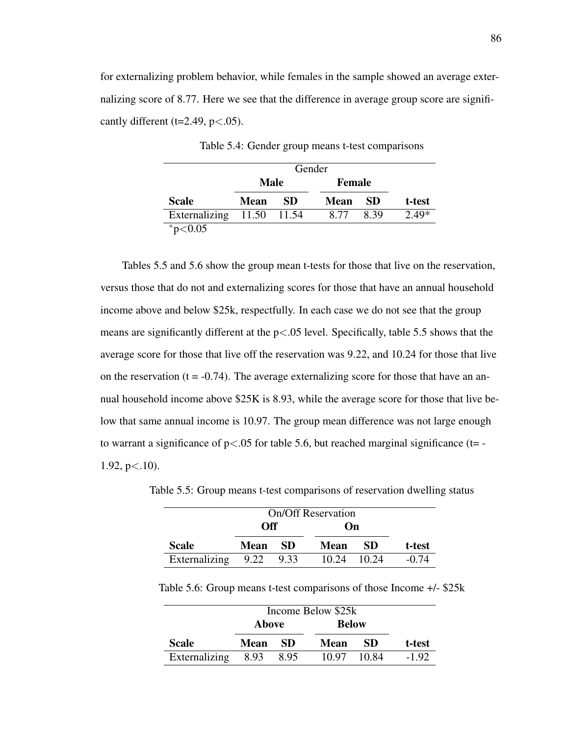for externalizing problem behavior, while females in the sample showed an average externalizing score of 8.77. Here we see that the difference in average group score are significantly different (t=2.49,  $p < .05$ ).

|                           |             | Gender |               |      |         |
|---------------------------|-------------|--------|---------------|------|---------|
|                           | Male        |        | <b>Female</b> |      |         |
| <b>Scale</b>              | <b>Mean</b> | -SD    | <b>Mean</b>   | -SD  | t-test  |
| Externalizing 11.50 11.54 |             |        | 8.77          | 8.39 | $2.49*$ |
| $*_{p<0.05}$              |             |        |               |      |         |

Table 5.4: Gender group means t-test comparisons

Tables 5.5 and 5.6 show the group mean t-tests for those that live on the reservation, versus those that do not and externalizing scores for those that have an annual household income above and below \$25k, respectfully. In each case we do not see that the group means are significantly different at the  $p<0.05$  level. Specifically, table 5.5 shows that the average score for those that live off the reservation was 9.22, and 10.24 for those that live on the reservation  $(t = -0.74)$ . The average externalizing score for those that have an annual household income above \$25K is 8.93, while the average score for those that live below that same annual income is 10.97. The group mean difference was not large enough to warrant a significance of  $p < .05$  for table 5.6, but reached marginal significance (t= -1.92,  $p<.10$ ).

|                         | <b>Off</b> |      | On          |             |         |
|-------------------------|------------|------|-------------|-------------|---------|
| <b>Scale</b>            | Mean       | - SD | <b>Mean</b> | -SD         | t-test  |
| Externalizing 9.22 9.33 |            |      |             | 10.24 10.24 | $-0.74$ |

Table 5.5: Group means t-test comparisons of reservation dwelling status

Table 5.6: Group means t-test comparisons of those Income +/- \$25k

|               | Income Below \$25k |      |              |       |         |
|---------------|--------------------|------|--------------|-------|---------|
|               | Above              |      | <b>Below</b> |       |         |
| <b>Scale</b>  | Mean               | -SD  | Mean         | -SD   | t-test  |
| Externalizing | 8.93               | 8.95 | 10.97        | 10.84 | $-1.92$ |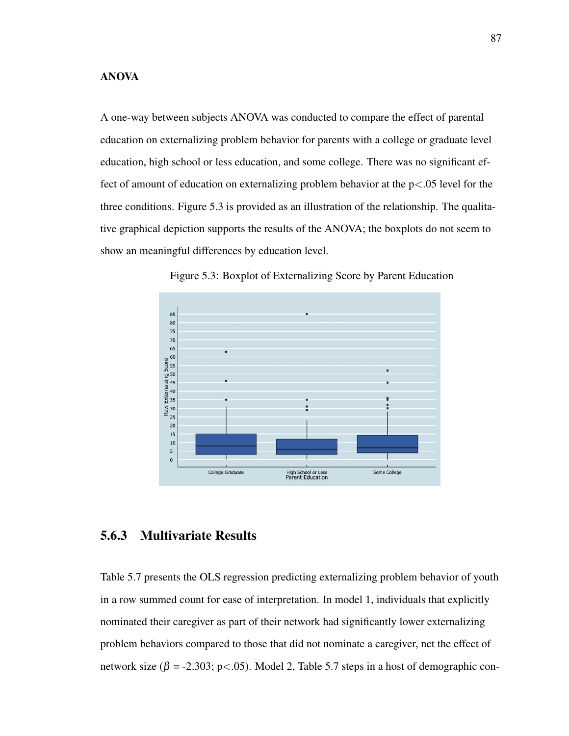### ANOVA

A one-way between subjects ANOVA was conducted to compare the effect of parental education on externalizing problem behavior for parents with a college or graduate level education, high school or less education, and some college. There was no significant effect of amount of education on externalizing problem behavior at the  $p<.05$  level for the three conditions. Figure 5.3 is provided as an illustration of the relationship. The qualitative graphical depiction supports the results of the ANOVA; the boxplots do not seem to show an meaningful differences by education level.



Figure 5.3: Boxplot of Externalizing Score by Parent Education

# 5.6.3 Multivariate Results

Table 5.7 presents the OLS regression predicting externalizing problem behavior of youth in a row summed count for ease of interpretation. In model 1, individuals that explicitly nominated their caregiver as part of their network had significantly lower externalizing problem behaviors compared to those that did not nominate a caregiver, net the effect of network size ( $\beta$  = -2.303; p<.05). Model 2, Table 5.7 steps in a host of demographic con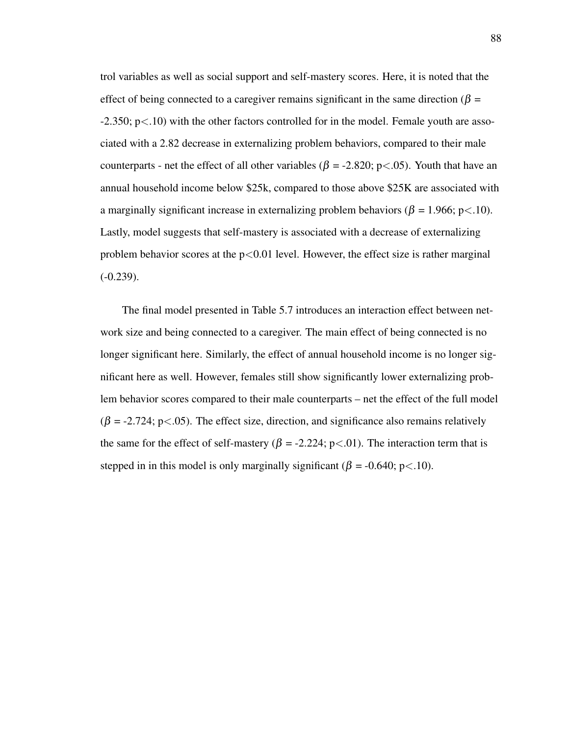trol variables as well as social support and self-mastery scores. Here, it is noted that the effect of being connected to a caregiver remains significant in the same direction ( $\beta$  =  $-2.350$ ;  $p<.10$ ) with the other factors controlled for in the model. Female youth are associated with a 2.82 decrease in externalizing problem behaviors, compared to their male counterparts - net the effect of all other variables ( $\beta$  = -2.820; p < .05). Youth that have an annual household income below \$25k, compared to those above \$25K are associated with a marginally significant increase in externalizing problem behaviors ( $\beta = 1.966$ ; p<.10). Lastly, model suggests that self-mastery is associated with a decrease of externalizing problem behavior scores at the  $p<0.01$  level. However, the effect size is rather marginal  $(-0.239)$ .

The final model presented in Table 5.7 introduces an interaction effect between network size and being connected to a caregiver. The main effect of being connected is no longer significant here. Similarly, the effect of annual household income is no longer significant here as well. However, females still show significantly lower externalizing problem behavior scores compared to their male counterparts – net the effect of the full model  $(\beta = -2.724; \, p < .05)$ . The effect size, direction, and significance also remains relatively the same for the effect of self-mastery ( $\beta$  = -2.224; p<.01). The interaction term that is stepped in in this model is only marginally significant ( $\beta$  = -0.640; p<.10).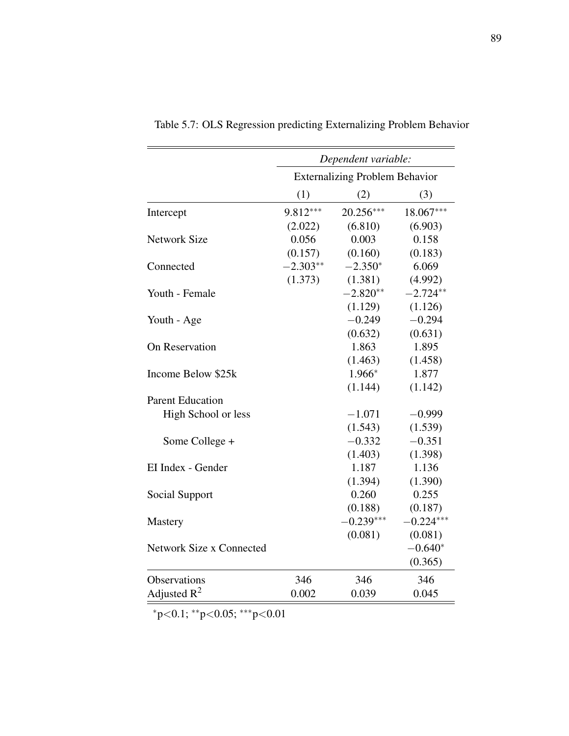|                          | Dependent variable:                   |             |             |  |  |
|--------------------------|---------------------------------------|-------------|-------------|--|--|
|                          | <b>Externalizing Problem Behavior</b> |             |             |  |  |
|                          | (1)                                   | (2)         | (3)         |  |  |
| Intercept                | 9.812***                              | $20.256***$ | 18.067***   |  |  |
|                          | (2.022)                               | (6.810)     | (6.903)     |  |  |
| <b>Network Size</b>      | 0.056                                 | 0.003       | 0.158       |  |  |
|                          | (0.157)                               | (0.160)     | (0.183)     |  |  |
| Connected                | $-2.303**$                            | $-2.350*$   | 6.069       |  |  |
|                          | (1.373)                               | (1.381)     | (4.992)     |  |  |
| Youth - Female           |                                       | $-2.820**$  | $-2.724**$  |  |  |
|                          |                                       | (1.129)     | (1.126)     |  |  |
| Youth - Age              |                                       | $-0.249$    | $-0.294$    |  |  |
|                          |                                       | (0.632)     | (0.631)     |  |  |
| On Reservation           |                                       | 1.863       | 1.895       |  |  |
|                          |                                       | (1.463)     | (1.458)     |  |  |
| Income Below \$25k       |                                       | 1.966*      | 1.877       |  |  |
|                          |                                       | (1.144)     | (1.142)     |  |  |
| <b>Parent Education</b>  |                                       |             |             |  |  |
| High School or less      |                                       | $-1.071$    | $-0.999$    |  |  |
|                          |                                       | (1.543)     | (1.539)     |  |  |
| Some College +           |                                       | $-0.332$    | $-0.351$    |  |  |
|                          |                                       | (1.403)     | (1.398)     |  |  |
| EI Index - Gender        |                                       | 1.187       | 1.136       |  |  |
|                          |                                       | (1.394)     | (1.390)     |  |  |
| Social Support           |                                       | 0.260       | 0.255       |  |  |
|                          |                                       | (0.188)     | (0.187)     |  |  |
| Mastery                  |                                       | $-0.239***$ | $-0.224***$ |  |  |
|                          |                                       | (0.081)     | (0.081)     |  |  |
| Network Size x Connected |                                       |             | $-0.640*$   |  |  |
|                          |                                       |             | (0.365)     |  |  |
| Observations             | 346                                   | 346         | 346         |  |  |
| Adjusted $R^2$           | 0.002                                 | 0.039       | 0.045       |  |  |

Table 5.7: OLS Regression predicting Externalizing Problem Behavior

<sup>∗</sup>p<0.1; ∗∗p<0.05; ∗∗∗p<0.01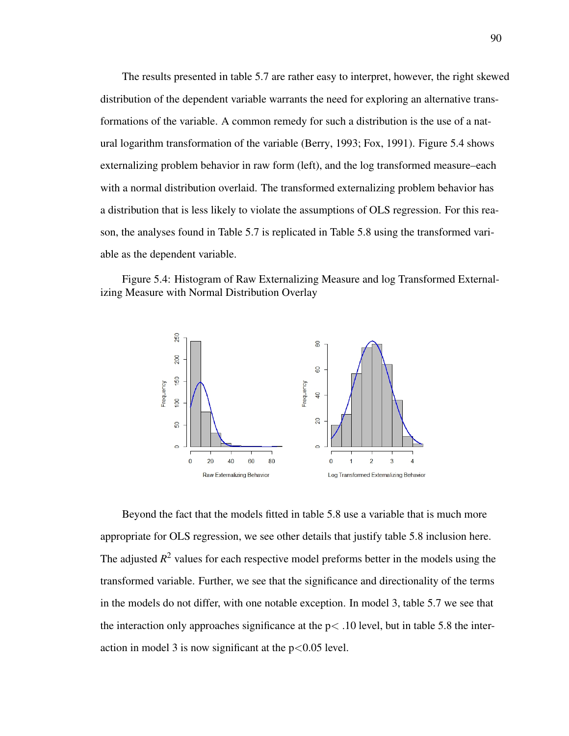The results presented in table 5.7 are rather easy to interpret, however, the right skewed distribution of the dependent variable warrants the need for exploring an alternative transformations of the variable. A common remedy for such a distribution is the use of a natural logarithm transformation of the variable (Berry, 1993; Fox, 1991). Figure 5.4 shows externalizing problem behavior in raw form (left), and the log transformed measure–each with a normal distribution overlaid. The transformed externalizing problem behavior has a distribution that is less likely to violate the assumptions of OLS regression. For this reason, the analyses found in Table 5.7 is replicated in Table 5.8 using the transformed variable as the dependent variable.

Figure 5.4: Histogram of Raw Externalizing Measure and log Transformed Externalizing Measure with Normal Distribution Overlay



Beyond the fact that the models fitted in table 5.8 use a variable that is much more appropriate for OLS regression, we see other details that justify table 5.8 inclusion here. The adjusted  $R^2$  values for each respective model preforms better in the models using the transformed variable. Further, we see that the significance and directionality of the terms in the models do not differ, with one notable exception. In model 3, table 5.7 we see that the interaction only approaches significance at the  $p<.10$  level, but in table 5.8 the interaction in model 3 is now significant at the  $p<0.05$  level.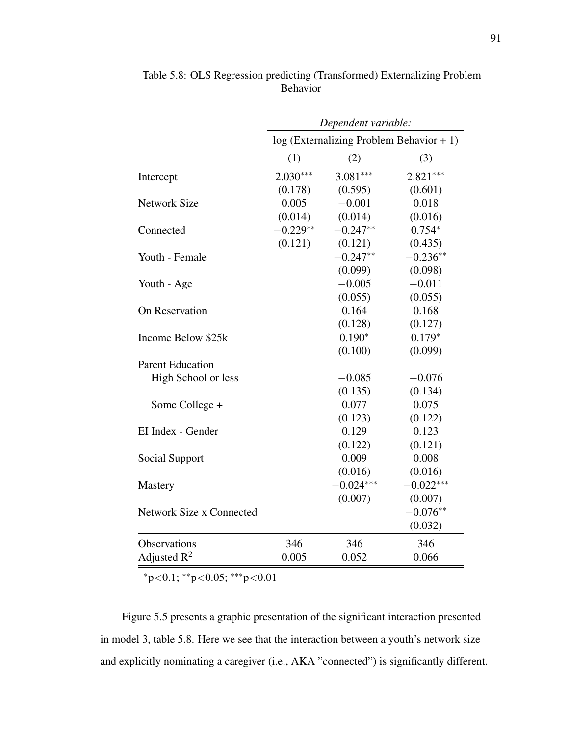|                          | Dependent variable:<br>$log (Externalizing Problem Behavior + 1)$ |             |             |
|--------------------------|-------------------------------------------------------------------|-------------|-------------|
|                          |                                                                   |             |             |
|                          | (1)                                                               | (2)         | (3)         |
| Intercept                | $2.030***$                                                        | $3.081***$  | $2.821***$  |
|                          | (0.178)                                                           | (0.595)     | (0.601)     |
| <b>Network Size</b>      | 0.005                                                             | $-0.001$    | 0.018       |
|                          | (0.014)                                                           | (0.014)     | (0.016)     |
| Connected                | $-0.229**$                                                        | $-0.247**$  | $0.754*$    |
|                          | (0.121)                                                           | (0.121)     | (0.435)     |
| Youth - Female           |                                                                   | $-0.247**$  | $-0.236**$  |
|                          |                                                                   | (0.099)     | (0.098)     |
| Youth - Age              |                                                                   | $-0.005$    | $-0.011$    |
|                          |                                                                   | (0.055)     | (0.055)     |
| On Reservation           |                                                                   | 0.164       | 0.168       |
|                          |                                                                   | (0.128)     | (0.127)     |
| Income Below \$25k       |                                                                   | $0.190*$    | $0.179*$    |
|                          |                                                                   | (0.100)     | (0.099)     |
| <b>Parent Education</b>  |                                                                   |             |             |
| High School or less      |                                                                   | $-0.085$    | $-0.076$    |
|                          |                                                                   | (0.135)     | (0.134)     |
| Some College +           |                                                                   | 0.077       | 0.075       |
|                          |                                                                   | (0.123)     | (0.122)     |
| EI Index - Gender        |                                                                   | 0.129       | 0.123       |
|                          |                                                                   | (0.122)     | (0.121)     |
| Social Support           |                                                                   | 0.009       | 0.008       |
|                          |                                                                   | (0.016)     | (0.016)     |
| Mastery                  |                                                                   | $-0.024***$ | $-0.022***$ |
|                          |                                                                   | (0.007)     | (0.007)     |
| Network Size x Connected |                                                                   |             | $-0.076**$  |
|                          |                                                                   |             | (0.032)     |
| Observations             | 346                                                               | 346         | 346         |
| Adjusted $R^2$           | 0.005                                                             | 0.052       | 0.066       |

Table 5.8: OLS Regression predicting (Transformed) Externalizing Problem Behavior

<sup>∗</sup>p<0.1; ∗∗p<0.05; ∗∗∗p<0.01

Figure 5.5 presents a graphic presentation of the significant interaction presented in model 3, table 5.8. Here we see that the interaction between a youth's network size and explicitly nominating a caregiver (i.e., AKA "connected") is significantly different.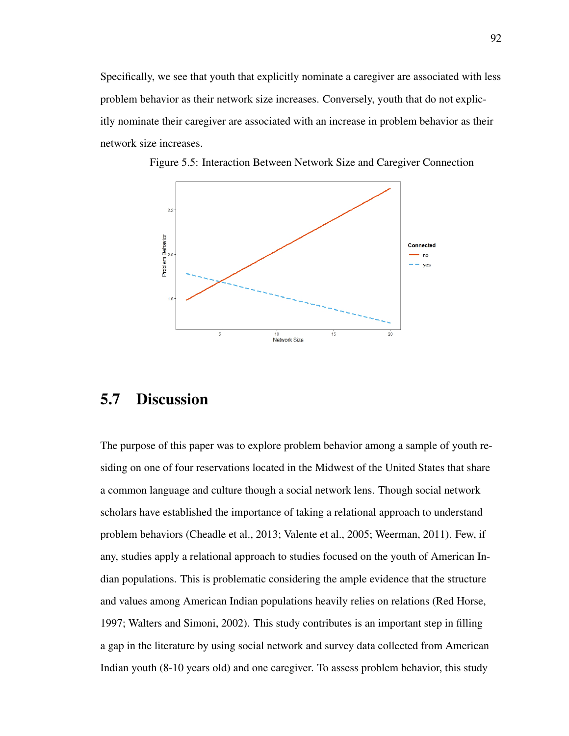Specifically, we see that youth that explicitly nominate a caregiver are associated with less problem behavior as their network size increases. Conversely, youth that do not explicitly nominate their caregiver are associated with an increase in problem behavior as their network size increases.



Figure 5.5: Interaction Between Network Size and Caregiver Connection

### 5.7 Discussion

The purpose of this paper was to explore problem behavior among a sample of youth residing on one of four reservations located in the Midwest of the United States that share a common language and culture though a social network lens. Though social network scholars have established the importance of taking a relational approach to understand problem behaviors (Cheadle et al., 2013; Valente et al., 2005; Weerman, 2011). Few, if any, studies apply a relational approach to studies focused on the youth of American Indian populations. This is problematic considering the ample evidence that the structure and values among American Indian populations heavily relies on relations (Red Horse, 1997; Walters and Simoni, 2002). This study contributes is an important step in filling a gap in the literature by using social network and survey data collected from American Indian youth (8-10 years old) and one caregiver. To assess problem behavior, this study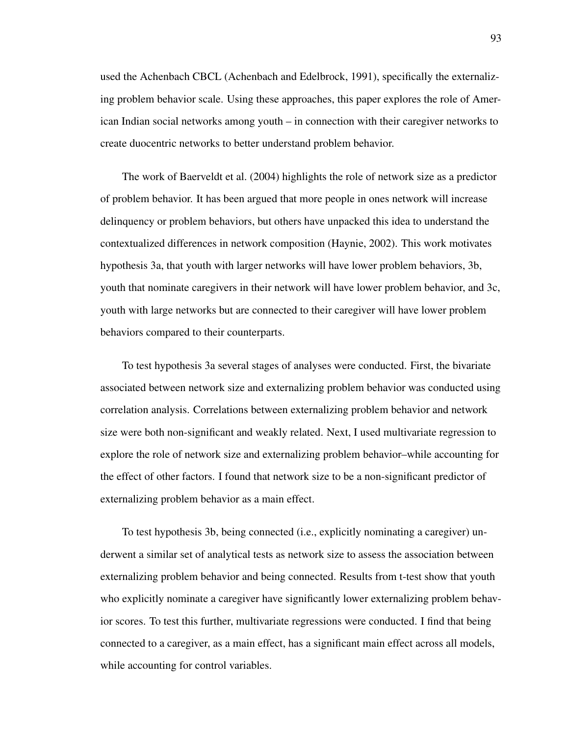used the Achenbach CBCL (Achenbach and Edelbrock, 1991), specifically the externalizing problem behavior scale. Using these approaches, this paper explores the role of American Indian social networks among youth – in connection with their caregiver networks to create duocentric networks to better understand problem behavior.

The work of Baerveldt et al. (2004) highlights the role of network size as a predictor of problem behavior. It has been argued that more people in ones network will increase delinquency or problem behaviors, but others have unpacked this idea to understand the contextualized differences in network composition (Haynie, 2002). This work motivates hypothesis 3a, that youth with larger networks will have lower problem behaviors, 3b, youth that nominate caregivers in their network will have lower problem behavior, and 3c, youth with large networks but are connected to their caregiver will have lower problem behaviors compared to their counterparts.

To test hypothesis 3a several stages of analyses were conducted. First, the bivariate associated between network size and externalizing problem behavior was conducted using correlation analysis. Correlations between externalizing problem behavior and network size were both non-significant and weakly related. Next, I used multivariate regression to explore the role of network size and externalizing problem behavior–while accounting for the effect of other factors. I found that network size to be a non-significant predictor of externalizing problem behavior as a main effect.

To test hypothesis 3b, being connected (i.e., explicitly nominating a caregiver) underwent a similar set of analytical tests as network size to assess the association between externalizing problem behavior and being connected. Results from t-test show that youth who explicitly nominate a caregiver have significantly lower externalizing problem behavior scores. To test this further, multivariate regressions were conducted. I find that being connected to a caregiver, as a main effect, has a significant main effect across all models, while accounting for control variables.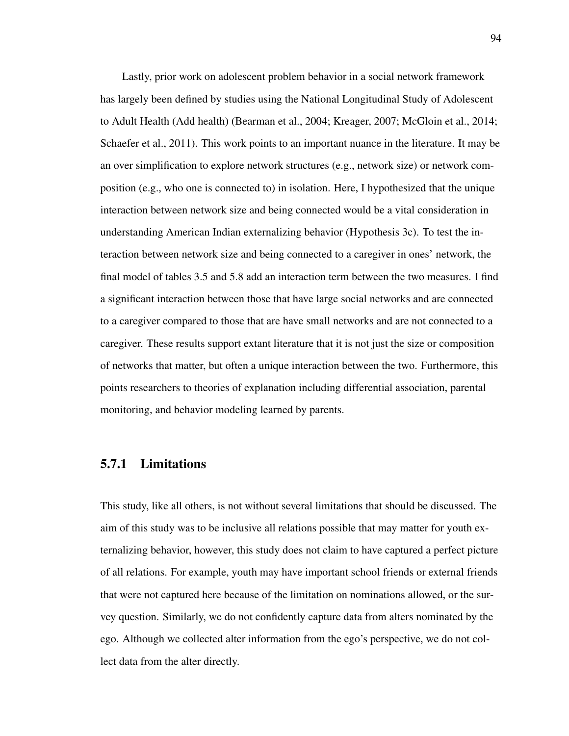Lastly, prior work on adolescent problem behavior in a social network framework has largely been defined by studies using the National Longitudinal Study of Adolescent to Adult Health (Add health) (Bearman et al., 2004; Kreager, 2007; McGloin et al., 2014; Schaefer et al., 2011). This work points to an important nuance in the literature. It may be an over simplification to explore network structures (e.g., network size) or network composition (e.g., who one is connected to) in isolation. Here, I hypothesized that the unique interaction between network size and being connected would be a vital consideration in understanding American Indian externalizing behavior (Hypothesis 3c). To test the interaction between network size and being connected to a caregiver in ones' network, the final model of tables 3.5 and 5.8 add an interaction term between the two measures. I find a significant interaction between those that have large social networks and are connected to a caregiver compared to those that are have small networks and are not connected to a caregiver. These results support extant literature that it is not just the size or composition of networks that matter, but often a unique interaction between the two. Furthermore, this points researchers to theories of explanation including differential association, parental monitoring, and behavior modeling learned by parents.

#### 5.7.1 Limitations

This study, like all others, is not without several limitations that should be discussed. The aim of this study was to be inclusive all relations possible that may matter for youth externalizing behavior, however, this study does not claim to have captured a perfect picture of all relations. For example, youth may have important school friends or external friends that were not captured here because of the limitation on nominations allowed, or the survey question. Similarly, we do not confidently capture data from alters nominated by the ego. Although we collected alter information from the ego's perspective, we do not collect data from the alter directly.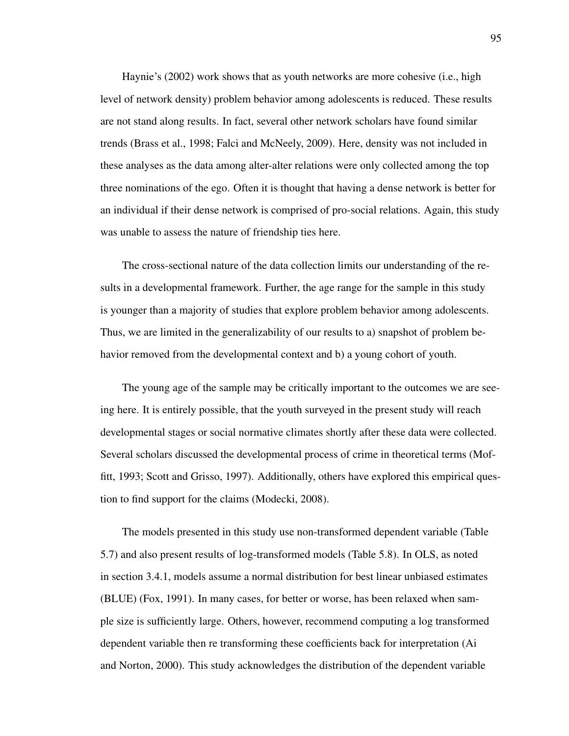Haynie's (2002) work shows that as youth networks are more cohesive (i.e., high level of network density) problem behavior among adolescents is reduced. These results are not stand along results. In fact, several other network scholars have found similar trends (Brass et al., 1998; Falci and McNeely, 2009). Here, density was not included in these analyses as the data among alter-alter relations were only collected among the top three nominations of the ego. Often it is thought that having a dense network is better for an individual if their dense network is comprised of pro-social relations. Again, this study was unable to assess the nature of friendship ties here.

The cross-sectional nature of the data collection limits our understanding of the results in a developmental framework. Further, the age range for the sample in this study is younger than a majority of studies that explore problem behavior among adolescents. Thus, we are limited in the generalizability of our results to a) snapshot of problem behavior removed from the developmental context and b) a young cohort of youth.

The young age of the sample may be critically important to the outcomes we are seeing here. It is entirely possible, that the youth surveyed in the present study will reach developmental stages or social normative climates shortly after these data were collected. Several scholars discussed the developmental process of crime in theoretical terms (Moffitt, 1993; Scott and Grisso, 1997). Additionally, others have explored this empirical question to find support for the claims (Modecki, 2008).

The models presented in this study use non-transformed dependent variable (Table 5.7) and also present results of log-transformed models (Table 5.8). In OLS, as noted in section 3.4.1, models assume a normal distribution for best linear unbiased estimates (BLUE) (Fox, 1991). In many cases, for better or worse, has been relaxed when sample size is sufficiently large. Others, however, recommend computing a log transformed dependent variable then re transforming these coefficients back for interpretation (Ai and Norton, 2000). This study acknowledges the distribution of the dependent variable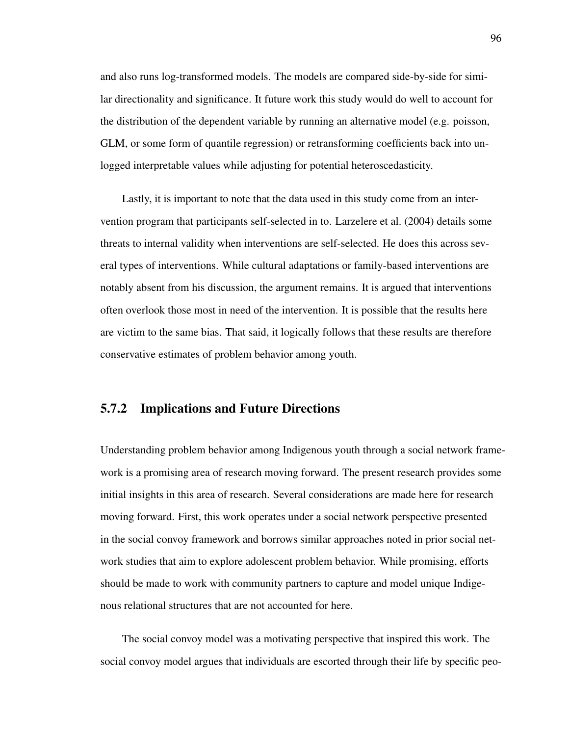and also runs log-transformed models. The models are compared side-by-side for similar directionality and significance. It future work this study would do well to account for the distribution of the dependent variable by running an alternative model (e.g. poisson, GLM, or some form of quantile regression) or retransforming coefficients back into unlogged interpretable values while adjusting for potential heteroscedasticity.

Lastly, it is important to note that the data used in this study come from an intervention program that participants self-selected in to. Larzelere et al. (2004) details some threats to internal validity when interventions are self-selected. He does this across several types of interventions. While cultural adaptations or family-based interventions are notably absent from his discussion, the argument remains. It is argued that interventions often overlook those most in need of the intervention. It is possible that the results here are victim to the same bias. That said, it logically follows that these results are therefore conservative estimates of problem behavior among youth.

#### 5.7.2 Implications and Future Directions

Understanding problem behavior among Indigenous youth through a social network framework is a promising area of research moving forward. The present research provides some initial insights in this area of research. Several considerations are made here for research moving forward. First, this work operates under a social network perspective presented in the social convoy framework and borrows similar approaches noted in prior social network studies that aim to explore adolescent problem behavior. While promising, efforts should be made to work with community partners to capture and model unique Indigenous relational structures that are not accounted for here.

The social convoy model was a motivating perspective that inspired this work. The social convoy model argues that individuals are escorted through their life by specific peo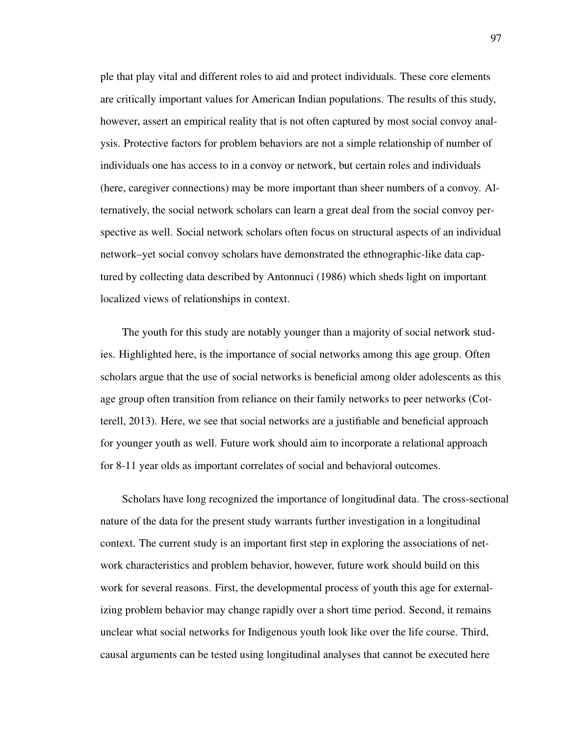ple that play vital and different roles to aid and protect individuals. These core elements are critically important values for American Indian populations. The results of this study, however, assert an empirical reality that is not often captured by most social convoy analysis. Protective factors for problem behaviors are not a simple relationship of number of individuals one has access to in a convoy or network, but certain roles and individuals (here, caregiver connections) may be more important than sheer numbers of a convoy. Alternatively, the social network scholars can learn a great deal from the social convoy perspective as well. Social network scholars often focus on structural aspects of an individual network–yet social convoy scholars have demonstrated the ethnographic-like data captured by collecting data described by Antonnuci (1986) which sheds light on important localized views of relationships in context.

The youth for this study are notably younger than a majority of social network studies. Highlighted here, is the importance of social networks among this age group. Often scholars argue that the use of social networks is beneficial among older adolescents as this age group often transition from reliance on their family networks to peer networks (Cotterell, 2013). Here, we see that social networks are a justifiable and beneficial approach for younger youth as well. Future work should aim to incorporate a relational approach for 8-11 year olds as important correlates of social and behavioral outcomes.

Scholars have long recognized the importance of longitudinal data. The cross-sectional nature of the data for the present study warrants further investigation in a longitudinal context. The current study is an important first step in exploring the associations of network characteristics and problem behavior, however, future work should build on this work for several reasons. First, the developmental process of youth this age for externalizing problem behavior may change rapidly over a short time period. Second, it remains unclear what social networks for Indigenous youth look like over the life course. Third, causal arguments can be tested using longitudinal analyses that cannot be executed here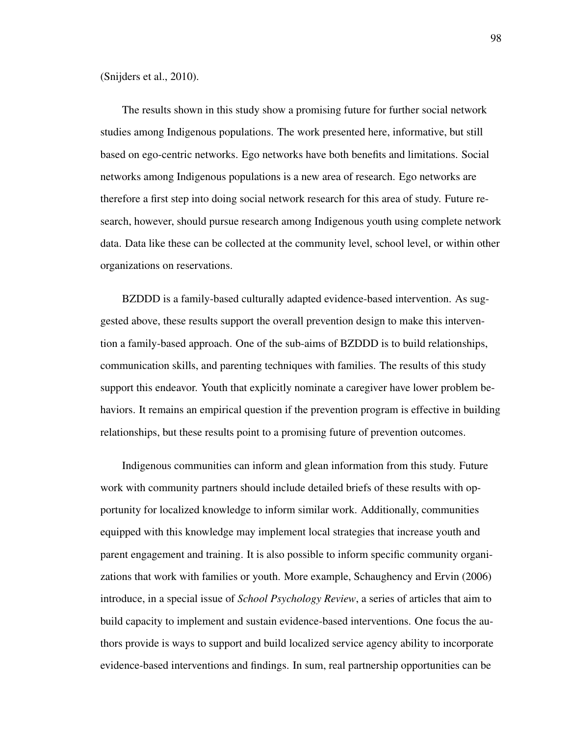(Snijders et al., 2010).

The results shown in this study show a promising future for further social network studies among Indigenous populations. The work presented here, informative, but still based on ego-centric networks. Ego networks have both benefits and limitations. Social networks among Indigenous populations is a new area of research. Ego networks are therefore a first step into doing social network research for this area of study. Future research, however, should pursue research among Indigenous youth using complete network data. Data like these can be collected at the community level, school level, or within other organizations on reservations.

BZDDD is a family-based culturally adapted evidence-based intervention. As suggested above, these results support the overall prevention design to make this intervention a family-based approach. One of the sub-aims of BZDDD is to build relationships, communication skills, and parenting techniques with families. The results of this study support this endeavor. Youth that explicitly nominate a caregiver have lower problem behaviors. It remains an empirical question if the prevention program is effective in building relationships, but these results point to a promising future of prevention outcomes.

Indigenous communities can inform and glean information from this study. Future work with community partners should include detailed briefs of these results with opportunity for localized knowledge to inform similar work. Additionally, communities equipped with this knowledge may implement local strategies that increase youth and parent engagement and training. It is also possible to inform specific community organizations that work with families or youth. More example, Schaughency and Ervin (2006) introduce, in a special issue of *School Psychology Review*, a series of articles that aim to build capacity to implement and sustain evidence-based interventions. One focus the authors provide is ways to support and build localized service agency ability to incorporate evidence-based interventions and findings. In sum, real partnership opportunities can be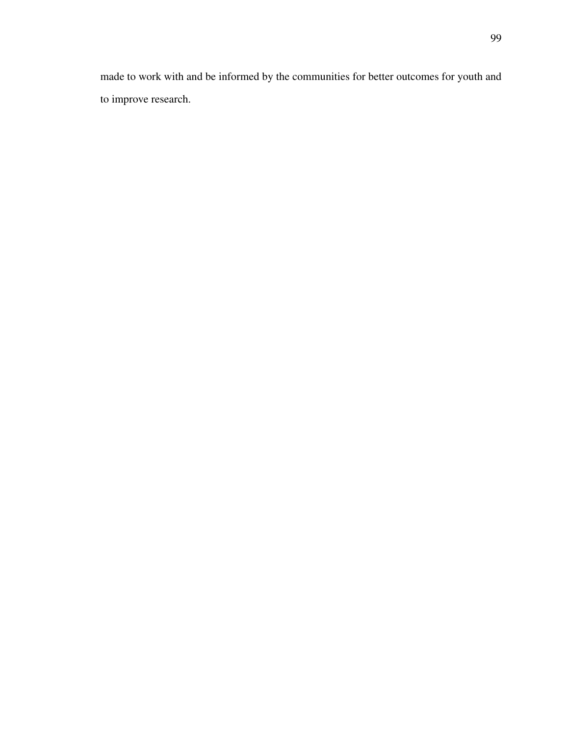made to work with and be informed by the communities for better outcomes for youth and to improve research.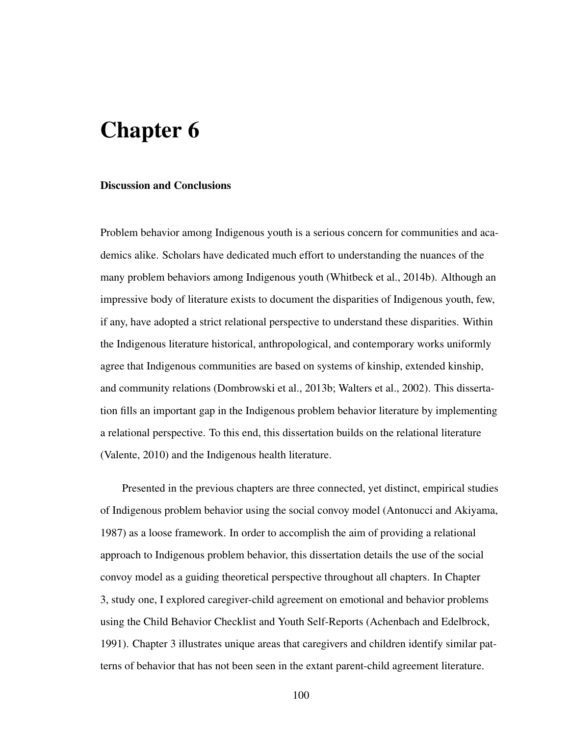# Chapter 6

#### Discussion and Conclusions

Problem behavior among Indigenous youth is a serious concern for communities and academics alike. Scholars have dedicated much effort to understanding the nuances of the many problem behaviors among Indigenous youth (Whitbeck et al., 2014b). Although an impressive body of literature exists to document the disparities of Indigenous youth, few, if any, have adopted a strict relational perspective to understand these disparities. Within the Indigenous literature historical, anthropological, and contemporary works uniformly agree that Indigenous communities are based on systems of kinship, extended kinship, and community relations (Dombrowski et al., 2013b; Walters et al., 2002). This dissertation fills an important gap in the Indigenous problem behavior literature by implementing a relational perspective. To this end, this dissertation builds on the relational literature (Valente, 2010) and the Indigenous health literature.

Presented in the previous chapters are three connected, yet distinct, empirical studies of Indigenous problem behavior using the social convoy model (Antonucci and Akiyama, 1987) as a loose framework. In order to accomplish the aim of providing a relational approach to Indigenous problem behavior, this dissertation details the use of the social convoy model as a guiding theoretical perspective throughout all chapters. In Chapter 3, study one, I explored caregiver-child agreement on emotional and behavior problems using the Child Behavior Checklist and Youth Self-Reports (Achenbach and Edelbrock, 1991). Chapter 3 illustrates unique areas that caregivers and children identify similar patterns of behavior that has not been seen in the extant parent-child agreement literature.

100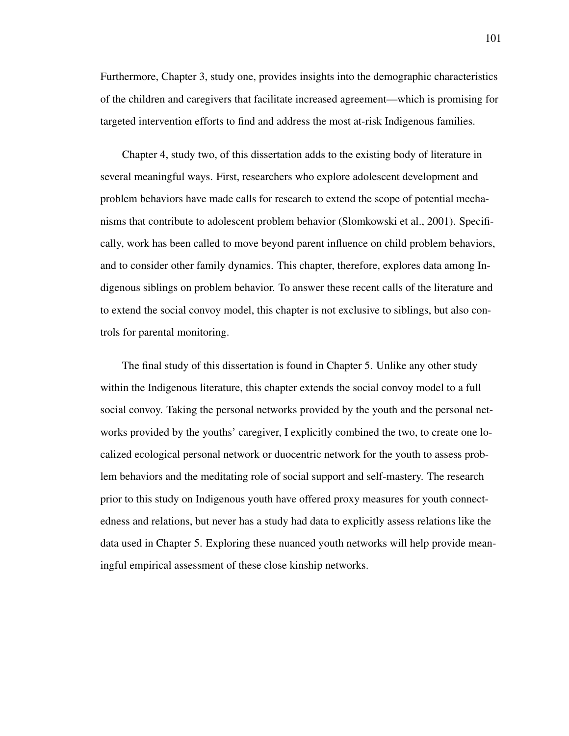Furthermore, Chapter 3, study one, provides insights into the demographic characteristics of the children and caregivers that facilitate increased agreement—which is promising for targeted intervention efforts to find and address the most at-risk Indigenous families.

Chapter 4, study two, of this dissertation adds to the existing body of literature in several meaningful ways. First, researchers who explore adolescent development and problem behaviors have made calls for research to extend the scope of potential mechanisms that contribute to adolescent problem behavior (Slomkowski et al., 2001). Specifically, work has been called to move beyond parent influence on child problem behaviors, and to consider other family dynamics. This chapter, therefore, explores data among Indigenous siblings on problem behavior. To answer these recent calls of the literature and to extend the social convoy model, this chapter is not exclusive to siblings, but also controls for parental monitoring.

The final study of this dissertation is found in Chapter 5. Unlike any other study within the Indigenous literature, this chapter extends the social convoy model to a full social convoy. Taking the personal networks provided by the youth and the personal networks provided by the youths' caregiver, I explicitly combined the two, to create one localized ecological personal network or duocentric network for the youth to assess problem behaviors and the meditating role of social support and self-mastery. The research prior to this study on Indigenous youth have offered proxy measures for youth connectedness and relations, but never has a study had data to explicitly assess relations like the data used in Chapter 5. Exploring these nuanced youth networks will help provide meaningful empirical assessment of these close kinship networks.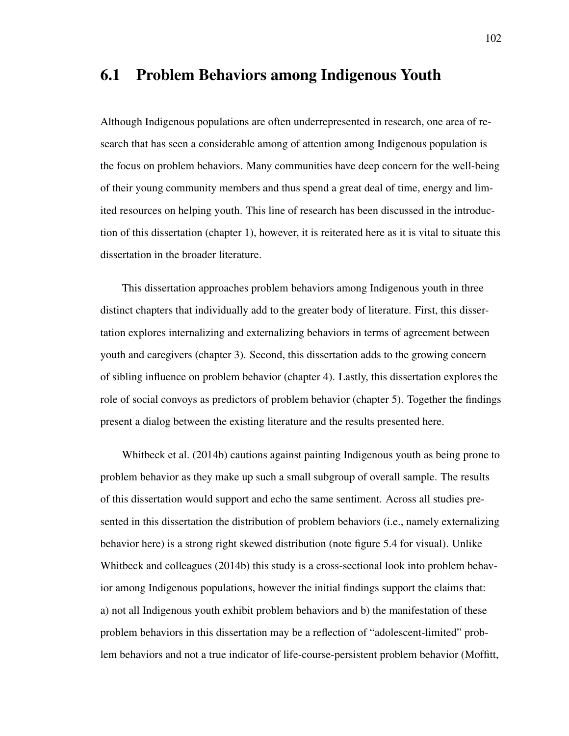#### 6.1 Problem Behaviors among Indigenous Youth

Although Indigenous populations are often underrepresented in research, one area of research that has seen a considerable among of attention among Indigenous population is the focus on problem behaviors. Many communities have deep concern for the well-being of their young community members and thus spend a great deal of time, energy and limited resources on helping youth. This line of research has been discussed in the introduction of this dissertation (chapter 1), however, it is reiterated here as it is vital to situate this dissertation in the broader literature.

This dissertation approaches problem behaviors among Indigenous youth in three distinct chapters that individually add to the greater body of literature. First, this dissertation explores internalizing and externalizing behaviors in terms of agreement between youth and caregivers (chapter 3). Second, this dissertation adds to the growing concern of sibling influence on problem behavior (chapter 4). Lastly, this dissertation explores the role of social convoys as predictors of problem behavior (chapter 5). Together the findings present a dialog between the existing literature and the results presented here.

Whitbeck et al. (2014b) cautions against painting Indigenous youth as being prone to problem behavior as they make up such a small subgroup of overall sample. The results of this dissertation would support and echo the same sentiment. Across all studies presented in this dissertation the distribution of problem behaviors (i.e., namely externalizing behavior here) is a strong right skewed distribution (note figure 5.4 for visual). Unlike Whitbeck and colleagues (2014b) this study is a cross-sectional look into problem behavior among Indigenous populations, however the initial findings support the claims that: a) not all Indigenous youth exhibit problem behaviors and b) the manifestation of these problem behaviors in this dissertation may be a reflection of "adolescent-limited" problem behaviors and not a true indicator of life-course-persistent problem behavior (Moffitt,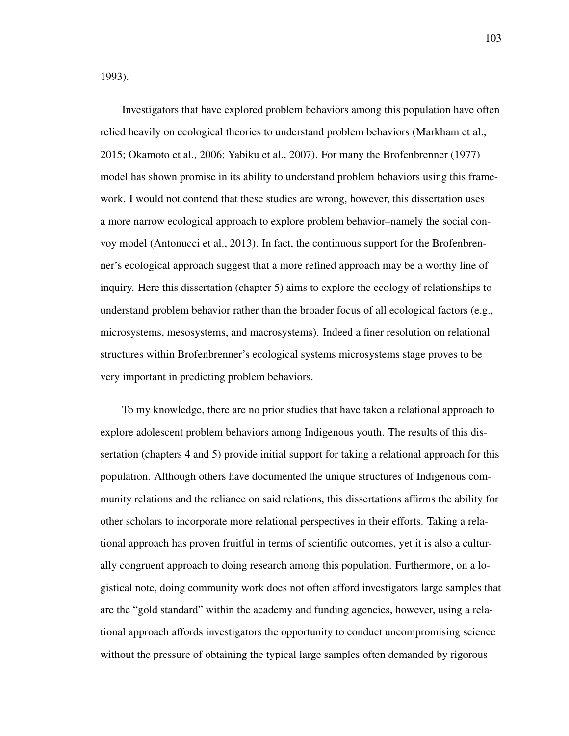1993).

Investigators that have explored problem behaviors among this population have often relied heavily on ecological theories to understand problem behaviors (Markham et al., 2015; Okamoto et al., 2006; Yabiku et al., 2007). For many the Brofenbrenner (1977) model has shown promise in its ability to understand problem behaviors using this framework. I would not contend that these studies are wrong, however, this dissertation uses a more narrow ecological approach to explore problem behavior–namely the social convoy model (Antonucci et al., 2013). In fact, the continuous support for the Brofenbrenner's ecological approach suggest that a more refined approach may be a worthy line of inquiry. Here this dissertation (chapter 5) aims to explore the ecology of relationships to understand problem behavior rather than the broader focus of all ecological factors (e.g., microsystems, mesosystems, and macrosystems). Indeed a finer resolution on relational structures within Brofenbrenner's ecological systems microsystems stage proves to be very important in predicting problem behaviors.

To my knowledge, there are no prior studies that have taken a relational approach to explore adolescent problem behaviors among Indigenous youth. The results of this dissertation (chapters 4 and 5) provide initial support for taking a relational approach for this population. Although others have documented the unique structures of Indigenous community relations and the reliance on said relations, this dissertations affirms the ability for other scholars to incorporate more relational perspectives in their efforts. Taking a relational approach has proven fruitful in terms of scientific outcomes, yet it is also a culturally congruent approach to doing research among this population. Furthermore, on a logistical note, doing community work does not often afford investigators large samples that are the "gold standard" within the academy and funding agencies, however, using a relational approach affords investigators the opportunity to conduct uncompromising science without the pressure of obtaining the typical large samples often demanded by rigorous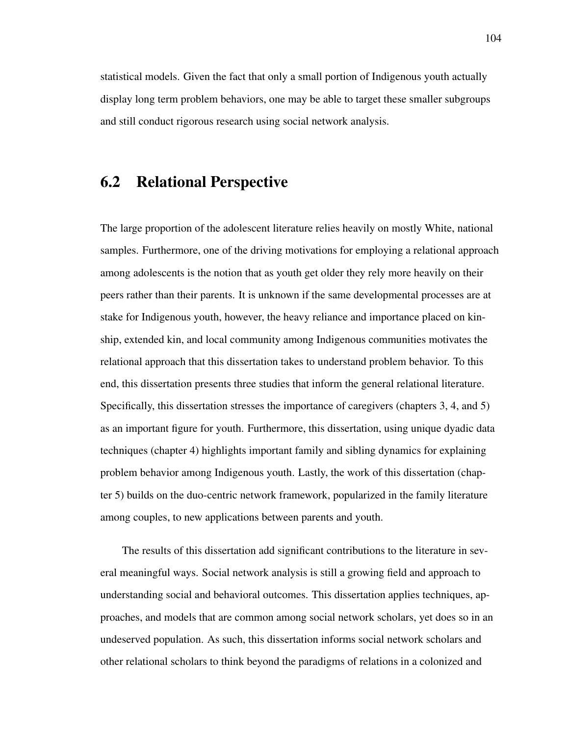statistical models. Given the fact that only a small portion of Indigenous youth actually display long term problem behaviors, one may be able to target these smaller subgroups and still conduct rigorous research using social network analysis.

## 6.2 Relational Perspective

The large proportion of the adolescent literature relies heavily on mostly White, national samples. Furthermore, one of the driving motivations for employing a relational approach among adolescents is the notion that as youth get older they rely more heavily on their peers rather than their parents. It is unknown if the same developmental processes are at stake for Indigenous youth, however, the heavy reliance and importance placed on kinship, extended kin, and local community among Indigenous communities motivates the relational approach that this dissertation takes to understand problem behavior. To this end, this dissertation presents three studies that inform the general relational literature. Specifically, this dissertation stresses the importance of caregivers (chapters 3, 4, and 5) as an important figure for youth. Furthermore, this dissertation, using unique dyadic data techniques (chapter 4) highlights important family and sibling dynamics for explaining problem behavior among Indigenous youth. Lastly, the work of this dissertation (chapter 5) builds on the duo-centric network framework, popularized in the family literature among couples, to new applications between parents and youth.

The results of this dissertation add significant contributions to the literature in several meaningful ways. Social network analysis is still a growing field and approach to understanding social and behavioral outcomes. This dissertation applies techniques, approaches, and models that are common among social network scholars, yet does so in an undeserved population. As such, this dissertation informs social network scholars and other relational scholars to think beyond the paradigms of relations in a colonized and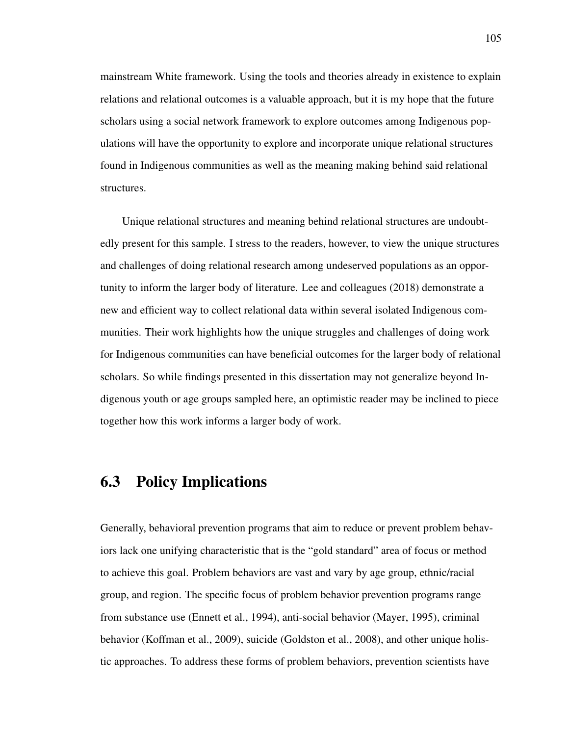mainstream White framework. Using the tools and theories already in existence to explain relations and relational outcomes is a valuable approach, but it is my hope that the future scholars using a social network framework to explore outcomes among Indigenous populations will have the opportunity to explore and incorporate unique relational structures found in Indigenous communities as well as the meaning making behind said relational structures.

Unique relational structures and meaning behind relational structures are undoubtedly present for this sample. I stress to the readers, however, to view the unique structures and challenges of doing relational research among undeserved populations as an opportunity to inform the larger body of literature. Lee and colleagues (2018) demonstrate a new and efficient way to collect relational data within several isolated Indigenous communities. Their work highlights how the unique struggles and challenges of doing work for Indigenous communities can have beneficial outcomes for the larger body of relational scholars. So while findings presented in this dissertation may not generalize beyond Indigenous youth or age groups sampled here, an optimistic reader may be inclined to piece together how this work informs a larger body of work.

#### 6.3 Policy Implications

Generally, behavioral prevention programs that aim to reduce or prevent problem behaviors lack one unifying characteristic that is the "gold standard" area of focus or method to achieve this goal. Problem behaviors are vast and vary by age group, ethnic/racial group, and region. The specific focus of problem behavior prevention programs range from substance use (Ennett et al., 1994), anti-social behavior (Mayer, 1995), criminal behavior (Koffman et al., 2009), suicide (Goldston et al., 2008), and other unique holistic approaches. To address these forms of problem behaviors, prevention scientists have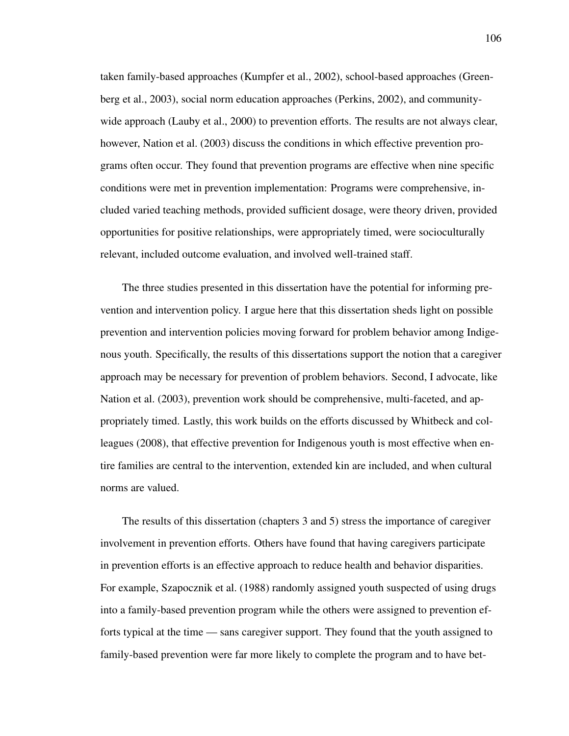taken family-based approaches (Kumpfer et al., 2002), school-based approaches (Greenberg et al., 2003), social norm education approaches (Perkins, 2002), and communitywide approach (Lauby et al., 2000) to prevention efforts. The results are not always clear, however, Nation et al. (2003) discuss the conditions in which effective prevention programs often occur. They found that prevention programs are effective when nine specific conditions were met in prevention implementation: Programs were comprehensive, included varied teaching methods, provided sufficient dosage, were theory driven, provided opportunities for positive relationships, were appropriately timed, were socioculturally relevant, included outcome evaluation, and involved well-trained staff.

The three studies presented in this dissertation have the potential for informing prevention and intervention policy. I argue here that this dissertation sheds light on possible prevention and intervention policies moving forward for problem behavior among Indigenous youth. Specifically, the results of this dissertations support the notion that a caregiver approach may be necessary for prevention of problem behaviors. Second, I advocate, like Nation et al. (2003), prevention work should be comprehensive, multi-faceted, and appropriately timed. Lastly, this work builds on the efforts discussed by Whitbeck and colleagues (2008), that effective prevention for Indigenous youth is most effective when entire families are central to the intervention, extended kin are included, and when cultural norms are valued.

The results of this dissertation (chapters 3 and 5) stress the importance of caregiver involvement in prevention efforts. Others have found that having caregivers participate in prevention efforts is an effective approach to reduce health and behavior disparities. For example, Szapocznik et al. (1988) randomly assigned youth suspected of using drugs into a family-based prevention program while the others were assigned to prevention efforts typical at the time — sans caregiver support. They found that the youth assigned to family-based prevention were far more likely to complete the program and to have bet-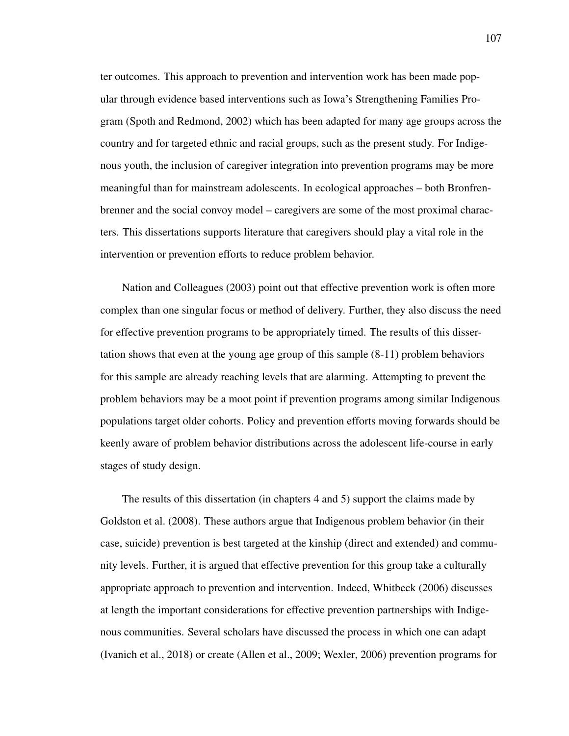ter outcomes. This approach to prevention and intervention work has been made popular through evidence based interventions such as Iowa's Strengthening Families Program (Spoth and Redmond, 2002) which has been adapted for many age groups across the country and for targeted ethnic and racial groups, such as the present study. For Indigenous youth, the inclusion of caregiver integration into prevention programs may be more meaningful than for mainstream adolescents. In ecological approaches – both Bronfrenbrenner and the social convoy model – caregivers are some of the most proximal characters. This dissertations supports literature that caregivers should play a vital role in the intervention or prevention efforts to reduce problem behavior.

Nation and Colleagues (2003) point out that effective prevention work is often more complex than one singular focus or method of delivery. Further, they also discuss the need for effective prevention programs to be appropriately timed. The results of this dissertation shows that even at the young age group of this sample (8-11) problem behaviors for this sample are already reaching levels that are alarming. Attempting to prevent the problem behaviors may be a moot point if prevention programs among similar Indigenous populations target older cohorts. Policy and prevention efforts moving forwards should be keenly aware of problem behavior distributions across the adolescent life-course in early stages of study design.

The results of this dissertation (in chapters 4 and 5) support the claims made by Goldston et al. (2008). These authors argue that Indigenous problem behavior (in their case, suicide) prevention is best targeted at the kinship (direct and extended) and community levels. Further, it is argued that effective prevention for this group take a culturally appropriate approach to prevention and intervention. Indeed, Whitbeck (2006) discusses at length the important considerations for effective prevention partnerships with Indigenous communities. Several scholars have discussed the process in which one can adapt (Ivanich et al., 2018) or create (Allen et al., 2009; Wexler, 2006) prevention programs for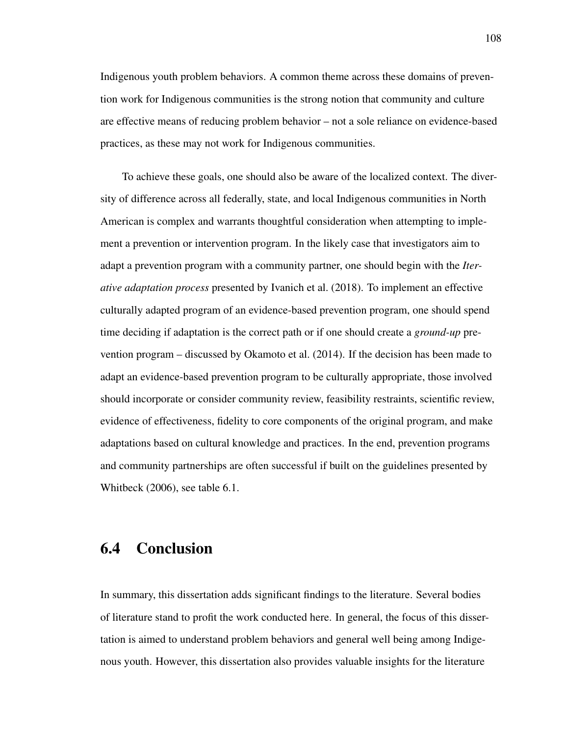Indigenous youth problem behaviors. A common theme across these domains of prevention work for Indigenous communities is the strong notion that community and culture are effective means of reducing problem behavior – not a sole reliance on evidence-based practices, as these may not work for Indigenous communities.

To achieve these goals, one should also be aware of the localized context. The diversity of difference across all federally, state, and local Indigenous communities in North American is complex and warrants thoughtful consideration when attempting to implement a prevention or intervention program. In the likely case that investigators aim to adapt a prevention program with a community partner, one should begin with the *Iterative adaptation process* presented by Ivanich et al. (2018). To implement an effective culturally adapted program of an evidence-based prevention program, one should spend time deciding if adaptation is the correct path or if one should create a *ground-up* prevention program – discussed by Okamoto et al. (2014). If the decision has been made to adapt an evidence-based prevention program to be culturally appropriate, those involved should incorporate or consider community review, feasibility restraints, scientific review, evidence of effectiveness, fidelity to core components of the original program, and make adaptations based on cultural knowledge and practices. In the end, prevention programs and community partnerships are often successful if built on the guidelines presented by Whitbeck (2006), see table 6.1.

### 6.4 Conclusion

In summary, this dissertation adds significant findings to the literature. Several bodies of literature stand to profit the work conducted here. In general, the focus of this dissertation is aimed to understand problem behaviors and general well being among Indigenous youth. However, this dissertation also provides valuable insights for the literature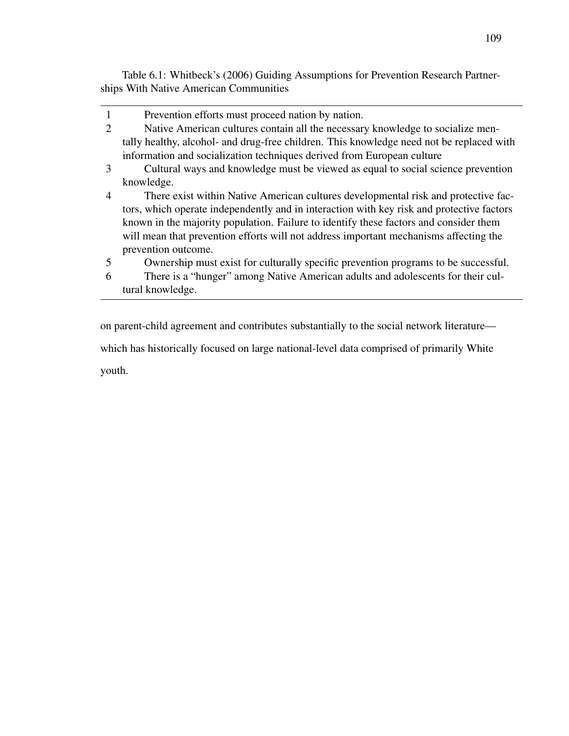Table 6.1: Whitbeck's (2006) Guiding Assumptions for Prevention Research Partnerships With Native American Communities

1 Prevention efforts must proceed nation by nation. 2 Native American cultures contain all the necessary knowledge to socialize mentally healthy, alcohol- and drug-free children. This knowledge need not be replaced with information and socialization techniques derived from European culture 3 Cultural ways and knowledge must be viewed as equal to social science prevention knowledge. 4 There exist within Native American cultures developmental risk and protective factors, which operate independently and in interaction with key risk and protective factors known in the majority population. Failure to identify these factors and consider them will mean that prevention efforts will not address important mechanisms affecting the prevention outcome. 5 Ownership must exist for culturally specific prevention programs to be successful. 6 There is a "hunger" among Native American adults and adolescents for their cultural knowledge.

on parent-child agreement and contributes substantially to the social network literature which has historically focused on large national-level data comprised of primarily White youth.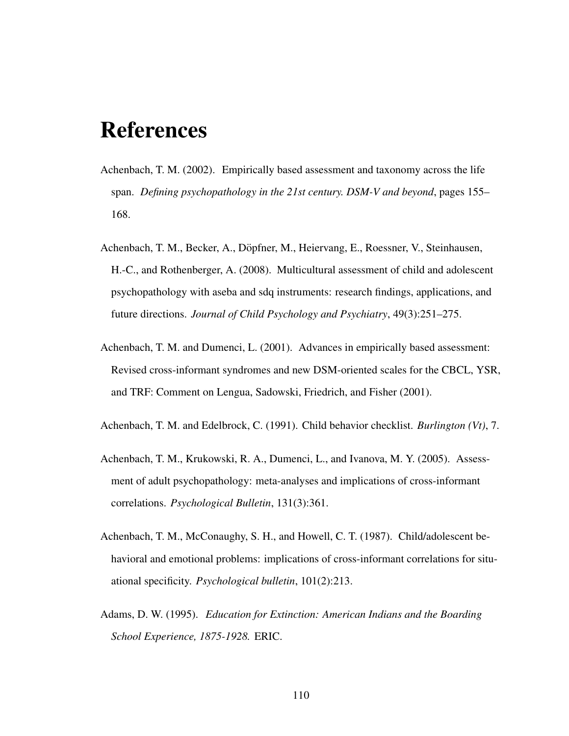## References

- Achenbach, T. M. (2002). Empirically based assessment and taxonomy across the life span. *Defining psychopathology in the 21st century. DSM-V and beyond*, pages 155– 168.
- Achenbach, T. M., Becker, A., Dopfner, M., Heiervang, E., Roessner, V., Steinhausen, ¨ H.-C., and Rothenberger, A. (2008). Multicultural assessment of child and adolescent psychopathology with aseba and sdq instruments: research findings, applications, and future directions. *Journal of Child Psychology and Psychiatry*, 49(3):251–275.
- Achenbach, T. M. and Dumenci, L. (2001). Advances in empirically based assessment: Revised cross-informant syndromes and new DSM-oriented scales for the CBCL, YSR, and TRF: Comment on Lengua, Sadowski, Friedrich, and Fisher (2001).
- Achenbach, T. M. and Edelbrock, C. (1991). Child behavior checklist. *Burlington (Vt)*, 7.
- Achenbach, T. M., Krukowski, R. A., Dumenci, L., and Ivanova, M. Y. (2005). Assessment of adult psychopathology: meta-analyses and implications of cross-informant correlations. *Psychological Bulletin*, 131(3):361.
- Achenbach, T. M., McConaughy, S. H., and Howell, C. T. (1987). Child/adolescent behavioral and emotional problems: implications of cross-informant correlations for situational specificity. *Psychological bulletin*, 101(2):213.
- Adams, D. W. (1995). *Education for Extinction: American Indians and the Boarding School Experience, 1875-1928.* ERIC.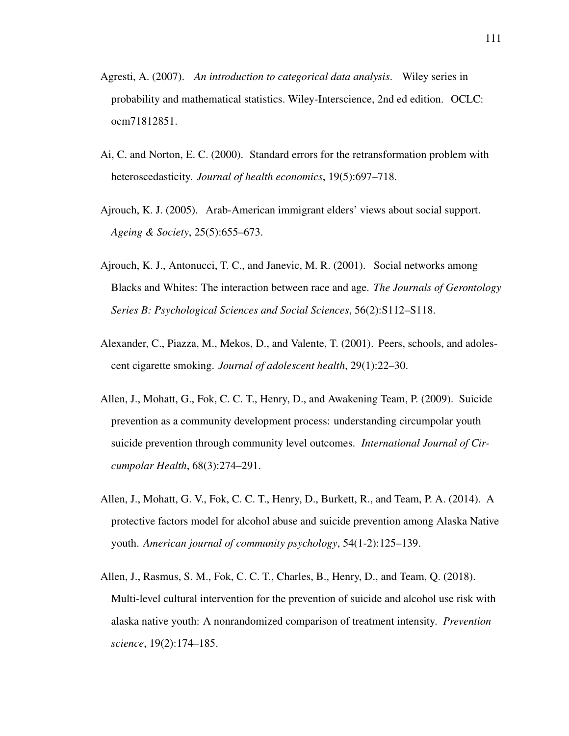- Agresti, A. (2007). *An introduction to categorical data analysis*. Wiley series in probability and mathematical statistics. Wiley-Interscience, 2nd ed edition. OCLC: ocm71812851.
- Ai, C. and Norton, E. C. (2000). Standard errors for the retransformation problem with heteroscedasticity. *Journal of health economics*, 19(5):697–718.
- Ajrouch, K. J. (2005). Arab-American immigrant elders' views about social support. *Ageing & Society*, 25(5):655–673.
- Ajrouch, K. J., Antonucci, T. C., and Janevic, M. R. (2001). Social networks among Blacks and Whites: The interaction between race and age. *The Journals of Gerontology Series B: Psychological Sciences and Social Sciences*, 56(2):S112–S118.
- Alexander, C., Piazza, M., Mekos, D., and Valente, T. (2001). Peers, schools, and adolescent cigarette smoking. *Journal of adolescent health*, 29(1):22–30.
- Allen, J., Mohatt, G., Fok, C. C. T., Henry, D., and Awakening Team, P. (2009). Suicide prevention as a community development process: understanding circumpolar youth suicide prevention through community level outcomes. *International Journal of Circumpolar Health*, 68(3):274–291.
- Allen, J., Mohatt, G. V., Fok, C. C. T., Henry, D., Burkett, R., and Team, P. A. (2014). A protective factors model for alcohol abuse and suicide prevention among Alaska Native youth. *American journal of community psychology*, 54(1-2):125–139.
- Allen, J., Rasmus, S. M., Fok, C. C. T., Charles, B., Henry, D., and Team, Q. (2018). Multi-level cultural intervention for the prevention of suicide and alcohol use risk with alaska native youth: A nonrandomized comparison of treatment intensity. *Prevention science*, 19(2):174–185.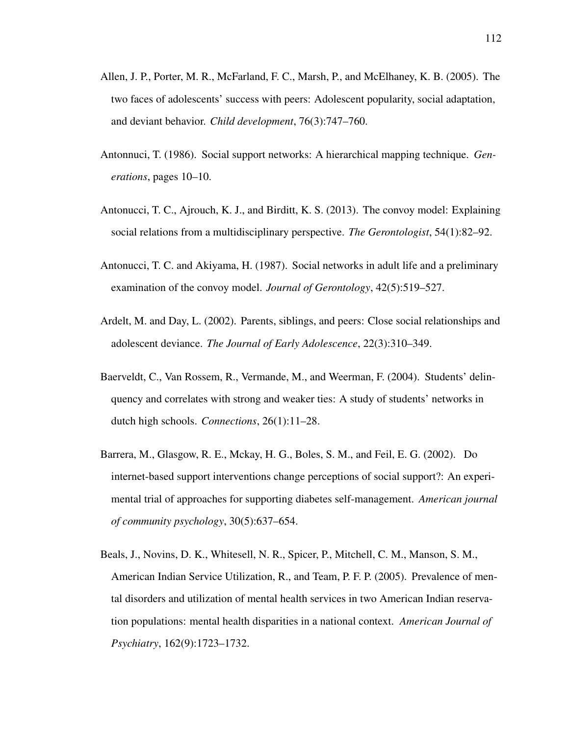- Allen, J. P., Porter, M. R., McFarland, F. C., Marsh, P., and McElhaney, K. B. (2005). The two faces of adolescents' success with peers: Adolescent popularity, social adaptation, and deviant behavior. *Child development*, 76(3):747–760.
- Antonnuci, T. (1986). Social support networks: A hierarchical mapping technique. *Generations*, pages 10–10.
- Antonucci, T. C., Ajrouch, K. J., and Birditt, K. S. (2013). The convoy model: Explaining social relations from a multidisciplinary perspective. *The Gerontologist*, 54(1):82–92.
- Antonucci, T. C. and Akiyama, H. (1987). Social networks in adult life and a preliminary examination of the convoy model. *Journal of Gerontology*, 42(5):519–527.
- Ardelt, M. and Day, L. (2002). Parents, siblings, and peers: Close social relationships and adolescent deviance. *The Journal of Early Adolescence*, 22(3):310–349.
- Baerveldt, C., Van Rossem, R., Vermande, M., and Weerman, F. (2004). Students' delinquency and correlates with strong and weaker ties: A study of students' networks in dutch high schools. *Connections*, 26(1):11–28.
- Barrera, M., Glasgow, R. E., Mckay, H. G., Boles, S. M., and Feil, E. G. (2002). Do internet-based support interventions change perceptions of social support?: An experimental trial of approaches for supporting diabetes self-management. *American journal of community psychology*, 30(5):637–654.
- Beals, J., Novins, D. K., Whitesell, N. R., Spicer, P., Mitchell, C. M., Manson, S. M., American Indian Service Utilization, R., and Team, P. F. P. (2005). Prevalence of mental disorders and utilization of mental health services in two American Indian reservation populations: mental health disparities in a national context. *American Journal of Psychiatry*, 162(9):1723–1732.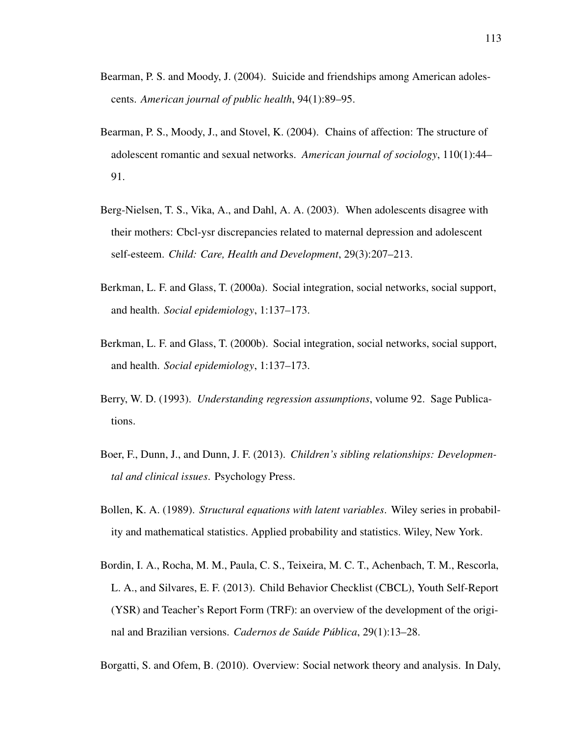- Bearman, P. S. and Moody, J. (2004). Suicide and friendships among American adolescents. *American journal of public health*, 94(1):89–95.
- Bearman, P. S., Moody, J., and Stovel, K. (2004). Chains of affection: The structure of adolescent romantic and sexual networks. *American journal of sociology*, 110(1):44– 91.
- Berg-Nielsen, T. S., Vika, A., and Dahl, A. A. (2003). When adolescents disagree with their mothers: Cbcl-ysr discrepancies related to maternal depression and adolescent self-esteem. *Child: Care, Health and Development*, 29(3):207–213.
- Berkman, L. F. and Glass, T. (2000a). Social integration, social networks, social support, and health. *Social epidemiology*, 1:137–173.
- Berkman, L. F. and Glass, T. (2000b). Social integration, social networks, social support, and health. *Social epidemiology*, 1:137–173.
- Berry, W. D. (1993). *Understanding regression assumptions*, volume 92. Sage Publications.
- Boer, F., Dunn, J., and Dunn, J. F. (2013). *Children's sibling relationships: Developmental and clinical issues*. Psychology Press.
- Bollen, K. A. (1989). *Structural equations with latent variables*. Wiley series in probability and mathematical statistics. Applied probability and statistics. Wiley, New York.
- Bordin, I. A., Rocha, M. M., Paula, C. S., Teixeira, M. C. T., Achenbach, T. M., Rescorla, L. A., and Silvares, E. F. (2013). Child Behavior Checklist (CBCL), Youth Self-Report (YSR) and Teacher's Report Form (TRF): an overview of the development of the original and Brazilian versions. *Cadernos de Saude P ´ ublica ´* , 29(1):13–28.

Borgatti, S. and Ofem, B. (2010). Overview: Social network theory and analysis. In Daly,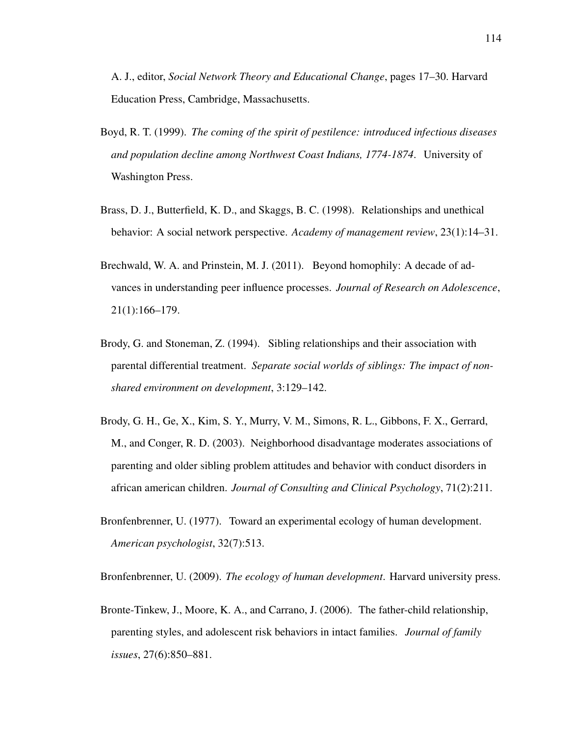A. J., editor, *Social Network Theory and Educational Change*, pages 17–30. Harvard Education Press, Cambridge, Massachusetts.

- Boyd, R. T. (1999). *The coming of the spirit of pestilence: introduced infectious diseases and population decline among Northwest Coast Indians, 1774-1874*. University of Washington Press.
- Brass, D. J., Butterfield, K. D., and Skaggs, B. C. (1998). Relationships and unethical behavior: A social network perspective. *Academy of management review*, 23(1):14–31.
- Brechwald, W. A. and Prinstein, M. J. (2011). Beyond homophily: A decade of advances in understanding peer influence processes. *Journal of Research on Adolescence*, 21(1):166–179.
- Brody, G. and Stoneman, Z. (1994). Sibling relationships and their association with parental differential treatment. *Separate social worlds of siblings: The impact of nonshared environment on development*, 3:129–142.
- Brody, G. H., Ge, X., Kim, S. Y., Murry, V. M., Simons, R. L., Gibbons, F. X., Gerrard, M., and Conger, R. D. (2003). Neighborhood disadvantage moderates associations of parenting and older sibling problem attitudes and behavior with conduct disorders in african american children. *Journal of Consulting and Clinical Psychology*, 71(2):211.
- Bronfenbrenner, U. (1977). Toward an experimental ecology of human development. *American psychologist*, 32(7):513.

Bronfenbrenner, U. (2009). *The ecology of human development*. Harvard university press.

Bronte-Tinkew, J., Moore, K. A., and Carrano, J. (2006). The father-child relationship, parenting styles, and adolescent risk behaviors in intact families. *Journal of family issues*, 27(6):850–881.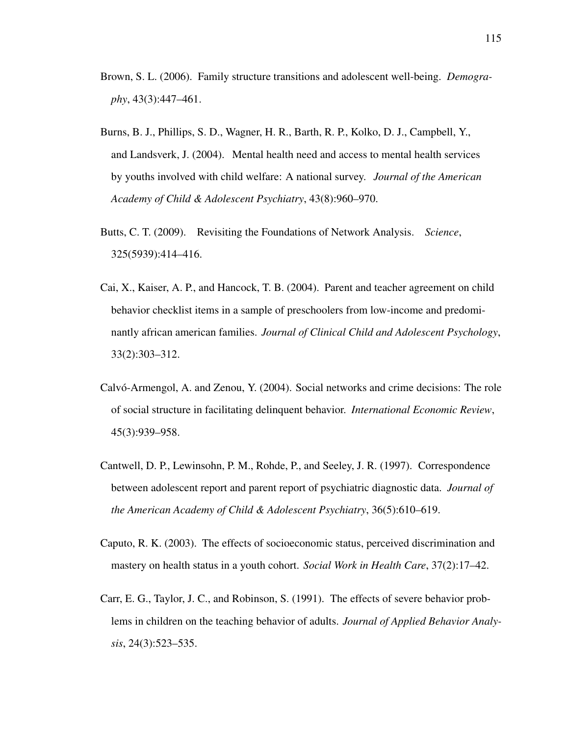- Brown, S. L. (2006). Family structure transitions and adolescent well-being. *Demography*, 43(3):447–461.
- Burns, B. J., Phillips, S. D., Wagner, H. R., Barth, R. P., Kolko, D. J., Campbell, Y., and Landsverk, J. (2004). Mental health need and access to mental health services by youths involved with child welfare: A national survey. *Journal of the American Academy of Child & Adolescent Psychiatry*, 43(8):960–970.
- Butts, C. T. (2009). Revisiting the Foundations of Network Analysis. *Science*, 325(5939):414–416.
- Cai, X., Kaiser, A. P., and Hancock, T. B. (2004). Parent and teacher agreement on child behavior checklist items in a sample of preschoolers from low-income and predominantly african american families. *Journal of Clinical Child and Adolescent Psychology*, 33(2):303–312.
- Calvó-Armengol, A. and Zenou, Y. (2004). Social networks and crime decisions: The role of social structure in facilitating delinquent behavior. *International Economic Review*, 45(3):939–958.
- Cantwell, D. P., Lewinsohn, P. M., Rohde, P., and Seeley, J. R. (1997). Correspondence between adolescent report and parent report of psychiatric diagnostic data. *Journal of the American Academy of Child & Adolescent Psychiatry*, 36(5):610–619.
- Caputo, R. K. (2003). The effects of socioeconomic status, perceived discrimination and mastery on health status in a youth cohort. *Social Work in Health Care*, 37(2):17–42.
- Carr, E. G., Taylor, J. C., and Robinson, S. (1991). The effects of severe behavior problems in children on the teaching behavior of adults. *Journal of Applied Behavior Analysis*, 24(3):523–535.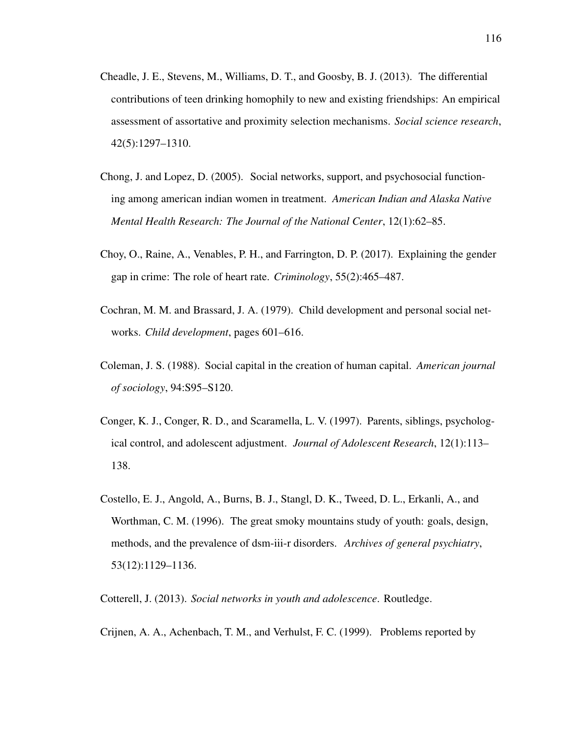- Cheadle, J. E., Stevens, M., Williams, D. T., and Goosby, B. J. (2013). The differential contributions of teen drinking homophily to new and existing friendships: An empirical assessment of assortative and proximity selection mechanisms. *Social science research*, 42(5):1297–1310.
- Chong, J. and Lopez, D. (2005). Social networks, support, and psychosocial functioning among american indian women in treatment. *American Indian and Alaska Native Mental Health Research: The Journal of the National Center*, 12(1):62–85.
- Choy, O., Raine, A., Venables, P. H., and Farrington, D. P. (2017). Explaining the gender gap in crime: The role of heart rate. *Criminology*, 55(2):465–487.
- Cochran, M. M. and Brassard, J. A. (1979). Child development and personal social networks. *Child development*, pages 601–616.
- Coleman, J. S. (1988). Social capital in the creation of human capital. *American journal of sociology*, 94:S95–S120.
- Conger, K. J., Conger, R. D., and Scaramella, L. V. (1997). Parents, siblings, psychological control, and adolescent adjustment. *Journal of Adolescent Research*, 12(1):113– 138.
- Costello, E. J., Angold, A., Burns, B. J., Stangl, D. K., Tweed, D. L., Erkanli, A., and Worthman, C. M. (1996). The great smoky mountains study of youth: goals, design, methods, and the prevalence of dsm-iii-r disorders. *Archives of general psychiatry*, 53(12):1129–1136.

Cotterell, J. (2013). *Social networks in youth and adolescence*. Routledge.

Crijnen, A. A., Achenbach, T. M., and Verhulst, F. C. (1999). Problems reported by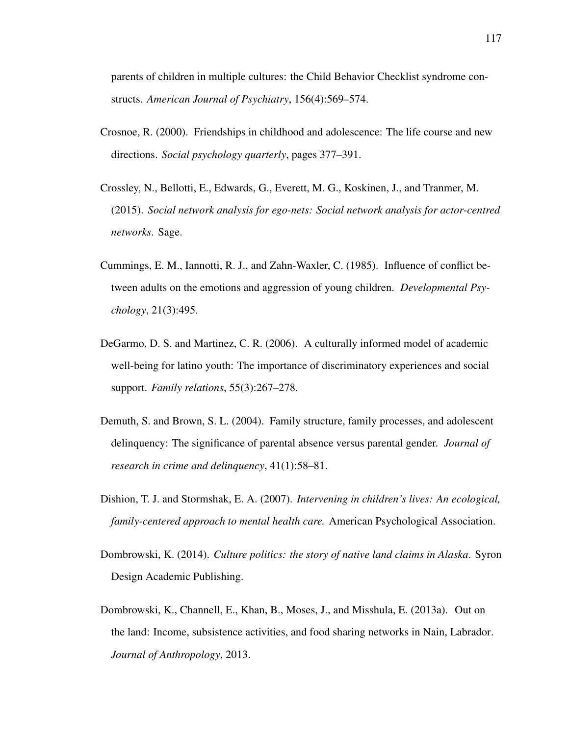parents of children in multiple cultures: the Child Behavior Checklist syndrome constructs. *American Journal of Psychiatry*, 156(4):569–574.

- Crosnoe, R. (2000). Friendships in childhood and adolescence: The life course and new directions. *Social psychology quarterly*, pages 377–391.
- Crossley, N., Bellotti, E., Edwards, G., Everett, M. G., Koskinen, J., and Tranmer, M. (2015). *Social network analysis for ego-nets: Social network analysis for actor-centred networks*. Sage.
- Cummings, E. M., Iannotti, R. J., and Zahn-Waxler, C. (1985). Influence of conflict between adults on the emotions and aggression of young children. *Developmental Psychology*, 21(3):495.
- DeGarmo, D. S. and Martinez, C. R. (2006). A culturally informed model of academic well-being for latino youth: The importance of discriminatory experiences and social support. *Family relations*, 55(3):267–278.
- Demuth, S. and Brown, S. L. (2004). Family structure, family processes, and adolescent delinquency: The significance of parental absence versus parental gender. *Journal of research in crime and delinquency*, 41(1):58–81.
- Dishion, T. J. and Stormshak, E. A. (2007). *Intervening in children's lives: An ecological, family-centered approach to mental health care.* American Psychological Association.
- Dombrowski, K. (2014). *Culture politics: the story of native land claims in Alaska*. Syron Design Academic Publishing.
- Dombrowski, K., Channell, E., Khan, B., Moses, J., and Misshula, E. (2013a). Out on the land: Income, subsistence activities, and food sharing networks in Nain, Labrador. *Journal of Anthropology*, 2013.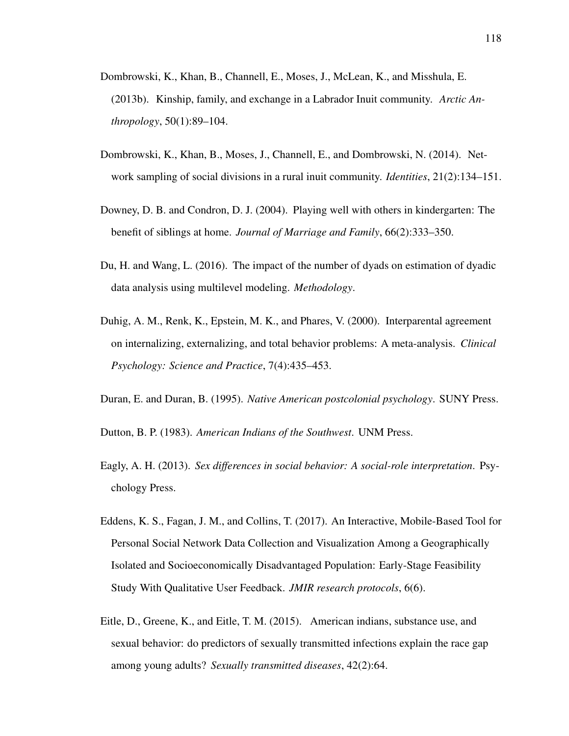- Dombrowski, K., Khan, B., Channell, E., Moses, J., McLean, K., and Misshula, E. (2013b). Kinship, family, and exchange in a Labrador Inuit community. *Arctic Anthropology*, 50(1):89–104.
- Dombrowski, K., Khan, B., Moses, J., Channell, E., and Dombrowski, N. (2014). Network sampling of social divisions in a rural inuit community. *Identities*, 21(2):134–151.
- Downey, D. B. and Condron, D. J. (2004). Playing well with others in kindergarten: The benefit of siblings at home. *Journal of Marriage and Family*, 66(2):333–350.
- Du, H. and Wang, L. (2016). The impact of the number of dyads on estimation of dyadic data analysis using multilevel modeling. *Methodology*.
- Duhig, A. M., Renk, K., Epstein, M. K., and Phares, V. (2000). Interparental agreement on internalizing, externalizing, and total behavior problems: A meta-analysis. *Clinical Psychology: Science and Practice*, 7(4):435–453.
- Duran, E. and Duran, B. (1995). *Native American postcolonial psychology*. SUNY Press.

Dutton, B. P. (1983). *American Indians of the Southwest*. UNM Press.

- Eagly, A. H. (2013). *Sex differences in social behavior: A social-role interpretation*. Psychology Press.
- Eddens, K. S., Fagan, J. M., and Collins, T. (2017). An Interactive, Mobile-Based Tool for Personal Social Network Data Collection and Visualization Among a Geographically Isolated and Socioeconomically Disadvantaged Population: Early-Stage Feasibility Study With Qualitative User Feedback. *JMIR research protocols*, 6(6).
- Eitle, D., Greene, K., and Eitle, T. M. (2015). American indians, substance use, and sexual behavior: do predictors of sexually transmitted infections explain the race gap among young adults? *Sexually transmitted diseases*, 42(2):64.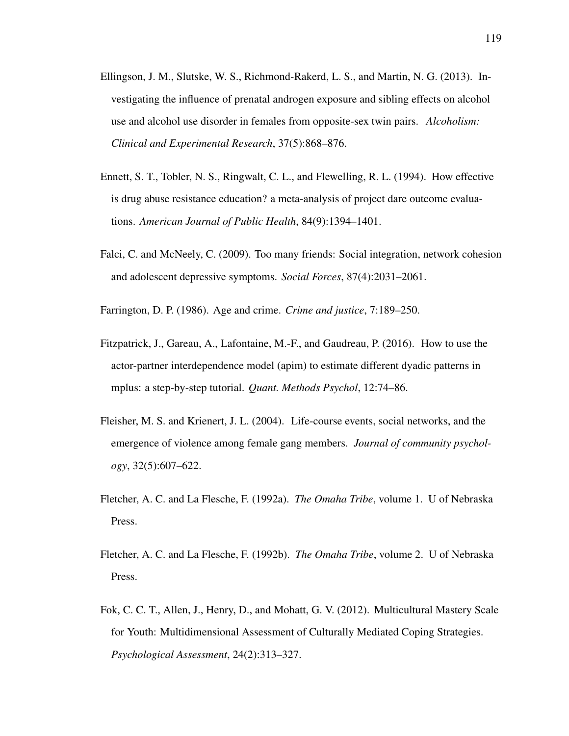- Ellingson, J. M., Slutske, W. S., Richmond-Rakerd, L. S., and Martin, N. G. (2013). Investigating the influence of prenatal androgen exposure and sibling effects on alcohol use and alcohol use disorder in females from opposite-sex twin pairs. *Alcoholism: Clinical and Experimental Research*, 37(5):868–876.
- Ennett, S. T., Tobler, N. S., Ringwalt, C. L., and Flewelling, R. L. (1994). How effective is drug abuse resistance education? a meta-analysis of project dare outcome evaluations. *American Journal of Public Health*, 84(9):1394–1401.
- Falci, C. and McNeely, C. (2009). Too many friends: Social integration, network cohesion and adolescent depressive symptoms. *Social Forces*, 87(4):2031–2061.
- Farrington, D. P. (1986). Age and crime. *Crime and justice*, 7:189–250.
- Fitzpatrick, J., Gareau, A., Lafontaine, M.-F., and Gaudreau, P. (2016). How to use the actor-partner interdependence model (apim) to estimate different dyadic patterns in mplus: a step-by-step tutorial. *Quant. Methods Psychol*, 12:74–86.
- Fleisher, M. S. and Krienert, J. L. (2004). Life-course events, social networks, and the emergence of violence among female gang members. *Journal of community psychology*, 32(5):607–622.
- Fletcher, A. C. and La Flesche, F. (1992a). *The Omaha Tribe*, volume 1. U of Nebraska Press.
- Fletcher, A. C. and La Flesche, F. (1992b). *The Omaha Tribe*, volume 2. U of Nebraska Press.
- Fok, C. C. T., Allen, J., Henry, D., and Mohatt, G. V. (2012). Multicultural Mastery Scale for Youth: Multidimensional Assessment of Culturally Mediated Coping Strategies. *Psychological Assessment*, 24(2):313–327.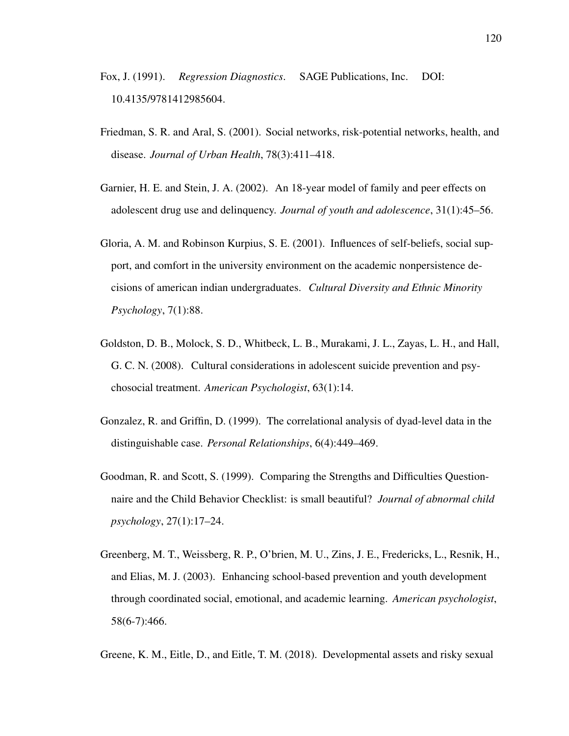- Fox, J. (1991). *Regression Diagnostics*. SAGE Publications, Inc. DOI: 10.4135/9781412985604.
- Friedman, S. R. and Aral, S. (2001). Social networks, risk-potential networks, health, and disease. *Journal of Urban Health*, 78(3):411–418.
- Garnier, H. E. and Stein, J. A. (2002). An 18-year model of family and peer effects on adolescent drug use and delinquency. *Journal of youth and adolescence*, 31(1):45–56.
- Gloria, A. M. and Robinson Kurpius, S. E. (2001). Influences of self-beliefs, social support, and comfort in the university environment on the academic nonpersistence decisions of american indian undergraduates. *Cultural Diversity and Ethnic Minority Psychology*, 7(1):88.
- Goldston, D. B., Molock, S. D., Whitbeck, L. B., Murakami, J. L., Zayas, L. H., and Hall, G. C. N. (2008). Cultural considerations in adolescent suicide prevention and psychosocial treatment. *American Psychologist*, 63(1):14.
- Gonzalez, R. and Griffin, D. (1999). The correlational analysis of dyad-level data in the distinguishable case. *Personal Relationships*, 6(4):449–469.
- Goodman, R. and Scott, S. (1999). Comparing the Strengths and Difficulties Questionnaire and the Child Behavior Checklist: is small beautiful? *Journal of abnormal child psychology*, 27(1):17–24.
- Greenberg, M. T., Weissberg, R. P., O'brien, M. U., Zins, J. E., Fredericks, L., Resnik, H., and Elias, M. J. (2003). Enhancing school-based prevention and youth development through coordinated social, emotional, and academic learning. *American psychologist*, 58(6-7):466.
- Greene, K. M., Eitle, D., and Eitle, T. M. (2018). Developmental assets and risky sexual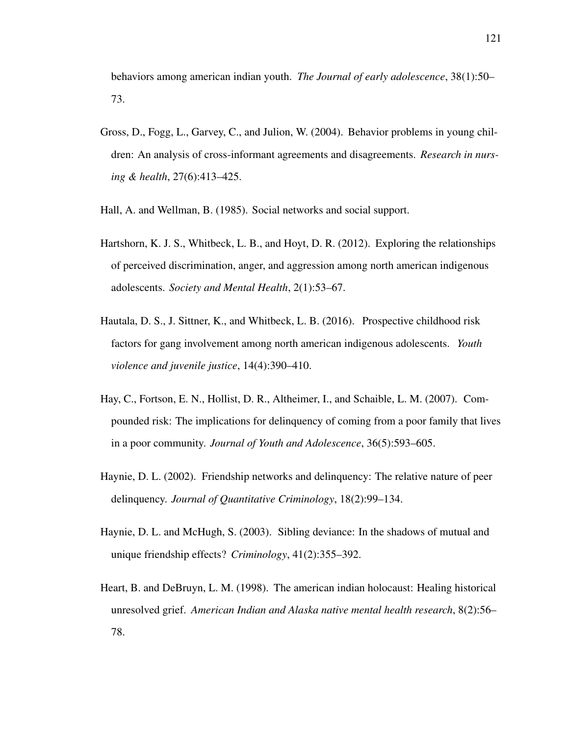behaviors among american indian youth. *The Journal of early adolescence*, 38(1):50– 73.

- Gross, D., Fogg, L., Garvey, C., and Julion, W. (2004). Behavior problems in young children: An analysis of cross-informant agreements and disagreements. *Research in nursing & health*, 27(6):413–425.
- Hall, A. and Wellman, B. (1985). Social networks and social support.
- Hartshorn, K. J. S., Whitbeck, L. B., and Hoyt, D. R. (2012). Exploring the relationships of perceived discrimination, anger, and aggression among north american indigenous adolescents. *Society and Mental Health*, 2(1):53–67.
- Hautala, D. S., J. Sittner, K., and Whitbeck, L. B. (2016). Prospective childhood risk factors for gang involvement among north american indigenous adolescents. *Youth violence and juvenile justice*, 14(4):390–410.
- Hay, C., Fortson, E. N., Hollist, D. R., Altheimer, I., and Schaible, L. M. (2007). Compounded risk: The implications for delinquency of coming from a poor family that lives in a poor community. *Journal of Youth and Adolescence*, 36(5):593–605.
- Haynie, D. L. (2002). Friendship networks and delinquency: The relative nature of peer delinquency. *Journal of Quantitative Criminology*, 18(2):99–134.
- Haynie, D. L. and McHugh, S. (2003). Sibling deviance: In the shadows of mutual and unique friendship effects? *Criminology*, 41(2):355–392.
- Heart, B. and DeBruyn, L. M. (1998). The american indian holocaust: Healing historical unresolved grief. *American Indian and Alaska native mental health research*, 8(2):56– 78.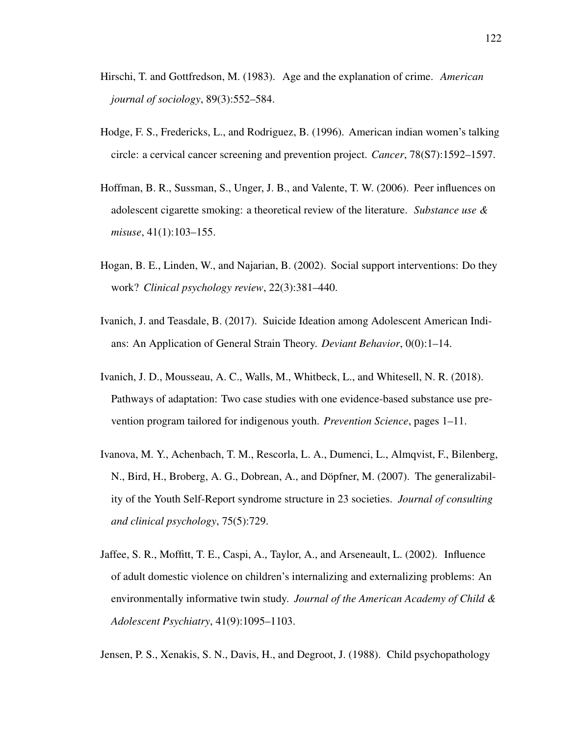- Hirschi, T. and Gottfredson, M. (1983). Age and the explanation of crime. *American journal of sociology*, 89(3):552–584.
- Hodge, F. S., Fredericks, L., and Rodriguez, B. (1996). American indian women's talking circle: a cervical cancer screening and prevention project. *Cancer*, 78(S7):1592–1597.
- Hoffman, B. R., Sussman, S., Unger, J. B., and Valente, T. W. (2006). Peer influences on adolescent cigarette smoking: a theoretical review of the literature. *Substance use & misuse*, 41(1):103–155.
- Hogan, B. E., Linden, W., and Najarian, B. (2002). Social support interventions: Do they work? *Clinical psychology review*, 22(3):381–440.
- Ivanich, J. and Teasdale, B. (2017). Suicide Ideation among Adolescent American Indians: An Application of General Strain Theory. *Deviant Behavior*, 0(0):1–14.
- Ivanich, J. D., Mousseau, A. C., Walls, M., Whitbeck, L., and Whitesell, N. R. (2018). Pathways of adaptation: Two case studies with one evidence-based substance use prevention program tailored for indigenous youth. *Prevention Science*, pages 1–11.
- Ivanova, M. Y., Achenbach, T. M., Rescorla, L. A., Dumenci, L., Almqvist, F., Bilenberg, N., Bird, H., Broberg, A. G., Dobrean, A., and Döpfner, M. (2007). The generalizability of the Youth Self-Report syndrome structure in 23 societies. *Journal of consulting and clinical psychology*, 75(5):729.
- Jaffee, S. R., Moffitt, T. E., Caspi, A., Taylor, A., and Arseneault, L. (2002). Influence of adult domestic violence on children's internalizing and externalizing problems: An environmentally informative twin study. *Journal of the American Academy of Child & Adolescent Psychiatry*, 41(9):1095–1103.

Jensen, P. S., Xenakis, S. N., Davis, H., and Degroot, J. (1988). Child psychopathology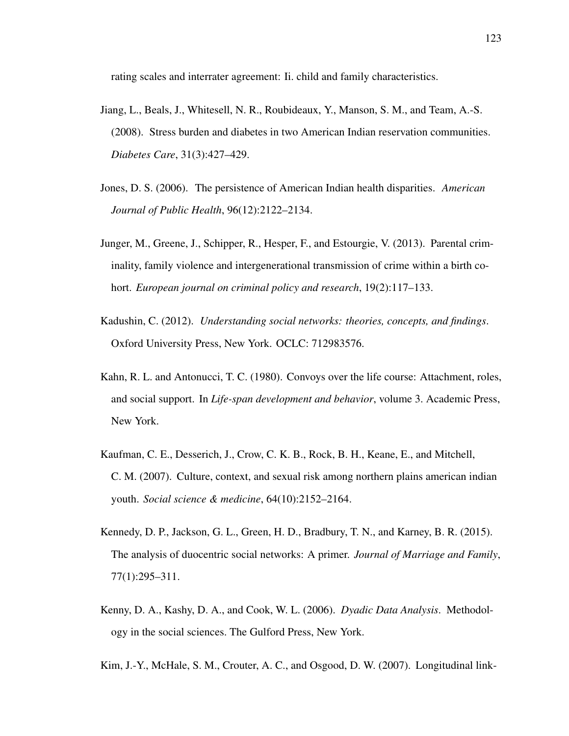rating scales and interrater agreement: Ii. child and family characteristics.

- Jiang, L., Beals, J., Whitesell, N. R., Roubideaux, Y., Manson, S. M., and Team, A.-S. (2008). Stress burden and diabetes in two American Indian reservation communities. *Diabetes Care*, 31(3):427–429.
- Jones, D. S. (2006). The persistence of American Indian health disparities. *American Journal of Public Health*, 96(12):2122–2134.
- Junger, M., Greene, J., Schipper, R., Hesper, F., and Estourgie, V. (2013). Parental criminality, family violence and intergenerational transmission of crime within a birth cohort. *European journal on criminal policy and research*, 19(2):117–133.
- Kadushin, C. (2012). *Understanding social networks: theories, concepts, and findings*. Oxford University Press, New York. OCLC: 712983576.
- Kahn, R. L. and Antonucci, T. C. (1980). Convoys over the life course: Attachment, roles, and social support. In *Life-span development and behavior*, volume 3. Academic Press, New York.
- Kaufman, C. E., Desserich, J., Crow, C. K. B., Rock, B. H., Keane, E., and Mitchell, C. M. (2007). Culture, context, and sexual risk among northern plains american indian youth. *Social science & medicine*, 64(10):2152–2164.
- Kennedy, D. P., Jackson, G. L., Green, H. D., Bradbury, T. N., and Karney, B. R. (2015). The analysis of duocentric social networks: A primer. *Journal of Marriage and Family*, 77(1):295–311.
- Kenny, D. A., Kashy, D. A., and Cook, W. L. (2006). *Dyadic Data Analysis*. Methodology in the social sciences. The Gulford Press, New York.

Kim, J.-Y., McHale, S. M., Crouter, A. C., and Osgood, D. W. (2007). Longitudinal link-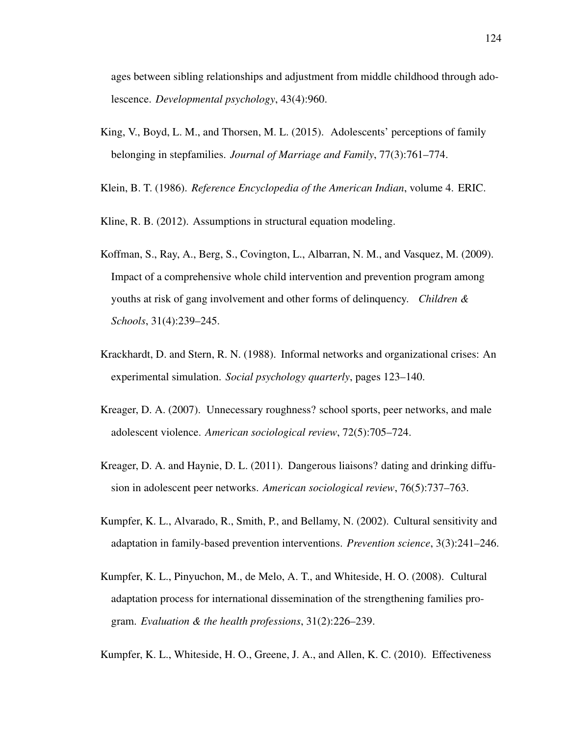ages between sibling relationships and adjustment from middle childhood through adolescence. *Developmental psychology*, 43(4):960.

- King, V., Boyd, L. M., and Thorsen, M. L. (2015). Adolescents' perceptions of family belonging in stepfamilies. *Journal of Marriage and Family*, 77(3):761–774.
- Klein, B. T. (1986). *Reference Encyclopedia of the American Indian*, volume 4. ERIC.
- Kline, R. B. (2012). Assumptions in structural equation modeling.
- Koffman, S., Ray, A., Berg, S., Covington, L., Albarran, N. M., and Vasquez, M. (2009). Impact of a comprehensive whole child intervention and prevention program among youths at risk of gang involvement and other forms of delinquency. *Children & Schools*, 31(4):239–245.
- Krackhardt, D. and Stern, R. N. (1988). Informal networks and organizational crises: An experimental simulation. *Social psychology quarterly*, pages 123–140.
- Kreager, D. A. (2007). Unnecessary roughness? school sports, peer networks, and male adolescent violence. *American sociological review*, 72(5):705–724.
- Kreager, D. A. and Haynie, D. L. (2011). Dangerous liaisons? dating and drinking diffusion in adolescent peer networks. *American sociological review*, 76(5):737–763.
- Kumpfer, K. L., Alvarado, R., Smith, P., and Bellamy, N. (2002). Cultural sensitivity and adaptation in family-based prevention interventions. *Prevention science*, 3(3):241–246.
- Kumpfer, K. L., Pinyuchon, M., de Melo, A. T., and Whiteside, H. O. (2008). Cultural adaptation process for international dissemination of the strengthening families program. *Evaluation & the health professions*, 31(2):226–239.
- Kumpfer, K. L., Whiteside, H. O., Greene, J. A., and Allen, K. C. (2010). Effectiveness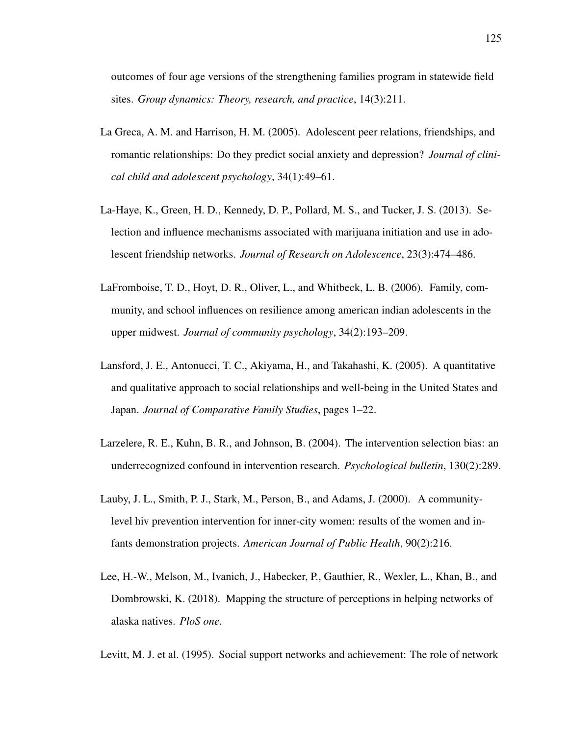outcomes of four age versions of the strengthening families program in statewide field sites. *Group dynamics: Theory, research, and practice*, 14(3):211.

- La Greca, A. M. and Harrison, H. M. (2005). Adolescent peer relations, friendships, and romantic relationships: Do they predict social anxiety and depression? *Journal of clinical child and adolescent psychology*, 34(1):49–61.
- La-Haye, K., Green, H. D., Kennedy, D. P., Pollard, M. S., and Tucker, J. S. (2013). Selection and influence mechanisms associated with marijuana initiation and use in adolescent friendship networks. *Journal of Research on Adolescence*, 23(3):474–486.
- LaFromboise, T. D., Hoyt, D. R., Oliver, L., and Whitbeck, L. B. (2006). Family, community, and school influences on resilience among american indian adolescents in the upper midwest. *Journal of community psychology*, 34(2):193–209.
- Lansford, J. E., Antonucci, T. C., Akiyama, H., and Takahashi, K. (2005). A quantitative and qualitative approach to social relationships and well-being in the United States and Japan. *Journal of Comparative Family Studies*, pages 1–22.
- Larzelere, R. E., Kuhn, B. R., and Johnson, B. (2004). The intervention selection bias: an underrecognized confound in intervention research. *Psychological bulletin*, 130(2):289.
- Lauby, J. L., Smith, P. J., Stark, M., Person, B., and Adams, J. (2000). A communitylevel hiv prevention intervention for inner-city women: results of the women and infants demonstration projects. *American Journal of Public Health*, 90(2):216.
- Lee, H.-W., Melson, M., Ivanich, J., Habecker, P., Gauthier, R., Wexler, L., Khan, B., and Dombrowski, K. (2018). Mapping the structure of perceptions in helping networks of alaska natives. *PloS one*.
- Levitt, M. J. et al. (1995). Social support networks and achievement: The role of network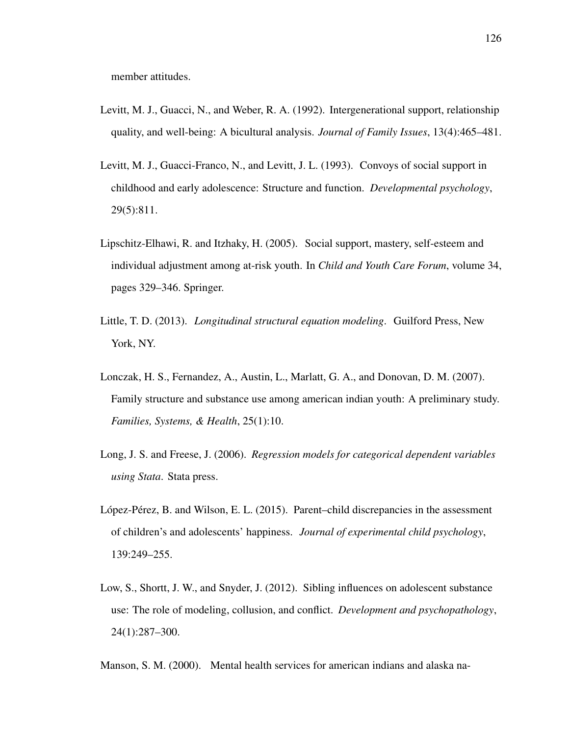member attitudes.

- Levitt, M. J., Guacci, N., and Weber, R. A. (1992). Intergenerational support, relationship quality, and well-being: A bicultural analysis. *Journal of Family Issues*, 13(4):465–481.
- Levitt, M. J., Guacci-Franco, N., and Levitt, J. L. (1993). Convoys of social support in childhood and early adolescence: Structure and function. *Developmental psychology*, 29(5):811.
- Lipschitz-Elhawi, R. and Itzhaky, H. (2005). Social support, mastery, self-esteem and individual adjustment among at-risk youth. In *Child and Youth Care Forum*, volume 34, pages 329–346. Springer.
- Little, T. D. (2013). *Longitudinal structural equation modeling*. Guilford Press, New York, NY.
- Lonczak, H. S., Fernandez, A., Austin, L., Marlatt, G. A., and Donovan, D. M. (2007). Family structure and substance use among american indian youth: A preliminary study. *Families, Systems, & Health*, 25(1):10.
- Long, J. S. and Freese, J. (2006). *Regression models for categorical dependent variables using Stata*. Stata press.
- López-Pérez, B. and Wilson, E. L.  $(2015)$ . Parent–child discrepancies in the assessment of children's and adolescents' happiness. *Journal of experimental child psychology*, 139:249–255.
- Low, S., Shortt, J. W., and Snyder, J. (2012). Sibling influences on adolescent substance use: The role of modeling, collusion, and conflict. *Development and psychopathology*, 24(1):287–300.

Manson, S. M. (2000). Mental health services for american indians and alaska na-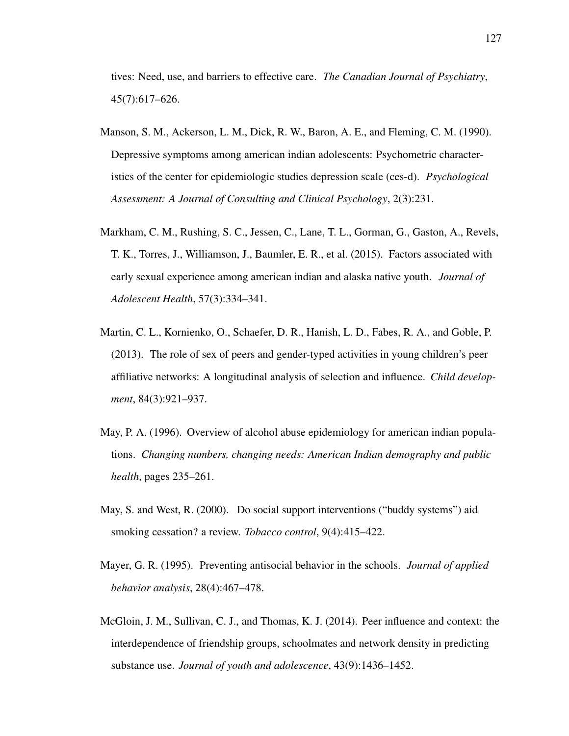tives: Need, use, and barriers to effective care. *The Canadian Journal of Psychiatry*, 45(7):617–626.

- Manson, S. M., Ackerson, L. M., Dick, R. W., Baron, A. E., and Fleming, C. M. (1990). Depressive symptoms among american indian adolescents: Psychometric characteristics of the center for epidemiologic studies depression scale (ces-d). *Psychological Assessment: A Journal of Consulting and Clinical Psychology*, 2(3):231.
- Markham, C. M., Rushing, S. C., Jessen, C., Lane, T. L., Gorman, G., Gaston, A., Revels, T. K., Torres, J., Williamson, J., Baumler, E. R., et al. (2015). Factors associated with early sexual experience among american indian and alaska native youth. *Journal of Adolescent Health*, 57(3):334–341.
- Martin, C. L., Kornienko, O., Schaefer, D. R., Hanish, L. D., Fabes, R. A., and Goble, P. (2013). The role of sex of peers and gender-typed activities in young children's peer affiliative networks: A longitudinal analysis of selection and influence. *Child development*, 84(3):921–937.
- May, P. A. (1996). Overview of alcohol abuse epidemiology for american indian populations. *Changing numbers, changing needs: American Indian demography and public health*, pages 235–261.
- May, S. and West, R. (2000). Do social support interventions ("buddy systems") aid smoking cessation? a review. *Tobacco control*, 9(4):415–422.
- Mayer, G. R. (1995). Preventing antisocial behavior in the schools. *Journal of applied behavior analysis*, 28(4):467–478.
- McGloin, J. M., Sullivan, C. J., and Thomas, K. J. (2014). Peer influence and context: the interdependence of friendship groups, schoolmates and network density in predicting substance use. *Journal of youth and adolescence*, 43(9):1436–1452.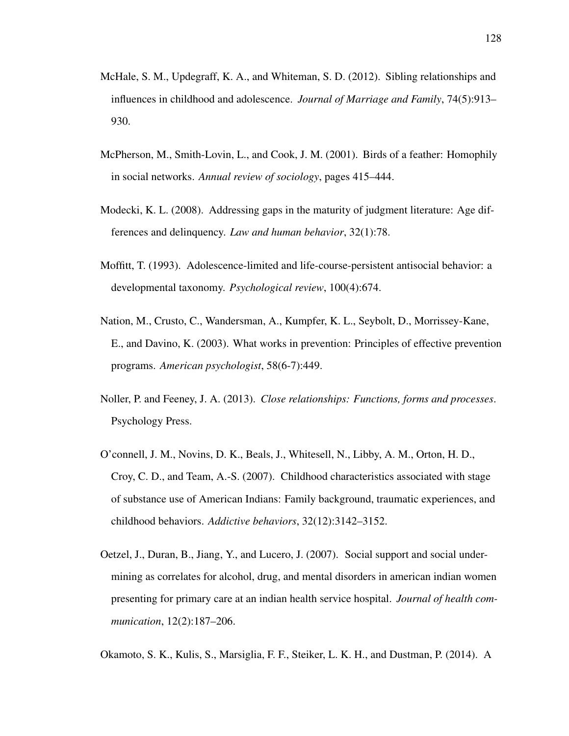- McHale, S. M., Updegraff, K. A., and Whiteman, S. D. (2012). Sibling relationships and influences in childhood and adolescence. *Journal of Marriage and Family*, 74(5):913– 930.
- McPherson, M., Smith-Lovin, L., and Cook, J. M. (2001). Birds of a feather: Homophily in social networks. *Annual review of sociology*, pages 415–444.
- Modecki, K. L. (2008). Addressing gaps in the maturity of judgment literature: Age differences and delinquency. *Law and human behavior*, 32(1):78.
- Moffitt, T. (1993). Adolescence-limited and life-course-persistent antisocial behavior: a developmental taxonomy. *Psychological review*, 100(4):674.
- Nation, M., Crusto, C., Wandersman, A., Kumpfer, K. L., Seybolt, D., Morrissey-Kane, E., and Davino, K. (2003). What works in prevention: Principles of effective prevention programs. *American psychologist*, 58(6-7):449.
- Noller, P. and Feeney, J. A. (2013). *Close relationships: Functions, forms and processes*. Psychology Press.
- O'connell, J. M., Novins, D. K., Beals, J., Whitesell, N., Libby, A. M., Orton, H. D., Croy, C. D., and Team, A.-S. (2007). Childhood characteristics associated with stage of substance use of American Indians: Family background, traumatic experiences, and childhood behaviors. *Addictive behaviors*, 32(12):3142–3152.
- Oetzel, J., Duran, B., Jiang, Y., and Lucero, J. (2007). Social support and social undermining as correlates for alcohol, drug, and mental disorders in american indian women presenting for primary care at an indian health service hospital. *Journal of health communication*, 12(2):187–206.
- Okamoto, S. K., Kulis, S., Marsiglia, F. F., Steiker, L. K. H., and Dustman, P. (2014). A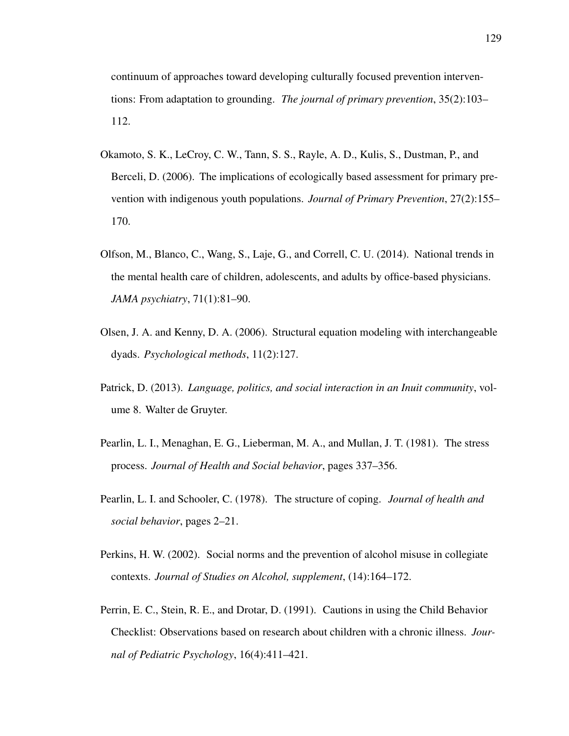continuum of approaches toward developing culturally focused prevention interventions: From adaptation to grounding. *The journal of primary prevention*, 35(2):103– 112.

- Okamoto, S. K., LeCroy, C. W., Tann, S. S., Rayle, A. D., Kulis, S., Dustman, P., and Berceli, D. (2006). The implications of ecologically based assessment for primary prevention with indigenous youth populations. *Journal of Primary Prevention*, 27(2):155– 170.
- Olfson, M., Blanco, C., Wang, S., Laje, G., and Correll, C. U. (2014). National trends in the mental health care of children, adolescents, and adults by office-based physicians. *JAMA psychiatry*, 71(1):81–90.
- Olsen, J. A. and Kenny, D. A. (2006). Structural equation modeling with interchangeable dyads. *Psychological methods*, 11(2):127.
- Patrick, D. (2013). *Language, politics, and social interaction in an Inuit community*, volume 8. Walter de Gruyter.
- Pearlin, L. I., Menaghan, E. G., Lieberman, M. A., and Mullan, J. T. (1981). The stress process. *Journal of Health and Social behavior*, pages 337–356.
- Pearlin, L. I. and Schooler, C. (1978). The structure of coping. *Journal of health and social behavior*, pages 2–21.
- Perkins, H. W. (2002). Social norms and the prevention of alcohol misuse in collegiate contexts. *Journal of Studies on Alcohol, supplement*, (14):164–172.
- Perrin, E. C., Stein, R. E., and Drotar, D. (1991). Cautions in using the Child Behavior Checklist: Observations based on research about children with a chronic illness. *Journal of Pediatric Psychology*, 16(4):411–421.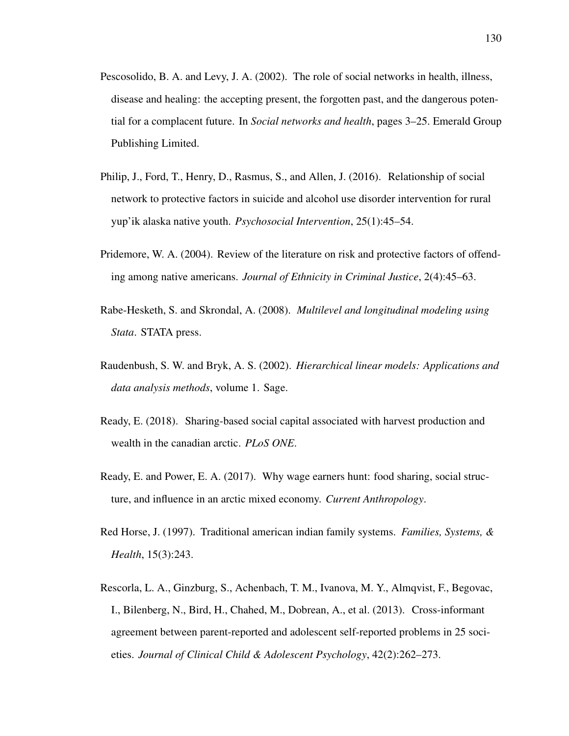- Pescosolido, B. A. and Levy, J. A. (2002). The role of social networks in health, illness, disease and healing: the accepting present, the forgotten past, and the dangerous potential for a complacent future. In *Social networks and health*, pages 3–25. Emerald Group Publishing Limited.
- Philip, J., Ford, T., Henry, D., Rasmus, S., and Allen, J. (2016). Relationship of social network to protective factors in suicide and alcohol use disorder intervention for rural yup'ik alaska native youth. *Psychosocial Intervention*, 25(1):45–54.
- Pridemore, W. A. (2004). Review of the literature on risk and protective factors of offending among native americans. *Journal of Ethnicity in Criminal Justice*, 2(4):45–63.
- Rabe-Hesketh, S. and Skrondal, A. (2008). *Multilevel and longitudinal modeling using Stata*. STATA press.
- Raudenbush, S. W. and Bryk, A. S. (2002). *Hierarchical linear models: Applications and data analysis methods*, volume 1. Sage.
- Ready, E. (2018). Sharing-based social capital associated with harvest production and wealth in the canadian arctic. *PLoS ONE*.
- Ready, E. and Power, E. A. (2017). Why wage earners hunt: food sharing, social structure, and influence in an arctic mixed economy. *Current Anthropology*.
- Red Horse, J. (1997). Traditional american indian family systems. *Families, Systems, & Health*, 15(3):243.
- Rescorla, L. A., Ginzburg, S., Achenbach, T. M., Ivanova, M. Y., Almqvist, F., Begovac, I., Bilenberg, N., Bird, H., Chahed, M., Dobrean, A., et al. (2013). Cross-informant agreement between parent-reported and adolescent self-reported problems in 25 societies. *Journal of Clinical Child & Adolescent Psychology*, 42(2):262–273.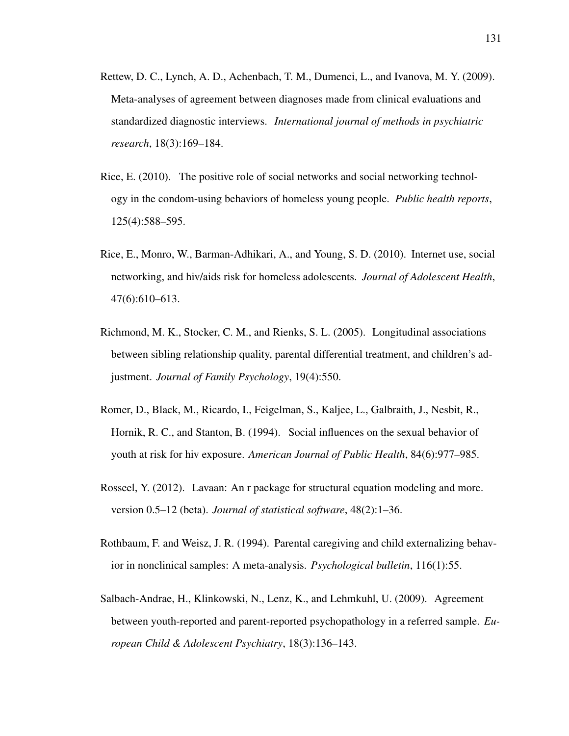- Rettew, D. C., Lynch, A. D., Achenbach, T. M., Dumenci, L., and Ivanova, M. Y. (2009). Meta-analyses of agreement between diagnoses made from clinical evaluations and standardized diagnostic interviews. *International journal of methods in psychiatric research*, 18(3):169–184.
- Rice, E. (2010). The positive role of social networks and social networking technology in the condom-using behaviors of homeless young people. *Public health reports*, 125(4):588–595.
- Rice, E., Monro, W., Barman-Adhikari, A., and Young, S. D. (2010). Internet use, social networking, and hiv/aids risk for homeless adolescents. *Journal of Adolescent Health*, 47(6):610–613.
- Richmond, M. K., Stocker, C. M., and Rienks, S. L. (2005). Longitudinal associations between sibling relationship quality, parental differential treatment, and children's adjustment. *Journal of Family Psychology*, 19(4):550.
- Romer, D., Black, M., Ricardo, I., Feigelman, S., Kaljee, L., Galbraith, J., Nesbit, R., Hornik, R. C., and Stanton, B. (1994). Social influences on the sexual behavior of youth at risk for hiv exposure. *American Journal of Public Health*, 84(6):977–985.
- Rosseel, Y. (2012). Lavaan: An r package for structural equation modeling and more. version 0.5–12 (beta). *Journal of statistical software*, 48(2):1–36.
- Rothbaum, F. and Weisz, J. R. (1994). Parental caregiving and child externalizing behavior in nonclinical samples: A meta-analysis. *Psychological bulletin*, 116(1):55.
- Salbach-Andrae, H., Klinkowski, N., Lenz, K., and Lehmkuhl, U. (2009). Agreement between youth-reported and parent-reported psychopathology in a referred sample. *European Child & Adolescent Psychiatry*, 18(3):136–143.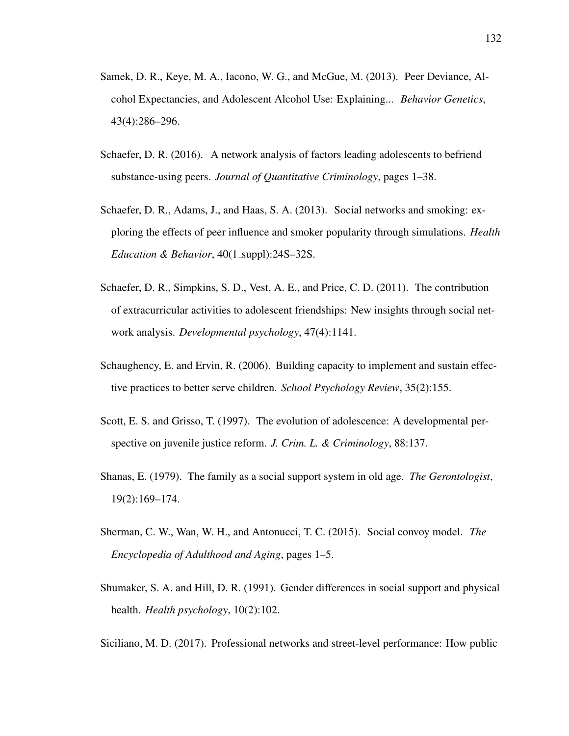- Samek, D. R., Keye, M. A., Iacono, W. G., and McGue, M. (2013). Peer Deviance, Alcohol Expectancies, and Adolescent Alcohol Use: Explaining... *Behavior Genetics*, 43(4):286–296.
- Schaefer, D. R. (2016). A network analysis of factors leading adolescents to befriend substance-using peers. *Journal of Quantitative Criminology*, pages 1–38.
- Schaefer, D. R., Adams, J., and Haas, S. A. (2013). Social networks and smoking: exploring the effects of peer influence and smoker popularity through simulations. *Health Education & Behavior*, 40(1\_suppl):24S-32S.
- Schaefer, D. R., Simpkins, S. D., Vest, A. E., and Price, C. D. (2011). The contribution of extracurricular activities to adolescent friendships: New insights through social network analysis. *Developmental psychology*, 47(4):1141.
- Schaughency, E. and Ervin, R. (2006). Building capacity to implement and sustain effective practices to better serve children. *School Psychology Review*, 35(2):155.
- Scott, E. S. and Grisso, T. (1997). The evolution of adolescence: A developmental perspective on juvenile justice reform. *J. Crim. L. & Criminology*, 88:137.
- Shanas, E. (1979). The family as a social support system in old age. *The Gerontologist*, 19(2):169–174.
- Sherman, C. W., Wan, W. H., and Antonucci, T. C. (2015). Social convoy model. *The Encyclopedia of Adulthood and Aging*, pages 1–5.
- Shumaker, S. A. and Hill, D. R. (1991). Gender differences in social support and physical health. *Health psychology*, 10(2):102.

Siciliano, M. D. (2017). Professional networks and street-level performance: How public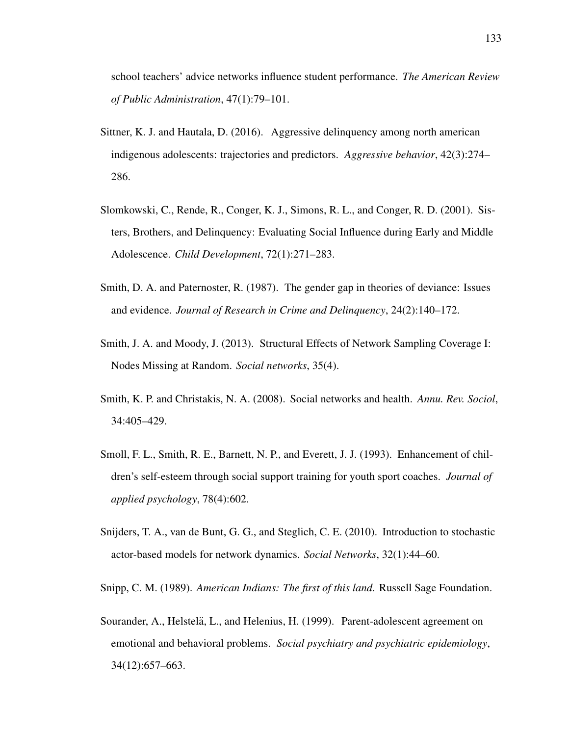school teachers' advice networks influence student performance. *The American Review of Public Administration*, 47(1):79–101.

- Sittner, K. J. and Hautala, D. (2016). Aggressive delinquency among north american indigenous adolescents: trajectories and predictors. *Aggressive behavior*, 42(3):274– 286.
- Slomkowski, C., Rende, R., Conger, K. J., Simons, R. L., and Conger, R. D. (2001). Sisters, Brothers, and Delinquency: Evaluating Social Influence during Early and Middle Adolescence. *Child Development*, 72(1):271–283.
- Smith, D. A. and Paternoster, R. (1987). The gender gap in theories of deviance: Issues and evidence. *Journal of Research in Crime and Delinquency*, 24(2):140–172.
- Smith, J. A. and Moody, J. (2013). Structural Effects of Network Sampling Coverage I: Nodes Missing at Random. *Social networks*, 35(4).
- Smith, K. P. and Christakis, N. A. (2008). Social networks and health. *Annu. Rev. Sociol*, 34:405–429.
- Smoll, F. L., Smith, R. E., Barnett, N. P., and Everett, J. J. (1993). Enhancement of children's self-esteem through social support training for youth sport coaches. *Journal of applied psychology*, 78(4):602.
- Snijders, T. A., van de Bunt, G. G., and Steglich, C. E. (2010). Introduction to stochastic actor-based models for network dynamics. *Social Networks*, 32(1):44–60.

Snipp, C. M. (1989). *American Indians: The first of this land*. Russell Sage Foundation.

Sourander, A., Helstelä, L., and Helenius, H. (1999). Parent-adolescent agreement on emotional and behavioral problems. *Social psychiatry and psychiatric epidemiology*, 34(12):657–663.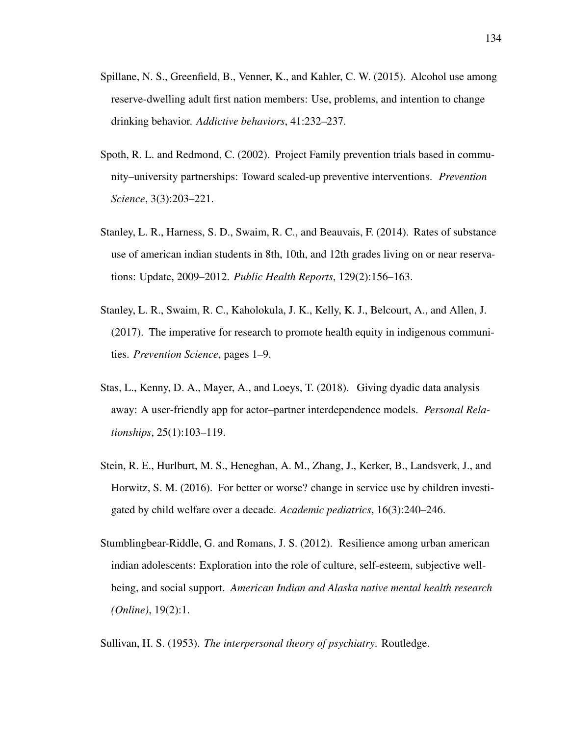- Spillane, N. S., Greenfield, B., Venner, K., and Kahler, C. W. (2015). Alcohol use among reserve-dwelling adult first nation members: Use, problems, and intention to change drinking behavior. *Addictive behaviors*, 41:232–237.
- Spoth, R. L. and Redmond, C. (2002). Project Family prevention trials based in community–university partnerships: Toward scaled-up preventive interventions. *Prevention Science*, 3(3):203–221.
- Stanley, L. R., Harness, S. D., Swaim, R. C., and Beauvais, F. (2014). Rates of substance use of american indian students in 8th, 10th, and 12th grades living on or near reservations: Update, 2009–2012. *Public Health Reports*, 129(2):156–163.
- Stanley, L. R., Swaim, R. C., Kaholokula, J. K., Kelly, K. J., Belcourt, A., and Allen, J. (2017). The imperative for research to promote health equity in indigenous communities. *Prevention Science*, pages 1–9.
- Stas, L., Kenny, D. A., Mayer, A., and Loeys, T. (2018). Giving dyadic data analysis away: A user-friendly app for actor–partner interdependence models. *Personal Relationships*, 25(1):103–119.
- Stein, R. E., Hurlburt, M. S., Heneghan, A. M., Zhang, J., Kerker, B., Landsverk, J., and Horwitz, S. M. (2016). For better or worse? change in service use by children investigated by child welfare over a decade. *Academic pediatrics*, 16(3):240–246.
- Stumblingbear-Riddle, G. and Romans, J. S. (2012). Resilience among urban american indian adolescents: Exploration into the role of culture, self-esteem, subjective wellbeing, and social support. *American Indian and Alaska native mental health research (Online)*, 19(2):1.

Sullivan, H. S. (1953). *The interpersonal theory of psychiatry*. Routledge.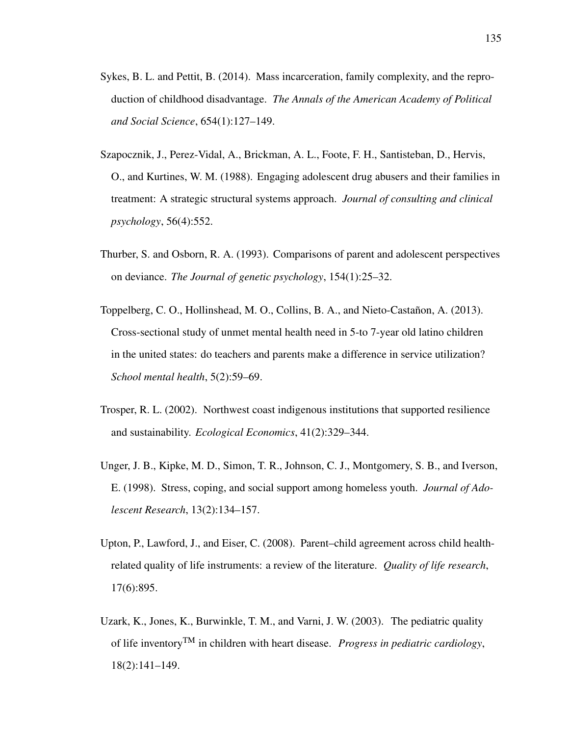- Sykes, B. L. and Pettit, B. (2014). Mass incarceration, family complexity, and the reproduction of childhood disadvantage. *The Annals of the American Academy of Political and Social Science*, 654(1):127–149.
- Szapocznik, J., Perez-Vidal, A., Brickman, A. L., Foote, F. H., Santisteban, D., Hervis, O., and Kurtines, W. M. (1988). Engaging adolescent drug abusers and their families in treatment: A strategic structural systems approach. *Journal of consulting and clinical psychology*, 56(4):552.
- Thurber, S. and Osborn, R. A. (1993). Comparisons of parent and adolescent perspectives on deviance. *The Journal of genetic psychology*, 154(1):25–32.
- Toppelberg, C. O., Hollinshead, M. O., Collins, B. A., and Nieto-Castañon, A. (2013). Cross-sectional study of unmet mental health need in 5-to 7-year old latino children in the united states: do teachers and parents make a difference in service utilization? *School mental health*, 5(2):59–69.
- Trosper, R. L. (2002). Northwest coast indigenous institutions that supported resilience and sustainability. *Ecological Economics*, 41(2):329–344.
- Unger, J. B., Kipke, M. D., Simon, T. R., Johnson, C. J., Montgomery, S. B., and Iverson, E. (1998). Stress, coping, and social support among homeless youth. *Journal of Adolescent Research*, 13(2):134–157.
- Upton, P., Lawford, J., and Eiser, C. (2008). Parent–child agreement across child healthrelated quality of life instruments: a review of the literature. *Quality of life research*, 17(6):895.
- Uzark, K., Jones, K., Burwinkle, T. M., and Varni, J. W. (2003). The pediatric quality of life inventoryTM in children with heart disease. *Progress in pediatric cardiology*, 18(2):141–149.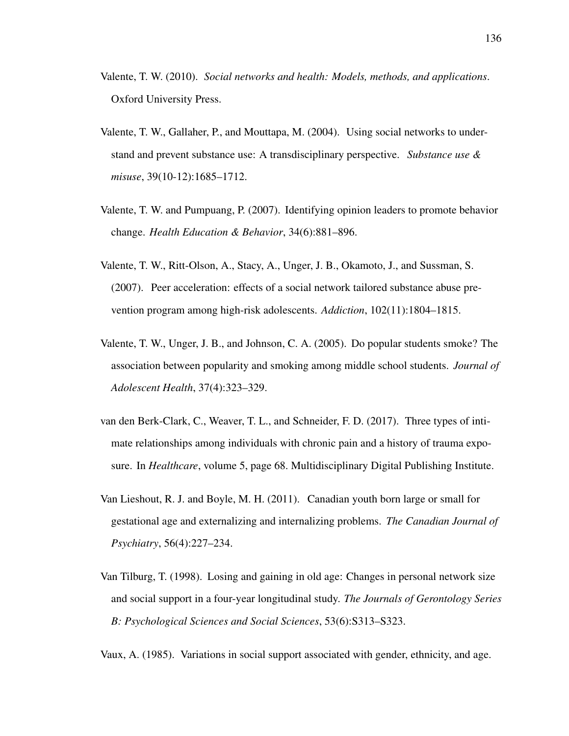- Valente, T. W. (2010). *Social networks and health: Models, methods, and applications*. Oxford University Press.
- Valente, T. W., Gallaher, P., and Mouttapa, M. (2004). Using social networks to understand and prevent substance use: A transdisciplinary perspective. *Substance use & misuse*, 39(10-12):1685–1712.
- Valente, T. W. and Pumpuang, P. (2007). Identifying opinion leaders to promote behavior change. *Health Education & Behavior*, 34(6):881–896.
- Valente, T. W., Ritt-Olson, A., Stacy, A., Unger, J. B., Okamoto, J., and Sussman, S. (2007). Peer acceleration: effects of a social network tailored substance abuse prevention program among high-risk adolescents. *Addiction*, 102(11):1804–1815.
- Valente, T. W., Unger, J. B., and Johnson, C. A. (2005). Do popular students smoke? The association between popularity and smoking among middle school students. *Journal of Adolescent Health*, 37(4):323–329.
- van den Berk-Clark, C., Weaver, T. L., and Schneider, F. D. (2017). Three types of intimate relationships among individuals with chronic pain and a history of trauma exposure. In *Healthcare*, volume 5, page 68. Multidisciplinary Digital Publishing Institute.
- Van Lieshout, R. J. and Boyle, M. H. (2011). Canadian youth born large or small for gestational age and externalizing and internalizing problems. *The Canadian Journal of Psychiatry*, 56(4):227–234.
- Van Tilburg, T. (1998). Losing and gaining in old age: Changes in personal network size and social support in a four-year longitudinal study. *The Journals of Gerontology Series B: Psychological Sciences and Social Sciences*, 53(6):S313–S323.

Vaux, A. (1985). Variations in social support associated with gender, ethnicity, and age.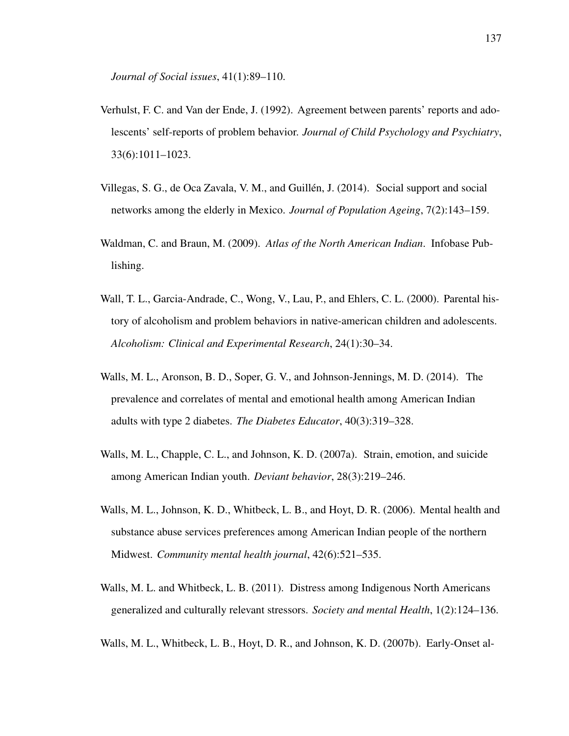*Journal of Social issues*, 41(1):89–110.

- Verhulst, F. C. and Van der Ende, J. (1992). Agreement between parents' reports and adolescents' self-reports of problem behavior. *Journal of Child Psychology and Psychiatry*, 33(6):1011–1023.
- Villegas, S. G., de Oca Zavala, V. M., and Guillen, J. (2014). Social support and social ´ networks among the elderly in Mexico. *Journal of Population Ageing*, 7(2):143–159.
- Waldman, C. and Braun, M. (2009). *Atlas of the North American Indian*. Infobase Publishing.
- Wall, T. L., Garcia-Andrade, C., Wong, V., Lau, P., and Ehlers, C. L. (2000). Parental history of alcoholism and problem behaviors in native-american children and adolescents. *Alcoholism: Clinical and Experimental Research*, 24(1):30–34.
- Walls, M. L., Aronson, B. D., Soper, G. V., and Johnson-Jennings, M. D. (2014). The prevalence and correlates of mental and emotional health among American Indian adults with type 2 diabetes. *The Diabetes Educator*, 40(3):319–328.
- Walls, M. L., Chapple, C. L., and Johnson, K. D. (2007a). Strain, emotion, and suicide among American Indian youth. *Deviant behavior*, 28(3):219–246.
- Walls, M. L., Johnson, K. D., Whitbeck, L. B., and Hoyt, D. R. (2006). Mental health and substance abuse services preferences among American Indian people of the northern Midwest. *Community mental health journal*, 42(6):521–535.
- Walls, M. L. and Whitbeck, L. B. (2011). Distress among Indigenous North Americans generalized and culturally relevant stressors. *Society and mental Health*, 1(2):124–136.
- Walls, M. L., Whitbeck, L. B., Hoyt, D. R., and Johnson, K. D. (2007b). Early-Onset al-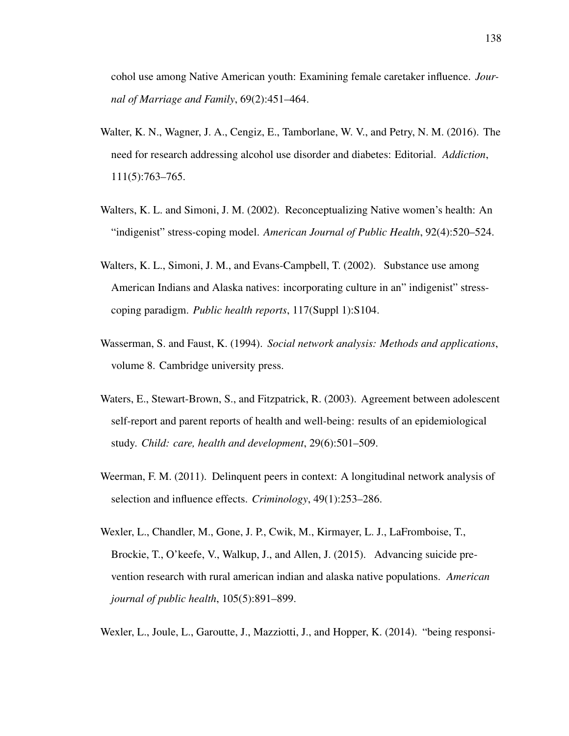cohol use among Native American youth: Examining female caretaker influence. *Journal of Marriage and Family*, 69(2):451–464.

- Walter, K. N., Wagner, J. A., Cengiz, E., Tamborlane, W. V., and Petry, N. M. (2016). The need for research addressing alcohol use disorder and diabetes: Editorial. *Addiction*, 111(5):763–765.
- Walters, K. L. and Simoni, J. M. (2002). Reconceptualizing Native women's health: An "indigenist" stress-coping model. *American Journal of Public Health*, 92(4):520–524.
- Walters, K. L., Simoni, J. M., and Evans-Campbell, T. (2002). Substance use among American Indians and Alaska natives: incorporating culture in an" indigenist" stresscoping paradigm. *Public health reports*, 117(Suppl 1):S104.
- Wasserman, S. and Faust, K. (1994). *Social network analysis: Methods and applications*, volume 8. Cambridge university press.
- Waters, E., Stewart-Brown, S., and Fitzpatrick, R. (2003). Agreement between adolescent self-report and parent reports of health and well-being: results of an epidemiological study. *Child: care, health and development*, 29(6):501–509.
- Weerman, F. M. (2011). Delinquent peers in context: A longitudinal network analysis of selection and influence effects. *Criminology*, 49(1):253–286.
- Wexler, L., Chandler, M., Gone, J. P., Cwik, M., Kirmayer, L. J., LaFromboise, T., Brockie, T., O'keefe, V., Walkup, J., and Allen, J. (2015). Advancing suicide prevention research with rural american indian and alaska native populations. *American journal of public health*, 105(5):891–899.
- Wexler, L., Joule, L., Garoutte, J., Mazziotti, J., and Hopper, K. (2014). "being responsi-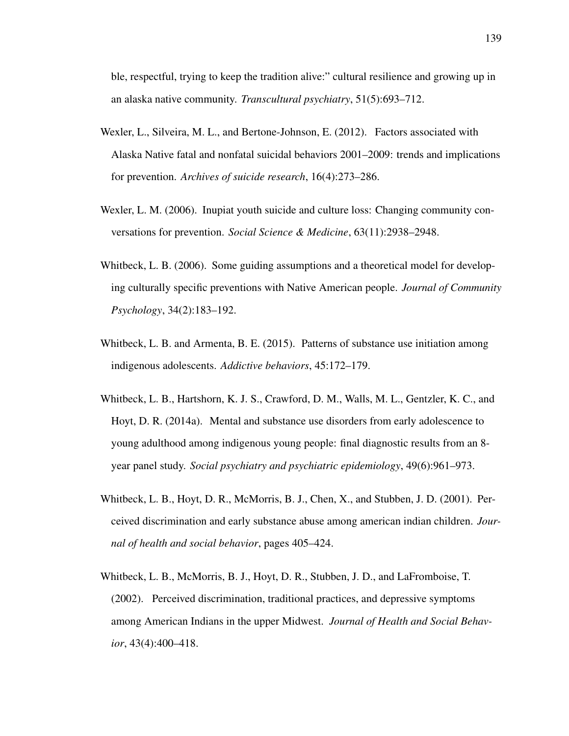ble, respectful, trying to keep the tradition alive:" cultural resilience and growing up in an alaska native community. *Transcultural psychiatry*, 51(5):693–712.

- Wexler, L., Silveira, M. L., and Bertone-Johnson, E. (2012). Factors associated with Alaska Native fatal and nonfatal suicidal behaviors 2001–2009: trends and implications for prevention. *Archives of suicide research*, 16(4):273–286.
- Wexler, L. M. (2006). Inupiat youth suicide and culture loss: Changing community conversations for prevention. *Social Science & Medicine*, 63(11):2938–2948.
- Whitbeck, L. B. (2006). Some guiding assumptions and a theoretical model for developing culturally specific preventions with Native American people. *Journal of Community Psychology*, 34(2):183–192.
- Whitbeck, L. B. and Armenta, B. E. (2015). Patterns of substance use initiation among indigenous adolescents. *Addictive behaviors*, 45:172–179.
- Whitbeck, L. B., Hartshorn, K. J. S., Crawford, D. M., Walls, M. L., Gentzler, K. C., and Hoyt, D. R. (2014a). Mental and substance use disorders from early adolescence to young adulthood among indigenous young people: final diagnostic results from an 8 year panel study. *Social psychiatry and psychiatric epidemiology*, 49(6):961–973.
- Whitbeck, L. B., Hoyt, D. R., McMorris, B. J., Chen, X., and Stubben, J. D. (2001). Perceived discrimination and early substance abuse among american indian children. *Journal of health and social behavior*, pages 405–424.
- Whitbeck, L. B., McMorris, B. J., Hoyt, D. R., Stubben, J. D., and LaFromboise, T. (2002). Perceived discrimination, traditional practices, and depressive symptoms among American Indians in the upper Midwest. *Journal of Health and Social Behavior*, 43(4):400–418.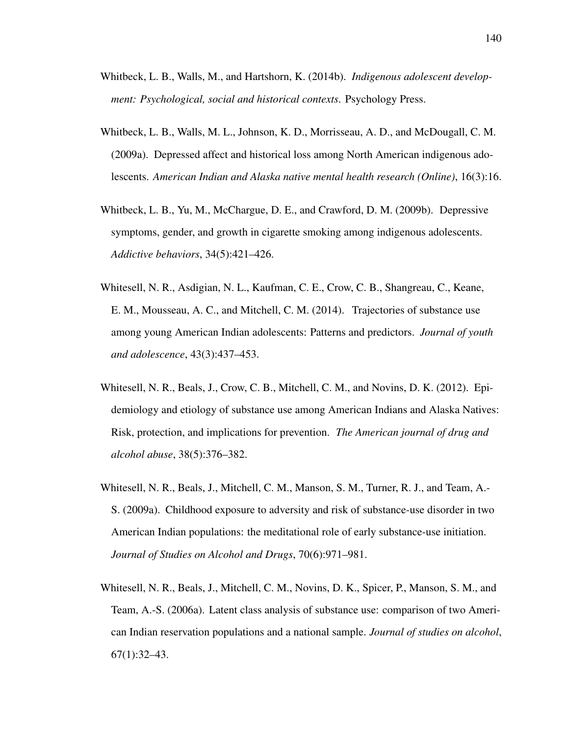- Whitbeck, L. B., Walls, M., and Hartshorn, K. (2014b). *Indigenous adolescent development: Psychological, social and historical contexts*. Psychology Press.
- Whitbeck, L. B., Walls, M. L., Johnson, K. D., Morrisseau, A. D., and McDougall, C. M. (2009a). Depressed affect and historical loss among North American indigenous adolescents. *American Indian and Alaska native mental health research (Online)*, 16(3):16.
- Whitbeck, L. B., Yu, M., McChargue, D. E., and Crawford, D. M. (2009b). Depressive symptoms, gender, and growth in cigarette smoking among indigenous adolescents. *Addictive behaviors*, 34(5):421–426.
- Whitesell, N. R., Asdigian, N. L., Kaufman, C. E., Crow, C. B., Shangreau, C., Keane, E. M., Mousseau, A. C., and Mitchell, C. M. (2014). Trajectories of substance use among young American Indian adolescents: Patterns and predictors. *Journal of youth and adolescence*, 43(3):437–453.
- Whitesell, N. R., Beals, J., Crow, C. B., Mitchell, C. M., and Novins, D. K. (2012). Epidemiology and etiology of substance use among American Indians and Alaska Natives: Risk, protection, and implications for prevention. *The American journal of drug and alcohol abuse*, 38(5):376–382.
- Whitesell, N. R., Beals, J., Mitchell, C. M., Manson, S. M., Turner, R. J., and Team, A.- S. (2009a). Childhood exposure to adversity and risk of substance-use disorder in two American Indian populations: the meditational role of early substance-use initiation. *Journal of Studies on Alcohol and Drugs*, 70(6):971–981.
- Whitesell, N. R., Beals, J., Mitchell, C. M., Novins, D. K., Spicer, P., Manson, S. M., and Team, A.-S. (2006a). Latent class analysis of substance use: comparison of two American Indian reservation populations and a national sample. *Journal of studies on alcohol*,  $67(1):32-43.$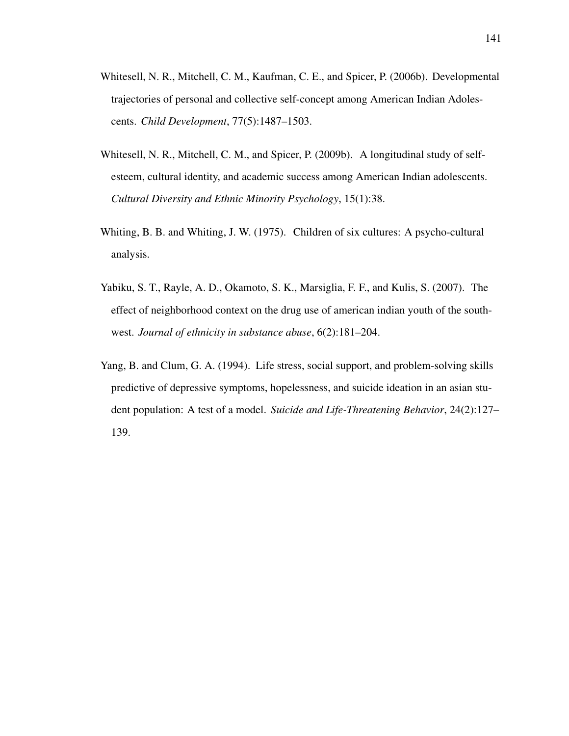- Whitesell, N. R., Mitchell, C. M., Kaufman, C. E., and Spicer, P. (2006b). Developmental trajectories of personal and collective self-concept among American Indian Adolescents. *Child Development*, 77(5):1487–1503.
- Whitesell, N. R., Mitchell, C. M., and Spicer, P. (2009b). A longitudinal study of selfesteem, cultural identity, and academic success among American Indian adolescents. *Cultural Diversity and Ethnic Minority Psychology*, 15(1):38.
- Whiting, B. B. and Whiting, J. W. (1975). Children of six cultures: A psycho-cultural analysis.
- Yabiku, S. T., Rayle, A. D., Okamoto, S. K., Marsiglia, F. F., and Kulis, S. (2007). The effect of neighborhood context on the drug use of american indian youth of the southwest. *Journal of ethnicity in substance abuse*, 6(2):181–204.
- Yang, B. and Clum, G. A. (1994). Life stress, social support, and problem-solving skills predictive of depressive symptoms, hopelessness, and suicide ideation in an asian student population: A test of a model. *Suicide and Life-Threatening Behavior*, 24(2):127– 139.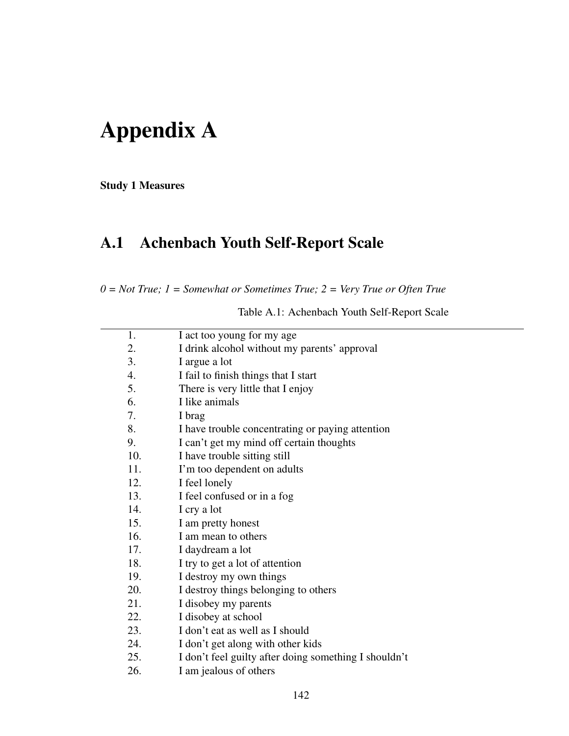# Appendix A

Study 1 Measures

### A.1 Achenbach Youth Self-Report Scale

*0 = Not True; 1 = Somewhat or Sometimes True; 2 = Very True or Often True*

Table A.1: Achenbach Youth Self-Report Scale

| 1.  | I act too young for my age                            |
|-----|-------------------------------------------------------|
| 2.  | I drink alcohol without my parents' approval          |
| 3.  | I argue a lot                                         |
| 4.  | I fail to finish things that I start                  |
| 5.  | There is very little that I enjoy                     |
| 6.  | I like animals                                        |
| 7.  | I brag                                                |
| 8.  | I have trouble concentrating or paying attention      |
| 9.  | I can't get my mind off certain thoughts              |
| 10. | I have trouble sitting still                          |
| 11. | I'm too dependent on adults                           |
| 12. | I feel lonely                                         |
| 13. | I feel confused or in a fog                           |
| 14. | I cry a lot                                           |
| 15. | I am pretty honest                                    |
| 16. | I am mean to others                                   |
| 17. | I daydream a lot                                      |
| 18. | I try to get a lot of attention                       |
| 19. | I destroy my own things                               |
| 20. | I destroy things belonging to others                  |
| 21. | I disobey my parents                                  |
| 22. | I disobey at school                                   |
| 23. | I don't eat as well as I should                       |
| 24. | I don't get along with other kids                     |
| 25. | I don't feel guilty after doing something I shouldn't |
| 26. | I am jealous of others                                |
|     |                                                       |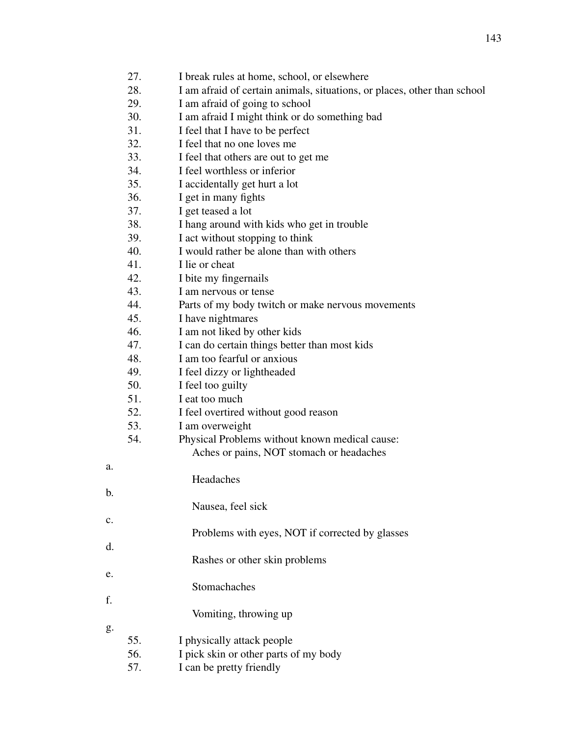- 27. I break rules at home, school, or elsewhere
- 28. I am afraid of certain animals, situations, or places, other than school
- 29. I am afraid of going to school
- 30. I am afraid I might think or do something bad
- 31. I feel that I have to be perfect
- 32. I feel that no one loves me
- 33. I feel that others are out to get me
- 34. I feel worthless or inferior
- 35. I accidentally get hurt a lot
- 36. I get in many fights
- 37. I get teased a lot
- 38. I hang around with kids who get in trouble
- 39. I act without stopping to think
- 40. I would rather be alone than with others
- 41. I lie or cheat
- 42. I bite my fingernails
- 43. I am nervous or tense
- 44. Parts of my body twitch or make nervous movements
- 45. I have nightmares
- 46. I am not liked by other kids
- 47. I can do certain things better than most kids
- 48. I am too fearful or anxious
- 49. I feel dizzy or lightheaded
- 50. I feel too guilty
- 51. I eat too much
- 52. I feel overtired without good reason
- 53. I am overweight
- 54. Physical Problems without known medical cause: Aches or pains, NOT stomach or headaches
	- Headaches
	-
	- Nausea, feel sick
- Problems with eyes, NOT if corrected by glasses
	- Rashes or other skin problems
		- **Stomachaches** 
			- Vomiting, throwing up
- g.

a.

b.

c.

d.

e.

f.

- 
- 55. I physically attack people
- 56. I pick skin or other parts of my body
- 57. I can be pretty friendly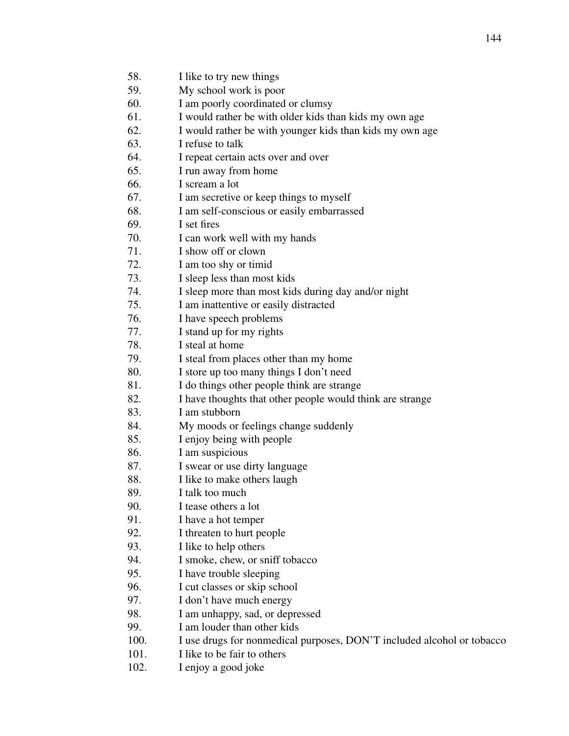59. My school work is poor

- 60. I am poorly coordinated or clumsy
- 61. I would rather be with older kids than kids my own age
- 62. I would rather be with younger kids than kids my own age
- 63. I refuse to talk
- 64. I repeat certain acts over and over
- 65. I run away from home
- 66. I scream a lot
- 67. I am secretive or keep things to myself
- 68. I am self-conscious or easily embarrassed
- 69. I set fires
- 70. I can work well with my hands
- 71. I show off or clown
- 72. I am too shy or timid
- 73. I sleep less than most kids
- 74. I sleep more than most kids during day and/or night
- 75. I am inattentive or easily distracted
- 76. I have speech problems
- 77. I stand up for my rights
- 78. I steal at home
- 79. I steal from places other than my home
- 80. I store up too many things I don't need
- 81. I do things other people think are strange
- 82. I have thoughts that other people would think are strange
- 83. I am stubborn
- 84. My moods or feelings change suddenly
- 85. I enjoy being with people
- 86. I am suspicious
- 87. I swear or use dirty language
- 88. I like to make others laugh
- 89. I talk too much
- 90. I tease others a lot
- 91. I have a hot temper
- 92. I threaten to hurt people
- 93. I like to help others
- 94. I smoke, chew, or sniff tobacco
- 95. I have trouble sleeping
- 96. I cut classes or skip school
- 97. I don't have much energy
- 98. I am unhappy, sad, or depressed
- 99. I am louder than other kids
- 100. I use drugs for nonmedical purposes, DON'T included alcohol or tobacco
- 101. I like to be fair to others
- 102. I enjoy a good joke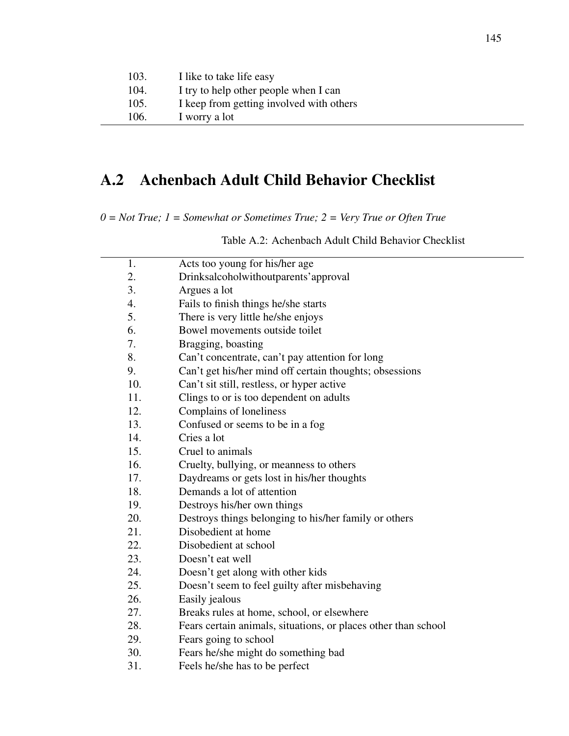| 103. | I like to take life easy                 |
|------|------------------------------------------|
| 104. | I try to help other people when I can    |
| 105. | I keep from getting involved with others |
| 106. | I worry a lot                            |

#### A.2 Achenbach Adult Child Behavior Checklist

*0 = Not True; 1 = Somewhat or Sometimes True; 2 = Very True or Often True*

1. Acts too young for his/her age 2. Drinksalcoholwithoutparents'approval 3. Argues a lot 4. Fails to finish things he/she starts 5. There is very little he/she enjoys 6. Bowel movements outside toilet 7. Bragging, boasting 8. Can't concentrate, can't pay attention for long 9. Can't get his/her mind off certain thoughts; obsessions 10. Can't sit still, restless, or hyper active 11. Clings to or is too dependent on adults 12. Complains of loneliness 13. Confused or seems to be in a fog 14. Cries a lot 15. Cruel to animals 16. Cruelty, bullying, or meanness to others 17. Daydreams or gets lost in his/her thoughts 18. Demands a lot of attention 19. Destroys his/her own things 20. Destroys things belonging to his/her family or others 21. Disobedient at home 22. Disobedient at school 23. Doesn't eat well 24. Doesn't get along with other kids 25. Doesn't seem to feel guilty after misbehaving 26. Easily jealous 27. Breaks rules at home, school, or elsewhere 28. Fears certain animals, situations, or places other than school 29. Fears going to school 30. Fears he/she might do something bad

Table A.2: Achenbach Adult Child Behavior Checklist

31. Feels he/she has to be perfect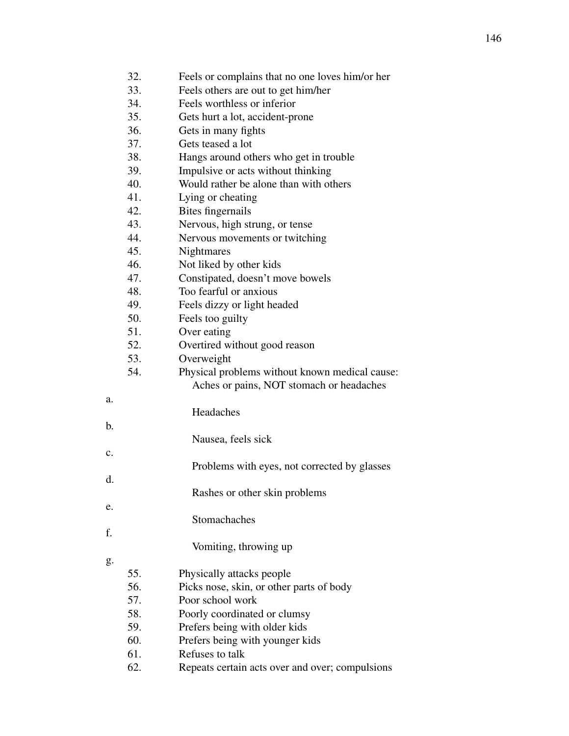|                | 32. | Feels or complains that no one loves him/or her |
|----------------|-----|-------------------------------------------------|
|                | 33. | Feels others are out to get him/her             |
|                | 34. | Feels worthless or inferior                     |
|                | 35. | Gets hurt a lot, accident-prone                 |
|                | 36. | Gets in many fights                             |
|                | 37. | Gets teased a lot                               |
|                | 38. | Hangs around others who get in trouble          |
|                | 39. | Impulsive or acts without thinking              |
|                | 40. | Would rather be alone than with others          |
|                | 41. | Lying or cheating                               |
|                | 42. | Bites fingernails                               |
|                | 43. | Nervous, high strung, or tense                  |
|                | 44. | Nervous movements or twitching                  |
|                | 45. | <b>Nightmares</b>                               |
|                | 46. | Not liked by other kids                         |
|                | 47. | Constipated, doesn't move bowels                |
|                | 48. | Too fearful or anxious                          |
|                | 49. | Feels dizzy or light headed                     |
|                | 50. | Feels too guilty                                |
|                | 51. | Over eating                                     |
|                | 52. | Overtired without good reason                   |
|                | 53. | Overweight                                      |
|                | 54. | Physical problems without known medical cause:  |
|                |     | Aches or pains, NOT stomach or headaches        |
| a.             |     |                                                 |
|                |     | Headaches                                       |
| b.             |     |                                                 |
|                |     | Nausea, feels sick                              |
| $\mathbf{c}$ . |     |                                                 |
|                |     | Problems with eyes, not corrected by glasses    |
| d.             |     |                                                 |
|                |     | Rashes or other skin problems                   |
| e.             |     |                                                 |
|                |     | Stomachaches                                    |
| f.             |     |                                                 |
|                |     | Vomiting, throwing up                           |
| g.             |     |                                                 |
|                | 55. | Physically attacks people                       |
|                | 56. | Picks nose, skin, or other parts of body        |
|                | 57. | Poor school work                                |
|                | 58. | Poorly coordinated or clumsy                    |
|                | 59. | Prefers being with older kids                   |
|                | 60. | Prefers being with younger kids                 |
|                | 61. | Refuses to talk                                 |

62. Repeats certain acts over and over; compulsions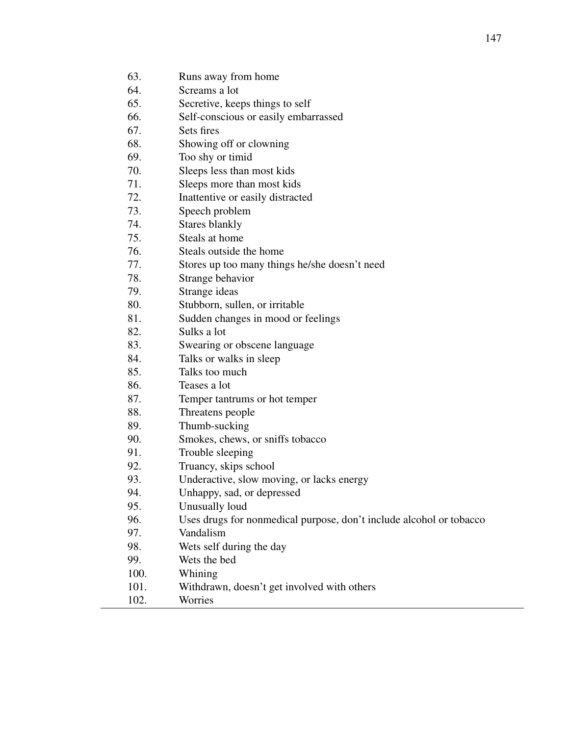- 63. Runs away from home
- 64. Screams a lot
- 65. Secretive, keeps things to self
- 66. Self-conscious or easily embarrassed
- 67. Sets fires
- 68. Showing off or clowning
- 69. Too shy or timid
- 70. Sleeps less than most kids
- 71. Sleeps more than most kids
- 72. Inattentive or easily distracted
- 73. Speech problem
- 74. Stares blankly
- 75. Steals at home
- 76. Steals outside the home
- 77. Stores up too many things he/she doesn't need
- 78. Strange behavior
- 79. Strange ideas
- 80. Stubborn, sullen, or irritable
- 81. Sudden changes in mood or feelings
- 82. Sulks a lot
- 83. Swearing or obscene language
- 84. Talks or walks in sleep
- 85. Talks too much
- 86. Teases a lot
- 87. Temper tantrums or hot temper
- 88. Threatens people
- 89. Thumb-sucking
- 90. Smokes, chews, or sniffs tobacco
- 91. Trouble sleeping
- 92. Truancy, skips school
- 93. Underactive, slow moving, or lacks energy
- 94. Unhappy, sad, or depressed
- 95. Unusually loud
- 96. Uses drugs for nonmedical purpose, don't include alcohol or tobacco
- 97. Vandalism
- 98. Wets self during the day
- 99. Wets the bed
- 100. Whining
- 101. Withdrawn, doesn't get involved with others
- 102. Worries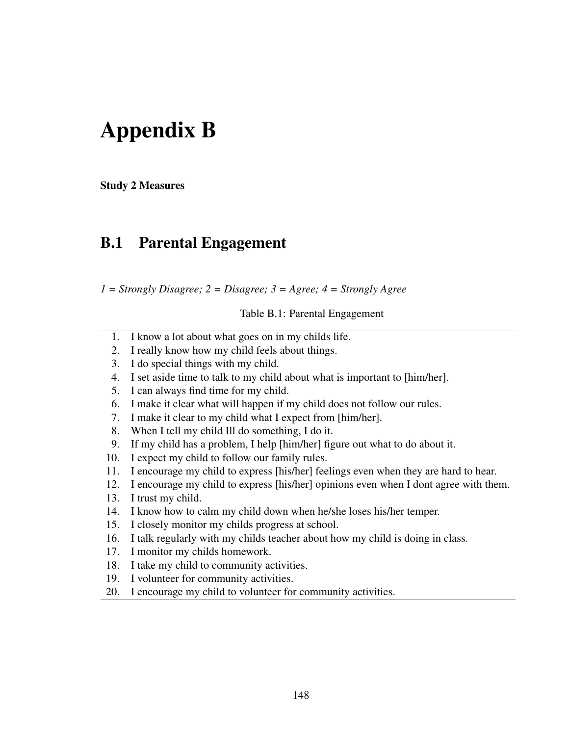## Appendix B

Study 2 Measures

#### B.1 Parental Engagement

*1 = Strongly Disagree; 2 = Disagree; 3 = Agree; 4 = Strongly Agree*

Table B.1: Parental Engagement

- 1. I know a lot about what goes on in my childs life.
- 2. I really know how my child feels about things.
- 3. I do special things with my child.
- 4. I set aside time to talk to my child about what is important to [him/her].
- 5. I can always find time for my child.
- 6. I make it clear what will happen if my child does not follow our rules.
- 7. I make it clear to my child what I expect from [him/her].
- 8. When I tell my child Ill do something, I do it.
- 9. If my child has a problem, I help [him/her] figure out what to do about it.
- 10. I expect my child to follow our family rules.
- 11. I encourage my child to express [his/her] feelings even when they are hard to hear.
- 12. I encourage my child to express [his/her] opinions even when I dont agree with them.
- 13. I trust my child.
- 14. I know how to calm my child down when he/she loses his/her temper.
- 15. I closely monitor my childs progress at school.
- 16. I talk regularly with my childs teacher about how my child is doing in class.
- 17. I monitor my childs homework.
- 18. I take my child to community activities.
- 19. I volunteer for community activities.
- 20. I encourage my child to volunteer for community activities.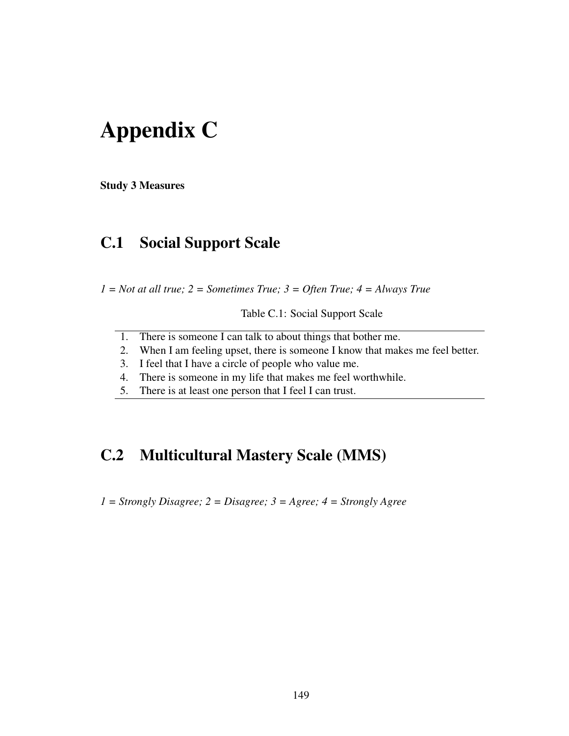## Appendix C

Study 3 Measures

### C.1 Social Support Scale

*1 = Not at all true; 2 = Sometimes True; 3 = Often True; 4 = Always True*

Table C.1: Social Support Scale

- 1. There is someone I can talk to about things that bother me.
- 2. When I am feeling upset, there is someone I know that makes me feel better.
- 3. I feel that I have a circle of people who value me.
- 4. There is someone in my life that makes me feel worthwhile.
- 5. There is at least one person that I feel I can trust.

### C.2 Multicultural Mastery Scale (MMS)

*1 = Strongly Disagree; 2 = Disagree; 3 = Agree; 4 = Strongly Agree*